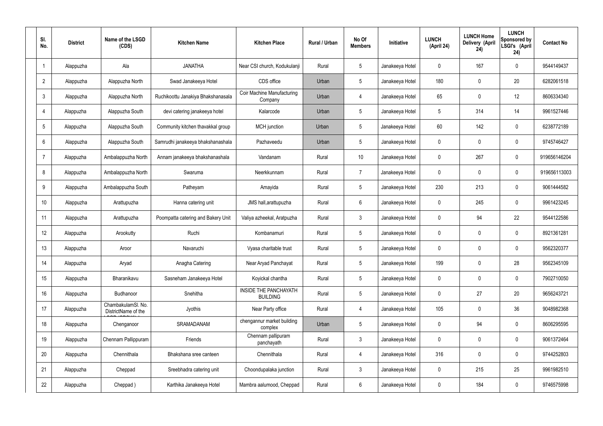| SI.<br>No.      | <b>District</b> | Name of the LSGD<br>(CDS)                 | <b>Kitchen Name</b>                | <b>Kitchen Place</b>                            | Rural / Urban | No Of<br><b>Members</b> | <b>Initiative</b> | <b>LUNCH</b><br>(April 24) | <b>LUNCH Home</b><br>Delivery (April<br>24) | <b>LUNCH</b><br>Sponsored by<br>LSGI's (April<br>24) | <b>Contact No</b> |
|-----------------|-----------------|-------------------------------------------|------------------------------------|-------------------------------------------------|---------------|-------------------------|-------------------|----------------------------|---------------------------------------------|------------------------------------------------------|-------------------|
|                 | Alappuzha       | Ala                                       | <b>JANATHA</b>                     | Near CSI church, Kodukulanji                    | Rural         | $5\phantom{.0}$         | Janakeeya Hotel   | $\mathbf 0$                | 167                                         | $\mathbf 0$                                          | 9544149437        |
| $\overline{2}$  | Alappuzha       | Alappuzha North                           | Swad Janakeeya Hotel               | CDS office                                      | Urban         | $5\phantom{.0}$         | Janakeeya Hotel   | 180                        | $\mathbf 0$                                 | 20                                                   | 6282061518        |
| $\mathbf{3}$    | Alappuzha       | Alappuzha North                           | Ruchikoottu Janakiya Bhakshanasala | <b>Coir Machine Manufacturing</b><br>Company    | Urban         | $\overline{4}$          | Janakeeya Hotel   | 65                         | $\mathbf 0$                                 | 12                                                   | 8606334340        |
| $\overline{4}$  | Alappuzha       | Alappuzha South                           | devi catering janakeeya hotel      | Kalarcode                                       | Urban         | $5\phantom{.0}$         | Janakeeya Hotel   | 5                          | 314                                         | 14                                                   | 9961527446        |
| $5\phantom{.0}$ | Alappuzha       | Alappuzha South                           | Community kitchen thavakkal group  | MCH junction                                    | Urban         | $5\phantom{.0}$         | Janakeeya Hotel   | $60\,$                     | 142                                         | $\mathbf 0$                                          | 6238772189        |
| 6               | Alappuzha       | Alappuzha South                           | Samrudhi janakeeya bhakshanashala  | Pazhaveedu                                      | Urban         | $5\phantom{.0}$         | Janakeeya Hotel   | $\mathbf 0$                | $\mathbf 0$                                 | $\mathbf 0$                                          | 9745746427        |
| $\overline{7}$  | Alappuzha       | Ambalappuzha North                        | Annam janakeeya bhakshanashala     | Vandanam                                        | Rural         | 10 <sup>°</sup>         | Janakeeya Hotel   | $\mathbf 0$                | 267                                         | $\mathbf 0$                                          | 919656146204      |
| 8               | Alappuzha       | Ambalappuzha North                        | Swaruma                            | Neerkkunnam                                     | Rural         | $\overline{7}$          | Janakeeya Hotel   | $\mathbf 0$                | $\mathbf 0$                                 | $\mathbf 0$                                          | 919656113003      |
| 9               | Alappuzha       | Ambalappuzha South                        | Patheyam                           | Amayida                                         | Rural         | $5\phantom{.0}$         | Janakeeya Hotel   | 230                        | 213                                         | $\mathbf 0$                                          | 9061444582        |
| 10              | Alappuzha       | Arattupuzha                               | Hanna catering unit                | JMS hall, arattupuzha                           | Rural         | $6\phantom{.}6$         | Janakeeya Hotel   | $\mathbf 0$                | 245                                         | $\mathbf 0$                                          | 9961423245        |
| 11              | Alappuzha       | Arattupuzha                               | Poompatta catering and Bakery Unit | Valiya azheekal, Aratpuzha                      | Rural         | $\mathbf{3}$            | Janakeeya Hotel   | $\mathbf 0$                | 94                                          | 22                                                   | 9544122586        |
| 12              | Alappuzha       | Arookutty                                 | Ruchi                              | Kombanamuri                                     | Rural         | $5\phantom{.0}$         | Janakeeya Hotel   | $\mathbf 0$                | $\mathbf 0$                                 | $\mathbf 0$                                          | 8921361281        |
| 13              | Alappuzha       | Aroor                                     | Navaruchi                          | Vyasa charitable trust                          | Rural         | $5\phantom{.0}$         | Janakeeya Hotel   | $\mathbf 0$                | 0                                           | 0                                                    | 9562320377        |
| 14              | Alappuzha       | Aryad                                     | Anagha Catering                    | Near Aryad Panchayat                            | Rural         | $5\phantom{.0}$         | Janakeeya Hotel   | 199                        | $\mathbf 0$                                 | 28                                                   | 9562345109        |
| 15              | Alappuzha       | Bharanikavu                               | Sasneham Janakeeya Hotel           | Koyickal chantha                                | Rural         | $5\phantom{.0}$         | Janakeeya Hotel   | $\mathbf 0$                | $\mathbf 0$                                 | $\mathbf 0$                                          | 7902710050        |
| 16              | Alappuzha       | Budhanoor                                 | Snehitha                           | <b>INSIDE THE PANCHAYATH</b><br><b>BUILDING</b> | Rural         | $5\phantom{.0}$         | Janakeeya Hotel   | $\mathbf 0$                | 27                                          | 20                                                   | 9656243721        |
| 17              | Alappuzha       | ChambakulamSl. No.<br>DistrictName of the | Jyothis                            | Near Party office                               | Rural         | $\overline{4}$          | Janakeeya Hotel   | 105                        | $\mathbf 0$                                 | 36                                                   | 9048982368        |
| 18              | Alappuzha       | Chenganoor                                | SRAMADANAM                         | chengannur market building<br>complex           | Urban         | $5\phantom{.0}$         | Janakeeya Hotel   | $\mathbf 0$                | 94                                          | $\mathbf 0$                                          | 8606295595        |
| 19              | Alappuzha       | Chennam Pallippuram                       | Friends                            | Chennam pallipuram<br>panchayath                | Rural         | $\mathbf{3}$            | Janakeeya Hotel   | $\mathbf 0$                | 0                                           | $\mathbf 0$                                          | 9061372464        |
| 20              | Alappuzha       | Chennithala                               | Bhakshana sree canteen             | Chennithala                                     | Rural         | $\overline{4}$          | Janakeeya Hotel   | 316                        | 0                                           | $\mathbf 0$                                          | 9744252803        |
| 21              | Alappuzha       | Cheppad                                   | Sreebhadra catering unit           | Choondupalaka junction                          | Rural         | $\mathbf{3}$            | Janakeeya Hotel   | $\mathbf 0$                | 215                                         | 25                                                   | 9961982510        |
| 22              | Alappuzha       | Cheppad)                                  | Karthika Janakeeya Hotel           | Mambra aalumood, Cheppad                        | Rural         | $6\overline{6}$         | Janakeeya Hotel   | 0                          | 184                                         | $\mathbf 0$                                          | 9746575998        |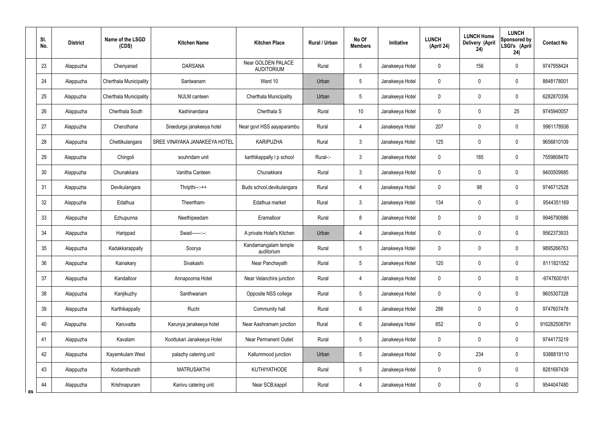|    | SI.<br>No. | <b>District</b> | Name of the LSGD<br>(CDS) | <b>Kitchen Name</b>           | <b>Kitchen Place</b>                    | <b>Rural / Urban</b> | No Of<br><b>Members</b> | Initiative      | <b>LUNCH</b><br>(April 24) | <b>LUNCH Home</b><br><b>Delivery (April</b><br>24) | <b>LUNCH</b><br>Sponsored by<br>LSGI's (April<br>24) | <b>Contact No</b> |
|----|------------|-----------------|---------------------------|-------------------------------|-----------------------------------------|----------------------|-------------------------|-----------------|----------------------------|----------------------------------------------------|------------------------------------------------------|-------------------|
|    | 23         | Alappuzha       | Cheriyanad                | <b>DARSANA</b>                | Near GOLDEN PALACE<br><b>AUDITORIUM</b> | Rural                | 5                       | Janakeeya Hotel | 0                          | 156                                                | $\mathbf 0$                                          | 9747958424        |
|    | 24         | Alappuzha       | Cherthala Municipality    | Santwanam                     | Ward 10                                 | Urban                | 5                       | Janakeeya Hotel | 0                          | 0                                                  | $\mathbf 0$                                          | 8848178001        |
|    | 25         | Alappuzha       | Cherthala Municipality    | NULM canteen                  | Cherthala Municipality                  | Urban                | 5                       | Janakeeya Hotel | 0                          | 0                                                  | $\mathbf 0$                                          | 6282870356        |
|    | 26         | Alappuzha       | Cherthala South           | Kashinandana                  | Cherthala S                             | Rural                | 10                      | Janakeeya Hotel | 0                          | $\mathbf 0$                                        | 25                                                   | 9745940057        |
|    | 27         | Alappuzha       | Cheruthana                | Sreedurga janakeeya hotel     | Near govt HSS aayaparambu               | Rural                | 4                       | Janakeeya Hotel | 207                        | 0                                                  | $\mathbf 0$                                          | 9961178936        |
|    | 28         | Alappuzha       | Chettikulangara           | SREE VINAYAKA JANAKEEYA HOTEL | <b>KARIPUZHA</b>                        | Rural                | $\mathbf{3}$            | Janakeeya Hotel | 125                        | 0                                                  | $\mathbf 0$                                          | 9656810109        |
|    | 29         | Alappuzha       | Chingoli                  | souhridam unit                | karthikappally I p school               | Rural-:-             | $\mathbf{3}$            | Janakeeya Hotel | 0                          | 185                                                | $\mathbf 0$                                          | 7559808470        |
|    | 30         | Alappuzha       | Chunakkara                | Vanitha Canteen               | Chunakkara                              | Rural                | $\mathfrak{Z}$          | Janakeeya Hotel | 0                          | $\mathbf 0$                                        | $\mathbf 0$                                          | 9400509985        |
|    | 31         | Alappuzha       | Devikulangara             | $Thripthi--++$                | Buds school, devikulangara              | Rural                | $\overline{4}$          | Janakeeya Hotel | 0                          | 98                                                 | $\mathbf 0$                                          | 9746712528        |
|    | 32         | Alappuzha       | Edathua                   | Theertham-                    | Edathua market                          | Rural                | 3                       | Janakeeya Hotel | 134                        | $\mathbf 0$                                        | $\mathbf 0$                                          | 9544351169        |
|    | 33         | Alappuzha       | Ezhupunna                 | Neethipeedam                  | Eramalloor                              | Rural                | 8                       | Janakeeya Hotel | 0                          | 0                                                  | $\mathbf 0$                                          | 9946790986        |
|    | 34         | Alappuzha       | Harippad                  | Swad------:--:                | A private Hotel's Kitchen               | Urban                | $\overline{4}$          | Janakeeya Hotel | 0                          | $\mathbf 0$                                        | $\mathbf 0$                                          | 9562373933        |
|    | 35         | Alappuzha       | Kadakkarappally           | Soorya                        | Kandamangalam temple<br>auditorium      | Rural                | 5                       | Janakeeya Hotel | 0                          | $\mathbf 0$                                        | $\mathbf 0$                                          | 9895266763        |
|    | 36         | Alappuzha       | Kainakary                 | Sivakashi                     | Near Panchayath                         | Rural                | 5                       | Janakeeya Hotel | 120                        | $\mathbf 0$                                        | $\pmb{0}$                                            | 8111821552        |
|    | 37         | Alappuzha       | Kandalloor                | Annapoorna Hotel              | Near Velanchira junction                | Rural                | $\overline{4}$          | Janakeeya Hotel | 0                          | $\pmb{0}$                                          | $\pmb{0}$                                            | -9747600181       |
|    | 38         | Alappuzha       | Kanjikuzhy                | Santhwanam                    | Opposite NSS college                    | Rural                | 5                       | Janakeeya Hotel | 0                          | $\pmb{0}$                                          | $\pmb{0}$                                            | 9605307328        |
|    | 39         | Alappuzha       | Karthikappally            | Ruchi                         | Community hall                          | Rural                | $6\overline{6}$         | Janakeeya Hotel | 286                        | $\mathbf 0$                                        | $\mathbf 0$                                          | 9747607478        |
|    | 40         | Alappuzha       | Karuvatta                 | Karunya janakeeya hotel       | Near Aashramam junction                 | Rural                | $6\overline{6}$         | Janakeeya Hotel | 652                        | $\pmb{0}$                                          | $\pmb{0}$                                            | 916282508791      |
|    | 41         | Alappuzha       | Kavalam                   | Koottukari Janakeeya Hotel    | <b>Near Permanent Outlet</b>            | Rural                | 5                       | Janakeeya Hotel | 0                          | $\pmb{0}$                                          | $\pmb{0}$                                            | 9744173219        |
|    | 42         | Alappuzha       | Kayamkulam West           | palazhy catering unit         | Kallummood junction                     | Urban                | $5\phantom{.0}$         | Janakeeya Hotel | 0                          | 234                                                | $\pmb{0}$                                            | 9388819110        |
|    | 43         | Alappuzha       | Kodamthurath              | <b>MATRUSAKTHI</b>            | <b>KUTHIYATHODE</b>                     | Rural                | 5                       | Janakeeya Hotel | 0                          | $\overline{0}$                                     | $\pmb{0}$                                            | 8281687439        |
| ՋQ | 44         | Alappuzha       | Krishnapuram              | Kanivu catering unit          | Near SCB, kappil                        | Rural                | $\overline{4}$          | Janakeeya Hotel | 0                          | $\overline{0}$                                     | $\pmb{0}$                                            | 9544047480        |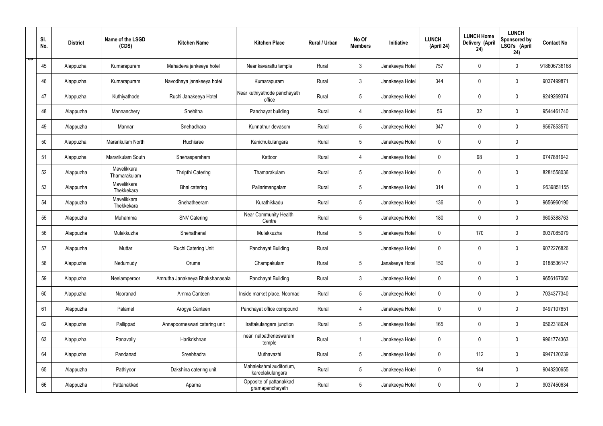|   | SI.<br>No. | <b>District</b> | Name of the LSGD<br>(CDS)   | <b>Kitchen Name</b>             | <b>Kitchen Place</b>                        | Rural / Urban | No Of<br><b>Members</b> | Initiative      | <b>LUNCH</b><br>(April 24) | <b>LUNCH Home</b><br>Delivery (April<br>24) | <b>LUNCH</b><br>Sponsored by<br>LSGI's (April<br>24) | <b>Contact No</b> |
|---|------------|-----------------|-----------------------------|---------------------------------|---------------------------------------------|---------------|-------------------------|-----------------|----------------------------|---------------------------------------------|------------------------------------------------------|-------------------|
| ಾ | 45         | Alappuzha       | Kumarapuram                 | Mahadeva jankeeya hotel         | Near kavarattu temple                       | Rural         | $\mathfrak{Z}$          | Janakeeya Hotel | 757                        | $\mathbf 0$                                 | $\mathbf 0$                                          | 918606736168      |
|   | 46         | Alappuzha       | Kumarapuram                 | Navodhaya janakeeya hotel       | Kumarapuram                                 | Rural         | $\mathbf{3}$            | Janakeeya Hotel | 344                        | $\mathbf 0$                                 | $\mathbf 0$                                          | 9037499871        |
|   | 47         | Alappuzha       | Kuthiyathode                | Ruchi Janakeeya Hotel           | Near kuthiyathode panchayath<br>office      | Rural         | $5\phantom{.0}$         | Janakeeya Hotel | $\mathbf 0$                | 0                                           | $\mathbf 0$                                          | 9249269374        |
|   | 48         | Alappuzha       | Mannanchery                 | Snehitha                        | Panchayat building                          | Rural         | 4                       | Janakeeya Hotel | 56                         | 32                                          | $\mathbf 0$                                          | 9544461740        |
|   | 49         | Alappuzha       | Mannar                      | Snehadhara                      | Kunnathur devasom                           | Rural         | $5\phantom{.0}$         | Janakeeya Hotel | 347                        | $\mathbf 0$                                 | $\mathbf 0$                                          | 9567853570        |
|   | 50         | Alappuzha       | Mararikulam North           | Ruchisree                       | Kanichukulangara                            | Rural         | $5\phantom{.0}$         | Janakeeya Hotel | $\mathbf 0$                | $\mathbf 0$                                 | $\mathbf 0$                                          |                   |
|   | 51         | Alappuzha       | Mararikulam South           | Snehasparsham                   | Kattoor                                     | Rural         | 4                       | Janakeeya Hotel | $\mathbf 0$                | 98                                          | $\mathbf 0$                                          | 9747881642        |
|   | 52         | Alappuzha       | Mavelikkara<br>Thamarakulam | Thripthi Catering               | Thamarakulam                                | Rural         | $5\overline{)}$         | Janakeeya Hotel | $\mathbf 0$                | $\mathbf 0$                                 | $\mathbf 0$                                          | 8281558036        |
|   | 53         | Alappuzha       | Mavelikkara<br>Thekkekara   | Bhai catering                   | Pallarimangalam                             | Rural         | $5\phantom{.0}$         | Janakeeya Hotel | 314                        | $\mathbf 0$                                 | $\mathbf 0$                                          | 9539851155        |
|   | 54         | Alappuzha       | Mavelikkara<br>Thekkekara   | Snehatheeram                    | Kurathikkadu                                | Rural         | $5\overline{)}$         | Janakeeya Hotel | 136                        | $\mathbf 0$                                 | $\mathbf 0$                                          | 9656960190        |
|   | 55         | Alappuzha       | Muhamma                     | <b>SNV Catering</b>             | Near Community Health<br>Centre             | Rural         | $5\phantom{.0}$         | Janakeeya Hotel | 180                        | $\mathbf 0$                                 | $\mathbf 0$                                          | 9605388763        |
|   | 56         | Alappuzha       | Mulakkuzha                  | Snehathanal                     | Mulakkuzha                                  | Rural         | $5\phantom{.0}$         | Janakeeya Hotel | $\mathbf 0$                | 170                                         | $\mathbf 0$                                          | 9037085079        |
|   | 57         | Alappuzha       | Muttar                      | Ruchi Catering Unit             | Panchayat Building                          | Rural         |                         | Janakeeya Hotel | $\pmb{0}$                  | 0                                           | $\mathbf 0$                                          | 9072276826        |
|   | 58         | Alappuzha       | Nedumudy                    | Oruma                           | Champakulam                                 | Rural         | $5\phantom{.0}$         | Janakeeya Hotel | 150                        | $\pmb{0}$                                   | $\mathbf 0$                                          | 9188536147        |
|   | 59         | Alappuzha       | Neelamperoor                | Amrutha Janakeeya Bhakshanasala | Panchayat Building                          | Rural         | $\mathbf{3}$            | Janakeeya Hotel | $\mathbf 0$                | $\pmb{0}$                                   | $\mathbf 0$                                          | 9656167060        |
|   | 60         | Alappuzha       | Nooranad                    | Amma Canteen                    | Inside market place, Noornad                | Rural         | $5\phantom{.0}$         | Janakeeya Hotel | $\pmb{0}$                  | $\mathbf 0$                                 | $\mathbf 0$                                          | 7034377340        |
|   | 61         | Alappuzha       | Palamel                     | Arogya Canteen                  | Panchayat office compound                   | Rural         | $\overline{4}$          | Janakeeya Hotel | $\mathbf 0$                | $\mathbf 0$                                 | $\mathbf 0$                                          | 9497107651        |
|   | 62         | Alappuzha       | Pallippad                   | Annapoorneswari catering unit   | Irattakulangara junction                    | Rural         | $5\phantom{.0}$         | Janakeeya Hotel | 165                        | $\mathbf 0$                                 | $\mathbf 0$                                          | 9562318624        |
|   | 63         | Alappuzha       | Panavally                   | Harikrishnan                    | near nalpatheneswaram<br>temple             | Rural         | $\mathbf{1}$            | Janakeeya Hotel | $\mathbf 0$                | $\pmb{0}$                                   | $\mathbf 0$                                          | 9961774363        |
|   | 64         | Alappuzha       | Pandanad                    | Sreebhadra                      | Muthavazhi                                  | Rural         | $5\phantom{.0}$         | Janakeeya Hotel | $\pmb{0}$                  | 112                                         | $\mathbf 0$                                          | 9947120239        |
|   | 65         | Alappuzha       | Pathiyoor                   | Dakshina catering unit          | Mahalekshmi auditorium,<br>kareelakulangara | Rural         | $5\phantom{.0}$         | Janakeeya Hotel | $\mathbf 0$                | 144                                         | $\mathbf 0$                                          | 9048200655        |
|   | 66         | Alappuzha       | Pattanakkad                 | Aparna                          | Opposite of pattanakkad<br>gramapanchayath  | Rural         | $5\phantom{.0}$         | Janakeeya Hotel | 0                          | $\pmb{0}$                                   | $\mathbf 0$                                          | 9037450634        |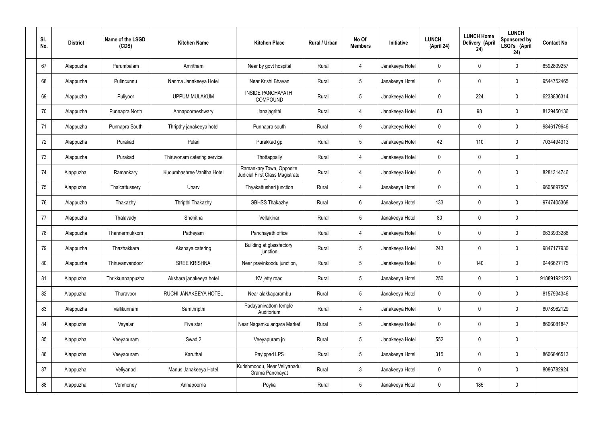| SI.<br>No. | <b>District</b> | Name of the LSGD<br>(CDS) | <b>Kitchen Name</b>         | <b>Kitchen Place</b>                                        | Rural / Urban | No Of<br><b>Members</b> | Initiative      | <b>LUNCH</b><br>(April 24) | <b>LUNCH Home</b><br>Delivery (April<br>24) | <b>LUNCH</b><br>Sponsored by<br>LSGI's (April<br>24) | <b>Contact No</b> |
|------------|-----------------|---------------------------|-----------------------------|-------------------------------------------------------------|---------------|-------------------------|-----------------|----------------------------|---------------------------------------------|------------------------------------------------------|-------------------|
| 67         | Alappuzha       | Perumbalam                | Amritham                    | Near by govt hospital                                       | Rural         | $\overline{4}$          | Janakeeya Hotel | $\mathbf 0$                | $\mathbf 0$                                 | $\pmb{0}$                                            | 8592809257        |
| 68         | Alappuzha       | Pulincunnu                | Nanma Janakeeya Hotel       | Near Krishi Bhavan                                          | Rural         | $5\phantom{.0}$         | Janakeeya Hotel | $\mathbf 0$                | $\mathbf 0$                                 | $\pmb{0}$                                            | 9544752465        |
| 69         | Alappuzha       | Puliyoor                  | <b>UPPUM MULAKUM</b>        | <b>INSIDE PANCHAYATH</b><br>COMPOUND                        | Rural         | $5\phantom{.0}$         | Janakeeya Hotel | $\mathbf 0$                | 224                                         | $\pmb{0}$                                            | 6238836314        |
| 70         | Alappuzha       | Punnapra North            | Annapoorneshwary            | Janajagrithi                                                | Rural         | $\overline{4}$          | Janakeeya Hotel | 63                         | 98                                          | $\pmb{0}$                                            | 8129450136        |
| 71         | Alappuzha       | Punnapra South            | Thripthy janakeeya hotel    | Punnapra south                                              | Rural         | 9                       | Janakeeya Hotel | $\mathbf 0$                | $\mathbf 0$                                 | $\pmb{0}$                                            | 9846179646        |
| 72         | Alappuzha       | Purakad                   | Pulari                      | Purakkad gp                                                 | Rural         | $5\phantom{.0}$         | Janakeeya Hotel | 42                         | 110                                         | $\pmb{0}$                                            | 7034494313        |
| 73         | Alappuzha       | Purakad                   | Thiruvonam catering service | Thottappally                                                | Rural         | $\overline{4}$          | Janakeeya Hotel | $\mathbf 0$                | $\mathbf 0$                                 | $\pmb{0}$                                            |                   |
| 74         | Alappuzha       | Ramankary                 | Kudumbashree Vanitha Hotel  | Ramankary Town, Opposite<br>Judicial First Class Magistrate | Rural         | 4                       | Janakeeya Hotel | $\mathbf 0$                | $\mathbf 0$                                 | $\pmb{0}$                                            | 8281314746        |
| 75         | Alappuzha       | Thaicattussery            | Unarv                       | Thyakattusheri junction                                     | Rural         | 4                       | Janakeeya Hotel | $\mathbf 0$                | $\mathbf 0$                                 | $\pmb{0}$                                            | 9605897567        |
| 76         | Alappuzha       | Thakazhy                  | Thripthi Thakazhy           | <b>GBHSS Thakazhy</b>                                       | Rural         | $6\phantom{.}6$         | Janakeeya Hotel | 133                        | $\mathbf 0$                                 | $\pmb{0}$                                            | 9747405368        |
| 77         | Alappuzha       | Thalavady                 | Snehitha                    | Vellakinar                                                  | Rural         | $5\phantom{.0}$         | Janakeeya Hotel | 80                         | $\pmb{0}$                                   | $\pmb{0}$                                            |                   |
| 78         | Alappuzha       | Thannermukkom             | Patheyam                    | Panchayath office                                           | Rural         | 4                       | Janakeeya Hotel | $\mathbf 0$                | $\mathbf 0$                                 | $\pmb{0}$                                            | 9633933288        |
| 79         | Alappuzha       | Thazhakkara               | Akshaya catering            | Building at glassfactory<br>junction                        | Rural         | 5                       | Janakeeya Hotel | 243                        | $\mathbf 0$                                 | $\mathbf 0$                                          | 9847177930        |
| 80         | Alappuzha       | Thiruvanvandoor           | <b>SREE KRISHNA</b>         | Near pravinkoodu junction,                                  | Rural         | 5 <sub>5</sub>          | Janakeeya Hotel | $\pmb{0}$                  | 140                                         | $\pmb{0}$                                            | 9446627175        |
| 81         | Alappuzha       | Thrikkunnappuzha          | Akshara janakeeya hotel     | KV jetty road                                               | Rural         | 5 <sup>5</sup>          | Janakeeya Hotel | 250                        | $\pmb{0}$                                   | $\mathbf 0$                                          | 918891921223      |
| 82         | Alappuzha       | Thuravoor                 | RUCHI JANAKEEYA HOTEL       | Near alakkaparambu                                          | Rural         | 5 <sup>5</sup>          | Janakeeya Hotel | $\pmb{0}$                  | $\pmb{0}$                                   | $\mathbf 0$                                          | 8157934346        |
| 83         | Alappuzha       | Vallikunnam               | Samthripthi                 | Padayanivattom temple<br>Auditorium                         | Rural         | $\overline{4}$          | Janakeeya Hotel | $\mathbf 0$                | $\pmb{0}$                                   | $\mathbf 0$                                          | 8078962129        |
| 84         | Alappuzha       | Vayalar                   | Five star                   | Near Nagamkulangara Market                                  | Rural         | 5 <sup>5</sup>          | Janakeeya Hotel | $\pmb{0}$                  | $\pmb{0}$                                   | $\mathbf 0$                                          | 8606081847        |
| 85         | Alappuzha       | Veeyapuram                | Swad 2                      | Veeyapuram jn                                               | Rural         | 5 <sup>5</sup>          | Janakeeya Hotel | 552                        | $\pmb{0}$                                   | $\mathbf 0$                                          |                   |
| 86         | Alappuzha       | Veeyapuram                | Karuthal                    | Payippad LPS                                                | Rural         | 5 <sub>5</sub>          | Janakeeya Hotel | 315                        | $\pmb{0}$                                   | $\mathbf 0$                                          | 8606846513        |
| 87         | Alappuzha       | Veliyanad                 | Manus Janakeeya Hotel       | Kurishmoodu, Near Veliyanadu<br>Grama Panchayat             | Rural         | $3\phantom{a}$          | Janakeeya Hotel | $\mathbf 0$                | $\pmb{0}$                                   | $\mathbf 0$                                          | 8086782924        |
| 88         | Alappuzha       | Venmoney                  | Annapoorna                  | Poyka                                                       | Rural         | 5 <sub>5</sub>          | Janakeeya Hotel | 0                          | 185                                         | $\pmb{0}$                                            |                   |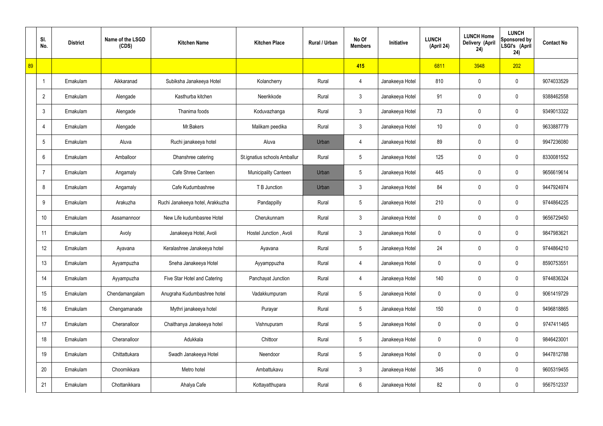|    | SI.<br>No.     | <b>District</b> | Name of the LSGD<br>(CDS) | <b>Kitchen Name</b>              | <b>Kitchen Place</b>         | Rural / Urban | No Of<br><b>Members</b> | Initiative      | <b>LUNCH</b><br>(April 24) | <b>LUNCH Home</b><br>Delivery (April<br>24) | <b>LUNCH</b><br>Sponsored by<br>LSGI's (April<br>24) | <b>Contact No</b> |
|----|----------------|-----------------|---------------------------|----------------------------------|------------------------------|---------------|-------------------------|-----------------|----------------------------|---------------------------------------------|------------------------------------------------------|-------------------|
| 89 |                |                 |                           |                                  |                              |               | 415                     |                 | 6811                       | 3948                                        | 202                                                  |                   |
|    | $\overline{1}$ | Ernakulam       | Aikkaranad                | Subiksha Janakeeya Hotel         | Kolancherry                  | Rural         | 4                       | Janakeeya Hotel | 810                        | 0                                           | $\mathbf 0$                                          | 9074033529        |
|    | $\overline{2}$ | Ernakulam       | Alengade                  | Kasthurba kitchen                | Neerikkode                   | Rural         | $\mathbf{3}$            | Janakeeya Hotel | 91                         | 0                                           | $\mathbf 0$                                          | 9388462558        |
|    | $\mathfrak{Z}$ | Ernakulam       | Alengade                  | Thanima foods                    | Koduvazhanga                 | Rural         | $\mathfrak{Z}$          | Janakeeya Hotel | 73                         | 0                                           | $\mathbf 0$                                          | 9349013322        |
|    | $\overline{4}$ | Ernakulam       | Alengade                  | Mr.Bakers                        | Malikam peedika              | Rural         | $\mathbf{3}$            | Janakeeya Hotel | 10 <sup>°</sup>            | 0                                           | $\mathbf 0$                                          | 9633887779        |
|    | 5              | Ernakulam       | Aluva                     | Ruchi janakeeya hotel            | Aluva                        | Urban         | 4                       | Janakeeya Hotel | 89                         | 0                                           | $\mathbf 0$                                          | 9947236080        |
|    | 6              | Ernakulam       | Amballoor                 | Dhanshree catering               | St.ignatius schools Amballur | Rural         | $5\phantom{.0}$         | Janakeeya Hotel | 125                        | 0                                           | $\mathbf 0$                                          | 8330081552        |
|    | $\overline{7}$ | Ernakulam       | Angamaly                  | Cafe Shree Canteen               | <b>Municipality Canteen</b>  | Urban         | $5\phantom{.0}$         | Janakeeya Hotel | 445                        | 0                                           | $\mathbf 0$                                          | 9656619614        |
|    | 8              | Ernakulam       | Angamaly                  | Cafe Kudumbashree                | T B Junction                 | Urban         | $\mathfrak{Z}$          | Janakeeya Hotel | 84                         | 0                                           | $\mathbf 0$                                          | 9447924974        |
|    | 9              | Ernakulam       | Arakuzha                  | Ruchi Janakeeya hotel, Arakkuzha | Pandappilly                  | Rural         | $\sqrt{5}$              | Janakeeya Hotel | 210                        | 0                                           | $\mathbf 0$                                          | 9744864225        |
|    | 10             | Ernakulam       | Assamannoor               | New Life kudumbasree Hotel       | Cherukunnam                  | Rural         | $\mathfrak{Z}$          | Janakeeya Hotel | 0                          | 0                                           | $\boldsymbol{0}$                                     | 9656729450        |
|    | 11             | Ernakulam       | Avoly                     | Janakeeya Hotel, Avoli           | Hostel Junction, Avoli       | Rural         | $\mathbf{3}$            | Janakeeya Hotel | 0                          | 0                                           | $\boldsymbol{0}$                                     | 9847983621        |
|    | 12             | Ernakulam       | Ayavana                   | Keralashree Janakeeya hotel      | Ayavana                      | Rural         | $5\phantom{.0}$         | Janakeeya Hotel | 24                         | 0                                           | $\boldsymbol{0}$                                     | 9744864210        |
|    | 13             | Ernakulam       | Ayyampuzha                | Sneha Janakeeya Hotel            | Ayyamppuzha                  | Rural         | 4                       | Janakeeya Hotel | 0                          | 0                                           | $\mathbf 0$                                          | 8590753551        |
|    | 14             | Ernakulam       | Ayyampuzha                | Five Star Hotel and Catering     | Panchayat Junction           | Rural         | $\overline{4}$          | Janakeeya Hotel | 140                        | 0                                           | $\mathbf 0$                                          | 9744836324        |
|    | 15             | Ernakulam       | Chendamangalam            | Anugraha Kudumbashree hotel      | Vadakkumpuram                | Rural         | $5\phantom{.0}$         | Janakeeya Hotel | 0                          | 0                                           | $\mathbf 0$                                          | 9061419729        |
|    | 16             | Ernakulam       | Chengamanade              | Mythri janakeeya hotel           | Purayar                      | Rural         | $5\phantom{.0}$         | Janakeeya Hotel | 150                        | 0                                           | $\mathbf 0$                                          | 9496818865        |
|    | 17             | Ernakulam       | Cheranalloor              | Chaithanya Janakeeya hotel       | Vishnupuram                  | Rural         | $5\phantom{.0}$         | Janakeeya Hotel | 0                          | 0                                           | $\mathbf 0$                                          | 9747411465        |
|    | 18             | Ernakulam       | Cheranalloor              | Adukkala                         | Chittoor                     | Rural         | $\sqrt{5}$              | Janakeeya Hotel | 0                          | 0                                           | $\mathbf 0$                                          | 9846423001        |
|    | 19             | Ernakulam       | Chittattukara             | Swadh Janakeeya Hotel            | Neendoor                     | Rural         | $5\phantom{.0}$         | Janakeeya Hotel | 0                          | 0                                           | $\mathbf 0$                                          | 9447812788        |
|    | 20             | Ernakulam       | Choornikkara              | Metro hotel                      | Ambattukavu                  | Rural         | $\mathfrak{Z}$          | Janakeeya Hotel | 345                        | 0                                           | $\mathbf 0$                                          | 9605319455        |
|    | 21             | Ernakulam       | Chottanikkara             | Ahalya Cafe                      | Kottayatthupara              | Rural         | $6\,$                   | Janakeeya Hotel | 82                         | 0                                           | $\boldsymbol{0}$                                     | 9567512337        |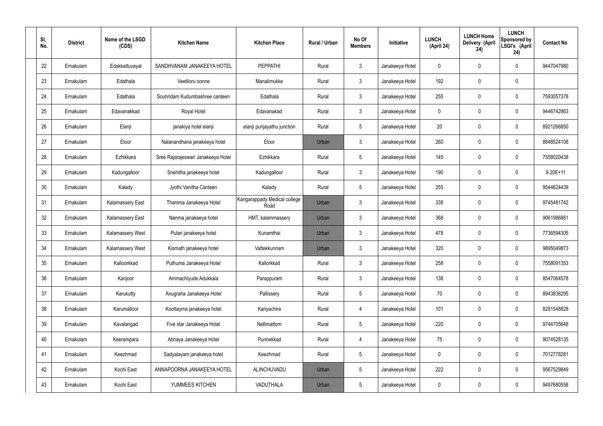| SI.<br>No. | <b>District</b> | Name of the LSGD<br>(CDS) | <b>Kitchen Name</b>                | <b>Kitchen Place</b>                 | Rural / Urban | No Of<br><b>Members</b> | Initiative      | <b>LUNCH</b><br>(April 24) | <b>LUNCH Home</b><br>Delivery (April<br>24) | <b>LUNCH</b><br>Sponsored by<br>LSGI's (April<br>24) | <b>Contact No</b> |
|------------|-----------------|---------------------------|------------------------------------|--------------------------------------|---------------|-------------------------|-----------------|----------------------------|---------------------------------------------|------------------------------------------------------|-------------------|
| 22         | Ernakulam       | Edakkattuvayal            | SANDHVANAM JANAKEEYA HOTEL         | <b>PEPPATHI</b>                      | Rural         | $\mathbf{3}$            | Janakeeya Hotel | 0                          | 0                                           | 0                                                    | 9447047980        |
| 23         | Ernakulam       | Edathala                  | Veetiloru oonne                    | Manalimukke                          | Rural         | $\mathbf{3}$            | Janakeeya Hotel | 192                        | 0                                           | $\mathbf 0$                                          |                   |
| 24         | Ernakulam       | Edathala                  | Souhridam Kudumbashree canteen     | Edathala                             | Rural         | $\mathbf{3}$            | Janakeeya Hotel | 255                        | 0                                           | $\mathbf 0$                                          | 7593057378        |
| 25         | Ernakulam       | Edavanakkad               | Royal Hotel                        | Edavanakad                           | Rural         | $\mathbf{3}$            | Janakeeya Hotel | $\mathbf 0$                | 0                                           | $\boldsymbol{0}$                                     | 9446742863        |
| 26         | Ernakulam       | Elanji                    | janakiya hotel elanji              | elanji punjayathu junction           | Rural         | $5\phantom{.0}$         | Janakeeya Hotel | 20                         | 0                                           | $\mathbf 0$                                          | 8921266850        |
| 27         | Ernakulam       | Eloor                     | Nalanandhana janakeeya hotel       | Eloor                                | Urban         | $\mathbf{3}$            | Janakeeya Hotel | 260                        | 0                                           | $\mathbf 0$                                          | 8848524108        |
| 28         | Ernakulam       | Ezhikkara                 | Sree Rajarajeswari Janakeeya Hotel | Ezhikkara                            | Rural         | $5\phantom{.0}$         | Janakeeya Hotel | 145                        | 0                                           | $\mathbf 0$                                          | 7558020438        |
| 29         | Ernakulam       | Kadungalloor              | Snehitha janakeeya hotel           | Kadungalloor                         | Rural         | $\mathbf{3}$            | Janakeeya Hotel | 190                        | 0                                           | $\boldsymbol{0}$                                     | $9.20E+11$        |
| 30         | Ernakulam       | Kalady                    | Jyothi Vanitha Canteen             | Kalady                               | Rural         | $5\phantom{.0}$         | Janakeeya Hotel | 255                        | 0                                           | $\mathbf 0$                                          | 9544624439        |
| 31         | Ernakulam       | <b>Kalamassery East</b>   | Thanima Janakeeya Hotel            | Kangarappady Medical college<br>Road | Urban         | $\mathbf{3}$            | Janakeeya Hotel | 338                        | 0                                           | $\mathbf 0$                                          | 9745481742        |
| 32         | Ernakulam       | <b>Kalamassery East</b>   | Nanma janakeeya hotel              | HMT, kalammassery                    | Urban         | $\mathbf{3}$            | Janakeeya Hotel | 368                        | $\boldsymbol{0}$                            | $\mathbf 0$                                          | 9061986861        |
| 33         | Ernakulam       | <b>Kalamassery West</b>   | Pulari janakeeya hotel             | Kunamthai                            | Urban         | $\mathbf{3}$            | Janakeeya Hotel | 478                        | 0                                           | $\mathbf 0$                                          | 7736594305        |
| 34         | Ernakulam       | <b>Kalamassery West</b>   | Kismath janakeeya hotel            | Vattekkunnam                         | Urban         | $\mathbf{3}$            | Janakeeya Hotel | 320                        | $\boldsymbol{0}$                            | 0                                                    | 9895049873        |
| 35         | Ernakulam       | Kalloorkkad               | Puthuma Janakeeya Hotel            | Kallorkkad                           | Rural         | $\mathbf{3}$            | Janakeeya Hotel | 258                        | $\mathsf{0}$                                | $\pmb{0}$                                            | 7558091353        |
| 36         | Ernakulam       | Kanjoor                   | Ammachiyude Adukkala               | Parappuram                           | Rural         | 3 <sup>1</sup>          | Janakeeya Hotel | 138                        | 0                                           | $\mathbf 0$                                          | 8547064578        |
| 37         | Ernakulam       | Karukutty                 | Anugraha Janakeeya Hotel           | Pallissery                           | Rural         | $5\phantom{.0}$         | Janakeeya Hotel | 70                         | 0                                           | $\mathbf 0$                                          | 8943838295        |
| 38         | Ernakulam       | Karumalloor               | Koottayma janakeeya hotel          | Kariyachira                          | Rural         | $\overline{4}$          | Janakeeya Hotel | 101                        | 0                                           | $\mathbf 0$                                          | 8281548828        |
| 39         | Ernakulam       | Kavalangad                | Five star Janakeeya Hotel          | Nellimattom                          | Rural         | $5\phantom{.0}$         | Janakeeya Hotel | 220                        | 0                                           | $\mathbf 0$                                          | 9744705648        |
| 40         | Ernakulam       | Keerampara                | Abhaya Janakeeya Hotel             | Punnekkad                            | Rural         | $\overline{4}$          | Janakeeya Hotel | 75                         | 0                                           | $\mathbf 0$                                          | 9074528135        |
| 41         | Ernakulam       | Keezhmad                  | Sadyalayam janakeeya hotel         | Keezhmad                             | Rural         | $5\phantom{.0}$         | Janakeeya Hotel | 0                          | 0                                           | $\mathbf 0$                                          | 7012778281        |
| 42         | Ernakulam       | Kochi East                | ANNAPOORNA JANAKEEYA HOTEL         | ALINCHUVADU                          | Urban         | $5\phantom{.0}$         | Janakeeya Hotel | 222                        | 0                                           | $\mathbf 0$                                          | 9567529849        |
| 43         | Ernakulam       | Kochi East                | YUMMEES KITCHEN                    | VADUTHALA                            | Urban         | $5\phantom{.0}$         | Janakeeya Hotel | 0                          | 0                                           | $\boldsymbol{0}$                                     | 9497680558        |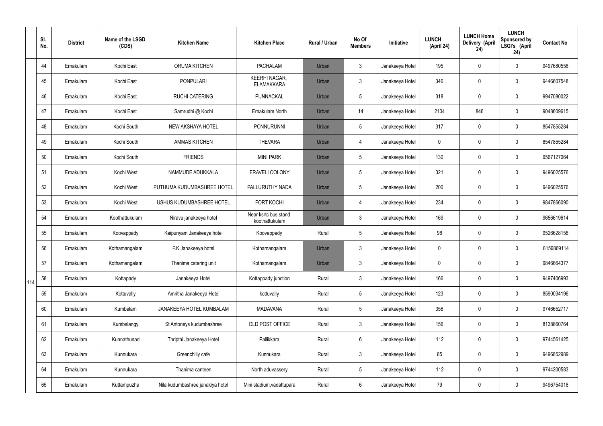|     | SI.<br>No. | <b>District</b> | Name of the LSGD<br>(CDS) | <b>Kitchen Name</b>              | <b>Kitchen Place</b>                      | <b>Rural / Urban</b> | No Of<br><b>Members</b> | Initiative      | <b>LUNCH</b><br>(April 24) | <b>LUNCH Home</b><br>Delivery (April<br>24) | <b>LUNCH</b><br><b>Sponsored by</b><br>LSGI's (April<br>24) | <b>Contact No</b> |
|-----|------------|-----------------|---------------------------|----------------------------------|-------------------------------------------|----------------------|-------------------------|-----------------|----------------------------|---------------------------------------------|-------------------------------------------------------------|-------------------|
|     | 44         | Ernakulam       | Kochi East                | ORUMA KITCHEN                    | <b>PACHALAM</b>                           | Urban                | $\mathbf{3}$            | Janakeeya Hotel | 195                        | 0                                           | $\mathbf 0$                                                 | 9497680558        |
|     | 45         | Ernakulam       | Kochi East                | <b>PONPULARI</b>                 | <b>KEERHI NAGAR,</b><br><b>ELAMAKKARA</b> | Urban                | $\mathfrak{Z}$          | Janakeeya Hotel | 346                        | 0                                           | $\boldsymbol{0}$                                            | 9446607548        |
|     | 46         | Ernakulam       | Kochi East                | <b>RUCHI CATERING</b>            | PUNNACKAL                                 | Urban                | 5                       | Janakeeya Hotel | 318                        | 0                                           | $\mathbf 0$                                                 | 9947080022        |
|     | 47         | Ernakulam       | Kochi East                | Samrudhi @ Kochi                 | Ernakulam North                           | Urban                | 14                      | Janakeeya Hotel | 2104                       | 846                                         | $\pmb{0}$                                                   | 9048609615        |
|     | 48         | Ernakulam       | Kochi South               | NEW AKSHAYA HOTEL                | <b>PONNURUNNI</b>                         | Urban                | 5                       | Janakeeya Hotel | 317                        | 0                                           | $\mathbf 0$                                                 | 8547855284        |
|     | 49         | Ernakulam       | Kochi South               | <b>AMMAS KITCHEN</b>             | <b>THEVARA</b>                            | Urban                | $\overline{4}$          | Janakeeya Hotel | 0                          | 0                                           | $\mathbf 0$                                                 | 8547855284        |
|     | 50         | Ernakulam       | Kochi South               | <b>FRIENDS</b>                   | <b>MINI PARK</b>                          | Urban                | 5                       | Janakeeya Hotel | 130                        | 0                                           | $\mathbf 0$                                                 | 9567127064        |
|     | 51         | Ernakulam       | Kochi West                | NAMMUDE ADUKKALA                 | <b>ERAVELI COLONY</b>                     | Urban                | 5                       | Janakeeya Hotel | 321                        | 0                                           | $\mathbf 0$                                                 | 9496025576        |
|     | 52         | Ernakulam       | Kochi West                | PUTHUMA KUDUMBASHREE HOTEL       | PALLURUTHY NADA                           | Urban                | 5                       | Janakeeya Hotel | 200                        | 0                                           | $\mathbf 0$                                                 | 9496025576        |
|     | 53         | Ernakulam       | Kochi West                | USHUS KUDUMBASHREE HOTEL         | <b>FORT KOCHI</b>                         | Urban                | $\overline{4}$          | Janakeeya Hotel | 234                        | 0                                           | $\pmb{0}$                                                   | 9847866090        |
|     | 54         | Ernakulam       | Koothattukulam            | Niravu janakeeya hotel           | Near ksrtc bus stand<br>koothattukulam    | Urban                | $\mathfrak{Z}$          | Janakeeya Hotel | 169                        | 0                                           | $\pmb{0}$                                                   | 9656619614        |
|     | 55         | Ernakulam       | Koovappady                | Kaipunyam Janakeeya hotel        | Koovappady                                | Rural                | 5                       | Janakeeya Hotel | 98                         | 0                                           | $\boldsymbol{0}$                                            | 9526628158        |
|     | 56         | Ernakulam       | Kothamangalam             | P.K Janakeeya hotel              | Kothamangalam                             | Urban                | $\mathbf{3}$            | Janakeeya Hotel | 0                          | 0                                           | $\mathbf 0$                                                 | 8156869114        |
|     | 57         | Ernakulam       | Kothamangalam             | Thanima catering unit            | Kothamangalam                             | Urban                | $\mathbf{3}$            | Janakeeya Hotel | 0                          | 0                                           | $\mathbf 0$                                                 | 9846664377        |
| 114 | 58         | Ernakulam       | Kottapady                 | Janakeeya Hotel                  | Kottappady junction                       | Rural                | $\mathbf{3}$            | Janakeeya Hotel | 166                        | 0                                           | $\mathbf 0$                                                 | 9497406993        |
|     | 59         | Ernakulam       | Kottuvally                | Amritha Janakeeya Hotel          | kottuvally                                | Rural                | 5                       | Janakeeya Hotel | 123                        | 0                                           | $\mathbf 0$                                                 | 8590034196        |
|     | 60         | Ernakulam       | Kumbalam                  | JANAKEEYA HOTEL KUMBALAM         | <b>MADAVANA</b>                           | Rural                | 5                       | Janakeeya Hotel | 356                        | 0                                           | $\pmb{0}$                                                   | 9746652717        |
|     | 61         | Ernakulam       | Kumbalangy                | St Antoneys kudumbashree         | OLD POST OFFICE                           | Rural                | $\mathbf{3}$            | Janakeeya Hotel | 156                        | 0                                           | $\pmb{0}$                                                   | 8138860764        |
|     | 62         | Ernakulam       | Kunnathunad               | Thripthi Janakeeya Hotel         | Pallikkara                                | Rural                | 6                       | Janakeeya Hotel | 112                        | 0                                           | $\pmb{0}$                                                   | 9744561425        |
|     | 63         | Ernakulam       | Kunnukara                 | Greenchilly cafe                 | Kunnukara                                 | Rural                | $\mathfrak{Z}$          | Janakeeya Hotel | 65                         | 0                                           | $\pmb{0}$                                                   | 9496852989        |
|     | 64         | Ernakulam       | Kunnukara                 | Thanima canteen                  | North aduvassery                          | Rural                | $5\phantom{.0}$         | Janakeeya Hotel | 112                        | 0                                           | $\pmb{0}$                                                   | 9744200583        |
|     | 65         | Ernakulam       | Kuttampuzha               | Nila kudumbashree janakiya hotel | Mini stadium, vadattupara                 | Rural                | $6\phantom{.0}$         | Janakeeya Hotel | 79                         | 0                                           | $\pmb{0}$                                                   | 9496754018        |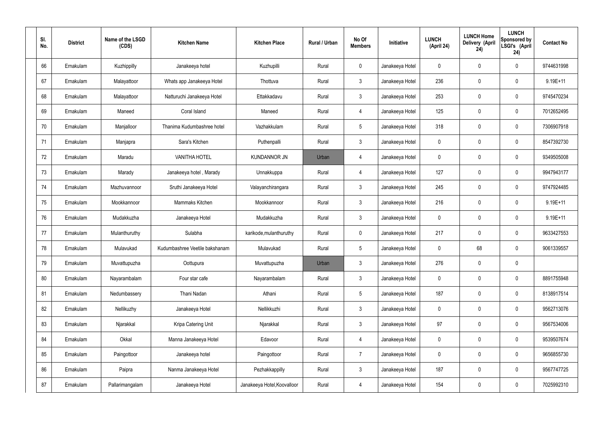| SI.<br>No. | <b>District</b> | Name of the LSGD<br>(CDS) | <b>Kitchen Name</b>            | <b>Kitchen Place</b>        | Rural / Urban | No Of<br><b>Members</b> | Initiative      | <b>LUNCH</b><br>(April 24) | <b>LUNCH Home</b><br>Delivery (April<br>24) | <b>LUNCH</b><br>Sponsored by<br>LSGI's (April<br>24) | <b>Contact No</b> |
|------------|-----------------|---------------------------|--------------------------------|-----------------------------|---------------|-------------------------|-----------------|----------------------------|---------------------------------------------|------------------------------------------------------|-------------------|
| 66         | Ernakulam       | Kuzhippilly               | Janakeeya hotel                | Kuzhupilli                  | Rural         | $\mathbf 0$             | Janakeeya Hotel | 0                          | 0                                           | $\mathbf 0$                                          | 9744631998        |
| 67         | Ernakulam       | Malayattoor               | Whats app Janakeeya Hotel      | Thottuva                    | Rural         | $\mathbf{3}$            | Janakeeya Hotel | 236                        | 0                                           | $\mathbf 0$                                          | 9.19E+11          |
| 68         | Ernakulam       | Malayattoor               | Natturuchi Janakeeya Hotel     | Ettakkadavu                 | Rural         | $\mathbf{3}$            | Janakeeya Hotel | 253                        | $\boldsymbol{0}$                            | $\mathbf 0$                                          | 9745470234        |
| 69         | Ernakulam       | Maneed                    | Coral Island                   | Maneed                      | Rural         | 4                       | Janakeeya Hotel | 125                        | 0                                           | $\mathbf 0$                                          | 7012652495        |
| 70         | Ernakulam       | Manjalloor                | Thanima Kudumbashree hotel     | Vazhakkulam                 | Rural         | $5\phantom{.0}$         | Janakeeya Hotel | 318                        | 0                                           | $\mathbf 0$                                          | 7306907918        |
| 71         | Ernakulam       | Manjapra                  | Sara's Kitchen                 | Puthenpalli                 | Rural         | $\mathbf{3}$            | Janakeeya Hotel | $\mathbf 0$                | 0                                           | $\mathbf 0$                                          | 8547392730        |
| 72         | Ernakulam       | Maradu                    | <b>VANITHA HOTEL</b>           | <b>KUNDANNOR JN</b>         | Urban         | $\overline{4}$          | Janakeeya Hotel | $\mathbf 0$                | $\boldsymbol{0}$                            | $\mathbf 0$                                          | 9349505008        |
| 73         | Ernakulam       | Marady                    | Janakeeya hotel, Marady        | Unnakkuppa                  | Rural         | $\overline{4}$          | Janakeeya Hotel | 127                        | 0                                           | $\mathbf 0$                                          | 9947943177        |
| 74         | Ernakulam       | Mazhuvannoor              | Sruthi Janakeeya Hotel         | Valayanchirangara           | Rural         | $\mathbf{3}$            | Janakeeya Hotel | 245                        | $\boldsymbol{0}$                            | $\mathbf 0$                                          | 9747924485        |
| 75         | Ernakulam       | Mookkannoor               | Mammaks Kitchen                | Mookkannoor                 | Rural         | $\mathbf{3}$            | Janakeeya Hotel | 216                        | 0                                           | $\mathbf 0$                                          | $9.19E + 11$      |
| 76         | Ernakulam       | Mudakkuzha                | Janakeeya Hotel                | Mudakkuzha                  | Rural         | $\mathbf{3}$            | Janakeeya Hotel | $\mathbf 0$                | 0                                           | $\boldsymbol{0}$                                     | $9.19E + 11$      |
| 77         | Ernakulam       | Mulanthuruthy             | Sulabha                        | karikode, mulanthuruthy     | Rural         | $\mathbf 0$             | Janakeeya Hotel | 217                        | 0                                           | $\boldsymbol{0}$                                     | 9633427553        |
| 78         | Ernakulam       | Mulavukad                 | Kudumbashree Veetile bakshanam | Mulavukad                   | Rural         | $5\phantom{.0}$         | Janakeeya Hotel | 0                          | 68                                          | $\boldsymbol{0}$                                     | 9061339557        |
| 79         | Ernakulam       | Muvattupuzha              | Oottupura                      | Muvattupuzha                | Urban         | 3                       | Janakeeya Hotel | 276                        | $\mathsf{0}$                                | $\pmb{0}$                                            |                   |
| 80         | Ernakulam       | Nayarambalam              | Four star cafe                 | Nayarambalam                | Rural         | $\mathbf{3}$            | Janakeeya Hotel | $\mathbf 0$                | $\mathsf{0}$                                | $\mathbf 0$                                          | 8891755948        |
| 81         | Ernakulam       | Nedumbassery              | Thani Nadan                    | Athani                      | Rural         | $5\phantom{.0}$         | Janakeeya Hotel | 187                        | $\mathbf 0$                                 | $\mathbf 0$                                          | 8138917514        |
| 82         | Ernakulam       | Nellikuzhy                | Janakeeya Hotel                | Nellikkuzhi                 | Rural         | $\mathbf{3}$            | Janakeeya Hotel | $\mathbf 0$                | $\mathsf{0}$                                | $\mathbf 0$                                          | 9562713076        |
| 83         | Ernakulam       | Njarakkal                 | Kripa Catering Unit            | Njarakkal                   | Rural         | $\mathbf{3}$            | Janakeeya Hotel | 97                         | $\mathbf 0$                                 | $\mathbf 0$                                          | 9567534006        |
| 84         | Ernakulam       | Okkal                     | Manna Janakeeya Hotel          | Edavoor                     | Rural         | $\overline{4}$          | Janakeeya Hotel | $\mathbf 0$                | $\mathsf{0}$                                | $\mathbf 0$                                          | 9539507674        |
| 85         | Ernakulam       | Paingottoor               | Janakeeya hotel                | Paingottoor                 | Rural         | $\overline{7}$          | Janakeeya Hotel | $\mathbf 0$                | $\mathbf 0$                                 | $\mathbf 0$                                          | 9656855730        |
| 86         | Ernakulam       | Paipra                    | Nanma Janakeeya Hotel          | Pezhakkappilly              | Rural         | $\mathfrak{Z}$          | Janakeeya Hotel | 187                        | 0                                           | $\mathbf 0$                                          | 9567747725        |
| 87         | Ernakulam       | Pallarimangalam           | Janakeeya Hotel                | Janakeeya Hotel, Koovalloor | Rural         | 4                       | Janakeeya Hotel | 154                        | $\pmb{0}$                                   | $\boldsymbol{0}$                                     | 7025992310        |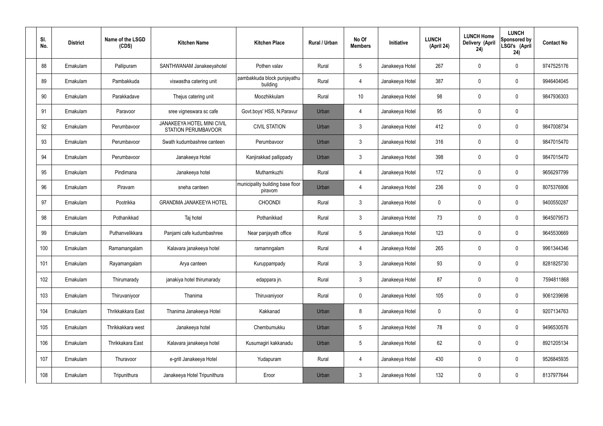| SI.<br>No. | <b>District</b> | Name of the LSGD<br>(CDS) | <b>Kitchen Name</b>                                             | <b>Kitchen Place</b>                        | Rural / Urban | No Of<br><b>Members</b> | <b>Initiative</b> | <b>LUNCH</b><br>(April 24) | <b>LUNCH Home</b><br>Delivery (April<br>24) | <b>LUNCH</b><br>Sponsored by<br>LSGI's (April<br>24) | <b>Contact No</b> |
|------------|-----------------|---------------------------|-----------------------------------------------------------------|---------------------------------------------|---------------|-------------------------|-------------------|----------------------------|---------------------------------------------|------------------------------------------------------|-------------------|
| 88         | Ernakulam       | Pallipuram                | SANTHWANAM Janakeeyahotel                                       | Pothen valav                                | Rural         | $5\phantom{.0}$         | Janakeeya Hotel   | 267                        | $\mathbf 0$                                 | $\mathbf 0$                                          | 9747525176        |
| 89         | Ernakulam       | Pambakkuda                | viswastha catering unit                                         | pambakkuda block punjayathu<br>building     | Rural         | $\overline{4}$          | Janakeeya Hotel   | 387                        | 0                                           | $\mathbf 0$                                          | 9946404045        |
| 90         | Ernakulam       | Parakkadave               | Thejus catering unit                                            | Moozhikkulam                                | Rural         | 10 <sup>°</sup>         | Janakeeya Hotel   | 98                         | 0                                           | $\mathbf 0$                                          | 9847936303        |
| 91         | Ernakulam       | Paravoor                  | sree vigneswara sc cafe                                         | Govt.boys' HSS, N.Paravur                   | Urban         | 4                       | Janakeeya Hotel   | 95                         | 0                                           | $\mathbf 0$                                          |                   |
| 92         | Ernakulam       | Perumbavoor               | <b>JANAKEEYA HOTEL MINI CIVIL</b><br><b>STATION PERUMBAVOOR</b> | <b>CIVIL STATION</b>                        | Urban         | $\mathbf{3}$            | Janakeeya Hotel   | 412                        | $\mathbf 0$                                 | $\mathbf 0$                                          | 9847008734        |
| 93         | Ernakulam       | Perumbavoor               | Swath kudumbashree canteen                                      | Perumbavoor                                 | Urban         | $\mathbf{3}$            | Janakeeya Hotel   | 316                        | 0                                           | $\mathbf 0$                                          | 9847015470        |
| 94         | Ernakulam       | Perumbavoor               | Janakeeya Hotel                                                 | Kanjirakkad pallippady                      | Urban         | $\mathbf{3}$            | Janakeeya Hotel   | 398                        | $\mathbf 0$                                 | $\mathbf 0$                                          | 9847015470        |
| 95         | Ernakulam       | Pindimana                 | Janakeeya hotel                                                 | Muthamkuzhi                                 | Rural         | $\overline{4}$          | Janakeeya Hotel   | 172                        | 0                                           | $\mathbf 0$                                          | 9656297799        |
| 96         | Ernakulam       | Piravam                   | sneha canteen                                                   | municipality building base floor<br>piravom | Urban         | 4                       | Janakeeya Hotel   | 236                        | $\mathbf 0$                                 | $\mathbf 0$                                          | 8075376906        |
| 97         | Ernakulam       | Pootrikka                 | <b>GRANDMA JANAKEEYA HOTEL</b>                                  | <b>CHOONDI</b>                              | Rural         | $\mathbf{3}$            | Janakeeya Hotel   | $\mathbf 0$                | 0                                           | $\mathbf 0$                                          | 9400550287        |
| 98         | Ernakulam       | Pothanikkad               | Taj hotel                                                       | Pothanikkad                                 | Rural         | $\mathbf{3}$            | Janakeeya Hotel   | 73                         | 0                                           | $\mathbf 0$                                          | 9645079573        |
| 99         | Ernakulam       | Puthanvelikkara           | Panjami cafe kudumbashree                                       | Near panjayath office                       | Rural         | $5\phantom{.0}$         | Janakeeya Hotel   | 123                        | 0                                           | $\mathbf 0$                                          | 9645530669        |
| 100        | Ernakulam       | Ramamangalam              | Kalavara janakeeya hotel                                        | ramamngalam                                 | Rural         | 4                       | Janakeeya Hotel   | 265                        | 0                                           | $\mathbf 0$                                          | 9961344346        |
| 101        | Ernakulam       | Rayamangalam              | Arya canteen                                                    | Kuruppampady                                | Rural         | $\mathbf{3}$            | Janakeeya Hotel   | 93                         | 0                                           | $\mathbf 0$                                          | 8281825730        |
| 102        | Ernakulam       | Thirumarady               | janakiya hotel thirumarady                                      | edappara jn.                                | Rural         | $\mathfrak{Z}$          | Janakeeya Hotel   | 87                         | 0                                           | $\mathbf 0$                                          | 7594811868        |
| 103        | Ernakulam       | Thiruvaniyoor             | Thanima                                                         | Thiruvaniyoor                               | Rural         | $\mathbf 0$             | Janakeeya Hotel   | 105                        | 0                                           | $\mathbf 0$                                          | 9061239698        |
| 104        | Ernakulam       | Thrikkakkara East         | Thanima Janakeeya Hotel                                         | Kakkanad                                    | Urban         | 8                       | Janakeeya Hotel   | 0                          | 0                                           | $\mathbf 0$                                          | 9207134763        |
| 105        | Ernakulam       | Thrikkakkara west         | Janakeeya hotel                                                 | Chembumukku                                 | Urban         | $5\phantom{.0}$         | Janakeeya Hotel   | 78                         | 0                                           | $\mathbf 0$                                          | 9496530576        |
| 106        | Ernakulam       | Thrikkakara East          | Kalavara janakeeya hotel                                        | Kusumagiri kakkanadu                        | Urban         | $\sqrt{5}$              | Janakeeya Hotel   | 62                         | 0                                           | $\mathbf 0$                                          | 8921205134        |
| 107        | Ernakulam       | Thuravoor                 | e-grill Janakeeya Hotel                                         | Yudapuram                                   | Rural         | 4                       | Janakeeya Hotel   | 430                        | 0                                           | $\mathbf 0$                                          | 9526845935        |
| 108        | Ernakulam       | Tripunithura              | Janakeeya Hotel Tripunithura                                    | Eroor                                       | Urban         | $\mathfrak{Z}$          | Janakeeya Hotel   | 132                        | 0                                           | $\mathbf 0$                                          | 8137977644        |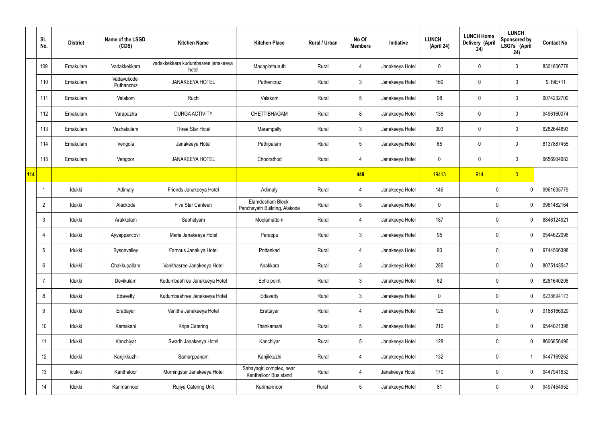|     | SI.<br>No.      | <b>District</b> | Name of the LSGD<br>(CDS) | <b>Kitchen Name</b>                         | <b>Kitchen Place</b>                              | Rural / Urban | No Of<br><b>Members</b> | Initiative      | <b>LUNCH</b><br>(April 24) | <b>LUNCH Home</b><br>Delivery (April<br>24) | <b>LUNCH</b><br><b>Sponsored by</b><br>LSGI's (April<br>24) | <b>Contact No</b> |
|-----|-----------------|-----------------|---------------------------|---------------------------------------------|---------------------------------------------------|---------------|-------------------------|-----------------|----------------------------|---------------------------------------------|-------------------------------------------------------------|-------------------|
|     | 109             | Ernakulam       | Vadakkekkara              | vadakkekkara kudumbasree janakeeya<br>hotel | Madaplathuruth                                    | Rural         | 4                       | Janakeeya Hotel | 0                          | 0                                           | $\pmb{0}$                                                   | 8301806778        |
|     | 110             | Ernakulam       | Vadavukode<br>Puthancruz  | <b>JANAKEEYA HOTEL</b>                      | Puthencruz                                        | Rural         | $\mathfrak{Z}$          | Janakeeya Hotel | 160                        | $\mathbf 0$                                 | $\pmb{0}$                                                   | $9.19E + 11$      |
|     | 111             | Ernakulam       | Valakom                   | Ruchi                                       | Valakom                                           | Rural         | $5\phantom{.0}$         | Janakeeya Hotel | 98                         | 0                                           | $\pmb{0}$                                                   | 9074232700        |
|     | 112             | Ernakulam       | Varapuzha                 | DURGA ACTIVITY                              | <b>CHETTIBHAGAM</b>                               | Rural         | 8                       | Janakeeya Hotel | 136                        | 0                                           | 0                                                           | 9496160074        |
|     | 113             | Ernakulam       | Vazhakulam                | Three Star Hotel                            | Marampally                                        | Rural         | $\mathfrak{Z}$          | Janakeeya Hotel | 303                        | $\mathbf 0$                                 | $\pmb{0}$                                                   | 6282644893        |
|     | 114             | Ernakulam       | Vengola                   | Janakeeya Hotel                             | Pathipalam                                        | Rural         | $5\phantom{.0}$         | Janakeeya Hotel | 65                         | 0                                           | $\pmb{0}$                                                   | 8137887455        |
|     | 115             | Ernakulam       | Vengoor                   | <b>JANAKEEYA HOTEL</b>                      | Choorathod                                        | Rural         | 4                       | Janakeeya Hotel | $\mathbf 0$                | 0                                           | $\pmb{0}$                                                   | 9656904682        |
| 114 |                 |                 |                           |                                             |                                                   |               | 449                     |                 | 19413                      | 914                                         | $\overline{0}$                                              |                   |
|     | $\mathbf 1$     | Idukki          | Adimaly                   | Friends Janakeeya Hotel                     | Adimaly                                           | Rural         | 4                       | Janakeeya Hotel | 146                        |                                             | 0                                                           | 9961635779        |
|     | $\overline{2}$  | Idukki          | Alackode                  | Five Star Canteen                           | Elamdesham Block<br>Panchayath Building, Alakode  | Rural         | $5\phantom{.0}$         | Janakeeya Hotel | $\mathbf 0$                |                                             | 0                                                           | 9961482164        |
|     | $\mathbf{3}$    | Idukki          | Arakkulam                 | Sabhalyam                                   | Moolamattom                                       | Rural         | 4                       | Janakeeya Hotel | 187                        |                                             | 0                                                           | 8848124921        |
|     | 4               | Idukki          | Ayyappancovil             | Maria Janakeeya Hotel                       | Parappu                                           | Rural         | $\mathfrak{Z}$          | Janakeeya Hotel | 95                         |                                             | 0                                                           | 9544622096        |
|     | 5               | Idukki          | Bysonvalley               | Famous Janakiya Hotel                       | Pottankad                                         | Rural         | 4                       | Janakeeya Hotel | 90                         |                                             | 0                                                           | 9744566398        |
|     | $6\phantom{.}6$ | Idukki          | Chakkupallam              | Vanithasree Janakeeya Hotel                 | Anakkara                                          | Rural         | $\mathbf{3}$            | Janakeeya Hotel | 285                        |                                             | 0                                                           | 8075143547        |
|     | $\overline{7}$  | Idukki          | Devikulam                 | Kudumbashree Janakeeya Hotel                | Echo point                                        | Rural         | $\mathbf{3}$            | Janakeeya Hotel | 62                         |                                             | 0                                                           | 8281640208        |
|     | 8               | Idukki          | Edavetty                  | Kudumbashree Janakeeya Hotel                | Edavetty                                          | Rural         | $\mathfrak{Z}$          | Janakeeya Hotel | $\mathbf 0$                |                                             | 0                                                           | 6238694173        |
|     | $9\,$           | Idukki          | Erattayar                 | Vanitha Janakeeya Hotel                     | Erattayar                                         | Rural         | 4                       | Janakeeya Hotel | 125                        |                                             | 0                                                           | 9188166929        |
|     | 10              | Idukki          | Kamakshi                  | Kripa Catering                              | Thankamani                                        | Rural         | $5\phantom{.0}$         | Janakeeya Hotel | 210                        |                                             | 0                                                           | 9544021398        |
|     | 11              | Idukki          | Kanchiyar                 | Swadh Janakeeya Hotel                       | Kanchiyar                                         | Rural         | $5\phantom{.0}$         | Janakeeya Hotel | 128                        |                                             | 0                                                           | 8606856496        |
|     | 12              | Idukki          | Kanjikkuzhi               | Samarppanam                                 | Kanjikkuzhi                                       | Rural         | 4                       | Janakeeya Hotel | 132                        |                                             |                                                             | 9447169262        |
|     | 13              | Idukki          | Kanthaloor                | Morningstar Janakeeya Hotel                 | Sahayagiri complex, near<br>Kanthalloor Bus stand | Rural         | 4                       | Janakeeya Hotel | 170                        |                                             | 0                                                           | 9447941632        |
|     | 14              | ldukki          | Karimannoor               | Rujiya Catering Unit                        | Karimannoor                                       | Rural         | $\overline{5}$          | Janakeeya Hotel | 81                         |                                             | 0                                                           | 9497454952        |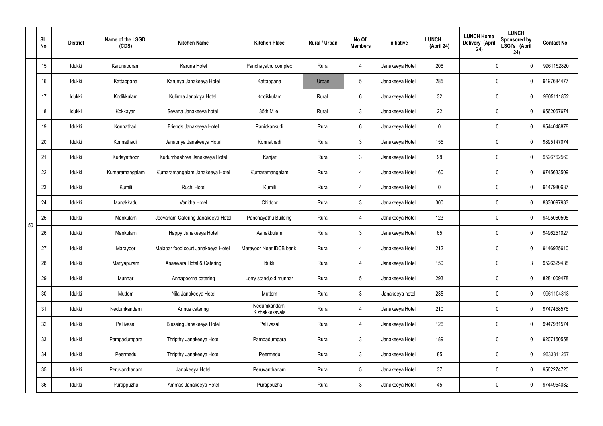|    | SI.<br>No. | <b>District</b> | Name of the LSGD<br>(CDS) | <b>Kitchen Name</b>                | <b>Kitchen Place</b>          | <b>Rural / Urban</b> | No Of<br><b>Members</b> | Initiative      | <b>LUNCH</b><br>(April 24) | <b>LUNCH Home</b><br>Delivery (April<br>24) | <b>LUNCH</b><br>Sponsored by<br>LSGI's (April<br>24) | <b>Contact No</b> |
|----|------------|-----------------|---------------------------|------------------------------------|-------------------------------|----------------------|-------------------------|-----------------|----------------------------|---------------------------------------------|------------------------------------------------------|-------------------|
|    | 15         | Idukki          | Karunapuram               | Karuna Hotel                       | Panchayathu complex           | Rural                | 4                       | Janakeeya Hotel | 206                        |                                             | 0                                                    | 9961152820        |
|    | 16         | Idukki          | Kattappana                | Karunya Janakeeya Hotel            | Kattappana                    | Urban                | 5                       | Janakeeya Hotel | 285                        |                                             | 0                                                    | 9497684477        |
|    | 17         | Idukki          | Kodikkulam                | Kulirma Janakiya Hotel             | Kodikkulam                    | Rural                | 6                       | Janakeeya Hotel | 32                         |                                             | 0                                                    | 9605111852        |
|    | 18         | Idukki          | Kokkayar                  | Sevana Janakeeya hotel             | 35th Mile                     | Rural                | 3                       | Janakeeya Hotel | 22                         |                                             | 0                                                    | 9562067674        |
|    | 19         | Idukki          | Konnathadi                | Friends Janakeeya Hotel            | Panickankudi                  | Rural                | 6                       | Janakeeya Hotel | 0                          |                                             | 0                                                    | 9544048878        |
|    | 20         | Idukki          | Konnathadi                | Janapriya Janakeeya Hotel          | Konnathadi                    | Rural                | 3                       | Janakeeya Hotel | 155                        |                                             | 0                                                    | 9895147074        |
|    | 21         | Idukki          | Kudayathoor               | Kudumbashree Janakeeya Hotel       | Kanjar                        | Rural                | $\mathbf{3}$            | Janakeeya Hotel | 98                         |                                             | 0                                                    | 9526762560        |
|    | 22         | Idukki          | Kumaramangalam            | Kumaramangalam Janakeeya Hotel     | Kumaramangalam                | Rural                | 4                       | Janakeeya Hotel | 160                        |                                             | 0                                                    | 9745633509        |
|    | 23         | Idukki          | Kumili                    | Ruchi Hotel                        | Kumili                        | Rural                | 4                       | Janakeeya Hotel | 0                          |                                             | 0                                                    | 9447980637        |
|    | 24         | Idukki          | Manakkadu                 | Vanitha Hotel                      | Chittoor                      | Rural                | $\mathbf{3}$            | Janakeeya Hotel | 300                        |                                             | 0                                                    | 8330097933        |
| 50 | 25         | Idukki          | Mankulam                  | Jeevanam Catering Janakeeya Hotel  | Panchayathu Building          | Rural                | 4                       | Janakeeya Hotel | 123                        |                                             | 0                                                    | 9495060505        |
|    | 26         | Idukki          | Mankulam                  | Happy Janakéeya Hotel              | Aanakkulam                    | Rural                | 3                       | Janakeeya Hotel | 65                         |                                             | 0                                                    | 9496251027        |
|    | 27         | Idukki          | Marayoor                  | Malabar food court Janakeeya Hotel | Marayoor Near IDCB bank       | Rural                | 4                       | Janakeeya Hotel | 212                        |                                             | 0                                                    | 9446925610        |
|    | 28         | Idukki          | Mariyapuram               | Anaswara Hotel & Catering          | Idukki                        | Rural                | 4                       | Janakeeya Hotel | 150                        |                                             | 3                                                    | 9526329438        |
|    | 29         | Idukki          | Munnar                    | Annapoorna catering                | Lorry stand, old munnar       | Rural                | 5 <sub>5</sub>          | Janakeeya Hotel | 293                        |                                             | 0                                                    | 8281009478        |
|    | 30         | Idukki          | Muttom                    | Nila Janakeeya Hotel               | Muttom                        | Rural                | $\mathbf{3}$            | Janakeeya hotel | 235                        |                                             | 0                                                    | 9961104818        |
|    | 31         | Idukki          | Nedumkandam               | Annus catering                     | Nedumkandam<br>Kizhakkekavala | Rural                | 4                       | Janakeeya Hotel | 210                        |                                             | 0                                                    | 9747458576        |
|    | 32         | Idukki          | Pallivasal                | <b>Blessing Janakeeya Hotel</b>    | Pallivasal                    | Rural                | 4                       | Janakeeya Hotel | 126                        |                                             | 0                                                    | 9947981574        |
|    | 33         | Idukki          | Pampadumpara              | Thripthy Janakeeya Hotel           | Pampadumpara                  | Rural                | $\mathbf{3}$            | Janakeeya Hotel | 189                        |                                             | 0                                                    | 9207150558        |
|    | 34         | Idukki          | Peermedu                  | Thripthy Janakeeya Hotel           | Peermedu                      | Rural                | $3\phantom{.0}$         | Janakeeya Hotel | 85                         |                                             | 0                                                    | 9633311267        |
|    | 35         | Idukki          | Peruvanthanam             | Janakeeya Hotel                    | Peruvanthanam                 | Rural                | $5\phantom{.0}$         | Janakeeya Hotel | 37                         |                                             | 0                                                    | 9562274720        |
|    | 36         | Idukki          | Purappuzha                | Ammas Janakeeya Hotel              | Purappuzha                    | Rural                | $\mathfrak{Z}$          | Janakeeya Hotel | 45                         |                                             | 0                                                    | 9744954032        |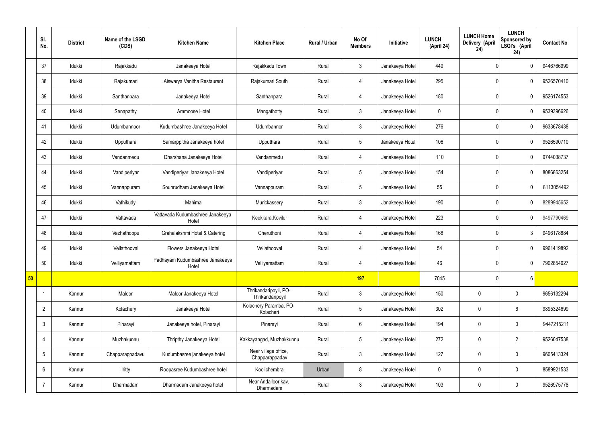|    | SI.<br>No.      | <b>District</b> | Name of the LSGD<br>(CDS) | <b>Kitchen Name</b>                       | <b>Kitchen Place</b>                      | Rural / Urban | No Of<br><b>Members</b> | Initiative      | <b>LUNCH</b><br>(April 24) | <b>LUNCH Home</b><br>Delivery (April<br>24) | <b>LUNCH</b><br>Sponsored by<br>LSGI's (April<br>24) | <b>Contact No</b> |
|----|-----------------|-----------------|---------------------------|-------------------------------------------|-------------------------------------------|---------------|-------------------------|-----------------|----------------------------|---------------------------------------------|------------------------------------------------------|-------------------|
|    | 37              | Idukki          | Rajakkadu                 | Janakeeya Hotel                           | Rajakkadu Town                            | Rural         | $\mathbf{3}$            | Janakeeya Hotel | 449                        |                                             | $\mathbf{0}$                                         | 9446766999        |
|    | 38              | Idukki          | Rajakumari                | Aiswarya Vanitha Restaurent               | Rajakumari South                          | Rural         | $\overline{4}$          | Janakeeya Hotel | 295                        |                                             | $\mathbf{0}$                                         | 9526570410        |
|    | 39              | Idukki          | Santhanpara               | Janakeeya Hotel                           | Santhanpara                               | Rural         | 4                       | Janakeeya Hotel | 180                        |                                             | $\mathbf{0}$                                         | 9526174553        |
|    | 40              | Idukki          | Senapathy                 | Ammoose Hotel                             | Mangathotty                               | Rural         | $\mathbf{3}$            | Janakeeya Hotel | $\mathbf 0$                |                                             | $\mathbf{0}$                                         | 9539396626        |
|    | 41              | Idukki          | Udumbannoor               | Kudumbashree Janakeeya Hotel              | Udumbannor                                | Rural         | $\mathbf{3}$            | Janakeeya Hotel | 276                        |                                             | 0                                                    | 9633678438        |
|    | 42              | Idukki          | Upputhara                 | Samarppitha Janakeeya hotel               | Upputhara                                 | Rural         | $5\phantom{.0}$         | Janakeeya Hotel | 106                        |                                             | $\mathbf{0}$                                         | 9526590710        |
|    | 43              | Idukki          | Vandanmedu                | Dharshana Janakeeya Hotel                 | Vandanmedu                                | Rural         | 4                       | Janakeeya Hotel | 110                        |                                             | $\mathbf{0}$                                         | 9744038737        |
|    | 44              | Idukki          | Vandiperiyar              | Vandiperiyar Janakeeya Hotel              | Vandiperiyar                              | Rural         | $5\phantom{.0}$         | Janakeeya Hotel | 154                        |                                             | $\overline{0}$                                       | 8086863254        |
|    | 45              | Idukki          | Vannappuram               | Souhrudham Janakeeya Hotel                | Vannappuram                               | Rural         | $5\phantom{.0}$         | Janakeeya Hotel | 55                         |                                             | 0                                                    | 8113054492        |
|    | 46              | Idukki          | Vathikudy                 | Mahima                                    | Murickassery                              | Rural         | $\mathbf{3}$            | Janakeeya Hotel | 190                        |                                             | 0                                                    | 8289945652        |
|    | 47              | Idukki          | Vattavada                 | Vattavada Kudumbashree Janakeeya<br>Hotel | Keekkara, Kovilur                         | Rural         | $\overline{4}$          | Janakeeya Hotel | 223                        |                                             | 0                                                    | 9497790469        |
|    | 48              | Idukki          | Vazhathoppu               | Grahalakshmi Hotel & Catering             | Cheruthoni                                | Rural         | $\overline{4}$          | Janakeeya Hotel | 168                        |                                             | 3                                                    | 9496178884        |
|    | 49              | Idukki          | Vellathooval              | Flowers Janakeeya Hotel                   | Vellathooval                              | Rural         | 4                       | Janakeeya Hotel | 54                         |                                             | $\overline{0}$                                       | 9961419892        |
|    | 50              | Idukki          | Velliyamattam             | Padhayam Kudumbashree Janakeeya<br>Hotel  | Velliyamattam                             | Rural         | $\overline{4}$          | Janakeeya Hotel | 46                         |                                             | $\overline{0}$                                       | 7902854627        |
| 50 |                 |                 |                           |                                           |                                           |               | 197                     |                 | 7045                       |                                             | $6 \mid$                                             |                   |
|    |                 | Kannur          | Maloor                    | Maloor Janakeeya Hotel                    | Thrikandaripoyil, PO-<br>Thrikandaripoyil | Rural         | $\mathbf{3}$            | Janakeeya Hotel | 150                        | $\pmb{0}$                                   | $\mathbf 0$                                          | 9656132294        |
|    | $\overline{2}$  | Kannur          | Kolachery                 | Janakeeya Hotel                           | Kolachery Paramba, PO-<br>Kolacheri       | Rural         | $5\overline{)}$         | Janakeeya Hotel | 302                        | $\pmb{0}$                                   | $6\phantom{.}6$                                      | 9895324699        |
|    | $\mathfrak{Z}$  | Kannur          | Pinarayi                  | Janakeeya hotel, Pinarayi                 | Pinarayi                                  | Rural         | $6\overline{6}$         | Janakeeya Hotel | 194                        | $\pmb{0}$                                   | $\mathbf 0$                                          | 9447215211        |
|    | 4               | Kannur          | Muzhakunnu                | Thripthy Janakeeya Hotel                  | Kakkayangad, Muzhakkunnu                  | Rural         | $5\phantom{.0}$         | Janakeeya Hotel | 272                        | $\pmb{0}$                                   | $\overline{2}$                                       | 9526047538        |
|    | $5\phantom{.0}$ | Kannur          | Chapparappadavu           | Kudumbasree janakeeya hotel               | Near village office,<br>Chapparappadav    | Rural         | $\mathbf{3}$            | Janakeeya Hotel | 127                        | $\pmb{0}$                                   | $\mathbf 0$                                          | 9605413324        |
|    | $6\phantom{.}$  | Kannur          | Iritty                    | Roopasree Kudumbashree hotel              | Koolichembra                              | Urban         | 8                       | Janakeeya Hotel | $\mathbf 0$                | $\pmb{0}$                                   | $\mathbf 0$                                          | 8589921533        |
|    | $\overline{7}$  | Kannur          | Dharmadam                 | Dharmadam Janakeeya hotel                 | Near Andalloor kav,<br>Dharmadam          | Rural         | $3\overline{3}$         | Janakeeya Hotel | 103                        | $\pmb{0}$                                   | $\boldsymbol{0}$                                     | 9526975778        |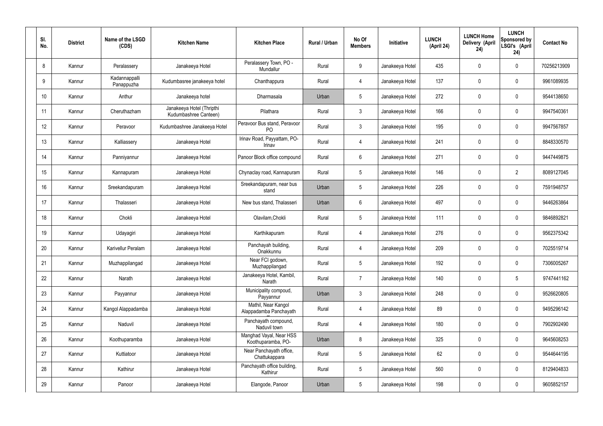| SI.<br>No. | <b>District</b> | Name of the LSGD<br>(CDS)   | <b>Kitchen Name</b>                                | <b>Kitchen Place</b>                           | Rural / Urban | No Of<br><b>Members</b> | Initiative      | <b>LUNCH</b><br>(April 24) | <b>LUNCH Home</b><br>Delivery (April<br>24) | <b>LUNCH</b><br>Sponsored by<br>LSGI's (April<br>24) | <b>Contact No</b> |
|------------|-----------------|-----------------------------|----------------------------------------------------|------------------------------------------------|---------------|-------------------------|-----------------|----------------------------|---------------------------------------------|------------------------------------------------------|-------------------|
| 8          | Kannur          | Peralassery                 | Janakeeya Hotel                                    | Peralassery Town, PO -<br>Mundallur            | Rural         | 9                       | Janakeeya Hotel | 435                        | 0                                           | $\mathbf 0$                                          | 70256213909       |
| 9          | Kannur          | Kadannappalli<br>Panappuzha | Kudumbasree janakeeya hotel                        | Chanthappura                                   | Rural         | $\overline{4}$          | Janakeeya Hotel | 137                        | 0                                           | $\mathbf 0$                                          | 9961089935        |
| 10         | Kannur          | Anthur                      | Janakeeya hotel                                    | Dharmasala                                     | Urban         | $5\phantom{.0}$         | Janakeeya Hotel | 272                        | 0                                           | $\mathbf 0$                                          | 9544138650        |
| 11         | Kannur          | Cheruthazham                | Janakeeya Hotel (Thripthi<br>Kudumbashree Canteen) | Pilathara                                      | Rural         | $\mathbf{3}$            | Janakeeya Hotel | 166                        | 0                                           | $\mathbf 0$                                          | 9947540361        |
| 12         | Kannur          | Peravoor                    | Kudumbashree Janakeeya Hotel                       | Peravoor Bus stand, Peravoor<br>P <sub>O</sub> | Rural         | $\mathbf{3}$            | Janakeeya Hotel | 195                        | 0                                           | $\mathbf 0$                                          | 9947567857        |
| 13         | Kannur          | Kalliassery                 | Janakeeya Hotel                                    | Irinav Road, Payyattam, PO-<br>Irinav          | Rural         | $\overline{4}$          | Janakeeya Hotel | 241                        | 0                                           | $\mathbf 0$                                          | 8848330570        |
| 14         | Kannur          | Panniyannur                 | Janakeeya Hotel                                    | Panoor Block office compound                   | Rural         | $6\phantom{.}6$         | Janakeeya Hotel | 271                        | 0                                           | $\mathbf 0$                                          | 9447449875        |
| 15         | Kannur          | Kannapuram                  | Janakeeya Hotel                                    | Chynaclay road, Kannapuram                     | Rural         | $5\phantom{.0}$         | Janakeeya Hotel | 146                        | 0                                           | $\overline{2}$                                       | 8089127045        |
| 16         | Kannur          | Sreekandapuram              | Janakeeya Hotel                                    | Sreekandapuram, near bus<br>stand              | Urban         | $5\phantom{.0}$         | Janakeeya Hotel | 226                        | 0                                           | $\mathbf 0$                                          | 7591948757        |
| 17         | Kannur          | Thalasseri                  | Janakeeya Hotel                                    | New bus stand, Thalasseri                      | Urban         | $6\phantom{.}6$         | Janakeeya Hotel | 497                        | 0                                           | $\mathbf 0$                                          | 9446263864        |
| 18         | Kannur          | Chokli                      | Janakeeya Hotel                                    | Olavilam, Chokli                               | Rural         | $5\,$                   | Janakeeya Hotel | 111                        | $\boldsymbol{0}$                            | $\mathbf 0$                                          | 9846892821        |
| 19         | Kannur          | Udayagiri                   | Janakeeya Hotel                                    | Karthikapuram                                  | Rural         | 4                       | Janakeeya Hotel | 276                        | 0                                           | $\mathbf 0$                                          | 9562375342        |
| 20         | Kannur          | Karivellur Peralam          | Janakeeya Hotel                                    | Panchayah building,<br>Onakkunnu               | Rural         | 4                       | Janakeeya Hotel | 209                        | 0                                           | 0                                                    | 7025519714        |
| 21         | Kannur          | Muzhappilangad              | Janakeeya Hotel                                    | Near FCI godown,<br>Muzhappilangad             | Rural         | $5\phantom{.0}$         | Janakeeya Hotel | 192                        | 0                                           | $\mathbf 0$                                          | 7306005267        |
| 22         | Kannur          | Narath                      | Janakeeya Hotel                                    | Janakeeya Hotel, Kambil,<br>Narath             | Rural         | $\overline{7}$          | Janakeeya Hotel | 140                        | 0                                           | $5\phantom{.0}$                                      | 9747441162        |
| 23         | Kannur          | Payyannur                   | Janakeeya Hotel                                    | Municipality compoud,<br>Payyannur             | Urban         | $\mathbf{3}$            | Janakeeya Hotel | 248                        | 0                                           | $\mathbf 0$                                          | 9526620805        |
| 24         | Kannur          | Kangol Alappadamba          | Janakeeya Hotel                                    | Mathil, Near Kangol<br>Alappadamba Panchayath  | Rural         | $\overline{4}$          | Janakeeya Hotel | 89                         | 0                                           | $\mathbf 0$                                          | 9495296142        |
| 25         | Kannur          | Naduvil                     | Janakeeya Hotel                                    | Panchayath compound,<br>Naduvil town           | Rural         | $\overline{4}$          | Janakeeya Hotel | 180                        | 0                                           | $\mathbf 0$                                          | 7902902490        |
| 26         | Kannur          | Koothuparamba               | Janakeeya Hotel                                    | Manghad Vayal, Near HSS<br>Koothuparamba, PO-  | Urban         | 8                       | Janakeeya Hotel | 325                        | 0                                           | $\mathbf 0$                                          | 9645608253        |
| 27         | Kannur          | Kuttiatoor                  | Janakeeya Hotel                                    | Near Panchayath office,<br>Chattukappara       | Rural         | $5\phantom{.0}$         | Janakeeya Hotel | 62                         | 0                                           | $\mathbf 0$                                          | 9544644195        |
| 28         | Kannur          | Kathirur                    | Janakeeya Hotel                                    | Panchayath office building,<br>Kathirur        | Rural         | $5\phantom{.0}$         | Janakeeya Hotel | 560                        | 0                                           | $\mathbf 0$                                          | 8129404833        |
| 29         | Kannur          | Panoor                      | Janakeeya Hotel                                    | Elangode, Panoor                               | Urban         | $5\phantom{.0}$         | Janakeeya Hotel | 198                        | $\pmb{0}$                                   | $\bm{0}$                                             | 9605852157        |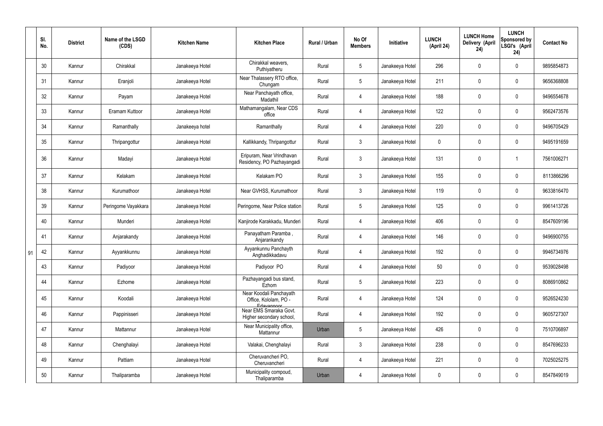|    | SI.<br>No. | <b>District</b> | Name of the LSGD<br>(CDS) | <b>Kitchen Name</b> | <b>Kitchen Place</b>                                           | Rural / Urban | No Of<br><b>Members</b> | Initiative      | <b>LUNCH</b><br>(April 24) | <b>LUNCH Home</b><br>Delivery (April<br>24) | <b>LUNCH</b><br><b>Sponsored by</b><br>LSGI's (April<br>24) | <b>Contact No</b> |
|----|------------|-----------------|---------------------------|---------------------|----------------------------------------------------------------|---------------|-------------------------|-----------------|----------------------------|---------------------------------------------|-------------------------------------------------------------|-------------------|
|    | 30         | Kannur          | Chirakkal                 | Janakeeya Hotel     | Chirakkal weavers,<br>Puthiyatheru                             | Rural         | $5\phantom{.0}$         | Janakeeya Hotel | 296                        | 0                                           | $\mathbf 0$                                                 | 9895854873        |
|    | 31         | Kannur          | Eranjoli                  | Janakeeya Hotel     | Near Thalassery RTO office,<br>Chungam                         | Rural         | $5\phantom{.0}$         | Janakeeya Hotel | 211                        | $\mathbf 0$                                 | $\overline{0}$                                              | 9656368808        |
|    | 32         | Kannur          | Payam                     | Janakeeya Hotel     | Near Panchayath office,<br>Madathil                            | Rural         | 4                       | Janakeeya Hotel | 188                        | $\mathbf 0$                                 | $\mathbf 0$                                                 | 9496554678        |
|    | 33         | Kannur          | Eramam Kuttoor            | Janakeeya Hotel     | Mathamangalam, Near CDS<br>office                              | Rural         | $\overline{4}$          | Janakeeya Hotel | 122                        | $\mathbf 0$                                 | $\overline{0}$                                              | 9562473576        |
|    | 34         | Kannur          | Ramanthally               | Janakeeya hotel     | Ramanthally                                                    | Rural         | 4                       | Janakeeya Hotel | 220                        | $\mathbf 0$                                 | $\mathbf 0$                                                 | 9496705429        |
|    | 35         | Kannur          | Thripangottur             | Janakeeya Hotel     | Kallikkandy, Thripangottur                                     | Rural         | $\mathbf{3}$            | Janakeeya Hotel | $\mathbf 0$                | $\mathbf 0$                                 | $\overline{0}$                                              | 9495191659        |
|    | 36         | Kannur          | Madayi                    | Janakeeya Hotel     | Eripuram, Near Vrindhavan<br>Residency, PO Pazhayangadi        | Rural         | $\mathbf{3}$            | Janakeeya Hotel | 131                        | $\pmb{0}$                                   |                                                             | 7561006271        |
|    | 37         | Kannur          | Kelakam                   | Janakeeya Hotel     | Kelakam PO                                                     | Rural         | $\mathbf{3}$            | Janakeeya Hotel | 155                        | 0                                           | $\mathbf 0$                                                 | 8113866296        |
|    | 38         | Kannur          | Kurumathoor               | Janakeeya Hotel     | Near GVHSS, Kurumathoor                                        | Rural         | $\mathbf{3}$            | Janakeeya Hotel | 119                        | $\mathbf 0$                                 | $\mathbf 0$                                                 | 9633816470        |
|    | 39         | Kannur          | Peringome Vayakkara       | Janakeeya Hotel     | Peringome, Near Police station                                 | Rural         | $5\overline{)}$         | Janakeeya Hotel | 125                        | 0                                           | $\mathbf 0$                                                 | 9961413726        |
|    | 40         | Kannur          | Munderi                   | Janakeeya Hotel     | Kanjirode Karakkadu, Munderi                                   | Rural         | 4                       | Janakeeya Hotel | 406                        | 0                                           | $\mathbf 0$                                                 | 8547609196        |
|    | 41         | Kannur          | Anjarakandy               | Janakeeya Hotel     | Panayatham Paramba,<br>Anjarankandy                            | Rural         | $\overline{4}$          | Janakeeya Hotel | 146                        | 0                                           | $\overline{0}$                                              | 9496900755        |
| 91 | 42         | Kannur          | Ayyankkunnu               | Janakeeya Hotel     | Ayyankunnu Panchayth<br>Anghadikkadavu                         | Rural         | 4                       | Janakeeya Hotel | 192                        | 0                                           | 0                                                           | 9946734976        |
|    | 43         | Kannur          | Padiyoor                  | Janakeeya Hotel     | Padiyoor PO                                                    | Rural         | $\overline{4}$          | Janakeeya Hotel | 50                         | 0                                           | $\mathbf 0$                                                 | 9539028498        |
|    | 44         | Kannur          | Ezhome                    | Janakeeya Hotel     | Pazhayangadi bus stand,<br>Ezhom                               | Rural         | $5\phantom{.0}$         | Janakeeya Hotel | 223                        | 0                                           | $\mathbf 0$                                                 | 8086910862        |
|    | 45         | Kannur          | Koodali                   | Janakeeya Hotel     | Near Koodali Panchayath<br>Office, Kololam, PO -<br>Edavannoor | Rural         | $\overline{4}$          | Janakeeya Hotel | 124                        | $\pmb{0}$                                   | $\mathbf 0$                                                 | 9526524230        |
|    | 46         | Kannur          | Pappinisseri              | Janakeeya Hotel     | Near EMS Smaraka Govt.<br>Higher secondary school,             | Rural         | 4                       | Janakeeya Hotel | 192                        | $\pmb{0}$                                   | $\mathbf 0$                                                 | 9605727307        |
|    | 47         | Kannur          | Mattannur                 | Janakeeya Hotel     | Near Municipality office,<br>Mattannur                         | Urban         | $5\phantom{.0}$         | Janakeeya Hotel | 426                        | 0                                           | $\mathbf 0$                                                 | 7510706897        |
|    | 48         | Kannur          | Chenghalayi               | Janakeeya Hotel     | Valakai, Chenghalayi                                           | Rural         | $\mathbf{3}$            | Janakeeya Hotel | 238                        | $\pmb{0}$                                   | $\mathbf 0$                                                 | 8547696233        |
|    | 49         | Kannur          | Pattiam                   | Janakeeya Hotel     | Cheruvancheri PO,<br>Cheruvancheri                             | Rural         | $\overline{4}$          | Janakeeya Hotel | 221                        | 0                                           | $\mathbf 0$                                                 | 7025025275        |
|    | 50         | Kannur          | Thaliparamba              | Janakeeya Hotel     | Municipality compoud,<br>Thaliparamba                          | Urban         | 4                       | Janakeeya Hotel | $\pmb{0}$                  | 0                                           | $\boldsymbol{0}$                                            | 8547849019        |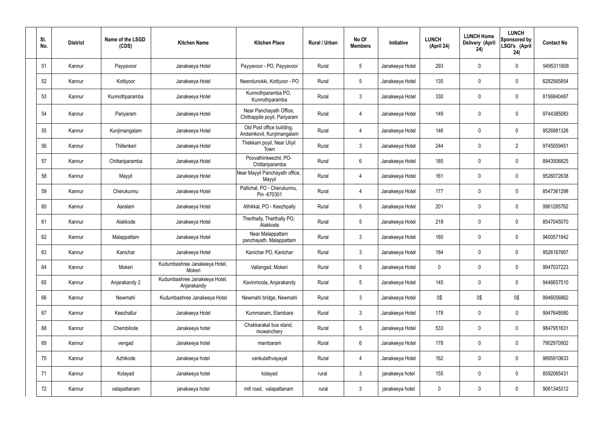| SI.<br>No. | <b>District</b> | Name of the LSGD<br>(CDS) | <b>Kitchen Name</b>                          | <b>Kitchen Place</b>                                    | Rural / Urban | No Of<br><b>Members</b> | Initiative      | <b>LUNCH</b><br>(April 24) | <b>LUNCH Home</b><br>Delivery (April<br>24) | <b>LUNCH</b><br>Sponsored by<br>LSGI's (April<br>24) | <b>Contact No</b> |
|------------|-----------------|---------------------------|----------------------------------------------|---------------------------------------------------------|---------------|-------------------------|-----------------|----------------------------|---------------------------------------------|------------------------------------------------------|-------------------|
| 51         | Kannur          | Payyavoor                 | Janakeeya Hotel                              | Payyavoor - PO, Payyavoor                               | Rural         | $5\overline{)}$         | Janakeeya Hotel | 293                        | 0                                           | $\mathbf 0$                                          | 9495311608        |
| 52         | Kannur          | Kottiyoor                 | Janakeeya Hotel                              | Neendunokki, Kottiyoor - PO                             | Rural         | $5\phantom{.0}$         | Janakeeya Hotel | 135                        | 0                                           | $\mathbf 0$                                          | 6282565854        |
| 53         | Kannur          | Kunnothparamba            | Janakeeya Hotel                              | Kunnothparamba PO,<br>Kunnothparamba                    | Rural         | $\mathbf{3}$            | Janakeeya Hotel | 330                        | 0                                           | $\mathbf 0$                                          | 8156840487        |
| 54         | Kannur          | Pariyaram                 | Janakeeya Hotel                              | Near Panchayath Office,<br>Chithappile poyil, Pariyaram | Rural         | 4                       | Janakeeya Hotel | 149                        | 0                                           | $\mathbf 0$                                          | 9744385083        |
| 55         | Kannur          | Kunjimangalam             | Janakeeya Hotel                              | Old Post office building,<br>Andamkovil, Kunjimangalam  | Rural         | 4                       | Janakeeya Hotel | 146                        | $\mathbf 0$                                 | $\mathbf 0$                                          | 9526981326        |
| 56         | Kannur          | Thillenkeri               | Janakeeya Hotel                              | Thekkam poyil, Near Uliyil<br>Town                      | Rural         | $\mathbf{3}$            | Janakeeya Hotel | 244                        | 0                                           | $\overline{2}$                                       | 9745059451        |
| 57         | Kannur          | Chittariparamba           | Janakeeya Hotel                              | Poovathinkeezhil, PO-<br>Chittariparamba                | Rural         | $6\overline{6}$         | Janakeeya Hotel | 185                        | 0                                           | $\mathbf 0$                                          | 8943506825        |
| 58         | Kannur          | Mayyil                    | Janakeeya Hotel                              | Near Mayyil Panchayath office,<br>Mayyil                | Rural         | $\overline{4}$          | Janakeeya Hotel | 161                        | 0                                           | $\mathbf 0$                                          | 9526072638        |
| 59         | Kannur          | Cherukunnu                | Janakeeya Hotel                              | Pallichal, PO - Cherukunnu,<br>Pin -670301              | Rural         | 4                       | Janakeeya Hotel | 177                        | 0                                           | $\mathbf 0$                                          | 8547361298        |
| 60         | Kannur          | Aaralam                   | Janakeeya Hotel                              | Athikkal, PO - Keezhpally                               | Rural         | $5\overline{)}$         | Janakeeya Hotel | 201                        | 0                                           | $\mathbf 0$                                          | 9961285762        |
| 61         | Kannur          | Alakkode                  | Janakeeya Hotel                              | Therthally, Therthally PO,<br>Alakkode                  | Rural         | $5\overline{)}$         | Janakeeya Hotel | 218                        | 0                                           | $\mathbf 0$                                          | 8547045070        |
| 62         | Kannur          | Malappattam               | Janakeeya Hotel                              | Near Malappattam<br>panchayath, Malappattam             | Rural         | $\mathbf{3}$            | Janakeeya Hotel | 160                        | 0                                           | $\overline{0}$                                       | 9400571842        |
| 63         | Kannur          | Kanichar                  | Janakeeya Hotel                              | Kanichar PO, Kanichar                                   | Rural         | 3                       | Janakeeya Hotel | 184                        | 0                                           | 0                                                    | 9526167667        |
| 64         | Kannur          | Mokeri                    | Kudumbashree Janakeeya Hotel,<br>Mokeri      | Vallangad, Mokeri                                       | Rural         | $5\phantom{.0}$         | Janakeeya Hotel | $\pmb{0}$                  | 0                                           | $\mathbf 0$                                          | 9947037223        |
| 65         | Kannur          | Anjarakandy 2             | Kudumbashree Janakeeya Hotel,<br>Anjarakandy | Kavinmoola, Anjarakandy                                 | Rural         | $5\phantom{.0}$         | Janakeeya Hotel | 145                        | 0                                           | $\mathbf 0$                                          | 9446657510        |
| 66         | Kannur          | Newmahi                   | Kudumbashree Janakeeya Hotel                 | Newmahi bridge, Newmahi                                 | Rural         | $\mathbf{3}$            | Janakeeya Hotel | 0\$                        | 0\$                                         | 0\$                                                  | 9946056862        |
| 67         | Kannur          | Keezhallur                | Janakeeya Hotel                              | Kummanam, Elambara                                      | Rural         | $\mathbf{3}$            | Janakeeya Hotel | 178                        | 0                                           | $\mathbf 0$                                          | 9947648580        |
| 68         | Kannur          | Chembilode                | Janakeeya hotel                              | Chakkarakal bus stand,<br>mowanchery                    | Rural         | $5\phantom{.0}$         | Janakeeya Hotel | 533                        | 0                                           | $\mathbf 0$                                          | 9847951631        |
| 69         | Kannur          | vengad                    | Janakeeya hotel                              | mambaram                                                | Rural         | $6\overline{6}$         | Janakeeya Hotel | 178                        | 0                                           | $\mathbf 0$                                          | 7902970902        |
| 70         | Kannur          | Azhikode                  | Janakeeya hotel                              | vankulathvayayal                                        | Rural         | 4                       | Janakeeya Hotel | 162                        | 0                                           | $\mathbf 0$                                          | 9895910633        |
| 71         | Kannur          | Kolayad                   | Janakeeya hotel                              | kolayad                                                 | rural         | $\mathbf{3}$            | janakeeya hotel | 155                        | 0                                           | $\boldsymbol{0}$                                     | 8592065431        |
| 72         | Kannur          | valapattanam              | janakeeya hotel                              | mill road, valapattanam                                 | rural         | $\mathbf{3}$            | janakeeya hotel | $\pmb{0}$                  | 0                                           | $\boldsymbol{0}$                                     | 9061345312        |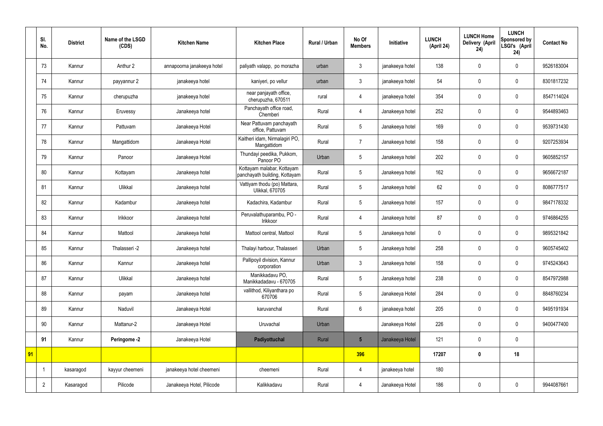|    | SI.<br>No.     | <b>District</b> | Name of the LSGD<br>(CDS) | <b>Kitchen Name</b>        | <b>Kitchen Place</b>                                        | <b>Rural / Urban</b> | No Of<br><b>Members</b> | Initiative      | <b>LUNCH</b><br>(April 24) | <b>LUNCH Home</b><br>Delivery (April<br>24) | <b>LUNCH</b><br>Sponsored by<br>LSGI's (April<br>24) | <b>Contact No</b> |
|----|----------------|-----------------|---------------------------|----------------------------|-------------------------------------------------------------|----------------------|-------------------------|-----------------|----------------------------|---------------------------------------------|------------------------------------------------------|-------------------|
|    | 73             | Kannur          | Anthur 2                  | annapoorna janakeeya hotel | paliyath valapp, po morazha                                 | urban                | 3                       | janakeeya hotel | 138                        | $\mathbf 0$                                 | $\mathbf 0$                                          | 9526183004        |
|    | 74             | Kannur          | payyannur 2               | janakeeya hotel            | kaniyeri, po vellur                                         | urban                | $\mathbf{3}$            | janakeeya hotel | 54                         | $\mathbf 0$                                 | $\mathbf 0$                                          | 8301817232        |
|    | 75             | Kannur          | cherupuzha                | janakeeya hotel            | near panjayath office,<br>cherupuzha, 670511                | rural                | 4                       | janakeeya hotel | 354                        | $\mathbf 0$                                 | $\mathbf 0$                                          | 8547114024        |
|    | 76             | Kannur          | Eruvessy                  | Janakeeya hotel            | Panchayath office road,<br>Chemberi                         | Rural                | 4                       | Janakeeya hotel | 252                        | $\mathbf 0$                                 | $\mathbf 0$                                          | 9544893463        |
|    | 77             | Kannur          | Pattuvam                  | Janakeeya Hotel            | Near Pattuvam panchayath<br>office, Pattuvam                | Rural                | 5                       | Janakeeya hotel | 169                        | $\mathbf 0$                                 | $\mathbf 0$                                          | 9539731430        |
|    | 78             | Kannur          | Mangattidom               | Janakeeya Hotel            | Kaitheri idam, Nirmalagiri PO,<br>Mangattidom               | Rural                | $\overline{7}$          | Janakeeya hotel | 158                        | $\mathbf 0$                                 | $\mathbf 0$                                          | 9207253934        |
|    | 79             | Kannur          | Panoor                    | Janakeeya Hotel            | Thundayi peedika, Pukkom,<br>Panoor PO                      | Urban                | 5                       | Janakeeya hotel | 202                        | $\mathbf 0$                                 | $\mathbf 0$                                          | 9605852157        |
|    | 80             | Kannur          | Kottayam                  | Janakeeya hotel            | Kottayam malabar, Kottayam<br>panchayath building, Kottayam | Rural                | 5                       | Janakeeya hotel | 162                        | $\mathbf 0$                                 | $\mathbf 0$                                          | 9656672187        |
|    | 81             | Kannur          | Ulikkal                   | Janakeeya hotel            | Vattiyam thodu (po) Mattara,<br>Ulikkal, 670705             | Rural                | 5                       | Janakeeya hotel | 62                         | $\mathbf 0$                                 | $\mathbf 0$                                          | 8086777517        |
|    | 82             | Kannur          | Kadambur                  | Janakeeya hotel            | Kadachira, Kadambur                                         | Rural                | 5                       | Janakeeya hotel | 157                        | $\mathbf 0$                                 | $\mathbf 0$                                          | 9847178332        |
|    | 83             | Kannur          | Irikkoor                  | Janakeeya hotel            | Peruvalathuparambu, PO -<br>Irikkoor                        | Rural                | $\overline{4}$          | Janakeeya hotel | 87                         | $\mathbf 0$                                 | $\mathbf 0$                                          | 9746864255        |
|    | 84             | Kannur          | Mattool                   | Janakeeya hotel            | Mattool central, Mattool                                    | Rural                | 5                       | Janakeeya hotel | $\boldsymbol{0}$           | $\mathbf 0$                                 | $\mathbf 0$                                          | 9895321842        |
|    | 85             | Kannur          | Thalasseri -2             | Janakeeya hotel            | Thalayi harbour, Thalasseri                                 | Urban                | 5                       | Janakeeya hotel | 258                        | $\mathbf 0$                                 | $\mathbf 0$                                          | 9605745402        |
|    | 86             | Kannur          | Kannur                    | Janakeeya hotel            | Pallipoyil division, Kannur<br>corporation                  | Urban                | $\mathfrak{Z}$          | Janakeeya hotel | 158                        | $\pmb{0}$                                   | $\mathbf 0$                                          | 9745243643        |
|    | 87             | Kannur          | Ulikkal                   | Janakeeya hotel            | Manikkadavu PO,<br>Manikkadadavu - 670705                   | Rural                | 5                       | Janakeeya hotel | 238                        | $\pmb{0}$                                   | $\mathbf 0$                                          | 8547972988        |
|    | 88             | Kannur          | payam                     | Janakeeya hotel            | vallithod, Kiliyanthara po<br>670706                        | Rural                | 5                       | Janakeeya Hotel | 284                        | $\pmb{0}$                                   | $\mathbf 0$                                          | 8848760234        |
|    | 89             | Kannur          | Naduvil                   | Janakeeya Hotel            | karuvanchal                                                 | Rural                | $6\overline{6}$         | janakeeya hotel | 205                        | $\pmb{0}$                                   | $\mathbf 0$                                          | 9495191934        |
|    | 90             | Kannur          | Mattanur-2                | Janakeeya Hotel            | Uruvachal                                                   | Urban                |                         | Janakeeya Hotel | 226                        | $\pmb{0}$                                   | $\mathbf 0$                                          | 9400477400        |
|    | 91             | Kannur          | Peringome -2              | Janakeeya Hotel            | Padiyottuchal                                               | Rural                | $5\overline{)}$         | Janakeeya Hotel | 121                        | $\pmb{0}$                                   | $\mathbf 0$                                          |                   |
| 91 |                |                 |                           |                            |                                                             |                      | 396                     |                 | 17207                      | $\pmb{0}$                                   | 18                                                   |                   |
|    |                | kasaragod       | kayyur cheemeni           | janakeeya hotel cheemeni   | cheemeni                                                    | Rural                | 4                       | janakeeya hotel | 180                        |                                             |                                                      |                   |
|    | $\overline{2}$ | Kasaragod       | Pilicode                  | Janakeeya Hotel, Pilicode  | Kalikkadavu                                                 | Rural                | 4                       | Janakeeya Hotel | 186                        | $\pmb{0}$                                   | $\mathbf 0$                                          | 9944087661        |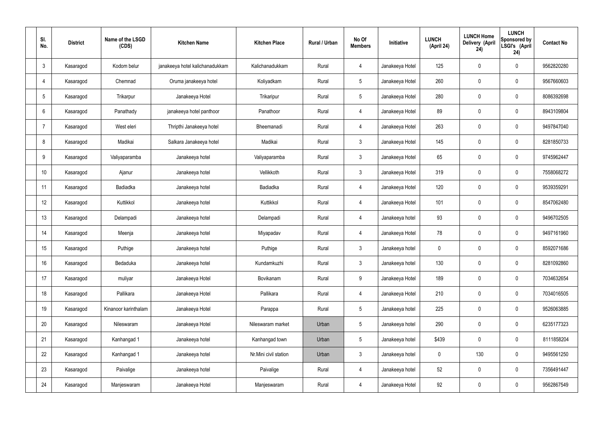| SI.<br>No.      | <b>District</b> | Name of the LSGD<br>(CDS) | <b>Kitchen Name</b>             | <b>Kitchen Place</b>  | <b>Rural / Urban</b> | No Of<br><b>Members</b> | Initiative      | <b>LUNCH</b><br>(April 24) | <b>LUNCH Home</b><br>Delivery (April<br>24) | <b>LUNCH</b><br>Sponsored by<br>LSGI's (April<br>24) | <b>Contact No</b> |
|-----------------|-----------------|---------------------------|---------------------------------|-----------------------|----------------------|-------------------------|-----------------|----------------------------|---------------------------------------------|------------------------------------------------------|-------------------|
| $\mathbf{3}$    | Kasaragod       | Kodom belur               | janakeeya hotel kalichanadukkam | Kalichanadukkam       | Rural                | $\overline{4}$          | Janakeeya Hotel | 125                        | $\mathbf 0$                                 | $\mathbf 0$                                          | 9562820280        |
| $\overline{4}$  | Kasaragod       | Chemnad                   | Oruma janakeeya hotel           | Koliyadkam            | Rural                | 5                       | Janakeeya Hotel | 260                        | $\mathbf 0$                                 | $\mathbf 0$                                          | 9567660603        |
| $5\phantom{.0}$ | Kasaragod       | Trikarpur                 | Janakeeya Hotel                 | Trikaripur            | Rural                | $5\phantom{.0}$         | Janakeeya Hotel | 280                        | $\mathbf 0$                                 | $\mathbf 0$                                          | 8086392698        |
| 6               | Kasaragod       | Panathady                 | janakeeya hotel panthoor        | Panathoor             | Rural                | $\overline{4}$          | Janakeeya Hotel | 89                         | $\mathbf 0$                                 | $\mathbf 0$                                          | 8943109804        |
| 7               | Kasaragod       | West eleri                | Thripthi Janakeeya hotel        | Bheemanadi            | Rural                | $\overline{4}$          | Janakeeya Hotel | 263                        | $\mathbf 0$                                 | $\mathbf 0$                                          | 9497847040        |
| 8               | Kasaragod       | Madikai                   | Salkara Janakeeya hotel         | Madikai               | Rural                | $\mathbf{3}$            | Janakeeya Hotel | 145                        | $\pmb{0}$                                   | $\mathbf 0$                                          | 8281850733        |
| 9               | Kasaragod       | Valiyaparamba             | Janakeeya hotel                 | Valiyaparamba         | Rural                | $\mathbf{3}$            | Janakeeya Hotel | 65                         | $\mathbf 0$                                 | $\mathbf 0$                                          | 9745962447        |
| 10 <sup>°</sup> | Kasaragod       | Ajanur                    | Janakeeya hotel                 | Vellikkoth            | Rural                | $\mathbf{3}$            | Janakeeya Hotel | 319                        | $\mathbf 0$                                 | $\mathbf 0$                                          | 7558068272        |
| 11              | Kasaragod       | Badiadka                  | Janakeeya hotel                 | Badiadka              | Rural                | $\overline{4}$          | Janakeeya Hotel | 120                        | $\pmb{0}$                                   | $\mathbf 0$                                          | 9539359291        |
| 12              | Kasaragod       | Kuttikkol                 | Janakeeya hotel                 | Kuttikkol             | Rural                | $\overline{4}$          | Janakeeya Hotel | 101                        | $\mathbf 0$                                 | $\mathbf 0$                                          | 8547062480        |
| 13              | Kasaragod       | Delampadi                 | Janakeeya hotel                 | Delampadi             | Rural                | $\overline{4}$          | Janakeeya hotel | 93                         | $\pmb{0}$                                   | $\mathbf 0$                                          | 9496702505        |
| 14              | Kasaragod       | Meenja                    | Janakeeya hotel                 | Miyapadav             | Rural                | 4                       | Janakeeya Hotel | 78                         | $\mathbf 0$                                 | $\mathbf 0$                                          | 9497161960        |
| 15              | Kasaragod       | Puthige                   | Janakeeya hotel                 | Puthige               | Rural                | 3 <sup>1</sup>          | Janakeeya hotel | 0                          | $\mathbf 0$                                 | $\mathbf 0$                                          | 8592071686        |
| 16              | Kasaragod       | Bedaduka                  | Janakeeya hotel                 | Kundamkuzhi           | Rural                | $\mathbf{3}$            | Janakeeya hotel | 130                        | $\pmb{0}$                                   | $\mathbf 0$                                          | 8281092860        |
| 17              | Kasaragod       | muliyar                   | Janakeeya Hotel                 | Bovikanam             | Rural                | 9                       | Janakeeya Hotel | 189                        | $\pmb{0}$                                   | $\mathbf 0$                                          | 7034632654        |
| 18              | Kasaragod       | Pallikara                 | Janakeeya Hotel                 | Pallikara             | Rural                | $\overline{4}$          | Janakeeya Hotel | 210                        | $\pmb{0}$                                   | $\mathbf 0$                                          | 7034016505        |
| 19              | Kasaragod       | Kinanoor karinthalam      | Janakeeya Hotel                 | Parappa               | Rural                | $5\phantom{.0}$         | Janakeeya hotel | 225                        | $\pmb{0}$                                   | $\mathbf 0$                                          | 9526063885        |
| 20              | Kasaragod       | Nileswaram                | Janakeeya Hotel                 | Nileswaram market     | Urban                | 5                       | Janakeeya hotel | 290                        | $\pmb{0}$                                   | $\mathbf 0$                                          | 6235177323        |
| 21              | Kasaragod       | Kanhangad 1               | Janakeeya hotel                 | Kanhangad town        | Urban                | 5                       | Janakeeya hotel | \$439                      | $\pmb{0}$                                   | $\mathbf 0$                                          | 8111858204        |
| 22              | Kasaragod       | Kanhangad 1               | Janakeeya hotel                 | Nr.Mini civil station | Urban                | $\mathbf{3}$            | Janakeeya hotel | $\mathbf 0$                | 130                                         | $\mathbf 0$                                          | 9495561250        |
| 23              | Kasaragod       | Paivalige                 | Janakeeya hotel                 | Paivalige             | Rural                | $\overline{4}$          | Janakeeya hotel | 52                         | $\pmb{0}$                                   | $\mathbf 0$                                          | 7356491447        |
| 24              | Kasaragod       | Manjeswaram               | Janakeeya Hotel                 | Manjeswaram           | Rural                | 4                       | Janakeeya Hotel | 92                         | $\pmb{0}$                                   | $\mathbf 0$                                          | 9562867549        |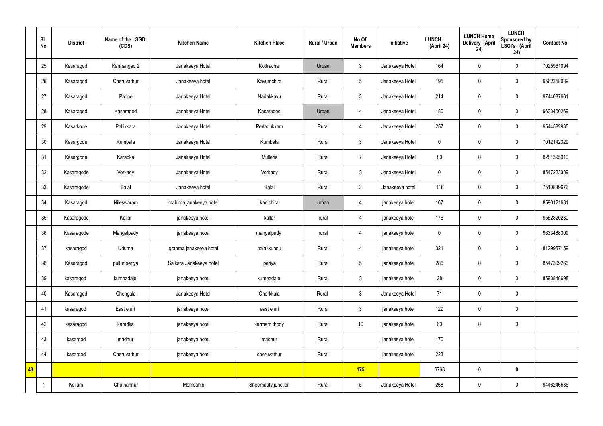|    | SI.<br>No. | <b>District</b> | Name of the LSGD<br>(CDS) | <b>Kitchen Name</b>     | <b>Kitchen Place</b> | <b>Rural / Urban</b> | No Of<br><b>Members</b> | Initiative      | <b>LUNCH</b><br>(April 24) | <b>LUNCH Home</b><br><b>Delivery (April</b><br>24) | <b>LUNCH</b><br>Sponsored by<br>LSGI's (April<br>24) | <b>Contact No</b> |
|----|------------|-----------------|---------------------------|-------------------------|----------------------|----------------------|-------------------------|-----------------|----------------------------|----------------------------------------------------|------------------------------------------------------|-------------------|
|    | 25         | Kasaragod       | Kanhangad 2               | Janakeeya Hotel         | Kottrachal           | Urban                | $\mathbf{3}$            | Janakeeya Hotel | 164                        | $\mathbf 0$                                        | $\mathbf 0$                                          | 7025961094        |
|    | 26         | Kasaragod       | Cheruvathur               | Janakeeya hotel         | Kavumchira           | Rural                | 5                       | Janakeeya Hotel | 195                        | $\mathbf 0$                                        | $\mathbf 0$                                          | 9562358039        |
|    | 27         | Kasaragod       | Padne                     | Janakeeya Hotel         | Nadakkavu            | Rural                | $\mathfrak{Z}$          | Janakeeya Hotel | 214                        | $\pmb{0}$                                          | $\mathbf 0$                                          | 9744087661        |
|    | 28         | Kasaragod       | Kasaragod                 | Janakeeya Hotel         | Kasaragod            | Urban                | $\overline{4}$          | Janakeeya Hotel | 180                        | $\pmb{0}$                                          | $\boldsymbol{0}$                                     | 9633400269        |
|    | 29         | Kasarkode       | Pallikkara                | Janakeeya Hotel         | Perladukkam          | Rural                | $\overline{4}$          | Janakeeya Hotel | 257                        | $\pmb{0}$                                          | $\mathbf 0$                                          | 9544582935        |
|    | 30         | Kasargode       | Kumbala                   | Janakeeya Hotel         | Kumbala              | Rural                | $\mathfrak{Z}$          | Janakeeya Hotel | $\mathbf 0$                | $\pmb{0}$                                          | $\pmb{0}$                                            | 7012142329        |
|    | 31         | Kasargode       | Karadka                   | Janakeeya Hotel         | Mulleria             | Rural                | $\overline{7}$          | Janakeeya Hotel | 80                         | $\pmb{0}$                                          | $\mathbf 0$                                          | 8281395910        |
|    | 32         | Kasaragode      | Vorkady                   | Janakeeya Hotel         | Vorkady              | Rural                | $\mathbf{3}$            | Janakeeya Hotel | $\mathbf 0$                | $\mathbf 0$                                        | $\mathbf 0$                                          | 8547223339        |
|    | 33         | Kasaragode      | Balal                     | Janakeeya hotel         | Balal                | Rural                | $\mathbf{3}$            | Janakeeya hotel | 116                        | $\pmb{0}$                                          | $\mathbf 0$                                          | 7510839676        |
|    | 34         | Kasaragod       | Nileswaram                | mahima janakeeya hotel  | kanichira            | urban                | $\overline{4}$          | janakeeya hotel | 167                        | $\pmb{0}$                                          | $\pmb{0}$                                            | 8590121681        |
|    | 35         | Kasaragode      | Kallar                    | janakeeya hotel         | kallar               | rural                | 4                       | janakeeya hotel | 176                        | $\pmb{0}$                                          | $\pmb{0}$                                            | 9562820280        |
|    | 36         | Kasaragode      | Mangalpady                | janakeeya hotel         | mangalpady           | rural                | 4                       | janakeeya hotel | $\mathbf 0$                | $\pmb{0}$                                          | $\mathbf 0$                                          | 9633488309        |
|    | 37         | kasaragod       | Uduma                     | granma janakeeya hotel  | palakkunnu           | Rural                | $\overline{4}$          | janakeeya hotel | 321                        | $\mathbf 0$                                        | $\mathbf 0$                                          | 8129957159        |
|    | 38         | Kasaragod       | pullur periya             | Salkara Janakeeya hotel | periya               | Rural                | $5\phantom{.0}$         | janakeeya hotel | 286                        | $\pmb{0}$                                          | $\mathbf 0$                                          | 8547309266        |
|    | 39         | kasaragod       | kumbadaje                 | janakeeya hotel         | kumbadaje            | Rural                | $\mathfrak{Z}$          | janakeeya hotel | 28                         | $\mathbf 0$                                        | $\pmb{0}$                                            | 8593848698        |
|    | 40         | Kasaragod       | Chengala                  | Janakeeya Hotel         | Cherkkala            | Rural                | $\mathbf{3}$            | Janakeeya Hotel | 71                         | $\mathbf 0$                                        | $\pmb{0}$                                            |                   |
|    | 41         | kasaragod       | East eleri                | janakeeya hotel         | east eleri           | Rural                | $\mathfrak{Z}$          | janakeeya hotel | 129                        | $\mathbf 0$                                        | $\pmb{0}$                                            |                   |
|    | 42         | kasaragod       | karadka                   | janakeeya hotel         | karmam thody         | Rural                | 10                      | janakeeya hotel | 60                         | $\boldsymbol{0}$                                   | $\pmb{0}$                                            |                   |
|    | 43         | kasargod        | madhur                    | janakeeya hotel         | madhur               | Rural                |                         | janakeeya hotel | 170                        |                                                    |                                                      |                   |
|    | 44         | kasargod        | Cheruvathur               | janakeeya hotel         | cheruvathur          | Rural                |                         | janakeeya hotel | 223                        |                                                    |                                                      |                   |
| 43 |            |                 |                           |                         |                      |                      | 175                     |                 | 6768                       | $\pmb{0}$                                          | $\mathbf 0$                                          |                   |
|    |            | Kollam          | Chathannur                | Memsahib                | Sheemaaty junction   | Rural                | $5\phantom{.0}$         | Janakeeya Hotel | 268                        | $\pmb{0}$                                          | $\pmb{0}$                                            | 9446246685        |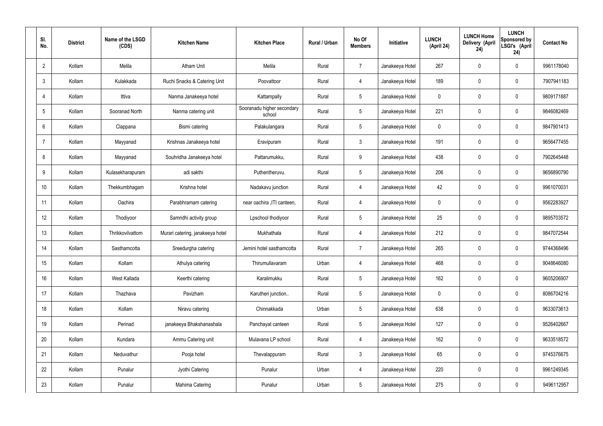| SI.<br>No.      |    | <b>District</b> | Name of the LSGD<br>(CDS) | <b>Kitchen Name</b>              | <b>Kitchen Place</b>                 | Rural / Urban | No Of<br><b>Members</b> | Initiative      | <b>LUNCH</b><br>(April 24) | <b>LUNCH Home</b><br>Delivery (April<br>24) | <b>LUNCH</b><br>Sponsored by<br>LSGI's (April<br>24) | <b>Contact No</b> |
|-----------------|----|-----------------|---------------------------|----------------------------------|--------------------------------------|---------------|-------------------------|-----------------|----------------------------|---------------------------------------------|------------------------------------------------------|-------------------|
| $\overline{2}$  |    | Kollam          | Melila                    | <b>Atham Unit</b>                | Melila                               | Rural         | $\overline{7}$          | Janakeeya Hotel | 267                        | $\mathbf 0$                                 | $\mathbf 0$                                          | 9961178040        |
| $\mathbf{3}$    |    | Kollam          | Kulakkada                 | Ruchi Snacks & Catering Unit     | Poovattoor                           | Rural         | $\overline{4}$          | Janakeeya Hotel | 189                        | $\mathbf 0$                                 | $\mathbf 0$                                          | 7907941183        |
| $\overline{4}$  |    | Kollam          | Ittiva                    | Nanma Janakeeya hotel            | Kattampally                          | Rural         | $5\phantom{.0}$         | Janakeeya Hotel | $\mathbf 0$                | $\mathbf 0$                                 | $\mathbf 0$                                          | 9809171887        |
| $5\phantom{.0}$ |    | Kollam          | Sooranad North            | Nanma catering unit              | Sooranadu higher secondary<br>school | Rural         | $5\phantom{.0}$         | Janakeeya Hotel | 221                        | $\mathbf 0$                                 | $\mathbf 0$                                          | 9846082469        |
| 6               |    | Kollam          | Clappana                  | Bismi catering                   | Palakulangara                        | Rural         | $5\phantom{.0}$         | Janakeeya Hotel | $\mathbf 0$                | $\mathbf 0$                                 | $\mathbf 0$                                          | 9847901413        |
| $\overline{7}$  |    | Kollam          | Mayyanad                  | Krishnas Janakeeya hotel         | Eravipuram                           | Rural         | $\mathbf{3}$            | Janakeeya Hotel | 191                        | $\mathbf 0$                                 | $\mathbf 0$                                          | 9656477455        |
| 8               |    | Kollam          | Mayyanad                  | Souhridha Janakeeya hotel        | Pattarumukku,                        | Rural         | 9                       | Janakeeya Hotel | 438                        | $\mathbf 0$                                 | $\mathbf 0$                                          | 7902645448        |
| 9               |    | Kollam          | Kulasekharapuram          | adi sakthi                       | Puthentheruvu.                       | Rural         | $5\phantom{.0}$         | Janakeeya Hotel | 206                        | 0                                           | $\mathbf 0$                                          | 9656890790        |
| 10              |    | Kollam          | Thekkumbhagam             | Krishna hotel                    | Nadakavu junction                    | Rural         | $\overline{4}$          | Janakeeya Hotel | 42                         | $\mathbf 0$                                 | $\mathbf 0$                                          | 9961070031        |
| 11              |    | Kollam          | Oachira                   | Parabhramam catering             | near oachira , ITI canteen,          | Rural         | 4                       | Janakeeya Hotel | $\mathbf 0$                | 0                                           | $\mathbf 0$                                          | 9562283927        |
| 12              |    | Kollam          | Thodiyoor                 | Samridhi activity group          | Lpschool thodiyoor                   | Rural         | $5\phantom{.0}$         | Janakeeya Hotel | 25                         | 0                                           | $\mathbf 0$                                          | 9895703572        |
| 13              |    | Kollam          | Thrikkovilvattom          | Murari catering, janakeeya hotel | Mukhathala                           | Rural         | 4                       | Janakeeya Hotel | 212                        | $\mathbf 0$                                 | $\mathbf 0$                                          | 9847072544        |
| 14              |    | Kollam          | Sasthamcotta              | Sreedurgha catering              | Jemini hotel sasthamcotta            | Rural         | $\overline{7}$          | Janakeeya Hotel | 265                        | 0                                           | $\mathbf 0$                                          | 9744368496        |
|                 | 15 | Kollam          | Kollam                    | Athulya catering                 | Thirumullavaram                      | Urban         | $\overline{4}$          | Janakeeya Hotel | 468                        | $\mathbf 0$                                 | $\mathbf 0$                                          | 9048646080        |
| 16              |    | Kollam          | West Kallada              | Keerthi catering                 | Karalimukku                          | Rural         | $5\overline{)}$         | Janakeeya Hotel | 162                        | 0                                           | $\mathbf 0$                                          | 9605206907        |
| 17              |    | Kollam          | Thazhava                  | Pavizham                         | Karutheri junction                   | Rural         | $5\overline{)}$         | Janakeeya Hotel | $\mathbf 0$                | 0                                           | $\mathbf 0$                                          | 8086704216        |
| 18              |    | Kollam          | Kollam                    | Niravu catering                  | Chinnakkada                          | Urban         | $5\phantom{.0}$         | Janakeeya Hotel | 638                        | 0                                           | $\mathbf 0$                                          | 9633073613        |
|                 | 19 | Kollam          | Perinad                   | janakeeya Bhakshanashala         | Panchayat canteen                    | Rural         | $5\overline{)}$         | Janakeeya Hotel | 127                        | 0                                           | $\mathbf 0$                                          | 9526402667        |
| 20              |    | Kollam          | Kundara                   | Ammu Catering unit               | Mulavana LP school                   | Rural         | $\overline{4}$          | Janakeeya Hotel | 162                        | 0                                           | $\mathbf 0$                                          | 9633518572        |
| 21              |    | Kollam          | Neduvathur                | Pooja hotel                      | Thevalappuram                        | Rural         | $\mathbf{3}$            | Janakeeya Hotel | 65                         | 0                                           | $\mathbf 0$                                          | 9745376675        |
| 22              |    | Kollam          | Punalur                   | Jyothi Catering                  | Punalur                              | Urban         | $\overline{4}$          | Janakeeya Hotel | 220                        | 0                                           | $\mathbf 0$                                          | 9961249345        |
| 23              |    | Kollam          | Punalur                   | Mahima Catering                  | Punalur                              | Urban         | $5\,$                   | Janakeeya Hotel | 275                        | 0                                           | $\mathbf 0$                                          | 9496112957        |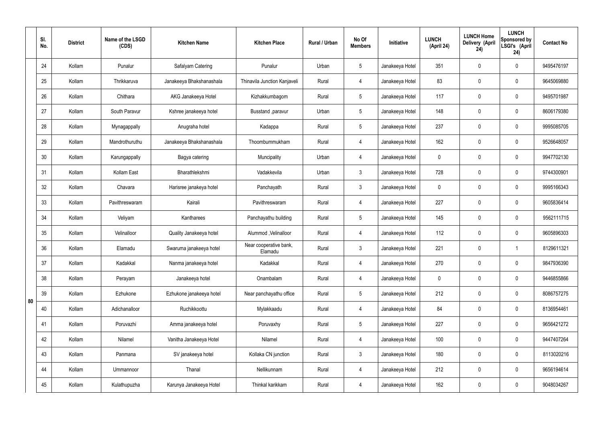|    | SI.<br>No. | <b>District</b> | Name of the LSGD<br>(CDS) | <b>Kitchen Name</b>      | <b>Kitchen Place</b>              | Rural / Urban | No Of<br><b>Members</b> | Initiative      | <b>LUNCH</b><br>(April 24) | <b>LUNCH Home</b><br>Delivery (April<br>24) | <b>LUNCH</b><br>Sponsored by<br>LSGI's (April<br>24) | <b>Contact No</b> |
|----|------------|-----------------|---------------------------|--------------------------|-----------------------------------|---------------|-------------------------|-----------------|----------------------------|---------------------------------------------|------------------------------------------------------|-------------------|
|    | 24         | Kollam          | Punalur                   | Safalyam Catering        | Punalur                           | Urban         | $5\overline{)}$         | Janakeeya Hotel | 351                        | $\mathbf 0$                                 | $\mathbf 0$                                          | 9495476197        |
|    | 25         | Kollam          | Thrikkaruva               | Janakeeya Bhakshanashala | Thinavila Junction Kanjaveli      | Rural         | 4                       | Janakeeya Hotel | 83                         | $\mathbf 0$                                 | $\mathbf 0$                                          | 9645069880        |
|    | 26         | Kollam          | Chithara                  | AKG Janakeeya Hotel      | Kizhakkumbagom                    | Rural         | $5\overline{)}$         | Janakeeya Hotel | 117                        | $\mathbf 0$                                 | $\mathbf 0$                                          | 9495701987        |
|    | 27         | Kollam          | South Paravur             | Kshree janakeeya hotel   | Busstand , paravur                | Urban         | $5\overline{)}$         | Janakeeya Hotel | 148                        | $\mathbf 0$                                 | $\mathbf 0$                                          | 8606179380        |
|    | 28         | Kollam          | Mynagappally              | Anugraha hotel           | Kadappa                           | Rural         | $5\overline{)}$         | Janakeeya Hotel | 237                        | $\mathbf 0$                                 | $\mathbf 0$                                          | 9995085705        |
|    | 29         | Kollam          | Mandrothuruthu            | Janakeeya Bhakshanashala | Thoombummukham                    | Rural         | $\overline{4}$          | Janakeeya Hotel | 162                        | $\mathbf 0$                                 | $\mathbf 0$                                          | 9526648057        |
|    | 30         | Kollam          | Karungappally             | Bagya catering           | Muncipality                       | Urban         | 4                       | Janakeeya Hotel | $\mathbf 0$                | $\mathbf 0$                                 | $\mathbf 0$                                          | 9947702130        |
|    | 31         | Kollam          | Kollam East               | Bharathlekshmi           | Vadakkevila                       | Urban         | $\mathbf{3}$            | Janakeeya Hotel | 728                        | $\mathbf 0$                                 | $\mathbf 0$                                          | 9744300901        |
|    | 32         | Kollam          | Chavara                   | Harisree janakeya hotel  | Panchayath                        | Rural         | $\mathbf{3}$            | Janakeeya Hotel | $\mathbf 0$                | 0                                           | $\mathbf 0$                                          | 9995166343        |
|    | 33         | Kollam          | Pavithreswaram            | Kairali                  | Pavithreswaram                    | Rural         | 4                       | Janakeeya Hotel | 227                        | $\mathbf 0$                                 | $\mathbf 0$                                          | 9605836414        |
|    | 34         | Kollam          | Veliyam                   | Kantharees               | Panchayathu building              | Rural         | $5\overline{)}$         | Janakeeya Hotel | 145                        | 0                                           | $\mathbf 0$                                          | 9562111715        |
|    | 35         | Kollam          | Velinalloor               | Quality Janakeeya hotel  | Alummod, Velinalloor              | Rural         | 4                       | Janakeeya Hotel | 112                        | $\mathbf 0$                                 | $\mathbf 0$                                          | 9605896303        |
|    | 36         | Kollam          | Elamadu                   | Swaruma janakeeya hotel  | Near cooperative bank,<br>Elamadu | Rural         | $\mathbf{3}$            | Janakeeya Hotel | 221                        | $\mathbf 0$                                 |                                                      | 8129611321        |
|    | 37         | Kollam          | Kadakkal                  | Nanma janakeeya hotel    | Kadakkal                          | Rural         | 4                       | Janakeeya Hotel | 270                        | $\pmb{0}$                                   | $\mathbf 0$                                          | 9847936390        |
|    | 38         | Kollam          | Perayam                   | Janakeeya hotel          | Onambalam                         | Rural         | $\overline{4}$          | Janakeeya Hotel | $\mathbf 0$                | $\pmb{0}$                                   | $\mathbf 0$                                          | 9446855866        |
| 80 | 39         | Kollam          | Ezhukone                  | Ezhukone janakeeya hotel | Near panchayathu office           | Rural         | $5\overline{)}$         | Janakeeya Hotel | 212                        | 0                                           | $\mathbf 0$                                          | 8086757275        |
|    | 40         | Kollam          | Adichanalloor             | Ruchikkoottu             | Mylakkaadu                        | Rural         | $\overline{4}$          | Janakeeya Hotel | 84                         | $\pmb{0}$                                   | $\mathbf 0$                                          | 8136954461        |
|    | 41         | Kollam          | Poruvazhi                 | Amma janakeeya hotel     | Poruvaxhy                         | Rural         | $5\overline{)}$         | Janakeeya Hotel | 227                        | 0                                           | $\mathbf 0$                                          | 9656421272        |
|    | 42         | Kollam          | Nilamel                   | Vanitha Janakeeya Hotel  | Nilamel                           | Rural         | $\overline{4}$          | Janakeeya Hotel | 100                        | $\pmb{0}$                                   | $\mathbf 0$                                          | 9447407264        |
|    | 43         | Kollam          | Panmana                   | SV janakeeya hotel       | Kollaka CN junction               | Rural         | 3                       | Janakeeya Hotel | 180                        | 0                                           | $\mathbf 0$                                          | 8113020216        |
|    | 44         | Kollam          | Ummannoor                 | Thanal                   | Nellikunnam                       | Rural         | $\overline{4}$          | Janakeeya Hotel | 212                        | 0                                           | $\mathbf 0$                                          | 9656194614        |
|    | 45         | Kollam          | Kulathupuzha              | Karunya Janakeeya Hotel  | Thinkal karikkam                  | Rural         | 4                       | Janakeeya Hotel | 162                        | $\pmb{0}$                                   | $\boldsymbol{0}$                                     | 9048034267        |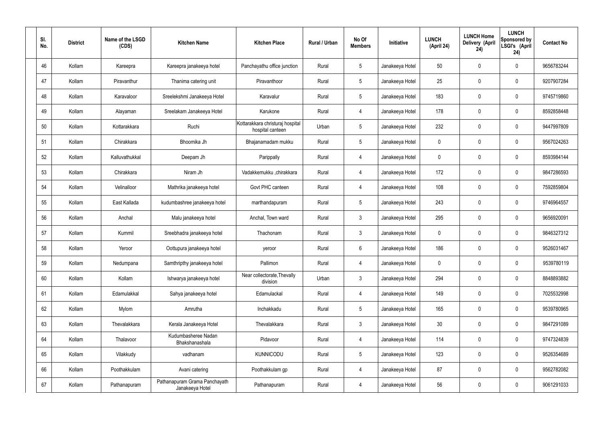| SI.<br>No. | <b>District</b> | Name of the LSGD<br>(CDS) | <b>Kitchen Name</b>                              | <b>Kitchen Place</b>                                 | Rural / Urban | No Of<br><b>Members</b> | Initiative      | <b>LUNCH</b><br>(April 24) | <b>LUNCH Home</b><br>Delivery (April<br>24) | <b>LUNCH</b><br>Sponsored by<br>LSGI's (April<br>24) | <b>Contact No</b> |
|------------|-----------------|---------------------------|--------------------------------------------------|------------------------------------------------------|---------------|-------------------------|-----------------|----------------------------|---------------------------------------------|------------------------------------------------------|-------------------|
| 46         | Kollam          | Kareepra                  | Kareepra janakeeya hotel                         | Panchayathu office junction                          | Rural         | $5\phantom{.0}$         | Janakeeya Hotel | 50                         | 0                                           | $\mathbf 0$                                          | 9656783244        |
| 47         | Kollam          | Piravanthur               | Thanima catering unit                            | Piravanthoor                                         | Rural         | $5\phantom{.0}$         | Janakeeya Hotel | 25                         | 0                                           | $\mathbf 0$                                          | 9207907284        |
| 48         | Kollam          | Karavaloor                | Sreelekshmi Janakeeya Hotel                      | Karavalur                                            | Rural         | $5\phantom{.0}$         | Janakeeya Hotel | 183                        | 0                                           | $\mathbf 0$                                          | 9745719860        |
| 49         | Kollam          | Alayaman                  | Sreelakam Janakeeya Hotel                        | Karukone                                             | Rural         | $\overline{4}$          | Janakeeya Hotel | 178                        | 0                                           | $\mathbf 0$                                          | 8592858448        |
| 50         | Kollam          | Kottarakkara              | Ruchi                                            | Kottarakkara christuraj hospital<br>hospital canteen | Urban         | $5\phantom{.0}$         | Janakeeya Hotel | 232                        | 0                                           | $\mathbf 0$                                          | 9447997809        |
| 51         | Kollam          | Chirakkara                | Bhoomika Jh                                      | Bhajanamadam mukku                                   | Rural         | $5\phantom{.0}$         | Janakeeya Hotel | $\mathbf 0$                | 0                                           | $\mathbf 0$                                          | 9567024263        |
| 52         | Kollam          | Kalluvathukkal            | Deepam Jh                                        | Parippally                                           | Rural         | $\overline{4}$          | Janakeeya Hotel | $\mathbf 0$                | 0                                           | $\mathbf 0$                                          | 8593984144        |
| 53         | Kollam          | Chirakkara                | Niram Jh                                         | Vadakkemukku ,chirakkara                             | Rural         | $\overline{4}$          | Janakeeya Hotel | 172                        | 0                                           | $\mathbf 0$                                          | 9847286593        |
| 54         | Kollam          | Velinalloor               | Mathrika janakeeya hotel                         | Govt PHC canteen                                     | Rural         | $\overline{4}$          | Janakeeya Hotel | 108                        | $\boldsymbol{0}$                            | $\mathbf 0$                                          | 7592859804        |
| 55         | Kollam          | East Kallada              | kudumbashree janakeeya hotel                     | marthandapuram                                       | Rural         | $5\phantom{.0}$         | Janakeeya Hotel | 243                        | 0                                           | $\mathbf 0$                                          | 9746964557        |
| 56         | Kollam          | Anchal                    | Malu janakeeya hotel                             | Anchal, Town ward                                    | Rural         | $\mathbf{3}$            | Janakeeya Hotel | 295                        | 0                                           | $\boldsymbol{0}$                                     | 9656920091        |
| 57         | Kollam          | Kummil                    | Sreebhadra janakeeya hotel                       | Thachonam                                            | Rural         | $\mathfrak{Z}$          | Janakeeya Hotel | $\mathbf 0$                | 0                                           | $\boldsymbol{0}$                                     | 9846327312        |
| 58         | Kollam          | Yeroor                    | Oottupura janakeeya hotel                        | yeroor                                               | Rural         | $6\phantom{.}$          | Janakeeya Hotel | 186                        | 0                                           | 0                                                    | 9526031467        |
| 59         | Kollam          | Nedumpana                 | Samthripthy janakeeya hotel                      | Pallimon                                             | Rural         | $\overline{4}$          | Janakeeya Hotel | $\mathbf 0$                | 0                                           | $\mathbf 0$                                          | 9539780119        |
| 60         | Kollam          | Kollam                    | Ishwarya janakeeya hotel                         | Near collectorate, Thevally<br>division              | Urban         | $\mathbf{3}$            | Janakeeya Hotel | 294                        | $\mathbf 0$                                 | $\mathbf 0$                                          | 8848893882        |
| 61         | Kollam          | Edamulakkal               | Sahya janakeeya hotel                            | Edamulackal                                          | Rural         | $\overline{4}$          | Janakeeya Hotel | 149                        | $\mathbf 0$                                 | $\mathbf 0$                                          | 7025532998        |
| 62         | Kollam          | Mylom                     | Amrutha                                          | Inchakkadu                                           | Rural         | $5\phantom{.0}$         | Janakeeya Hotel | 165                        | $\mathbf 0$                                 | $\mathbf 0$                                          | 9539780965        |
| 63         | Kollam          | Thevalakkara              | Kerala Janakeeya Hotel                           | Thevalakkara                                         | Rural         | $\mathbf{3}$            | Janakeeya Hotel | 30 <sup>°</sup>            | 0                                           | $\mathbf 0$                                          | 9847291089        |
| 64         | Kollam          | Thalavoor                 | Kudumbasheree Nadan<br>Bhakshanashala            | Pidavoor                                             | Rural         | 4                       | Janakeeya Hotel | 114                        | $\mathbf 0$                                 | $\mathbf 0$                                          | 9747324839        |
| 65         | Kollam          | Vilakkudy                 | vadhanam                                         | <b>KUNNICODU</b>                                     | Rural         | $5\phantom{.0}$         | Janakeeya Hotel | 123                        | $\mathbf 0$                                 | $\mathbf 0$                                          | 9526354689        |
| 66         | Kollam          | Poothakkulam              | Avani catering                                   | Poothakkulam gp                                      | Rural         | 4                       | Janakeeya Hotel | 87                         | 0                                           | $\mathbf 0$                                          | 9562782082        |
| 67         | Kollam          | Pathanapuram              | Pathanapuram Grama Panchayath<br>Janakeeya Hotel | Pathanapuram                                         | Rural         | 4                       | Janakeeya Hotel | 56                         | 0                                           | $\boldsymbol{0}$                                     | 9061291033        |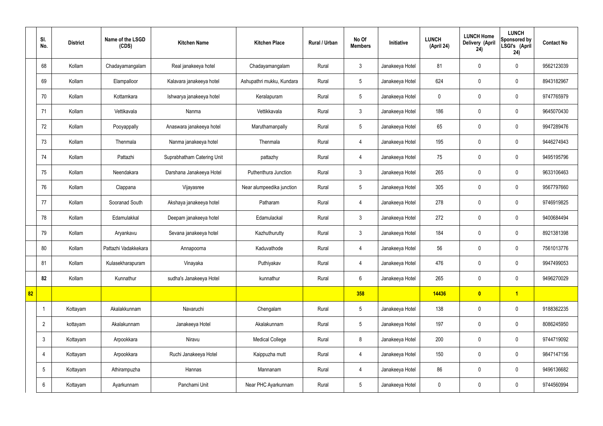|    | SI.<br>No.      | <b>District</b> | Name of the LSGD<br>(CDS) | <b>Kitchen Name</b>        | <b>Kitchen Place</b>      | <b>Rural / Urban</b> | No Of<br><b>Members</b> | Initiative      | <b>LUNCH</b><br>(April 24) | <b>LUNCH Home</b><br>Delivery (April<br>24) | <b>LUNCH</b><br>Sponsored by<br>LSGI's (April<br>24) | <b>Contact No</b> |
|----|-----------------|-----------------|---------------------------|----------------------------|---------------------------|----------------------|-------------------------|-----------------|----------------------------|---------------------------------------------|------------------------------------------------------|-------------------|
|    | 68              | Kollam          | Chadayamangalam           | Real janakeeya hotel       | Chadayamangalam           | Rural                | $\mathbf{3}$            | Janakeeya Hotel | 81                         | $\mathbf 0$                                 | $\mathbf 0$                                          | 9562123039        |
|    | 69              | Kollam          | Elampalloor               | Kalavara janakeeya hotel   | Ashupathri mukku, Kundara | Rural                | $5\phantom{.0}$         | Janakeeya Hotel | 624                        | $\mathbf 0$                                 | $\mathbf 0$                                          | 8943182967        |
|    | 70              | Kollam          | Kottamkara                | Ishwarya janakeeya hotel   | Keralapuram               | Rural                | $5\phantom{.0}$         | Janakeeya Hotel | $\mathbf 0$                | $\mathbf 0$                                 | $\mathbf 0$                                          | 9747765979        |
|    | 71              | Kollam          | Vettikavala               | Nanma                      | Vettikkavala              | Rural                | $\mathbf{3}$            | Janakeeya Hotel | 186                        | $\mathbf 0$                                 | $\mathbf 0$                                          | 9645070430        |
|    | 72              | Kollam          | Pooyappally               | Anaswara janakeeya hotel   | Maruthamanpally           | Rural                | $5\phantom{.0}$         | Janakeeya Hotel | 65                         | $\mathbf 0$                                 | $\mathbf 0$                                          | 9947289476        |
|    | 73              | Kollam          | Thenmala                  | Nanma janakeeya hotel      | Thenmala                  | Rural                | 4                       | Janakeeya Hotel | 195                        | $\mathbf 0$                                 | $\mathbf 0$                                          | 9446274943        |
|    | 74              | Kollam          | Pattazhi                  | Suprabhatham Catering Unit | pattazhy                  | Rural                | $\overline{4}$          | Janakeeya Hotel | 75                         | $\mathbf 0$                                 | $\mathbf 0$                                          | 9495195796        |
|    | 75              | Kollam          | Neendakara                | Darshana Janakeeya Hotel   | Puthenthura Junction      | Rural                | $\mathbf{3}$            | Janakeeya Hotel | 265                        | $\mathbf 0$                                 | $\mathbf 0$                                          | 9633106463        |
|    | 76              | Kollam          | Clappana                  | Vijayasree                 | Near alumpeedika junction | Rural                | $5\phantom{.0}$         | Janakeeya Hotel | 305                        | $\mathbf 0$                                 | $\mathbf 0$                                          | 9567797660        |
|    | 77              | Kollam          | Sooranad South            | Akshaya janakeeya hotel    | Patharam                  | Rural                | 4                       | Janakeeya Hotel | 278                        | $\mathbf 0$                                 | $\mathbf 0$                                          | 9746919825        |
|    | 78              | Kollam          | Edamulakkal               | Deepam janakeeya hotel     | Edamulackal               | Rural                | $\mathbf{3}$            | Janakeeya Hotel | 272                        | $\mathbf 0$                                 | $\mathbf 0$                                          | 9400684494        |
|    | 79              | Kollam          | Aryankavu                 | Sevana janakeeya hotel     | Kazhuthurutty             | Rural                | $\mathbf{3}$            | Janakeeya Hotel | 184                        | $\mathbf 0$                                 | $\mathbf 0$                                          | 8921381398        |
|    | 80              | Kollam          | Pattazhi Vadakkekara      | Annapoorna                 | Kaduvathode               | Rural                | 4                       | Janakeeya Hotel | 56                         | 0                                           | $\mathbf 0$                                          | 7561013776        |
|    | 81              | Kollam          | Kulasekharapuram          | Vinayaka                   | Puthiyakav                | Rural                | $\overline{4}$          | Janakeeya Hotel | 476                        | $\mathbf 0$                                 | $\mathbf 0$                                          | 9947499053        |
|    | 82              | Kollam          | Kunnathur                 | sudha's Janakeeya Hotel    | kunnathur                 | Rural                | $6\phantom{.}6$         | Janakeeya Hotel | 265                        | $\mathbf 0$                                 | $\mathbf 0$                                          | 9496270029        |
| 82 |                 |                 |                           |                            |                           |                      | 358                     |                 | 14436                      | $\bullet$                                   | $\overline{1}$                                       |                   |
|    | -1              | Kottayam        | Akalakkunnam              | Navaruchi                  | Chengalam                 | Rural                | $5\phantom{.0}$         | Janakeeya Hotel | 138                        | $\mathbf 0$                                 | $\mathbf 0$                                          | 9188362235        |
|    | $\overline{2}$  | kottayam        | Akalakunnam               | Janakeeya Hotel            | Akalakunnam               | Rural                | $5\phantom{.0}$         | Janakeeya Hotel | 197                        | $\pmb{0}$                                   | $\mathbf 0$                                          | 8086245950        |
|    | $\mathbf{3}$    | Kottayam        | Arpookkara                | Niravu                     | <b>Medical College</b>    | Rural                | 8                       | Janakeeya Hotel | 200                        | $\pmb{0}$                                   | $\mathbf 0$                                          | 9744719092        |
|    | 4               | Kottayam        | Arpookkara                | Ruchi Janakeeya Hotel      | Kaippuzha mutt            | Rural                | $\overline{4}$          | Janakeeya Hotel | 150                        | $\pmb{0}$                                   | $\mathbf 0$                                          | 9847147156        |
|    | $5\phantom{.0}$ | Kottayam        | Athirampuzha              | Hannas                     | Mannanam                  | Rural                | 4                       | Janakeeya Hotel | 86                         | $\pmb{0}$                                   | $\mathbf 0$                                          | 9496136682        |
|    | 6               | Kottayam        | Ayarkunnam                | Panchami Unit              | Near PHC Ayarkunnam       | Rural                | $5\phantom{.0}$         | Janakeeya Hotel | $\boldsymbol{0}$           | $\pmb{0}$                                   | $\boldsymbol{0}$                                     | 9744560994        |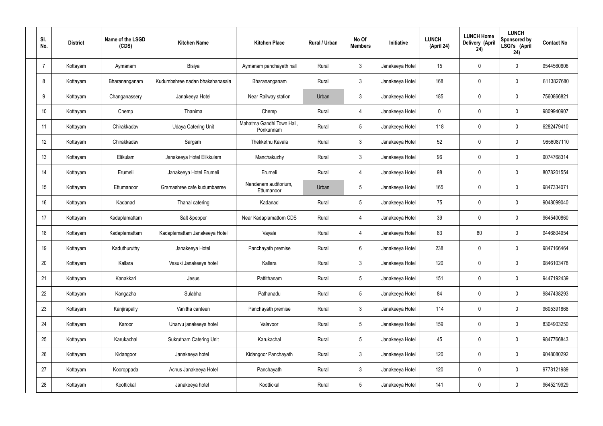| SI.<br>No.     | <b>District</b> | Name of the LSGD<br>(CDS) | <b>Kitchen Name</b>             | <b>Kitchen Place</b>                   | Rural / Urban | No Of<br><b>Members</b> | <b>Initiative</b> | <b>LUNCH</b><br>(April 24) | <b>LUNCH Home</b><br>Delivery (April<br>24) | <b>LUNCH</b><br>Sponsored by<br>LSGI's (April<br>24) | <b>Contact No</b> |
|----------------|-----------------|---------------------------|---------------------------------|----------------------------------------|---------------|-------------------------|-------------------|----------------------------|---------------------------------------------|------------------------------------------------------|-------------------|
| $\overline{7}$ | Kottayam        | Aymanam                   | Bisiya                          | Aymanam panchayath hall                | Rural         | $\mathbf{3}$            | Janakeeya Hotel   | 15                         | $\mathbf 0$                                 | $\mathbf 0$                                          | 9544560606        |
| 8              | Kottayam        | Bharananganam             | Kudumbshree nadan bhakshanasala | Bharananganam                          | Rural         | $\mathbf{3}$            | Janakeeya Hotel   | 168                        | $\mathbf 0$                                 | $\mathbf 0$                                          | 8113827680        |
| 9              | Kottayam        | Changanassery             | Janakeeya Hotel                 | Near Railway station                   | Urban         | $\mathbf{3}$            | Janakeeya Hotel   | 185                        | $\mathbf 0$                                 | $\mathbf 0$                                          | 7560866821        |
| 10             | Kottayam        | Chemp                     | Thanima                         | Chemp                                  | Rural         | $\overline{4}$          | Janakeeya Hotel   | $\mathbf 0$                | 0                                           | $\mathbf 0$                                          | 9809940907        |
| 11             | Kottayam        | Chirakkadav               | <b>Udaya Catering Unit</b>      | Mahatma Gandhi Town Hall,<br>Ponkunnam | Rural         | $5\phantom{.0}$         | Janakeeya Hotel   | 118                        | $\mathbf 0$                                 | $\mathbf 0$                                          | 6282479410        |
| 12             | Kottayam        | Chirakkadav               | Sargam                          | Thekkethu Kavala                       | Rural         | $\mathbf{3}$            | Janakeeya Hotel   | 52                         | 0                                           | $\mathbf 0$                                          | 9656087110        |
| 13             | Kottayam        | Elikulam                  | Janakeeya Hotel Elikkulam       | Manchakuzhy                            | Rural         | $\mathbf{3}$            | Janakeeya Hotel   | 96                         | $\mathbf 0$                                 | $\mathbf 0$                                          | 9074768314        |
| 14             | Kottayam        | Erumeli                   | Janakeeya Hotel Erumeli         | Erumeli                                | Rural         | $\overline{4}$          | Janakeeya Hotel   | 98                         | 0                                           | $\mathbf 0$                                          | 8078201554        |
| 15             | Kottayam        | Ettumanoor                | Gramashree cafe kudumbasree     | Nandanam auditorium,<br>Ettumanoor     | Urban         | $5\phantom{.0}$         | Janakeeya Hotel   | 165                        | $\mathbf 0$                                 | $\mathbf 0$                                          | 9847334071        |
| 16             | Kottayam        | Kadanad                   | Thanal catering                 | Kadanad                                | Rural         | $5\phantom{.0}$         | Janakeeya Hotel   | 75                         | 0                                           | $\mathbf 0$                                          | 9048099040        |
| 17             | Kottayam        | Kadaplamattam             | Salt &pepper                    | Near Kadaplamattom CDS                 | Rural         | 4                       | Janakeeya Hotel   | 39                         | 0                                           | $\mathbf 0$                                          | 9645400860        |
| 18             | Kottayam        | Kadaplamattam             | Kadaplamattam Janakeeya Hotel   | Vayala                                 | Rural         | 4                       | Janakeeya Hotel   | 83                         | 80                                          | $\mathbf 0$                                          | 9446804954        |
| 19             | Kottayam        | Kaduthuruthy              | Janakeeya Hotel                 | Panchayath premise                     | Rural         | $6\phantom{.}6$         | Janakeeya Hotel   | 238                        | 0                                           | $\mathbf 0$                                          | 9847166464        |
| 20             | Kottayam        | Kallara                   | Vasuki Janakeeya hotel          | Kallara                                | Rural         | $\mathbf{3}$            | Janakeeya Hotel   | 120                        | $\mathbf 0$                                 | $\mathbf 0$                                          | 9846103478        |
| 21             | Kottayam        | Kanakkari                 | Jesus                           | Pattithanam                            | Rural         | $5\overline{)}$         | Janakeeya Hotel   | 151                        | 0                                           | $\mathbf 0$                                          | 9447192439        |
| 22             | Kottayam        | Kangazha                  | Sulabha                         | Pathanadu                              | Rural         | $5\overline{)}$         | Janakeeya Hotel   | 84                         | 0                                           | $\mathbf 0$                                          | 9847438293        |
| 23             | Kottayam        | Kanjirapally              | Vanitha canteen                 | Panchayath premise                     | Rural         | $\mathfrak{Z}$          | Janakeeya Hotel   | 114                        | 0                                           | $\mathbf 0$                                          | 9605391868        |
| 24             | Kottayam        | Karoor                    | Unarvu janakeeya hotel          | Valavoor                               | Rural         | $5\phantom{.0}$         | Janakeeya Hotel   | 159                        | 0                                           | $\mathbf 0$                                          | 8304903250        |
| 25             | Kottayam        | Karukachal                | Sukrutham Catering Unit         | Karukachal                             | Rural         | $5\phantom{.0}$         | Janakeeya Hotel   | 45                         | 0                                           | $\mathbf 0$                                          | 9847766843        |
| 26             | Kottayam        | Kidangoor                 | Janakeeya hotel                 | Kidangoor Panchayath                   | Rural         | $\mathfrak{Z}$          | Janakeeya Hotel   | 120                        | 0                                           | $\mathbf 0$                                          | 9048080292        |
| 27             | Kottayam        | Kooroppada                | Achus Janakeeya Hotel           | Panchayath                             | Rural         | $\mathfrak{Z}$          | Janakeeya Hotel   | 120                        | 0                                           | $\mathbf 0$                                          | 9778121989        |
| 28             | Kottayam        | Koottickal                | Janakeeya hotel                 | Koottickal                             | Rural         | $5\,$                   | Janakeeya Hotel   | 141                        | 0                                           | $\mathbf 0$                                          | 9645219929        |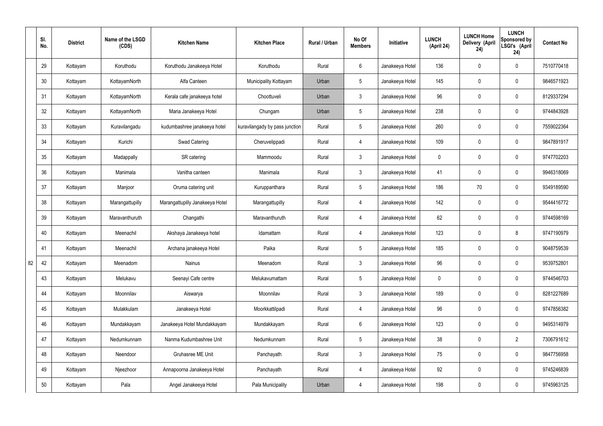|    | SI.<br>No. | <b>District</b> | Name of the LSGD<br>(CDS) | <b>Kitchen Name</b>             | <b>Kitchen Place</b>           | Rural / Urban | No Of<br><b>Members</b> | Initiative      | <b>LUNCH</b><br>(April 24) | <b>LUNCH Home</b><br>Delivery (April<br>24) | <b>LUNCH</b><br>Sponsored by<br>LSGI's (April<br>24) | <b>Contact No</b> |
|----|------------|-----------------|---------------------------|---------------------------------|--------------------------------|---------------|-------------------------|-----------------|----------------------------|---------------------------------------------|------------------------------------------------------|-------------------|
|    | 29         | Kottayam        | Koruthodu                 | Koruthodu Janakeeya Hotel       | Koruthodu                      | Rural         | $6\overline{6}$         | Janakeeya Hotel | 136                        | $\mathbf 0$                                 | $\mathbf 0$                                          | 7510770418        |
|    | 30         | Kottayam        | KottayamNorth             | Alfa Canteen                    | Municipality Kottayam          | Urban         | $5\phantom{.0}$         | Janakeeya Hotel | 145                        | $\mathbf 0$                                 | $\mathbf 0$                                          | 9846571923        |
|    | 31         | Kottayam        | KottayamNorth             | Kerala cafe janakeeya hotel     | Choottuveli                    | Urban         | $\mathbf{3}$            | Janakeeya Hotel | 96                         | $\mathbf 0$                                 | $\mathbf 0$                                          | 8129337294        |
|    | 32         | Kottayam        | KottayamNorth             | Maria Janakeeya Hotel           | Chungam                        | Urban         | $5\phantom{.0}$         | Janakeeya Hotel | 238                        | $\mathbf 0$                                 | $\mathbf 0$                                          | 9744843928        |
|    | 33         | Kottayam        | Kuravilangadu             | kudumbashree janakeeya hotel    | kuravilangady by pass junction | Rural         | $5\phantom{.0}$         | Janakeeya Hotel | 260                        | $\mathbf 0$                                 | $\mathbf 0$                                          | 7559022364        |
|    | 34         | Kottayam        | Kurichi                   | <b>Swad Catering</b>            | Cheruvelippadi                 | Rural         | $\overline{4}$          | Janakeeya Hotel | 109                        | $\mathbf 0$                                 | $\mathbf 0$                                          | 9847891917        |
|    | 35         | Kottayam        | Madappally                | SR catering                     | Mammoodu                       | Rural         | $\mathbf{3}$            | Janakeeya Hotel | $\mathbf 0$                | $\mathbf 0$                                 | $\mathbf 0$                                          | 9747702203        |
|    | 36         | Kottayam        | Manimala                  | Vanitha canteen                 | Manimala                       | Rural         | $\mathbf{3}$            | Janakeeya Hotel | 41                         | $\mathbf 0$                                 | $\mathbf 0$                                          | 9946318069        |
|    | 37         | Kottayam        | Manjoor                   | Oruma catering unit             | Kuruppanthara                  | Rural         | $5\overline{)}$         | Janakeeya Hotel | 186                        | 70                                          | $\mathbf 0$                                          | 9349189590        |
|    | 38         | Kottayam        | Marangattupilly           | Marangattupilly Janakeeya Hotel | Marangattupilly                | Rural         | 4                       | Janakeeya Hotel | 142                        | $\mathbf 0$                                 | $\mathbf 0$                                          | 9544416772        |
|    | 39         | Kottayam        | Maravanthuruth            | Changathi                       | Maravanthuruth                 | Rural         | 4                       | Janakeeya Hotel | 62                         | 0                                           | $\mathbf 0$                                          | 9744598169        |
|    | 40         | Kottayam        | Meenachil                 | Akshaya Janakeeya hotel         | Idamattam                      | Rural         | 4                       | Janakeeya Hotel | 123                        | $\mathbf 0$                                 | 8                                                    | 9747190979        |
|    | 41         | Kottayam        | Meenachil                 | Archana janakeeya Hotel         | Paika                          | Rural         | $5\overline{)}$         | Janakeeya Hotel | 185                        | $\mathbf 0$                                 | $\mathbf 0$                                          | 9048759539        |
| 82 | 42         | Kottayam        | Meenadom                  | Nainus                          | Meenadom                       | Rural         | $\mathbf{3}$            | Janakeeya Hotel | 96                         | $\pmb{0}$                                   | $\mathbf 0$                                          | 9539752801        |
|    | 43         | Kottayam        | Melukavu                  | Seenayi Cafe centre             | Melukavumattam                 | Rural         | $5\overline{)}$         | Janakeeya Hotel | $\mathbf 0$                | $\pmb{0}$                                   | $\mathbf 0$                                          | 9744546703        |
|    | 44         | Kottayam        | Moonnilav                 | Aiswarya                        | Moonnilav                      | Rural         | 3                       | Janakeeya Hotel | 189                        | 0                                           | $\mathbf 0$                                          | 8281227689        |
|    | 45         | Kottayam        | Mulakkulam                | Janakeeya Hotel                 | Moorkkattilpadi                | Rural         | $\overline{4}$          | Janakeeya Hotel | 96                         | 0                                           | $\mathbf 0$                                          | 9747856382        |
|    | 46         | Kottayam        | Mundakkayam               | Janakeeya Hotel Mundakkayam     | Mundakkayam                    | Rural         | $6\overline{6}$         | Janakeeya Hotel | 123                        | 0                                           | $\mathbf 0$                                          | 9495314979        |
|    | 47         | Kottayam        | Nedumkunnam               | Nanma Kudumbashree Unit         | Nedumkunnam                    | Rural         | $5\overline{)}$         | Janakeeya Hotel | 38                         | 0                                           | $\overline{2}$                                       | 7306791612        |
|    | 48         | Kottayam        | Neendoor                  | Gruhasree ME Unit               | Panchayath                     | Rural         | $\mathbf{3}$            | Janakeeya Hotel | 75                         | 0                                           | $\mathbf 0$                                          | 9847756958        |
|    | 49         | Kottayam        | Njeezhoor                 | Annapoorna Janakeeya Hotel      | Panchayath                     | Rural         | $\overline{4}$          | Janakeeya Hotel | 92                         | 0                                           | $\mathbf 0$                                          | 9745246839        |
|    | 50         | Kottayam        | Pala                      | Angel Janakeeya Hotel           | Pala Municipality              | Urban         | 4                       | Janakeeya Hotel | 198                        | 0                                           | $\overline{0}$                                       | 9745963125        |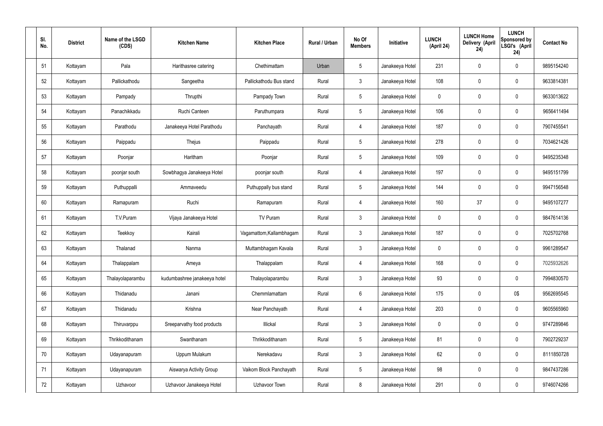| SI.<br>No. | <b>District</b> | Name of the LSGD<br>(CDS) | <b>Kitchen Name</b>          | <b>Kitchen Place</b>     | Rural / Urban | No Of<br><b>Members</b> | <b>Initiative</b> | <b>LUNCH</b><br>(April 24) | <b>LUNCH Home</b><br><b>Delivery (April</b><br>24) | <b>LUNCH</b><br>Sponsored by<br>LSGI's (April<br>24) | <b>Contact No</b> |
|------------|-----------------|---------------------------|------------------------------|--------------------------|---------------|-------------------------|-------------------|----------------------------|----------------------------------------------------|------------------------------------------------------|-------------------|
| 51         | Kottayam        | Pala                      | Harithasree catering         | Chethimattam             | Urban         | $5\phantom{.0}$         | Janakeeya Hotel   | 231                        | $\mathbf 0$                                        | $\mathbf 0$                                          | 9895154240        |
| 52         | Kottayam        | Pallickathodu             | Sangeetha                    | Pallickathodu Bus stand  | Rural         | $\mathbf{3}$            | Janakeeya Hotel   | 108                        | $\mathbf 0$                                        | $\boldsymbol{0}$                                     | 9633814381        |
| 53         | Kottayam        | Pampady                   | Thrupthi                     | Pampady Town             | Rural         | $5\phantom{.0}$         | Janakeeya Hotel   | $\mathbf 0$                | $\mathbf 0$                                        | $\mathbf 0$                                          | 9633013622        |
| 54         | Kottayam        | Panachikkadu              | Ruchi Canteen                | Paruthumpara             | Rural         | $5\phantom{.0}$         | Janakeeya Hotel   | 106                        | $\mathbf 0$                                        | $\boldsymbol{0}$                                     | 9656411494        |
| 55         | Kottayam        | Parathodu                 | Janakeeya Hotel Parathodu    | Panchayath               | Rural         | 4                       | Janakeeya Hotel   | 187                        | $\boldsymbol{0}$                                   | $\mathbf 0$                                          | 7907455541        |
| 56         | Kottayam        | Paippadu                  | Thejus                       | Paippadu                 | Rural         | $5\phantom{.0}$         | Janakeeya Hotel   | 278                        | $\boldsymbol{0}$                                   | $\pmb{0}$                                            | 7034621426        |
| 57         | Kottayam        | Poonjar                   | Haritham                     | Poonjar                  | Rural         | $5\phantom{.0}$         | Janakeeya Hotel   | 109                        | $\boldsymbol{0}$                                   | $\mathbf 0$                                          | 9495235348        |
| 58         | Kottayam        | poonjar south             | Sowbhagya Janakeeya Hotel    | poonjar south            | Rural         | $\overline{4}$          | Janakeeya Hotel   | 197                        | $\mathbf 0$                                        | $\mathbf 0$                                          | 9495151799        |
| 59         | Kottayam        | Puthuppalli               | Ammaveedu                    | Puthuppally bus stand    | Rural         | $5\phantom{.0}$         | Janakeeya Hotel   | 144                        | $\mathbf 0$                                        | $\mathbf 0$                                          | 9947156548        |
| 60         | Kottayam        | Ramapuram                 | Ruchi                        | Ramapuram                | Rural         | $\overline{4}$          | Janakeeya Hotel   | 160                        | 37                                                 | $\boldsymbol{0}$                                     | 9495107277        |
| 61         | Kottayam        | T.V.Puram                 | Vijaya Janakeeya Hotel       | TV Puram                 | Rural         | $\mathbf{3}$            | Janakeeya Hotel   | $\mathbf 0$                | $\boldsymbol{0}$                                   | $\mathbf 0$                                          | 9847614136        |
| 62         | Kottayam        | Teekkoy                   | Kairali                      | Vagamattom, Kallambhagam | Rural         | $\mathbf{3}$            | Janakeeya Hotel   | 187                        | 0                                                  | $\boldsymbol{0}$                                     | 7025702768        |
| 63         | Kottayam        | Thalanad                  | Nanma                        | Muttambhagam Kavala      | Rural         | $\mathbf{3}$            | Janakeeya Hotel   | $\mathbf 0$                | $\boldsymbol{0}$                                   | $\mathbf 0$                                          | 9961289547        |
| 64         | Kottayam        | Thalappalam               | Ameya                        | Thalappalam              | Rural         | $\overline{4}$          | Janakeeya Hotel   | 168                        | $\mathbf 0$                                        | $\mathbf 0$                                          | 7025932626        |
| 65         | Kottayam        | Thalayolaparambu          | kudumbashree janakeeya hotel | Thalayolaparambu         | Rural         | $\mathbf{3}$            | Janakeeya Hotel   | 93                         | $\mathbf 0$                                        | $\pmb{0}$                                            | 7994830570        |
| 66         | Kottayam        | Thidanadu                 | Janani                       | Chemmlamattam            | Rural         | $6\overline{6}$         | Janakeeya Hotel   | 175                        | $\boldsymbol{0}$                                   | 0\$                                                  | 9562695545        |
| 67         | Kottayam        | Thidanadu                 | Krishna                      | Near Panchayath          | Rural         | $\overline{4}$          | Janakeeya Hotel   | 203                        | $\pmb{0}$                                          | $\pmb{0}$                                            | 9605565960        |
| 68         | Kottayam        | Thiruvarppu               | Sreeparvathy food products   | Illickal                 | Rural         | $\mathbf{3}$            | Janakeeya Hotel   | $\mathbf 0$                | $\mathbf 0$                                        | $\pmb{0}$                                            | 9747289846        |
| 69         | Kottayam        | Thrikkodithanam           | Swanthanam                   | Thrikkodithanam          | Rural         | $5\phantom{.0}$         | Janakeeya Hotel   | 81                         | $\mathbf 0$                                        | $\pmb{0}$                                            | 7902729237        |
| 70         | Kottayam        | Udayanapuram              | Uppum Mulakum                | Nerekadavu               | Rural         | $\mathbf{3}$            | Janakeeya Hotel   | 62                         | $\mathbf 0$                                        | $\mathbf 0$                                          | 8111850728        |
| 71         | Kottayam        | Udayanapuram              | Aiswarya Activity Group      | Vaikom Block Panchayath  | Rural         | $5\phantom{.0}$         | Janakeeya Hotel   | 98                         | $\mathbf 0$                                        | $\pmb{0}$                                            | 9847437286        |
| 72         | Kottayam        | Uzhavoor                  | Uzhavoor Janakeeya Hotel     | Uzhavoor Town            | Rural         | 8                       | Janakeeya Hotel   | 291                        | $\boldsymbol{0}$                                   | $\pmb{0}$                                            | 9746074266        |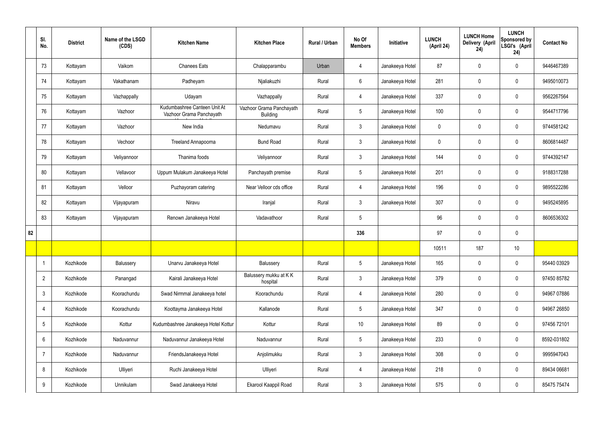|    | SI.<br>No.      | <b>District</b> | Name of the LSGD<br>(CDS) | <b>Kitchen Name</b>                                      | <b>Kitchen Place</b>                        | Rural / Urban | No Of<br><b>Members</b> | Initiative      | <b>LUNCH</b><br>(April 24) | <b>LUNCH Home</b><br><b>Delivery (April</b><br>24) | <b>LUNCH</b><br>Sponsored by<br>LSGI's (April<br>24) | <b>Contact No</b> |
|----|-----------------|-----------------|---------------------------|----------------------------------------------------------|---------------------------------------------|---------------|-------------------------|-----------------|----------------------------|----------------------------------------------------|------------------------------------------------------|-------------------|
|    | 73              | Kottayam        | Vaikom                    | <b>Chanees Eats</b>                                      | Chalapparambu                               | Urban         | 4                       | Janakeeya Hotel | 87                         | $\mathbf 0$                                        | $\mathbf 0$                                          | 9446467389        |
|    | 74              | Kottayam        | Vakathanam                | Padheyam                                                 | Njaliakuzhi                                 | Rural         | $6\overline{6}$         | Janakeeya Hotel | 281                        | $\mathbf 0$                                        | $\mathbf 0$                                          | 9495010073        |
|    | 75              | Kottayam        | Vazhappally               | Udayam                                                   | Vazhappally                                 | Rural         | $\overline{4}$          | Janakeeya Hotel | 337                        | $\mathbf 0$                                        | $\mathbf 0$                                          | 9562267564        |
|    | 76              | Kottayam        | Vazhoor                   | Kudumbashree Canteen Unit At<br>Vazhoor Grama Panchayath | Vazhoor Grama Panchayath<br><b>Building</b> | Rural         | $5\phantom{.0}$         | Janakeeya Hotel | 100                        | $\mathbf 0$                                        | $\mathbf 0$                                          | 9544717796        |
|    | 77              | Kottayam        | Vazhoor                   | New India                                                | Nedumavu                                    | Rural         | $\mathbf{3}$            | Janakeeya Hotel | $\mathbf 0$                | $\mathbf 0$                                        | $\mathbf 0$                                          | 9744581242        |
|    | 78              | Kottayam        | Vechoor                   | Treeland Annapoorna                                      | <b>Bund Road</b>                            | Rural         | $\mathbf{3}$            | Janakeeya Hotel | $\mathbf 0$                | $\mathbf 0$                                        | $\mathbf 0$                                          | 8606814487        |
|    | 79              | Kottayam        | Veliyannoor               | Thanima foods                                            | Veliyannoor                                 | Rural         | $\mathbf{3}$            | Janakeeya Hotel | 144                        | $\mathbf 0$                                        | $\mathbf 0$                                          | 9744392147        |
|    | 80              | Kottayam        | Vellavoor                 | Uppum Mulakum Janakeeya Hotel                            | Panchayath premise                          | Rural         | $5\phantom{.0}$         | Janakeeya Hotel | 201                        | $\mathbf 0$                                        | $\mathbf 0$                                          | 9188317288        |
|    | 81              | Kottayam        | Velloor                   | Puzhayoram catering                                      | Near Velloor cds office                     | Rural         | $\overline{4}$          | Janakeeya Hotel | 196                        | $\mathbf 0$                                        | $\mathbf 0$                                          | 9895522286        |
|    | 82              | Kottayam        | Vijayapuram               | Niravu                                                   | Iranjal                                     | Rural         | $\mathbf{3}$            | Janakeeya Hotel | 307                        | $\mathbf 0$                                        | $\mathbf 0$                                          | 9495245895        |
|    | 83              | Kottayam        | Vijayapuram               | Renown Janakeeya Hotel                                   | Vadavathoor                                 | Rural         | 5                       |                 | 96                         | $\pmb{0}$                                          | $\mathbf 0$                                          | 8606536302        |
| 82 |                 |                 |                           |                                                          |                                             |               | 336                     |                 | 97                         | $\mathbf 0$                                        | $\mathbf 0$                                          |                   |
|    |                 |                 |                           |                                                          |                                             |               |                         |                 | 10511                      | 187                                                | 10                                                   |                   |
|    |                 | Kozhikode       | Balussery                 | Unarvu Janakeeya Hotel                                   | Balussery                                   | Rural         | 5 <sub>5</sub>          | Janakeeya Hotel | 165                        | $\pmb{0}$                                          | $\mathbf 0$                                          | 95440 03929       |
|    | $\overline{2}$  | Kozhikode       | Panangad                  | Kairali Janakeeya Hotel                                  | Balussery mukku at KK<br>hospital           | Rural         | $\mathbf{3}$            | Janakeeya Hotel | 379                        | $\pmb{0}$                                          | $\mathbf 0$                                          | 97450 85782       |
|    | $\mathbf{3}$    | Kozhikode       | Koorachundu               | Swad Nirmmal Janakeeya hotel                             | Koorachundu                                 | Rural         | $\overline{4}$          | Janakeeya Hotel | 280                        | $\pmb{0}$                                          | $\mathbf 0$                                          | 94967 07886       |
|    | 4               | Kozhikode       | Koorachundu               | Koottayma Janakeeya Hotel                                | Kallanode                                   | Rural         | $5\phantom{.0}$         | Janakeeya Hotel | 347                        | $\pmb{0}$                                          | $\mathbf 0$                                          | 94967 26850       |
|    | $5\phantom{.0}$ | Kozhikode       | Kottur                    | Kudumbashree Janakeeya Hotel Kottur                      | Kottur                                      | Rural         | $10$                    | Janakeeya Hotel | 89                         | $\pmb{0}$                                          | $\mathbf 0$                                          | 97456 72101       |
|    | 6               | Kozhikode       | Naduvannur                | Naduvannur Janakeeya Hotel                               | Naduvannur                                  | Rural         | $5\phantom{.0}$         | Janakeeya Hotel | 233                        | $\pmb{0}$                                          | $\mathbf 0$                                          | 8592-031802       |
|    | $\overline{7}$  | Kozhikode       | Naduvannur                | FriendsJanakeeya Hotel                                   | Anjolimukku                                 | Rural         | $\mathbf{3}$            | Janakeeya Hotel | 308                        | $\pmb{0}$                                          | $\mathbf 0$                                          | 9995947043        |
|    | 8               | Kozhikode       | Ulliyeri                  | Ruchi Janakeeya Hotel                                    | Ulliyeri                                    | Rural         | 4                       | Janakeeya Hotel | 218                        | $\pmb{0}$                                          | $\mathbf 0$                                          | 89434 06681       |
|    | 9               | Kozhikode       | Unnikulam                 | Swad Janakeeya Hotel                                     | Ekarool Kaappil Road                        | Rural         | $\mathbf{3}$            | Janakeeya Hotel | 575                        | $\pmb{0}$                                          | $\boldsymbol{0}$                                     | 85475 75474       |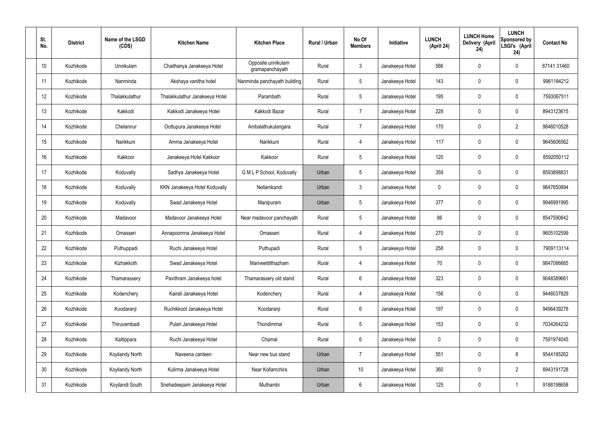| SI.<br>No. | <b>District</b> | Name of the LSGD<br>(CDS) | <b>Kitchen Name</b>            | <b>Kitchen Place</b>                  | Rural / Urban | No Of<br><b>Members</b> | <b>Initiative</b> | <b>LUNCH</b><br>(April 24) | <b>LUNCH Home</b><br>Delivery (April<br>24) | <b>LUNCH</b><br>Sponsored by<br>LSGI's (April<br>24) | <b>Contact No</b> |
|------------|-----------------|---------------------------|--------------------------------|---------------------------------------|---------------|-------------------------|-------------------|----------------------------|---------------------------------------------|------------------------------------------------------|-------------------|
| 10         | Kozhikode       | Unnikulam                 | Chaithanya Janakeeya Hotel     | Opposite unnikulam<br>gramapanchayath | Rural         | $\mathbf{3}$            | Janakeeya Hotel   | 586                        | $\mathbf 0$                                 | $\mathbf 0$                                          | 87141 31460       |
| 11         | Kozhikode       | Nanminda                  | Akshaya vanitha hotel          | Nanminda panchayath building          | Rural         | $5\phantom{.0}$         | Janakeeya Hotel   | 143                        | 0                                           | $\mathbf 0$                                          | 9961184212        |
| 12         | Kozhikode       | Thalakkulathur            | Thalakkulathur Janakeeya Hotel | Parambath                             | Rural         | $5\phantom{.0}$         | Janakeeya Hotel   | 195                        | 0                                           | $\mathbf 0$                                          | 7593067511        |
| 13         | Kozhikode       | Kakkodi                   | Kakkodi Janakeeya Hotel        | Kakkodi Bazar                         | Rural         | $\overline{7}$          | Janakeeya Hotel   | 228                        | 0                                           | $\mathbf 0$                                          | 8943123615        |
| 14         | Kozhikode       | Chelannur                 | Oottupura Janakeeya Hotel      | Ambalathukulangara                    | Rural         | $\overline{7}$          | Janakeeya Hotel   | 170                        | 0                                           | $\overline{2}$                                       | 9846010528        |
| 15         | Kozhikode       | Narikkuni                 | Amma Janakeeya Hotel           | Narikkuni                             | Rural         | 4                       | Janakeeya Hotel   | 117                        | 0                                           | $\mathbf 0$                                          | 9645606562        |
| 16         | Kozhikode       | Kakkoor                   | Janakeeya Hotel Kakkoor        | Kakkoor                               | Rural         | $5\phantom{.0}$         | Janakeeya Hotel   | 120                        | $\mathbf 0$                                 | $\mathbf 0$                                          | 8592050112        |
| 17         | Kozhikode       | Koduvally                 | Sadhya Janakeeya Hotel         | G M L P School, Koduvally             | Urban         | $5\phantom{.0}$         | Janakeeya Hotel   | 359                        | 0                                           | $\mathbf 0$                                          | 8593898831        |
| 18         | Kozhikode       | Koduvally                 | KKN Janakeeya Hotel Koduvally  | Nellamkandi                           | Urban         | $\mathbf{3}$            | Janakeeya Hotel   | $\mathbf 0$                | 0                                           | $\mathbf 0$                                          | 9847650894        |
| 19         | Kozhikode       | Koduvally                 | Swad Janakeeya Hotel           | Manipuram                             | Urban         | $5\phantom{.0}$         | Janakeeya Hotel   | 377                        | 0                                           | $\mathbf 0$                                          | 9946991995        |
| 20         | Kozhikode       | Madavoor                  | Madavoor Janakeeya Hotel       | Near madavoor panchayath              | Rural         | $5\phantom{.0}$         | Janakeeya Hotel   | 86                         | 0                                           | $\mathbf 0$                                          | 8547590842        |
| 21         | Kozhikode       | Omasseri                  | Annapoornna Janakeeya Hotel    | Omasseri                              | Rural         | 4                       | Janakeeya Hotel   | 270                        | 0                                           | $\mathbf 0$                                          | 9605102599        |
| 22         | Kozhikode       | Puthuppadi                | Ruchi Janakeeya Hotel          | Puthupadi                             | Rural         | $5\phantom{.0}$         | Janakeeya Hotel   | 258                        | 0                                           | 0                                                    | 7909113114        |
| 23         | Kozhikode       | Kizhakkoth                | Swad Janakeeya Hotel           | Mariveettilthazham                    | Rural         | $\overline{4}$          | Janakeeya Hotel   | 70                         | $\mathbf 0$                                 | $\mathbf 0$                                          | 9847086665        |
| 24         | Kozhikode       | Thamarassery              | Pavithram Janakeeya hotel      | Thamarassery old stand                | Rural         | $6\overline{6}$         | Janakeeya Hotel   | 323                        | $\mathbf 0$                                 | $\mathbf 0$                                          | 9048389661        |
| 25         | Kozhikode       | Kodenchery                | Kairali Janakeeya Hotel        | Kodenchery                            | Rural         | $\overline{4}$          | Janakeeya Hotel   | 156                        | 0                                           | $\mathbf 0$                                          | 9446037829        |
| 26         | Kozhikode       | Koodaranji                | Ruchikkoot Janakeeya Hotel     | Koodaranji                            | Rural         | $6\overline{6}$         | Janakeeya Hotel   | 197                        | 0                                           | $\mathbf 0$                                          | 9496439278        |
| 27         | Kozhikode       | Thiruvambadi              | Pulari Janakeeya Hotel         | Thondimmal                            | Rural         | $5\phantom{.0}$         | Janakeeya Hotel   | 153                        | 0                                           | $\mathbf 0$                                          | 7034264232        |
| 28         | Kozhikode       | Kattippara                | Ruchi Janakeeya Hotel          | Chamal                                | Rural         | $6\,$                   | Janakeeya Hotel   | $\mathbf 0$                | 0                                           | $\mathbf 0$                                          | 7591974045        |
| 29         | Kozhikode       | Koyilandy North           | Naveena canteen                | Near new bus stand                    | Urban         | $\overline{7}$          | Janakeeya Hotel   | 551                        | 0                                           | 8                                                    | 9544185262        |
| 30         | Kozhikode       | Koyilandy North           | Kulirma Janakeeya Hotel        | Near Kollamchira                      | Urban         | 10 <sup>°</sup>         | Janakeeya Hotel   | 360                        | 0                                           | $\overline{2}$                                       | 8943191728        |
| 31         | Kozhikode       | Koyilandi South           | Snehadeepam Janakeeya Hotel    | Muthambi                              | Urban         | $6\,$                   | Janakeeya Hotel   | 125                        | 0                                           |                                                      | 9188198658        |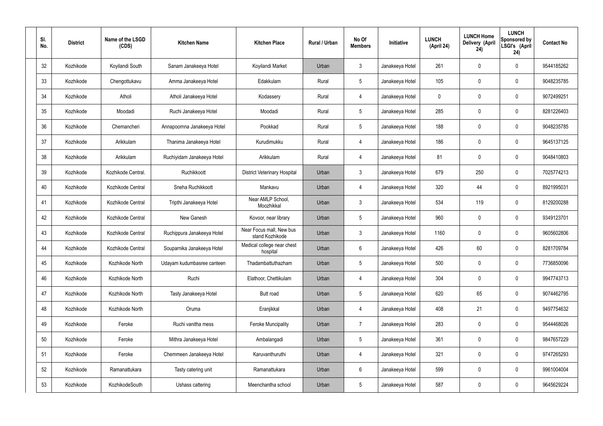| SI.<br>No. | <b>District</b> | Name of the LSGD<br>(CDS) | <b>Kitchen Name</b>         | <b>Kitchen Place</b>                        | <b>Rural / Urban</b> | No Of<br><b>Members</b> | Initiative      | <b>LUNCH</b><br>(April 24) | <b>LUNCH Home</b><br>Delivery (April<br>24) | <b>LUNCH</b><br>Sponsored by<br>LSGI's (April<br>24) | <b>Contact No</b> |
|------------|-----------------|---------------------------|-----------------------------|---------------------------------------------|----------------------|-------------------------|-----------------|----------------------------|---------------------------------------------|------------------------------------------------------|-------------------|
| 32         | Kozhikode       | Koyilandi South           | Sanam Janakeeya Hotel       | Koyilandi Market                            | Urban                | $\mathbf{3}$            | Janakeeya Hotel | 261                        | 0                                           | $\boldsymbol{0}$                                     | 9544185262        |
| 33         | Kozhikode       | Chengottukavu             | Amma Janakeeya Hotel        | Edakkulam                                   | Rural                | $5\phantom{.0}$         | Janakeeya Hotel | 105                        | 0                                           | $\boldsymbol{0}$                                     | 9048235785        |
| 34         | Kozhikode       | Atholi                    | Atholi Janakeeya Hotel      | Kodassery                                   | Rural                | $\overline{4}$          | Janakeeya Hotel | 0                          | 0                                           | $\boldsymbol{0}$                                     | 9072499251        |
| 35         | Kozhikode       | Moodadi                   | Ruchi Janakeeya Hotel       | Moodadi                                     | Rural                | $5\phantom{.0}$         | Janakeeya Hotel | 285                        | 0                                           | $\boldsymbol{0}$                                     | 8281226403        |
| 36         | Kozhikode       | Chemancheri               | Annapoornna Janakeeya Hotel | Pookkad                                     | Rural                | $5\phantom{.0}$         | Janakeeya Hotel | 188                        | 0                                           | $\boldsymbol{0}$                                     | 9048235785        |
| 37         | Kozhikode       | Arikkulam                 | Thanima Janakeeya Hotel     | Kurudimukku                                 | Rural                | $\overline{4}$          | Janakeeya Hotel | 186                        | 0                                           | $\boldsymbol{0}$                                     | 9645137125        |
| 38         | Kozhikode       | Arikkulam                 | Ruchiyidam Janakeeya Hotel  | Arikkulam                                   | Rural                | $\overline{4}$          | Janakeeya Hotel | 81                         | 0                                           | $\boldsymbol{0}$                                     | 9048410803        |
| 39         | Kozhikode       | Kozhikode Central.        | Ruchikkoott                 | <b>District Veterinary Hospital</b>         | Urban                | 3                       | Janakeeya Hotel | 679                        | 250                                         | $\boldsymbol{0}$                                     | 7025774213        |
| 40         | Kozhikode       | Kozhikode Central         | Sneha Ruchikkoott           | Mankavu                                     | Urban                | 4                       | Janakeeya Hotel | 320                        | 44                                          | $\boldsymbol{0}$                                     | 8921995031        |
| 41         | Kozhikode       | Kozhikode Central         | Tripthi Janakeeya Hotel     | Near AMLP School,<br>Moozhikkal             | Urban                | $\mathbf{3}$            | Janakeeya Hotel | 534                        | 119                                         | $\boldsymbol{0}$                                     | 8129200288        |
| 42         | Kozhikode       | Kozhikode Central         | New Ganesh                  | Kovoor, near library                        | Urban                | $5\phantom{.0}$         | Janakeeya Hotel | 960                        | $\boldsymbol{0}$                            | $\boldsymbol{0}$                                     | 9349123701        |
| 43         | Kozhikode       | Kozhikode Central         | Ruchippura Janakeeya Hotel  | Near Focus mall, New bus<br>stand Kozhikode | Urban                | 3                       | Janakeeya Hotel | 1160                       | 0                                           | $\boldsymbol{0}$                                     | 9605602806        |
| 44         | Kozhikode       | Kozhikode Central         | Souparnika Janakeeya Hotel  | Medical college near chest<br>hospital      | Urban                | $6\phantom{1}$          | Janakeeya Hotel | 426                        | 60                                          | 0                                                    | 8281709784        |
| 45         | Kozhikode       | Kozhikode North           | Udayam kudumbasree canteen  | Thadambattuthazham                          | Urban                | $\sqrt{5}$              | Janakeeya Hotel | 500                        | 0                                           | $\pmb{0}$                                            | 7736850096        |
| 46         | Kozhikode       | Kozhikode North           | Ruchi                       | Elathoor, Chettikulam                       | Urban                | 4                       | Janakeeya Hotel | 304                        | 0                                           | $\pmb{0}$                                            | 9947743713        |
| 47         | Kozhikode       | Kozhikode North           | Tasty Janakeeya Hotel       | Butt road                                   | Urban                | $5\phantom{.0}$         | Janakeeya Hotel | 620                        | 65                                          | $\pmb{0}$                                            | 9074462795        |
| 48         | Kozhikode       | Kozhikode North           | Oruma                       | Eranjikkal                                  | Urban                | 4                       | Janakeeya Hotel | 408                        | 21                                          | $\pmb{0}$                                            | 9497754632        |
| 49         | Kozhikode       | Feroke                    | Ruchi vanitha mess          | <b>Feroke Muncipality</b>                   | Urban                | $\overline{7}$          | Janakeeya Hotel | 283                        | $\pmb{0}$                                   | $\pmb{0}$                                            | 9544468026        |
| 50         | Kozhikode       | Feroke                    | Mithra Janakeeya Hotel      | Ambalangadi                                 | Urban                | $5\phantom{.0}$         | Janakeeya Hotel | 361                        | $\pmb{0}$                                   | $\pmb{0}$                                            | 9847657229        |
| 51         | Kozhikode       | Feroke                    | Chemmeen Janakeeya Hotel    | Karuvanthuruthi                             | Urban                | 4                       | Janakeeya Hotel | 321                        | $\pmb{0}$                                   | $\pmb{0}$                                            | 9747265293        |
| 52         | Kozhikode       | Ramanattukara             | Tasty catering unit         | Ramanattukara                               | Urban                | $6\phantom{.0}$         | Janakeeya Hotel | 599                        | 0                                           | $\pmb{0}$                                            | 9961004004        |
| 53         | Kozhikode       | KozhikodeSouth            | Ushass cattering            | Meenchantha school                          | Urban                | $\sqrt{5}$              | Janakeeya Hotel | 587                        | $\pmb{0}$                                   | $\boldsymbol{0}$                                     | 9645629224        |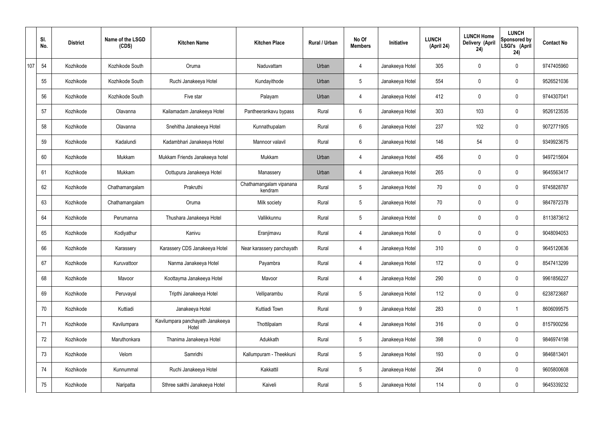|     | SI.<br>No. | <b>District</b> | Name of the LSGD<br>(CDS) | <b>Kitchen Name</b>                       | <b>Kitchen Place</b>               | Rural / Urban | No Of<br><b>Members</b> | Initiative      | <b>LUNCH</b><br>(April 24) | <b>LUNCH Home</b><br>Delivery (April<br>24) | <b>LUNCH</b><br>Sponsored by<br>LSGI's (April<br>24) | <b>Contact No</b> |
|-----|------------|-----------------|---------------------------|-------------------------------------------|------------------------------------|---------------|-------------------------|-----------------|----------------------------|---------------------------------------------|------------------------------------------------------|-------------------|
| 107 | 54         | Kozhikode       | Kozhikode South           | Oruma                                     | Naduvattam                         | Urban         | 4                       | Janakeeya Hotel | 305                        | $\mathbf 0$                                 | $\mathbf 0$                                          | 9747405960        |
|     | 55         | Kozhikode       | Kozhikode South           | Ruchi Janakeeya Hotel                     | Kundayithode                       | Urban         | $5\overline{)}$         | Janakeeya Hotel | 554                        | $\mathbf 0$                                 | $\mathbf 0$                                          | 9526521036        |
|     | 56         | Kozhikode       | Kozhikode South           | Five star                                 | Palayam                            | Urban         | $\overline{4}$          | Janakeeya Hotel | 412                        | $\mathbf 0$                                 | $\mathbf 0$                                          | 9744307041        |
|     | 57         | Kozhikode       | Olavanna                  | Kailamadam Janakeeya Hotel                | Pantheerankavu bypass              | Rural         | $6\phantom{.}6$         | Janakeeya Hotel | 303                        | 103                                         | $\mathbf 0$                                          | 9526123535        |
|     | 58         | Kozhikode       | Olavanna                  | Snehitha Janakeeya Hotel                  | Kunnathupalam                      | Rural         | $6\overline{6}$         | Janakeeya Hotel | 237                        | 102                                         | $\mathbf 0$                                          | 9072771905        |
|     | 59         | Kozhikode       | Kadalundi                 | Kadambhari Janakeeya Hotel                | Mannoor valavil                    | Rural         | $6\phantom{.}6$         | Janakeeya Hotel | 146                        | 54                                          | $\mathbf 0$                                          | 9349923675        |
|     | 60         | Kozhikode       | Mukkam                    | Mukkam Friends Janakeeya hotel            | Mukkam                             | Urban         | 4                       | Janakeeya Hotel | 456                        | $\mathbf 0$                                 | $\mathbf 0$                                          | 9497215604        |
|     | 61         | Kozhikode       | Mukkam                    | Oottupura Janakeeya Hotel                 | Manassery                          | Urban         | 4                       | Janakeeya Hotel | 265                        | $\mathbf 0$                                 | $\mathbf 0$                                          | 9645563417        |
|     | 62         | Kozhikode       | Chathamangalam            | Prakruthi                                 | Chathamangalam vipanana<br>kendram | Rural         | $5\overline{)}$         | Janakeeya Hotel | 70                         | 0                                           | $\mathbf 0$                                          | 9745828787        |
|     | 63         | Kozhikode       | Chathamangalam            | Oruma                                     | Milk society                       | Rural         | $5\overline{)}$         | Janakeeya Hotel | 70                         | $\mathbf 0$                                 | $\mathbf 0$                                          | 9847872378        |
|     | 64         | Kozhikode       | Perumanna                 | Thushara Janakeeya Hotel                  | Vallikkunnu                        | Rural         | $5\overline{)}$         | Janakeeya Hotel | 0                          | $\mathbf 0$                                 | $\mathbf 0$                                          | 8113873612        |
|     | 65         | Kozhikode       | Kodiyathur                | Kanivu                                    | Eranjimavu                         | Rural         | 4                       | Janakeeya Hotel | 0                          | $\mathbf 0$                                 | $\mathbf 0$                                          | 9048094053        |
|     | 66         | Kozhikode       | Karassery                 | Karassery CDS Janakeeya Hotel             | Near karassery panchayath          | Rural         | 4                       | Janakeeya Hotel | 310                        | $\mathbf 0$                                 | $\mathbf 0$                                          | 9645120636        |
|     | 67         | Kozhikode       | Kuruvattoor               | Nanma Janakeeya Hotel                     | Payambra                           | Rural         | $\overline{4}$          | Janakeeya Hotel | 172                        | 0                                           | $\mathbf 0$                                          | 8547413299        |
|     | 68         | Kozhikode       | Mavoor                    | Koottayma Janakeeya Hotel                 | Mavoor                             | Rural         | $\overline{4}$          | Janakeeya Hotel | 290                        | 0                                           | $\mathbf 0$                                          | 9961856227        |
|     | 69         | Kozhikode       | Peruvayal                 | Tripthi Janakeeya Hotel                   | Velliparambu                       | Rural         | $5\overline{)}$         | Janakeeya Hotel | 112                        | 0                                           | $\mathbf 0$                                          | 6238723687        |
|     | 70         | Kozhikode       | Kuttiadi                  | Janakeeya Hotel                           | Kuttiadi Town                      | Rural         | 9                       | Janakeeya Hotel | 283                        | 0                                           | $\mathbf{1}$                                         | 8606099575        |
|     | 71         | Kozhikode       | Kavilumpara               | Kavilumpara panchayath Janakeeya<br>Hotel | Thottilpalam                       | Rural         | $\overline{4}$          | Janakeeya Hotel | 316                        | 0                                           | $\mathbf 0$                                          | 8157900256        |
|     | 72         | Kozhikode       | Maruthonkara              | Thanima Janakeeya Hotel                   | Adukkath                           | Rural         | $5\phantom{.0}$         | Janakeeya Hotel | 398                        | 0                                           | $\mathbf 0$                                          | 9846974198        |
|     | 73         | Kozhikode       | Velom                     | Samridhi                                  | Kallumpuram - Theekkuni            | Rural         | $5\phantom{.0}$         | Janakeeya Hotel | 193                        | 0                                           | $\mathbf 0$                                          | 9846813401        |
|     | 74         | Kozhikode       | Kunnummal                 | Ruchi Janakeeya Hotel                     | Kakkattil                          | Rural         | $5\phantom{.0}$         | Janakeeya Hotel | 264                        | 0                                           | $\mathbf 0$                                          | 9605800608        |
|     | 75         | Kozhikode       | Naripatta                 | Sthree sakthi Janakeeya Hotel             | Kaiveli                            | Rural         | $5\phantom{.0}$         | Janakeeya Hotel | 114                        | 0                                           | $\boldsymbol{0}$                                     | 9645339232        |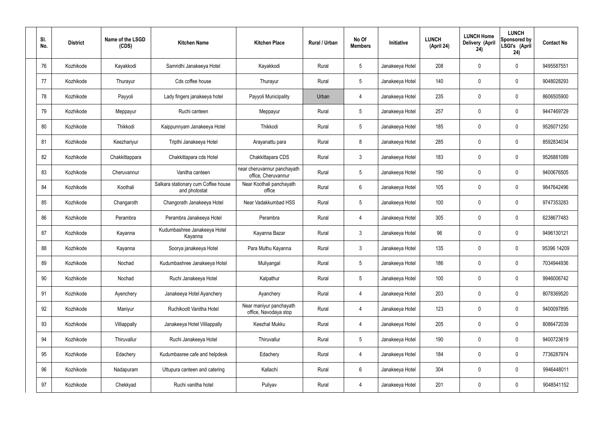| SI.<br>No. | <b>District</b> | Name of the LSGD<br>(CDS) | <b>Kitchen Name</b>                                  | <b>Kitchen Place</b>                               | Rural / Urban | No Of<br><b>Members</b> | Initiative      | <b>LUNCH</b><br>(April 24) | <b>LUNCH Home</b><br>Delivery (April<br>24) | <b>LUNCH</b><br>Sponsored by<br>LSGI's (April<br>24) | <b>Contact No</b> |
|------------|-----------------|---------------------------|------------------------------------------------------|----------------------------------------------------|---------------|-------------------------|-----------------|----------------------------|---------------------------------------------|------------------------------------------------------|-------------------|
| 76         | Kozhikode       | Kayakkodi                 | Samridhi Janakeeya Hotel                             | Kayakkodi                                          | Rural         | $5\phantom{.0}$         | Janakeeya Hotel | 208                        | $\mathbf 0$                                 | $\mathbf 0$                                          | 9495587551        |
| 77         | Kozhikode       | Thurayur                  | Cds coffee house                                     | Thurayur                                           | Rural         | $5\overline{)}$         | Janakeeya Hotel | 140                        | 0                                           | $\mathbf 0$                                          | 9048028293        |
| 78         | Kozhikode       | Payyoli                   | Lady fingers janakeeya hotel                         | Payyoli Municipality                               | Urban         | 4                       | Janakeeya Hotel | 235                        | 0                                           | $\mathbf 0$                                          | 8606505900        |
| 79         | Kozhikode       | Meppayur                  | Ruchi canteen                                        | Meppayur                                           | Rural         | $5\overline{)}$         | Janakeeya Hotel | 257                        | 0                                           | $\mathbf 0$                                          | 9447469729        |
| 80         | Kozhikode       | Thikkodi                  | Kaippunnyam Janakeeya Hotel                          | Thikkodi                                           | Rural         | $5\overline{)}$         | Janakeeya Hotel | 185                        | 0                                           | $\mathbf 0$                                          | 9526071250        |
| 81         | Kozhikode       | Keezhariyur               | Tripthi Janakeeya Hotel                              | Arayanattu para                                    | Rural         | 8                       | Janakeeya Hotel | 285                        | 0                                           | $\mathbf 0$                                          | 8592834034        |
| 82         | Kozhikode       | Chakkittappara            | Chakkittapara cds Hotel                              | Chakkittapara CDS                                  | Rural         | $\mathbf{3}$            | Janakeeya Hotel | 183                        | $\mathbf 0$                                 | $\mathbf 0$                                          | 9526881089        |
| 83         | Kozhikode       | Cheruvannur               | Vanitha canteen                                      | near cheruvannur panchayath<br>office, Cheruvannur | Rural         | $5\overline{)}$         | Janakeeya Hotel | 190                        | 0                                           | $\mathbf 0$                                          | 9400676505        |
| 84         | Kozhikode       | Koothali                  | Salkara stationary cum Coffee house<br>and photostat | Near Koothali panchayath<br>office                 | Rural         | $6\phantom{.}6$         | Janakeeya Hotel | 105                        | $\mathbf 0$                                 | $\mathbf 0$                                          | 9847642496        |
| 85         | Kozhikode       | Changaroth                | Changorath Janakeeya Hotel                           | Near Vadakkumbad HSS                               | Rural         | $5\phantom{.0}$         | Janakeeya Hotel | 100                        | 0                                           | $\mathbf 0$                                          | 9747353283        |
| 86         | Kozhikode       | Perambra                  | Perambra Janakeeya Hotel                             | Perambra                                           | Rural         | 4                       | Janakeeya Hotel | 305                        | $\mathbf 0$                                 | $\boldsymbol{0}$                                     | 6238677483        |
| 87         | Kozhikode       | Kayanna                   | Kudumbashree Janakeeya Hotel<br>Kayanna              | Kayanna Bazar                                      | Rural         | $\mathbf{3}$            | Janakeeya Hotel | 96                         | 0                                           | $\boldsymbol{0}$                                     | 9496130121        |
| 88         | Kozhikode       | Kayanna                   | Soorya janakeeya Hotel                               | Para Muthu Kayanna                                 | Rural         | $\mathbf{3}$            | Janakeeya Hotel | 135                        | 0                                           | 0                                                    | 95396 14209       |
| 89         | Kozhikode       | Nochad                    | Kudumbashree Janakeeya Hotel                         | Muliyangal                                         | Rural         | $5\,$                   | Janakeeya Hotel | 186                        | $\mathbf 0$                                 | $\mathbf 0$                                          | 7034944936        |
| 90         | Kozhikode       | Nochad                    | Ruchi Janakeeya Hotel                                | Kalpathur                                          | Rural         | $5\phantom{.0}$         | Janakeeya Hotel | 100                        | $\mathbf 0$                                 | $\mathbf 0$                                          | 9946006742        |
| 91         | Kozhikode       | Ayenchery                 | Janakeeya Hotel Ayanchery                            | Ayanchery                                          | Rural         | 4                       | Janakeeya Hotel | 203                        | $\mathbf 0$                                 | $\mathbf 0$                                          | 8078369520        |
| 92         | Kozhikode       | Maniyur                   | Ruchikoott Vanitha Hotel                             | Near maniyur panchayath<br>office, Navodaya stop   | Rural         | $\overline{4}$          | Janakeeya Hotel | 123                        | $\mathbf 0$                                 | $\mathbf 0$                                          | 9400097895        |
| 93         | Kozhikode       | Villiappally              | Janakeeya Hotel Villiappally                         | Keezhal Mukku                                      | Rural         | 4                       | Janakeeya Hotel | 205                        | $\mathbf 0$                                 | $\mathbf 0$                                          | 8086472039        |
| 94         | Kozhikode       | Thiruvallur               | Ruchi Janakeeya Hotel                                | Thiruvallur                                        | Rural         | $5\phantom{.0}$         | Janakeeya Hotel | 190                        | 0                                           | $\mathbf 0$                                          | 9400723619        |
| 95         | Kozhikode       | Edachery                  | Kudumbasree cafe and helpdesk                        | Edachery                                           | Rural         | 4                       | Janakeeya Hotel | 184                        | 0                                           | $\mathbf 0$                                          | 7736287974        |
| 96         | Kozhikode       | Nadapuram                 | Uttupura canteen and catering                        | Kallachi                                           | Rural         | $6\,$                   | Janakeeya Hotel | 304                        | $\mathbf 0$                                 | $\mathbf 0$                                          | 9946448011        |
| 97         | Kozhikode       | Chekkyad                  | Ruchi vanitha hotel                                  | Puliyav                                            | Rural         | 4                       | Janakeeya Hotel | 201                        | 0                                           | $\boldsymbol{0}$                                     | 9048541152        |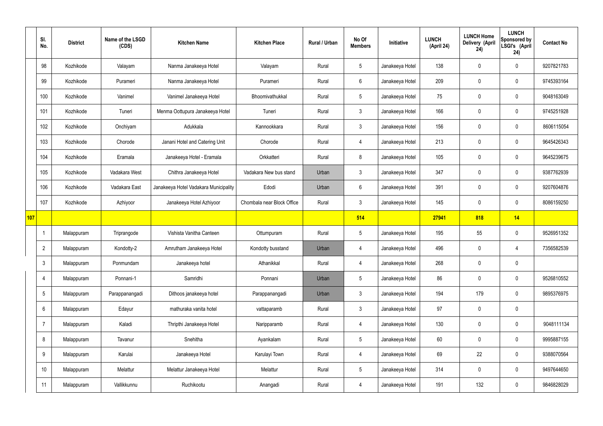|     | SI.<br>No.     | <b>District</b> | Name of the LSGD<br>(CDS) | <b>Kitchen Name</b>                   | <b>Kitchen Place</b>       | Rural / Urban | No Of<br><b>Members</b> | Initiative      | <b>LUNCH</b><br>(April 24) | <b>LUNCH Home</b><br>Delivery (April<br>24) | <b>LUNCH</b><br>Sponsored by<br>LSGI's (April<br>24) | <b>Contact No</b> |
|-----|----------------|-----------------|---------------------------|---------------------------------------|----------------------------|---------------|-------------------------|-----------------|----------------------------|---------------------------------------------|------------------------------------------------------|-------------------|
|     | 98             | Kozhikode       | Valayam                   | Nanma Janakeeya Hotel                 | Valayam                    | Rural         | $5\phantom{.0}$         | Janakeeya Hotel | 138                        | $\mathbf 0$                                 | $\mathbf 0$                                          | 9207821783        |
|     | 99             | Kozhikode       | Purameri                  | Nanma Janakeeya Hotel                 | Purameri                   | Rural         | $6\overline{6}$         | Janakeeya Hotel | 209                        | $\mathbf 0$                                 | $\mathbf 0$                                          | 9745393164        |
|     | 100            | Kozhikode       | Vanimel                   | Vanimel Janakeeya Hotel               | Bhoomivathukkal            | Rural         | $5\overline{)}$         | Janakeeya Hotel | 75                         | $\mathbf 0$                                 | $\mathbf 0$                                          | 9048163049        |
|     | 101            | Kozhikode       | Tuneri                    | Menma Oottupura Janakeeya Hotel       | Tuneri                     | Rural         | 3 <sup>5</sup>          | Janakeeya Hotel | 166                        | $\mathbf 0$                                 | $\mathbf 0$                                          | 9745251928        |
|     | 102            | Kozhikode       | Onchiyam                  | Adukkala                              | Kannookkara                | Rural         | 3 <sup>5</sup>          | Janakeeya Hotel | 156                        | $\mathbf 0$                                 | $\mathbf 0$                                          | 8606115054        |
|     | 103            | Kozhikode       | Chorode                   | Janani Hotel and Catering Unit        | Chorode                    | Rural         | 4                       | Janakeeya Hotel | 213                        | $\mathbf 0$                                 | $\mathbf 0$                                          | 9645426343        |
|     | 104            | Kozhikode       | Eramala                   | Janakeeya Hotel - Eramala             | Orkkatteri                 | Rural         | 8                       | Janakeeya Hotel | 105                        | $\mathbf 0$                                 | $\mathbf 0$                                          | 9645239675        |
|     | 105            | Kozhikode       | Vadakara West             | Chithra Janakeeya Hotel               | Vadakara New bus stand     | Urban         | $\mathbf{3}$            | Janakeeya Hotel | 347                        | $\mathbf 0$                                 | $\mathbf 0$                                          | 9387762939        |
|     | 106            | Kozhikode       | Vadakara East             | Janakeeya Hotel Vadakara Municipality | Edodi                      | Urban         | $6\overline{6}$         | Janakeeya Hotel | 391                        | $\mathbf 0$                                 | $\mathbf 0$                                          | 9207604876        |
|     | 107            | Kozhikode       | Azhiyoor                  | Janakeeya Hotel Azhiyoor              | Chombala near Block Office | Rural         | 3                       | Janakeeya Hotel | 145                        | $\mathbf 0$                                 | $\mathbf 0$                                          | 8086159250        |
| 107 |                |                 |                           |                                       |                            |               | 514                     |                 | 27941                      | 818                                         | 14                                                   |                   |
|     | -1             | Malappuram      | Triprangode               | Vishista Vanitha Canteen              | Ottumpuram                 | Rural         | $5\phantom{.0}$         | Janakeeya Hotel | 195                        | 55                                          | $\mathbf 0$                                          | 9526951352        |
|     | $\overline{2}$ | Malappuram      | Kondotty-2                | Amrutham Janakeeya Hotel              | Kondotty busstand          | Urban         | 4                       | Janakeeya Hotel | 496                        | $\mathbf 0$                                 | 4                                                    | 7356582539        |
|     | $\mathbf{3}$   | Malappuram      | Ponmundam                 | Janakeeya hotel                       | Athanikkal                 | Rural         | 4                       | Janakeeya Hotel | 268                        | $\mathbf 0$                                 | $\mathbf 0$                                          |                   |
|     | 4              | Malappuram      | Ponnani-1                 | Samridhi                              | Ponnani                    | Urban         | 5 <sup>5</sup>          | Janakeeya Hotel | 86                         | $\pmb{0}$                                   | $\mathbf 0$                                          | 9526810552        |
|     | 5              | Malappuram      | Parappanangadi            | Dithoos janakeeya hotel               | Parappanangadi             | Urban         | 3 <sup>5</sup>          | Janakeeya Hotel | 194                        | 179                                         | $\mathbf 0$                                          | 9895376975        |
|     | 6              | Malappuram      | Edayur                    | mathuraka vanita hotel                | vattaparamb                | Rural         | $3\phantom{a}$          | Janakeeya Hotel | 97                         | $\pmb{0}$                                   | $\mathbf 0$                                          |                   |
|     | $\overline{7}$ | Malappuram      | Kaladi                    | Thripthi Janakeeya Hotel              | Naripparamb                | Rural         | $\overline{4}$          | Janakeeya Hotel | 130                        | $\pmb{0}$                                   | $\mathbf 0$                                          | 9048111134        |
|     | 8              | Malappuram      | Tavanur                   | Snehitha                              | Ayankalam                  | Rural         | 5 <sup>5</sup>          | Janakeeya Hotel | 60                         | $\pmb{0}$                                   | $\mathbf 0$                                          | 9995887155        |
|     | 9              | Malappuram      | Karulai                   | Janakeeya Hotel                       | Karulayi Town              | Rural         | $\overline{4}$          | Janakeeya Hotel | 69                         | 22                                          | $\mathbf 0$                                          | 9388070564        |
|     | 10             | Malappuram      | Melattur                  | Melattur Janakeeya Hotel              | Melattur                   | Rural         | $5\phantom{.0}$         | Janakeeya Hotel | 314                        | $\pmb{0}$                                   | $\mathbf 0$                                          | 9497644650        |
|     | 11             | Malappuram      | Vallikkunnu               | Ruchikootu                            | Anangadi                   | Rural         | 4                       | Janakeeya Hotel | 191                        | 132                                         | $\boldsymbol{0}$                                     | 9846828029        |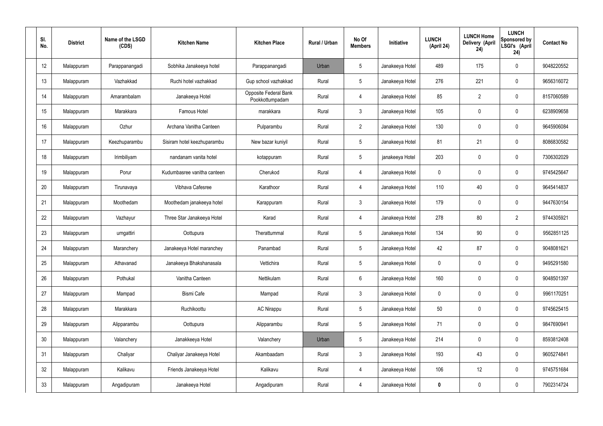| SI.<br>No.      | <b>District</b> | Name of the LSGD<br>(CDS) | <b>Kitchen Name</b>         | <b>Kitchen Place</b>                     | Rural / Urban | No Of<br><b>Members</b> | Initiative      | <b>LUNCH</b><br>(April 24) | <b>LUNCH Home</b><br>Delivery (April<br>24) | <b>LUNCH</b><br>Sponsored by<br>LSGI's (April<br>24) | <b>Contact No</b> |
|-----------------|-----------------|---------------------------|-----------------------------|------------------------------------------|---------------|-------------------------|-----------------|----------------------------|---------------------------------------------|------------------------------------------------------|-------------------|
| 12              | Malappuram      | Parappanangadi            | Sobhika Janakeeya hotel     | Parappanangadi                           | Urban         | $5\phantom{.0}$         | Janakeeya Hotel | 489                        | 175                                         | $\mathbf 0$                                          | 9048220552        |
| 13              | Malappuram      | Vazhakkad                 | Ruchi hotel vazhakkad       | Gup school vazhakkad                     | Rural         | $5\phantom{.0}$         | Janakeeya Hotel | 276                        | 221                                         | $\mathbf 0$                                          | 9656316072        |
| 14              | Malappuram      | Amarambalam               | Janakeeya Hotel             | Opposite Federal Bank<br>Pookkottumpadam | Rural         | $\overline{4}$          | Janakeeya Hotel | 85                         | $\overline{2}$                              | $\mathbf 0$                                          | 8157060589        |
| 15              | Malappuram      | Marakkara                 | Famous Hotel                | marakkara                                | Rural         | $\mathbf{3}$            | Janakeeya Hotel | 105                        | 0                                           | $\mathbf 0$                                          | 6238909658        |
| 16              | Malappuram      | Ozhur                     | Archana Vanitha Canteen     | Pulparambu                               | Rural         | $2^{\circ}$             | Janakeeya Hotel | 130                        | 0                                           | $\mathbf 0$                                          | 9645906084        |
| 17              | Malappuram      | Keezhuparambu             | Sisiram hotel keezhuparambu | New bazar kuniyil                        | Rural         | $5\phantom{.0}$         | Janakeeya Hotel | 81                         | 21                                          | $\mathbf 0$                                          | 8086830582        |
| 18              | Malappuram      | Irimbiliyam               | nandanam vanita hotel       | kotappuram                               | Rural         | $5\phantom{.0}$         | janakeeya Hotel | 203                        | 0                                           | $\mathbf 0$                                          | 7306302029        |
| 19              | Malappuram      | Porur                     | Kudumbasree vanitha canteen | Cherukod                                 | Rural         | 4                       | Janakeeya Hotel | $\mathbf 0$                | 0                                           | $\mathbf 0$                                          | 9745425647        |
| 20              | Malappuram      | Tirunavaya                | Vibhava Cafesree            | Karathoor                                | Rural         | 4                       | Janakeeya Hotel | 110                        | 40                                          | $\mathbf 0$                                          | 9645414837        |
| 21              | Malappuram      | Moothedam                 | Moothedam janakeeya hotel   | Karappuram                               | Rural         | $\mathfrak{Z}$          | Janakeeya Hotel | 179                        | 0                                           | $\mathbf 0$                                          | 9447630154        |
| 22              | Malappuram      | Vazhayur                  | Three Star Janakeeya Hotel  | Karad                                    | Rural         | 4                       | Janakeeya Hotel | 278                        | 80                                          | $\overline{2}$                                       | 9744305921        |
| 23              | Malappuram      | urngattiri                | Oottupura                   | Therattummal                             | Rural         | $5\phantom{.0}$         | Janakeeya Hotel | 134                        | 90                                          | $\boldsymbol{0}$                                     | 9562851125        |
| 24              | Malappuram      | Maranchery                | Janakeeya Hotel maranchey   | Panambad                                 | Rural         | $5\phantom{.0}$         | Janakeeya Hotel | 42                         | 87                                          | 0                                                    | 9048081621        |
| 25              | Malappuram      | Athavanad                 | Janakeeya Bhakshanasala     | Vettichira                               | Rural         | $5\phantom{.0}$         | Janakeeya Hotel | $\mathbf 0$                | $\mathbf 0$                                 | $\mathbf 0$                                          | 9495291580        |
| 26              | Malappuram      | Pothukal                  | Vanitha Canteen             | Nettikulam                               | Rural         | $6\,$                   | Janakeeya Hotel | 160                        | $\mathbf 0$                                 | $\mathbf 0$                                          | 9048501397        |
| 27              | Malappuram      | Mampad                    | Bismi Cafe                  | Mampad                                   | Rural         | $\mathbf{3}$            | Janakeeya Hotel | $\mathbf 0$                | $\mathbf 0$                                 | $\mathbf 0$                                          | 9961170251        |
| 28              | Malappuram      | Marakkara                 | Ruchikoottu                 | <b>AC Nirappu</b>                        | Rural         | $5\phantom{.0}$         | Janakeeya Hotel | 50                         | $\mathsf{0}$                                | $\mathbf 0$                                          | 9745625415        |
| 29              | Malappuram      | Alipparambu               | Oottupura                   | Alipparambu                              | Rural         | $5\phantom{.0}$         | Janakeeya Hotel | 71                         | $\mathbf 0$                                 | $\mathbf 0$                                          | 9847690941        |
| 30 <sup>°</sup> | Malappuram      | Valanchery                | Janakkeeya Hotel            | Valanchery                               | Urban         | $5\phantom{.0}$         | Janakeeya Hotel | 214                        | $\mathsf{0}$                                | $\mathbf 0$                                          | 8593812408        |
| 31              | Malappuram      | Chaliyar                  | Chaliyar Janakeeya Hotel    | Akambaadam                               | Rural         | $\mathbf{3}$            | Janakeeya Hotel | 193                        | 43                                          | $\mathbf 0$                                          | 9605274841        |
| 32              | Malappuram      | Kalikavu                  | Friends Janakeeya Hotel     | Kalikavu                                 | Rural         | 4                       | Janakeeya Hotel | 106                        | 12                                          | $\mathbf 0$                                          | 9745751684        |
| 33              | Malappuram      | Angadipuram               | Janakeeya Hotel             | Angadipuram                              | Rural         | 4                       | Janakeeya Hotel | 0                          | $\pmb{0}$                                   | $\bf{0}$                                             | 7902314724        |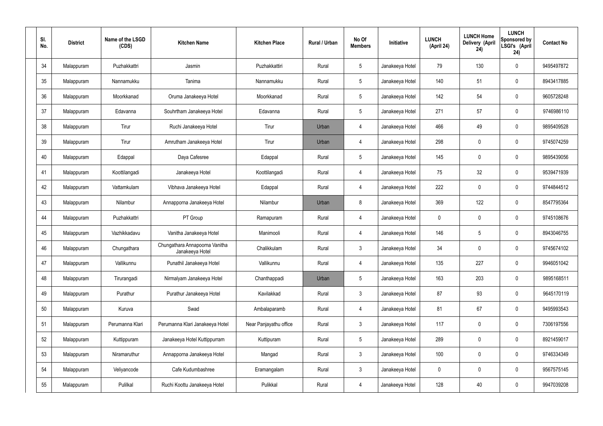| SI.<br>No. | <b>District</b> | Name of the LSGD<br>(CDS) | <b>Kitchen Name</b>                               | <b>Kitchen Place</b>   | Rural / Urban | No Of<br><b>Members</b> | Initiative      | <b>LUNCH</b><br>(April 24) | <b>LUNCH Home</b><br>Delivery (April<br>24) | <b>LUNCH</b><br>Sponsored by<br>LSGI's (April<br>24) | <b>Contact No</b> |
|------------|-----------------|---------------------------|---------------------------------------------------|------------------------|---------------|-------------------------|-----------------|----------------------------|---------------------------------------------|------------------------------------------------------|-------------------|
| 34         | Malappuram      | Puzhakkattri              | Jasmin                                            | Puzhakkattiri          | Rural         | $5\,$                   | Janakeeya Hotel | 79                         | 130                                         | $\mathbf 0$                                          | 9495497872        |
| 35         | Malappuram      | Nannamukku                | Tanima                                            | Nannamukku             | Rural         | $5\phantom{.0}$         | Janakeeya Hotel | 140                        | 51                                          | $\mathbf 0$                                          | 8943417885        |
| 36         | Malappuram      | Moorkkanad                | Oruma Janakeeya Hotel                             | Moorkkanad             | Rural         | $5\phantom{.0}$         | Janakeeya Hotel | 142                        | 54                                          | $\mathbf 0$                                          | 9605728248        |
| 37         | Malappuram      | Edavanna                  | Souhrtham Janakeeya Hotel                         | Edavanna               | Rural         | $5\phantom{.0}$         | Janakeeya Hotel | 271                        | 57                                          | $\mathbf 0$                                          | 9746986110        |
| 38         | Malappuram      | Tirur                     | Ruchi Janakeeya Hotel                             | Tirur                  | Urban         | 4                       | Janakeeya Hotel | 466                        | 49                                          | $\mathbf 0$                                          | 9895409528        |
| 39         | Malappuram      | Tirur                     | Amrutham Janakeeya Hotel                          | Tirur                  | Urban         | 4                       | Janakeeya Hotel | 298                        | $\mathbf 0$                                 | $\mathbf 0$                                          | 9745074259        |
| 40         | Malappuram      | Edappal                   | Daya Cafesree                                     | Edappal                | Rural         | $5\phantom{.0}$         | Janakeeya Hotel | 145                        | $\mathbf 0$                                 | $\mathbf 0$                                          | 9895439056        |
| 41         | Malappuram      | Koottilangadi             | Janakeeya Hotel                                   | Koottilangadi          | Rural         | $\overline{4}$          | Janakeeya Hotel | 75                         | 32                                          | $\mathbf 0$                                          | 9539471939        |
| 42         | Malappuram      | Vattamkulam               | Vibhava Janakeeya Hotel                           | Edappal                | Rural         | $\overline{4}$          | Janakeeya Hotel | 222                        | $\mathbf 0$                                 | $\mathbf 0$                                          | 9744844512        |
| 43         | Malappuram      | Nilambur                  | Annapporna Janakeeya Hotel                        | Nilambur               | Urban         | 8                       | Janakeeya Hotel | 369                        | 122                                         | $\mathbf 0$                                          | 8547795364        |
| 44         | Malappuram      | Puzhakkattri              | PT Group                                          | Ramapuram              | Rural         | 4                       | Janakeeya Hotel | $\mathbf 0$                | 0                                           | $\mathbf 0$                                          | 9745108676        |
| 45         | Malappuram      | Vazhikkadavu              | Vanitha Janakeeya Hotel                           | Manimooli              | Rural         | 4                       | Janakeeya Hotel | 146                        | $5\phantom{.0}$                             | $\mathbf 0$                                          | 8943046755        |
| 46         | Malappuram      | Chungathara               | Chungathara Annapoorna Vanitha<br>Janakeeya Hotel | Chalikkulam            | Rural         | $\mathbf{3}$            | Janakeeya Hotel | 34                         | 0                                           | 0                                                    | 9745674102        |
| 47         | Malappuram      | Vallikunnu                | Punathil Janakeeya Hotel                          | Vallikunnu             | Rural         | $\overline{4}$          | Janakeeya Hotel | 135                        | 227                                         | $\mathbf 0$                                          | 9946051042        |
| 48         | Malappuram      | Tirurangadi               | Nirmalyam Janakeeya Hotel                         | Chanthappadi           | Urban         | $5\phantom{.0}$         | Janakeeya Hotel | 163                        | 203                                         | $\mathbf 0$                                          | 9895168511        |
| 49         | Malappuram      | Purathur                  | Purathur Janakeeya Hotel                          | Kavilakkad             | Rural         | $\mathbf{3}$            | Janakeeya Hotel | 87                         | 93                                          | $\mathbf 0$                                          | 9645170119        |
| 50         | Malappuram      | Kuruva                    | Swad                                              | Ambalaparamb           | Rural         | $\overline{4}$          | Janakeeya Hotel | 81                         | 67                                          | $\mathbf 0$                                          | 9495993543        |
| 51         | Malappuram      | Perumanna Klari           | Perumanna Klari Janakeeya Hotel                   | Near Panjayathu office | Rural         | $\mathfrak{Z}$          | Janakeeya Hotel | 117                        | 0                                           | $\mathbf 0$                                          | 7306197556        |
| 52         | Malappuram      | Kuttippuram               | Janakeeya Hotel Kuttippurram                      | Kuttipuram             | Rural         | $5\phantom{.0}$         | Janakeeya Hotel | 289                        | 0                                           | $\pmb{0}$                                            | 8921459017        |
| 53         | Malappuram      | Niramaruthur              | Annapporna Janakeeya Hotel                        | Mangad                 | Rural         | $\mathfrak{Z}$          | Janakeeya Hotel | 100                        | 0                                           | $\mathbf 0$                                          | 9746334349        |
| 54         | Malappuram      | Veliyancode               | Cafe Kudumbashree                                 | Eramangalam            | Rural         | $\mathbf{3}$            | Janakeeya Hotel | $\pmb{0}$                  | 0                                           | $\mathbf 0$                                          | 9567575145        |
| 55         | Malappuram      | Pulilkal                  | Ruchi Koottu Janakeeya Hotel                      | Pulikkal               | Rural         | $\overline{4}$          | Janakeeya Hotel | 128                        | 40                                          | $\boldsymbol{0}$                                     | 9947039208        |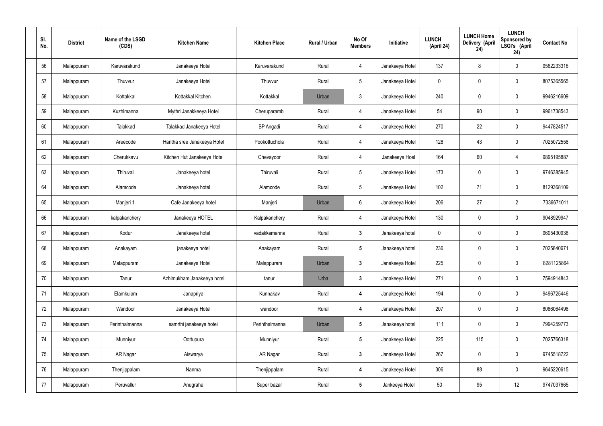| SI.<br>No. | <b>District</b> | Name of the LSGD<br>(CDS) | <b>Kitchen Name</b>          | <b>Kitchen Place</b> | Rural / Urban | No Of<br><b>Members</b> | Initiative      | <b>LUNCH</b><br>(April 24) | <b>LUNCH Home</b><br>Delivery (April<br>24) | <b>LUNCH</b><br>Sponsored by<br>LSGI's (April<br>24) | <b>Contact No</b> |
|------------|-----------------|---------------------------|------------------------------|----------------------|---------------|-------------------------|-----------------|----------------------------|---------------------------------------------|------------------------------------------------------|-------------------|
| 56         | Malappuram      | Karuvarakund              | Janakeeya Hotel              | Karuvarakund         | Rural         | 4                       | Janakeeya Hotel | 137                        | 8                                           | $\mathbf 0$                                          | 9562233316        |
| 57         | Malappuram      | Thuvvur                   | Janakeeya Hotel              | Thuvvur              | Rural         | $5\phantom{.0}$         | Janakeeya Hotel | $\mathbf 0$                | $\mathbf 0$                                 | $\mathbf 0$                                          | 8075365565        |
| 58         | Malappuram      | Kottakkal                 | Kottakkal Kitchen            | Kottakkal            | Urban         | $\mathbf{3}$            | Janakeeya Hotel | 240                        | $\mathbf 0$                                 | $\mathbf 0$                                          | 9946216609        |
| 59         | Malappuram      | Kuzhimanna                | Mythri Janakkeeya Hotel      | Cheruparamb          | Rural         | $\overline{4}$          | Janakeeya Hotel | 54                         | 90                                          | $\mathbf 0$                                          | 9961738543        |
| 60         | Malappuram      | Talakkad                  | Talakkad Janakeeya Hotel     | <b>BP</b> Angadi     | Rural         | $\overline{4}$          | Janakeeya Hotel | 270                        | 22                                          | $\mathbf 0$                                          | 9447824517        |
| 61         | Malappuram      | Areecode                  | Haritha sree Janakeeya Hotel | Pookottuchola        | Rural         | $\overline{4}$          | Janakeeya Hotel | 128                        | 43                                          | $\mathbf 0$                                          | 7025072558        |
| 62         | Malappuram      | Cherukkavu                | Kitchen Hut Janakeeya Hotel  | Chevayoor            | Rural         | $\overline{4}$          | Janakeeya Hoel  | 164                        | 60                                          | 4                                                    | 9895195887        |
| 63         | Malappuram      | Thiruvali                 | Janakeeya hotel              | Thiruvali            | Rural         | $5\overline{)}$         | Janakeeya Hotel | 173                        | $\mathbf 0$                                 | $\mathbf 0$                                          | 9746385945        |
| 64         | Malappuram      | Alamcode                  | Janakeeya hotel              | Alamcode             | Rural         | $5\phantom{.0}$         | Janakeeya Hotel | 102                        | 71                                          | $\mathbf 0$                                          | 8129368109        |
| 65         | Malappuram      | Manjeri 1                 | Cafe Janakeeya hotel         | Manjeri              | Urban         | 6                       | Janakeeya Hotel | 206                        | 27                                          | $\overline{2}$                                       | 7336671011        |
| 66         | Malappuram      | kalpakanchery             | Janakeeya HOTEL              | Kalpakanchery        | Rural         | $\overline{4}$          | Janakeeya Hotel | 130                        | 0                                           | $\mathbf 0$                                          | 9048929947        |
| 67         | Malappuram      | Kodur                     | Janakeeya hotel              | vadakkemanna         | Rural         | $\mathbf{3}$            | Janakeeya hotel | $\mathbf 0$                | 0                                           | $\mathbf 0$                                          | 9605430938        |
| 68         | Malappuram      | Anakayam                  | janakeeya hotel              | Anakayam             | Rural         | $5\phantom{.0}$         | Janakeeya hotel | 236                        | $\mathbf 0$                                 | $\boldsymbol{0}$                                     | 7025840671        |
| 69         | Malappuram      | Malappuram                | Janakeeya Hotel              | Malappuram           | Urban         | $\mathbf{3}$            | Janakeeya Hotel | 225                        | $\mathbf 0$                                 | $\mathbf 0$                                          | 8281125864        |
| 70         | Malappuram      | Tanur                     | Azhimukham Janakeeya hotel   | tanur                | Urba          | $3\phantom{a}$          | Janakeeya Hotel | 271                        | $\mathbf 0$                                 | $\mathbf 0$                                          | 7594914843        |
| 71         | Malappuram      | Elamkulam                 | Janapriya                    | Kunnakav             | Rural         | $\overline{\mathbf{4}}$ | Janakeeya Hotel | 194                        | 0                                           | $\mathbf 0$                                          | 9496725446        |
| 72         | Malappuram      | Wandoor                   | Janakeeya Hotel              | wandoor              | Rural         | 4                       | Janakeeya Hotel | 207                        | 0                                           | $\mathbf 0$                                          | 8086064498        |
| 73         | Malappuram      | Perinthalmanna            | samrthi janakeeya hotei      | Perinthalmanna       | Urban         | $5\phantom{.0}$         | Janakeeya hotel | 111                        | 0                                           | $\mathbf 0$                                          | 7994259773        |
| 74         | Malappuram      | Munniyur                  | Oottupura                    | Munniyur             | Rural         | $5\phantom{.0}$         | Janakeeya Hotel | 225                        | 115                                         | $\pmb{0}$                                            | 7025766318        |
| 75         | Malappuram      | AR Nagar                  | Aiswarya                     | AR Nagar             | Rural         | $3\phantom{a}$          | Janakeeya Hotel | 267                        | 0                                           | $\mathbf 0$                                          | 9745518722        |
| 76         | Malappuram      | Thenjippalam              | Nanma                        | Thenjippalam         | Rural         | $\overline{\mathbf{4}}$ | Janakeeya Hotel | 306                        | 88                                          | $\mathbf 0$                                          | 9645220615        |
| 77         | Malappuram      | Peruvallur                | Anugraha                     | Super bazar          | Rural         | $5\phantom{.0}$         | Jankeeya Hotel  | 50                         | 95                                          | 12                                                   | 9747037665        |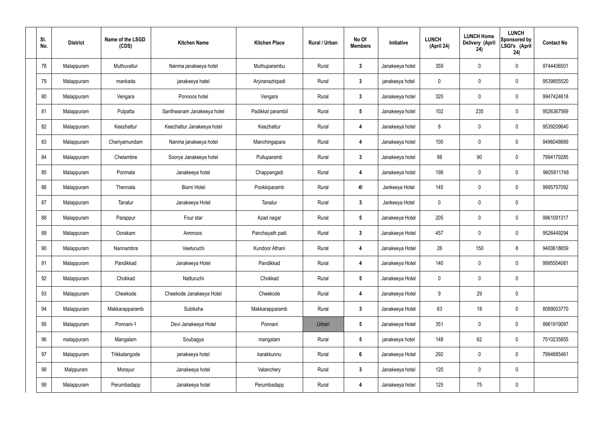| SI.<br>No. | <b>District</b> | Name of the LSGD<br>(CDS) | <b>Kitchen Name</b>        | <b>Kitchen Place</b> | Rural / Urban | No Of<br><b>Members</b> | <b>Initiative</b> | <b>LUNCH</b><br>(April 24) | <b>LUNCH Home</b><br>Delivery (April<br>24) | <b>LUNCH</b><br>Sponsored by<br>LSGI's (April<br>24) | <b>Contact No</b> |
|------------|-----------------|---------------------------|----------------------------|----------------------|---------------|-------------------------|-------------------|----------------------------|---------------------------------------------|------------------------------------------------------|-------------------|
| 78         | Malappuram      | Muthuvallur               | Nanma janakeeya hotel      | Muthuparambu         | Rural         | $\boldsymbol{3}$        | Janakeeya hotel   | 359                        | $\pmb{0}$                                   | $\pmb{0}$                                            | 9744406501        |
| 79         | Malappuram      | mankada                   | janakeeya hatel            | Aryiranazhipadi      | Rural         | $\mathbf{3}$            | janakeeya hotel   | 0                          | $\pmb{0}$                                   | $\pmb{0}$                                            | 9539855520        |
| 80         | Malappuram      | Vengara                   | Ponnoos hotel              | Vengara              | Rural         | $\overline{3}$          | Janakeeya hotel   | 320                        | $\mathbf 0$                                 | $\pmb{0}$                                            | 9947424618        |
| 81         | Malappuram      | Pulpatta                  | Santhwanam Janakeeya hotel | Padikkal parambil    | Rural         | $5\phantom{.0}$         | Janakeeya hotel   | 102                        | 235                                         | $\pmb{0}$                                            | 9526367569        |
| 82         | Malappuram      | Keezhattur                | Keezhattur Janakeeya hotel | Keezhattur           | Rural         | $\overline{4}$          | Janakeeya hotel   | 8                          | $\mathbf 0$                                 | $\pmb{0}$                                            | 9539209640        |
| 83         | Malappuram      | Cheriyamundam             | Nanma janakeeya hotel      | Manchingapara        | Rural         | $\overline{4}$          | Janakeeya hotel   | 100                        | $\pmb{0}$                                   | $\pmb{0}$                                            | 9496048689        |
| 84         | Malappuram      | Chelambre                 | Soorya Janakeeya hotel     | Pulluparamb          | Rural         | $\overline{\mathbf{3}}$ | Janakeeya hotel   | 98                         | 90                                          | $\pmb{0}$                                            | 7994179285        |
| 85         | Malappuram      | Ponmala                   | Janakeeya hotel            | Chappangadi          | Rural         | $\overline{4}$          | Janakeeya hotel   | 198                        | $\mathbf 0$                                 | $\mathbf 0$                                          | 9605811748        |
| 86         | Malappuram      | Thennala                  | <b>Bismi Hotel</b>         | Pookkiparamb         | Rural         | 4!                      | Jankeeya Hotel    | 145                        | $\mathbf 0$                                 | $\pmb{0}$                                            | 9995757092        |
| 87         | Malappuram      | Tanalur                   | Janakeeya Hotel            | Tanalur              | Rural         | $\mathbf{3}$            | Jankeeya Hotel    | 0                          | $\pmb{0}$                                   | $\pmb{0}$                                            |                   |
| 88         | Malappuram      | Parappur                  | Four star                  | Azad nagar           | Rural         | $5\phantom{.0}$         | Janakeeya Hotel   | 205                        | $\mathbf 0$                                 | $\pmb{0}$                                            | 9961091317        |
| 89         | Malappuram      | Oorakam                   | Ammoos                     | Panchayath padi      | Rural         | $\mathbf{3}$            | Janakeeya Hotel   | 457                        | $\pmb{0}$                                   | $\pmb{0}$                                            | 9526449294        |
| 90         | Malappuram      | Nannambra                 | Veeturuchi                 | Kundoor Athani       | Rural         | 4                       | Janakeeya Hotel   | 26                         | 150                                         | 8                                                    | 9400618659        |
| 91         | Malappuram      | Pandikkad                 | Janakeeya Hotel            | Pandikkad            | Rural         | $\overline{\mathbf{4}}$ | Janakeeya Hotel   | 140                        | $\mathbf 0$                                 | $\mathbf 0$                                          | 9995504081        |
| 92         | Malappuram      | Chokkad                   | Natturuchi                 | Chokkad              | Rural         | $5\phantom{.0}$         | Janakeeya Hotel   | $\mathbf 0$                | $\mathbf 0$                                 | $\mathbf 0$                                          |                   |
| 93         | Malappuram      | Cheekode                  | Cheekode Janakeeya Hotel   | Cheekode             | Rural         | $\overline{\mathbf{4}}$ | Janakeeya Hotel   | 9                          | 29                                          | $\pmb{0}$                                            |                   |
| 94         | Malappuram      | Makkarapparamb            | Subiksha                   | Makkarapparamb       | Rural         | $\mathbf{3}$            | Janakeeya Hotel   | 63                         | 18                                          | $\pmb{0}$                                            | 8089003770        |
| 95         | Malappuram      | Ponnani-1                 | Devi Janakeeya Hotel       | Ponnani              | Urban         | $5\phantom{.0}$         | Janakeeya Hotel   | 351                        | $\mathbf 0$                                 | $\mathbf 0$                                          | 9961919097        |
| 96         | malappuram      | Mangalam                  | Soubagya                   | mangalam             | Rural         | $5\phantom{.0}$         | janakeeya hotel   | 148                        | 62                                          | $\pmb{0}$                                            | 7510235855        |
| 97         | Malappuram      | Trikkalangode             | janakeeya hotel            | karakkunnu           | Rural         | $6\phantom{.}6$         | Janakeeya Hotel   | 292                        | $\mathbf 0$                                 | $\mathbf 0$                                          | 7994885461        |
| 98         | Malppuram       | Morayur                   | Janakeeya hotel            | Valanchery           | Rural         | $\mathbf{3}$            | Janakeeya hotel   | 120                        | $\mathbf 0$                                 | $\mathbf 0$                                          |                   |
| 99         | Malappuram      | Perumbadapp               | Janakeeya hotel            | Perumbadapp          | Rural         | $\overline{\mathbf{4}}$ | Janakeeya hotel   | 125                        | 75                                          | $\pmb{0}$                                            |                   |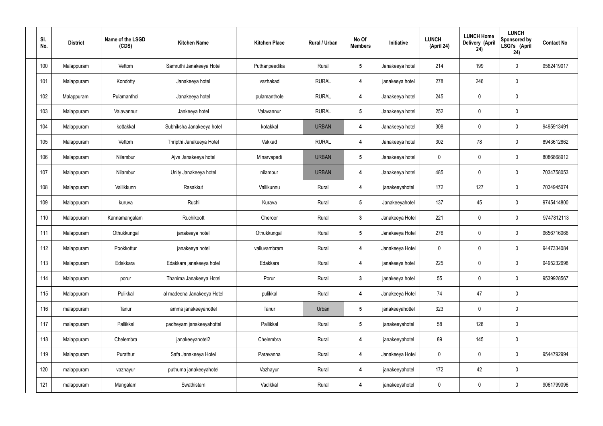| SI.<br>No. | <b>District</b> | Name of the LSGD<br>(CDS) | <b>Kitchen Name</b>        | <b>Kitchen Place</b> | Rural / Urban | No Of<br><b>Members</b> | Initiative      | <b>LUNCH</b><br>(April 24) | <b>LUNCH Home</b><br><b>Delivery (April</b><br>24) | <b>LUNCH</b><br><b>Sponsored by</b><br>LSGI's (April<br>24) | <b>Contact No</b> |
|------------|-----------------|---------------------------|----------------------------|----------------------|---------------|-------------------------|-----------------|----------------------------|----------------------------------------------------|-------------------------------------------------------------|-------------------|
| 100        | Malappuram      | Vettom                    | Samruthi Janakeeya Hotel   | Puthanpeedika        | Rural         | $\sqrt{5}$              | Janakeeya hotel | 214                        | 199                                                | 0                                                           | 9562419017        |
| 101        | Malappuram      | Kondotty                  | Janakeeya hotel            | vazhakad             | <b>RURAL</b>  | $\overline{4}$          | janakeeya hotel | 278                        | 246                                                | 0                                                           |                   |
| 102        | Malappuram      | Pulamanthol               | Janakeeya hotel            | pulamanthole         | <b>RURAL</b>  | $\overline{4}$          | Janakeeya hotel | 245                        | $\mathbf 0$                                        | 0                                                           |                   |
| 103        | Malappuram      | Valavannur                | Jankeeya hotel             | Valavannur           | <b>RURAL</b>  | $\sqrt{5}$              | Janakeeya hotel | 252                        | $\mathbf 0$                                        | 0                                                           |                   |
| 104        | Malappuram      | kottakkal                 | Subhiksha Janakeeya hotel  | kotakkal             | <b>URBAN</b>  | $\overline{4}$          | Janakeeya hotel | 308                        | $\mathbf 0$                                        | 0                                                           | 9495913491        |
| 105        | Malappuram      | Vettom                    | Thripthi Janakeeya Hotel   | Vakkad               | <b>RURAL</b>  | $\overline{4}$          | Janakeeya hotel | 302                        | 78                                                 | 0                                                           | 8943612862        |
| 106        | Malappuram      | Nilambur                  | Ajva Janakeeya hotel       | Minarvapadi          | <b>URBAN</b>  | 5                       | Janakeeya hotel | 0                          | $\mathbf 0$                                        | 0                                                           | 8086868912        |
| 107        | Malappuram      | Nilambur                  | Unity Janakeeya hotel      | nilambur             | <b>URBAN</b>  | 4                       | Janakeeya hotel | 485                        | $\mathbf 0$                                        | 0                                                           | 7034758053        |
| 108        | Malappuram      | Vallikkunn                | Rasakkut                   | Vallikunnu           | Rural         | $\overline{4}$          | janakeeyahotel  | 172                        | 127                                                | 0                                                           | 7034945074        |
| 109        | Malappuram      | kuruva                    | Ruchi                      | Kurava               | Rural         | $\sqrt{5}$              | Janakeeyahotel  | 137                        | 45                                                 | 0                                                           | 9745414800        |
| 110        | Malappuram      | Kannamangalam             | Ruchikoott                 | Cheroor              | Rural         | $\mathbf{3}$            | Janakeeya Hotel | 221                        | $\mathbf 0$                                        | 0                                                           | 9747812113        |
| 111        | Malappuram      | Othukkungal               | janakeeya hotel            | Othukkungal          | Rural         | $\sqrt{5}$              | Janakeeya Hotel | 276                        | $\mathbf 0$                                        | 0                                                           | 9656716066        |
| 112        | Malappuram      | Pookkottur                | janakeeya hotel            | valluvambram         | Rural         | $\overline{4}$          | Janakeeya Hotel | $\mathbf 0$                | $\mathbf 0$                                        | 0                                                           | 9447334084        |
| 113        | Malappuram      | Edakkara                  | Edakkara janakeeya hotel   | Edakkara             | Rural         | $\overline{4}$          | janakeeya hotel | 225                        | $\pmb{0}$                                          | 0                                                           | 9495232698        |
| 114        | Malappuram      | porur                     | Thanima Janakeeya Hotel    | Porur                | Rural         | $3\phantom{a}$          | janakeeya hotel | 55                         | $\pmb{0}$                                          | $\mathbf 0$                                                 | 9539928567        |
| 115        | Malappuram      | Pulikkal                  | al madeena Janakeeya Hotel | pulikkal             | Rural         | $\boldsymbol{4}$        | Janakeeya Hotel | 74                         | 47                                                 | 0                                                           |                   |
| 116        | malappuram      | Tanur                     | amma janakeeyahottel       | Tanur                | Urban         | $5\phantom{.0}$         | janakeeyahottel | 323                        | $\overline{0}$                                     | 0                                                           |                   |
| 117        | malappuram      | Pallikkal                 | padheyam janakeeyahottel   | Pallikkal            | Rural         | $5\phantom{.0}$         | janakeeyahotel  | 58                         | 128                                                | 0                                                           |                   |
| 118        | Malappuram      | Chelembra                 | janakeeyahotel2            | Chelembra            | Rural         | $\boldsymbol{4}$        | janakeeyahotel  | 89                         | 145                                                | 0                                                           |                   |
| 119        | Malappuram      | Purathur                  | Safa Janakeeya Hotel       | Paravanna            | Rural         | $\boldsymbol{4}$        | Janakeeya Hotel | $\mathbf 0$                | $\pmb{0}$                                          | 0                                                           | 9544792994        |
| 120        | malappuram      | vazhayur                  | puthuma janakeeyahotel     | Vazhayur             | Rural         | $\boldsymbol{4}$        | janakeeyahotel  | 172                        | 42                                                 | 0                                                           |                   |
| 121        | malappuram      | Mangalam                  | Swathistam                 | Vadikkal             | Rural         | $\boldsymbol{4}$        | janakeeyahotel  | 0                          | $\pmb{0}$                                          | 0                                                           | 9061799096        |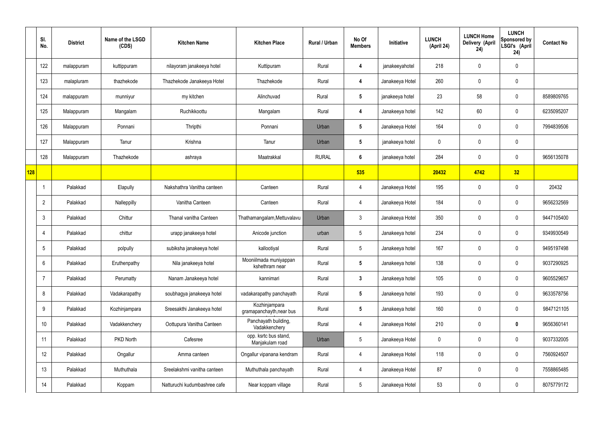|     | SI.<br>No.      | <b>District</b> | Name of the LSGD<br>(CDS) | <b>Kitchen Name</b>          | <b>Kitchen Place</b>                      | Rural / Urban | No Of<br><b>Members</b> | Initiative      | <b>LUNCH</b><br>(April 24) | <b>LUNCH Home</b><br>Delivery (April<br>24) | <b>LUNCH</b><br>Sponsored by<br>LSGI's (April<br>24) | <b>Contact No</b> |
|-----|-----------------|-----------------|---------------------------|------------------------------|-------------------------------------------|---------------|-------------------------|-----------------|----------------------------|---------------------------------------------|------------------------------------------------------|-------------------|
|     | 122             | malappuram      | kuttippuram               | nilayoram janakeeya hotel    | Kuttipuram                                | Rural         | 4                       | janakeeyahotel  | 218                        | $\mathbf 0$                                 | $\mathbf 0$                                          |                   |
|     | 123             | malapluram      | thazhekode                | Thazhekode Janakeeya Hotel   | Thazhekode                                | Rural         | 4                       | Janakeeya Hotel | 260                        | $\mathbf 0$                                 | $\mathbf 0$                                          |                   |
|     | 124             | malappuram      | munniyur                  | my kitchen                   | Alinchuvad                                | Rural         | $5\phantom{.0}$         | janakeeya hotel | 23                         | 58                                          | $\mathbf 0$                                          | 8589809765        |
|     | 125             | Malappuram      | Mangalam                  | Ruchikkoottu                 | Mangalam                                  | Rural         | 4                       | Janakeeya hotel | 142                        | 60                                          | $\mathbf 0$                                          | 6235095207        |
|     | 126             | Malappuram      | Ponnani                   | Thripthi                     | Ponnani                                   | Urban         | $5\phantom{.0}$         | Janakeeya Hotel | 164                        | $\mathbf 0$                                 | $\mathbf 0$                                          | 7994839506        |
|     | 127             | Malappuram      | Tanur                     | Krishna                      | Tanur                                     | Urban         | $5\phantom{.0}$         | janakeeya hotel | 0                          | $\mathbf 0$                                 | $\mathbf 0$                                          |                   |
|     | 128             | Malappuram      | Thazhekode                | ashraya                      | Maatrakkal                                | <b>RURAL</b>  | $6\phantom{1}$          | janakeeya hotel | 284                        | 0                                           | $\mathbf 0$                                          | 9656135078        |
| 128 |                 |                 |                           |                              |                                           |               | 535                     |                 | 20432                      | 4742                                        | 32                                                   |                   |
|     |                 | Palakkad        | Elapully                  | Nakshathra Vanitha canteen   | Canteen                                   | Rural         | 4                       | Janakeeya Hotel | 195                        | 0                                           | $\mathbf 0$                                          | 20432             |
|     | $\overline{2}$  | Palakkad        | Nalleppilly               | Vanitha Canteen              | Canteen                                   | Rural         | 4                       | Janakeeya Hotel | 184                        | $\mathbf 0$                                 | $\mathbf 0$                                          | 9656232569        |
|     | $\mathbf{3}$    | Palakkad        | Chittur                   | Thanal vanitha Canteen       | Thathamangalam, Mettuvalavu               | Urban         | $\mathbf{3}$            | Janakeeya Hotel | 350                        | 0                                           | $\mathbf 0$                                          | 9447105400        |
|     | $\overline{4}$  | Palakkad        | chittur                   | urapp janakeeya hotel        | Anicode junction                          | urban         | $5\phantom{.0}$         | Janakeeya hotel | 234                        | $\mathbf 0$                                 | $\mathbf 0$                                          | 9349930549        |
|     | 5               | Palakkad        | polpully                  | subiksha janakeeya hotel     | kallootiyal                               | Rural         | $5\phantom{.0}$         | Janakeeya hotel | 167                        | $\mathbf 0$                                 | $\mathbf 0$                                          | 9495197498        |
|     | $6\overline{6}$ | Palakkad        | Eruthenpathy              | Nila janakeeya hotel         | Mooniilmada muniyappan<br>kshethram near  | Rural         | $5\phantom{.0}$         | Janakeeya hotel | 138                        | $\mathbf 0$                                 | $\mathbf 0$                                          | 9037290925        |
|     | 7               | Palakkad        | Perumatty                 | Nanam Janakeeya hotel        | kannimari                                 | Rural         | $\mathbf{3}$            | Janakeeya hotel | 105                        | 0                                           | $\mathbf 0$                                          | 9605529657        |
|     | 8               | Palakkad        | Vadakarapathy             | soubhagya janakeeya hotel    | vadakarapathy panchayath                  | Rural         | $5\overline{)}$         | Janakeeya hotel | 193                        | 0                                           | $\mathbf 0$                                          | 9633578756        |
|     | 9               | Palakkad        | Kozhinjampara             | Sreesakthi Janakeeya hotel   | Kozhinjampara<br>gramapanchayth, near bus | Rural         | $5\overline{)}$         | Janakeeya hotel | 160                        | 0                                           | $\mathbf 0$                                          | 9847121105        |
|     | 10              | Palakkad        | Vadakkenchery             | Oottupura Vanitha Canteen    | Panchayath building,<br>Vadakkenchery     | Rural         | $\overline{4}$          | Janakeeya Hotel | 210                        | 0                                           | $\bf{0}$                                             | 9656360141        |
|     | 11              | Palakkad        | PKD North                 | Cafesree                     | opp. ksrtc bus stand,<br>Manjakulam road  | Urban         | $5\phantom{.0}$         | Janakeeya Hotel | 0                          | $\mathbf 0$                                 | $\mathbf 0$                                          | 9037332005        |
|     | 12              | Palakkad        | Ongallur                  | Amma canteen                 | Ongallur vipanana kendram                 | Rural         | $\overline{4}$          | Janakeeya Hotel | 118                        | 0                                           | $\mathbf 0$                                          | 7560924507        |
|     | 13              | Palakkad        | Muthuthala                | Sreelakshmi vanitha canteen  | Muthuthala panchayath                     | Rural         | $\overline{4}$          | Janakeeya Hotel | 87                         | 0                                           | $\mathbf 0$                                          | 7558865485        |
|     | 14              | Palakkad        | Koppam                    | Natturuchi kudumbashree cafe | Near koppam village                       | Rural         | $5\phantom{.0}$         | Janakeeya Hotel | 53                         | 0                                           | $\boldsymbol{0}$                                     | 8075779172        |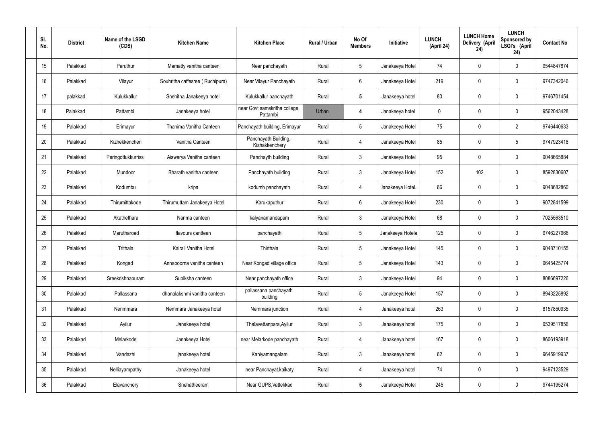| SI.<br>No. | <b>District</b> | Name of the LSGD<br>(CDS) | <b>Kitchen Name</b>             | <b>Kitchen Place</b>                      | Rural / Urban | No Of<br><b>Members</b> | Initiative       | <b>LUNCH</b><br>(April 24) | <b>LUNCH Home</b><br>Delivery (April<br>24) | <b>LUNCH</b><br>Sponsored by<br>LSGI's (April<br>24) | <b>Contact No</b> |
|------------|-----------------|---------------------------|---------------------------------|-------------------------------------------|---------------|-------------------------|------------------|----------------------------|---------------------------------------------|------------------------------------------------------|-------------------|
| 15         | Palakkad        | Paruthur                  | Mamatty vanitha canteen         | Near panchayath                           | Rural         | 5                       | Janakeeya Hotel  | 74                         | 0                                           | $\mathbf 0$                                          | 9544847874        |
| 16         | Palakkad        | Vilayur                   | Souhritha caffesree (Ruchipura) | Near Vilayur Panchayath                   | Rural         | 6                       | Janakeeya Hotel  | 219                        | 0                                           | $\mathbf 0$                                          | 9747342046        |
| 17         | palakkad        | Kulukkallur               | Snehitha Janakeeya hotel        | Kulukkallur panchayath                    | Rural         | $5\phantom{.0}$         | Janakeeya hotel  | 80                         | 0                                           | $\mathbf 0$                                          | 9746701454        |
| 18         | Palakkad        | Pattambi                  | Janakeeya hotel                 | near Govt samskritha college,<br>Pattambi | Urban         | 4                       | Janakeeya hotel  | $\mathbf 0$                | 0                                           | $\mathbf 0$                                          | 9562043428        |
| 19         | Palakkad        | Erimayur                  | Thanima Vanitha Canteen         | Panchayath building, Erimayur             | Rural         | $5\overline{)}$         | Janakeeya Hotel  | 75                         | 0                                           | $\overline{2}$                                       | 9746440633        |
| 20         | Palakkad        | Kizhekkencheri            | Vanitha Canteen                 | Panchayath Building,<br>Kizhakkenchery    | Rural         | 4                       | Janakeeya Hotel  | 85                         | 0                                           | $5\overline{)}$                                      | 9747923418        |
| 21         | Palakkad        | Peringottukkurrissi       | Aiswarya Vanitha canteen        | Panchayth building                        | Rural         | $\mathbf{3}$            | Janakeeya Hotel  | 95                         | 0                                           | $\mathbf 0$                                          | 9048665884        |
| 22         | Palakkad        | Mundoor                   | Bharath vanitha canteen         | Panchayath building                       | Rural         | $\mathbf{3}$            | Janakeeya Hotel  | 152                        | 102                                         | $\mathbf 0$                                          | 8592830607        |
| 23         | Palakkad        | Kodumbu                   | kripa                           | kodumb panchayath                         | Rural         | 4                       | Janakeeya HoteL  | 66                         | 0                                           | $\mathbf 0$                                          | 9048682860        |
| 24         | Palakkad        | Thirumittakode            | Thirumuttam Janakeeya Hotel     | Karukaputhur                              | Rural         | 6                       | Janakeeya Hotel  | 230                        | 0                                           | $\mathbf 0$                                          | 9072841599        |
| 25         | Palakkad        | Akathethara               | Nanma canteen                   | kalyanamandapam                           | Rural         | $\mathbf{3}$            | Janakeeya Hotel  | 68                         | 0                                           | $\boldsymbol{0}$                                     | 7025563510        |
| 26         | Palakkad        | Marutharoad               | flavours cantteen               | panchayath                                | Rural         | $5\phantom{.0}$         | Janakeeya Hotela | 125                        | 0                                           | $\boldsymbol{0}$                                     | 9746227966        |
| 27         | Palakkad        | Trithala                  | Kairali Vanitha Hotel           | Thirthala                                 | Rural         | $5\phantom{.0}$         | Janakeeya Hotel  | 145                        | 0                                           | 0                                                    | 9048710155        |
| 28         | Palakkad        | Kongad                    | Annapoorna vanitha canteen      | Near Kongad village office                | Rural         | $5\phantom{.0}$         | Janakeeya Hotel  | 143                        | $\mathbf 0$                                 | $\mathbf 0$                                          | 9645425774        |
| 29         | Palakkad        | Sreekrishnapuram          | Subiksha canteen                | Near panchayath office                    | Rural         | $\mathbf{3}$            | Janakeeya Hotel  | 94                         | $\mathbf 0$                                 | $\mathbf 0$                                          | 8086697226        |
| 30         | Palakkad        | Pallassana                | dhanalakshmi vanitha canteen    | pallassana panchayath<br>building         | Rural         | $5\phantom{.0}$         | Janakeeya Hotel  | 157                        | $\mathbf 0$                                 | $\mathbf 0$                                          | 8943225892        |
| 31         | Palakkad        | Nenmmara                  | Nemmara Janakeeya hotel         | Nemmara junction                          | Rural         | 4                       | Janakeeya hotel  | 263                        | $\mathbf 0$                                 | $\mathbf 0$                                          | 8157850935        |
| 32         | Palakkad        | Ayilur                    | Janakeeya hotel                 | Thalavettanpara, Ayilur                   | Rural         | $\mathbf{3}$            | Janakeeya hotel  | 175                        | 0                                           | $\mathbf 0$                                          | 9539517856        |
| 33         | Palakkad        | Melarkode                 | Janakeeya Hotel                 | near Melarkode panchayath                 | Rural         | 4                       | Janakeeya hotel  | 167                        | 0                                           | $\mathbf 0$                                          | 8606193918        |
| 34         | Palakkad        | Vandazhi                  | janakeeya hotel                 | Kaniyamangalam                            | Rural         | $\mathbf{3}$            | Janakeeya hotel  | 62                         | 0                                           | $\mathbf 0$                                          | 9645919937        |
| 35         | Palakkad        | Nelliayampathy            | Janakeeya hotel                 | near Panchayat, kaikaty                   | Rural         | $\overline{4}$          | Janakeeya hotel  | 74                         | $\mathbf 0$                                 | $\mathbf 0$                                          | 9497123529        |
| 36         | Palakkad        | Elavanchery               | Snehatheeram                    | Near GUPS, Vattekkad                      | Rural         | $5\phantom{.0}$         | Janakeeya Hotel  | 245                        | 0                                           | $\boldsymbol{0}$                                     | 9744195274        |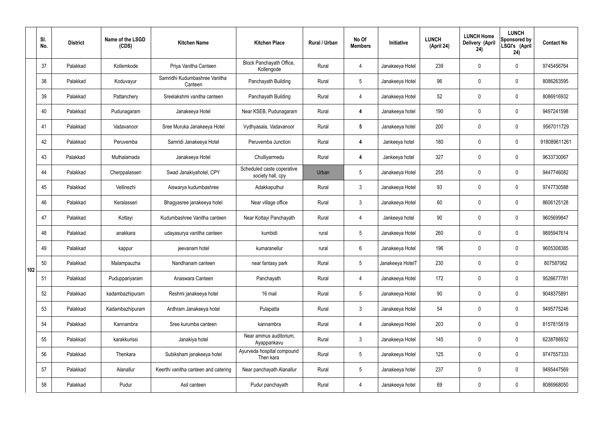|     | SI.<br>No. | <b>District</b> | Name of the LSGD<br>(CDS) | <b>Kitchen Name</b>                      | <b>Kitchen Place</b>                            | <b>Rural / Urban</b> | No Of<br><b>Members</b> | Initiative       | <b>LUNCH</b><br>(April 24) | <b>LUNCH Home</b><br>Delivery (April<br>24) | <b>LUNCH</b><br>Sponsored by<br>LSGI's (April<br>24) | <b>Contact No</b> |
|-----|------------|-----------------|---------------------------|------------------------------------------|-------------------------------------------------|----------------------|-------------------------|------------------|----------------------------|---------------------------------------------|------------------------------------------------------|-------------------|
|     | 37         | Palakkad        | Kollemkode                | Priya Vanitha Canteen                    | Block Panchayath Office,<br>Kollengode          | Rural                | $\overline{4}$          | Janakeeya Hotel  | 239                        | $\mathbf 0$                                 | $\mathbf 0$                                          | 9745456764        |
|     | 38         | Palakkad        | Koduvayur                 | Samridhi Kudumbashree Vanitha<br>Canteen | Panchayath Building                             | Rural                | $5\overline{)}$         | Janakeeya Hotel  | 96                         | $\mathbf 0$                                 | $\mathbf 0$                                          | 8086263595        |
|     | 39         | Palakkad        | Pattanchery               | Sreelakshmi vanitha canteen              | Panchayath Building                             | Rural                | 4                       | Janakeeya Hotel  | 52                         | $\mathbf 0$                                 | $\mathbf 0$                                          | 8086916932        |
|     | 40         | Palakkad        | Pudunagaram               | Janakeeya Hotel                          | Near KSEB, Pudunagaram                          | Rural                | 4                       | Janakeeya hotel  | 190                        | $\mathbf 0$                                 | $\mathbf 0$                                          | 9497241598        |
|     | 41         | Palakkad        | Vadavanoor                | Sree Muruka Janakeeya Hotel              | Vydhyasala, Vadavanoor                          | Rural                | $5\phantom{.0}$         | Janakeeya hotel  | 200                        | $\mathbf 0$                                 | $\mathbf 0$                                          | 9567011729        |
|     | 42         | Palakkad        | Peruvemba                 | Samridi Janakeeya Hotel                  | Peruvemba Junction                              | Rural                | 4                       | Jankeeya hotel   | 180                        | $\mathbf 0$                                 | $\mathbf 0$                                          | 918089611261      |
|     | 43         | Palakkad        | Muthalamada               | Janakeeya Hotel                          | Chulliyarmedu                                   | Rural                | 4                       | Jankeeya hotel   | 327                        | $\mathbf 0$                                 | $\mathbf 0$                                          | 9633730067        |
|     | 44         | Palakkad        | Cherppalasseri            | Swad Janakiyahotel, CPY                  | Scheduled caste coperative<br>society hall, cpy | Urban                | 5                       | Janakeeya Hotel  | 255                        | $\mathbf 0$                                 | $\mathbf 0$                                          | 9447746082        |
|     | 45         | Palakkad        | Vellinezhi                | Aiswarya kudumbashree                    | Adakkaputhur                                    | Rural                | $\mathbf{3}$            | Janakeeya Hotel  | 93                         | $\mathbf 0$                                 | $\mathbf 0$                                          | 9747730588        |
|     | 46         | Palakkad        | Keralasseri               | Bhagyasree janakeeya hotel               | Near village office                             | Rural                | $\mathfrak{Z}$          | Janakeeya Hotel  | 60                         | 0                                           | $\mathbf 0$                                          | 8606125128        |
|     | 47         | Palakkad        | Kottayi                   | Kudumbashree Vanitha canteen             | Near Kottayi Panchayath                         | Rural                | 4                       | Jankeeya hotel   | 90                         | $\mathbf 0$                                 | $\mathbf 0$                                          | 9605699847        |
|     | 48         | Palakkad        | anakkara                  | udayasurya vanitha canteen               | kumbidi                                         | rural                | $5\overline{)}$         | Janakeeya Hotel  | 260                        | $\mathbf 0$                                 | $\mathbf 0$                                          | 9895947614        |
|     | 49         | Palakkad        | kappur                    | jeevanam hotel                           | kumaranellur                                    | rural                | 6                       | Janakeeya Hotel  | 196                        | $\mathbf 0$                                 | $\mathbf 0$                                          | 9605308385        |
| 102 | 50         | Palakkad        | Malampauzha               | Nandhanam canteen                        | near fantasy park                               | Rural                | 5 <sub>5</sub>          | Janakeeya HotelT | 230                        | $\mathbf 0$                                 | $\mathbf 0$                                          | 807587062         |
|     | 51         | Palakkad        | Puduppariyaram            | Anaswara Canteen                         | Panchayath                                      | Rural                | $\overline{4}$          | Janakeeya Hotel  | 172                        | $\pmb{0}$                                   | $\mathbf 0$                                          | 9526677781        |
|     | 52         | Palakkad        | kadambazhipuram           | Reshmi janakeeya hotel                   | 16 mail                                         | Rural                | $5\phantom{.0}$         | Janakeeya Hotel  | $90\,$                     | $\pmb{0}$                                   | $\mathbf 0$                                          | 9048375891        |
|     | 53         | Palakkad        | Kadambazhipuram           | Ardhram Janakeeya hotel                  | Pulapatta                                       | Rural                | $\mathbf{3}$            | Janakeeya Hotel  | 54                         | $\pmb{0}$                                   | $\mathbf 0$                                          | 9495775246        |
|     | 54         | Palakkad        | Kannambra                 | Sree kurumba canteen                     | kannambra                                       | Rural                | $\overline{4}$          | Janakeeya Hotel  | 203                        | $\mathbf 0$                                 | $\mathbf 0$                                          | 8157815819        |
|     | 55         | Palakkad        | karakkurissi              | Janakiya hotel                           | Near ammus auditorium,<br>Ayappankavu           | Rural                | $\mathbf{3}$            | Janakeeya Hotel  | 145                        | $\pmb{0}$                                   | $\mathbf 0$                                          | 6238788932        |
|     | 56         | Palakkad        | Thenkara                  | Subiksham janakeeya hotel                | Ayurveda hospital compound<br>Then kara         | Rural                | $5\overline{)}$         | Janakeeya Hotel  | 125                        | $\mathbf 0$                                 | $\mathbf 0$                                          | 9747557333        |
|     | 57         | Palakkad        | Alanallur                 | Keerthi vanitha canteen and catering     | Near panchayath Alanallur                       | Rural                | $5\,$                   | Janakeeya hotel  | 237                        | $\pmb{0}$                                   | $\mathbf 0$                                          | 9495447569        |
|     | 58         | Palakkad        | Pudur                     | Asil canteen                             | Pudur panchayath                                | Rural                | $\overline{4}$          | Janakeeya hotel  | 69                         | $\pmb{0}$                                   | $\boldsymbol{0}$                                     | 8086968050        |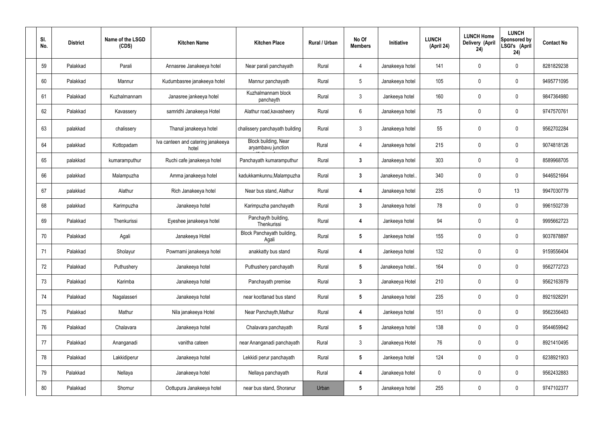| SI.<br>No. | <b>District</b> | Name of the LSGD<br>(CDS) | <b>Kitchen Name</b>                         | <b>Kitchen Place</b>                       | Rural / Urban | No Of<br><b>Members</b> | <b>Initiative</b> | <b>LUNCH</b><br>(April 24) | <b>LUNCH Home</b><br>Delivery (April<br>24) | <b>LUNCH</b><br>Sponsored by<br>LSGI's (April<br>24) | <b>Contact No</b> |
|------------|-----------------|---------------------------|---------------------------------------------|--------------------------------------------|---------------|-------------------------|-------------------|----------------------------|---------------------------------------------|------------------------------------------------------|-------------------|
| 59         | Palakkad        | Parali                    | Annasree Janakeeya hotel                    | Near parali panchayath                     | Rural         | 4                       | Janakeeya hotel   | 141                        | 0                                           | $\mathbf 0$                                          | 8281829238        |
| 60         | Palakkad        | Mannur                    | Kudumbasree janakeeya hotel                 | Mannur panchayath                          | Rural         | $5\phantom{.0}$         | Janakeeya hotel   | 105                        | 0                                           | $\mathbf 0$                                          | 9495771095        |
| 61         | Palakkad        | Kuzhalmannam              | Janasree jankeeya hotel                     | Kuzhalmannam block<br>panchayth            | Rural         | $\mathbf{3}$            | Jankeeya hotel    | 160                        | 0                                           | $\mathbf 0$                                          | 9847364980        |
| 62         | Palakkad        | Kavassery                 | samridhi Janakeeya Hotel                    | Alathur road, kavasheery                   | Rural         | $6\phantom{.}6$         | Janakeeya hotel   | 75                         | $\mathbf 0$                                 | $\mathbf 0$                                          | 9747570761        |
| 63         | palakkad        | chalissery                | Thanal janakeeya hotel                      | chalissery panchayath building             | Rural         | $\mathfrak{Z}$          | Janakeeya hotel   | 55                         | $\boldsymbol{0}$                            | $\boldsymbol{0}$                                     | 9562702284        |
| 64         | palakkad        | Kottopadam                | Iva canteen and catering janakeeya<br>hotel | Block building, Near<br>aryambavu junction | Rural         | 4                       | Janakeeya hotel   | 215                        | 0                                           | $\mathbf 0$                                          | 9074818126        |
| 65         | palakkad        | kumaramputhur             | Ruchi cafe janakeeya hotel                  | Panchayath kumaramputhur                   | Rural         | $\mathbf{3}$            | Janakeeya hotel   | 303                        | $\mathbf 0$                                 | $\mathbf 0$                                          | 8589968705        |
| 66         | palakkad        | Malampuzha                | Amma janakeeya hotel                        | kadukkamkunnu, Malampuzha                  | Rural         | $\mathbf{3}$            | Janakeeya hotel.  | 340                        | 0                                           | $\mathbf 0$                                          | 9446521664        |
| 67         | palakkad        | Alathur                   | Rich Janakeeya hotel                        | Near bus stand, Alathur                    | Rural         | 4                       | Janakeeya hotel   | 235                        | 0                                           | 13                                                   | 9947030779        |
| 68         | palakkad        | Karimpuzha                | Janakeeya hotel                             | Karimpuzha panchayath                      | Rural         | $\mathbf{3}$            | Janakeeya hotel   | 78                         | 0                                           | $\mathbf 0$                                          | 9961502739        |
| 69         | Palakkad        | Thenkurissi               | Eyeshee janakeeya hotel                     | Panchayth building,<br>Thenkurissi         | Rural         | 4                       | Jankeeya hotel    | 94                         | $\mathbf 0$                                 | $\mathbf 0$                                          | 9995662723        |
| 70         | Palakkad        | Agali                     | Janakeeya Hotel                             | Block Panchayath building,<br>Agali        | Rural         | $5\phantom{.0}$         | Jankeeya hotel    | 155                        | 0                                           | $\mathbf 0$                                          | 9037878897        |
| 71         | Palakkad        | Sholayur                  | Powrnami janakeeya hotel                    | anakkatty bus stand                        | Rural         | 4                       | Jankeeya hotel    | 132                        | 0                                           | $\mathbf{0}$                                         | 9159556404        |
| 72         | Palakkad        | Puthushery                | Janakeeya hotel                             | Puthushery panchayath                      | Rural         | $5\phantom{.0}$         | Janakeeya hotel   | 164                        | 0                                           | $\mathbf 0$                                          | 9562772723        |
| 73         | Palakkad        | Karimba                   | Janakeeya hotel                             | Panchayath premise                         | Rural         | $3\phantom{a}$          | Janakeeya Hotel   | 210                        | 0                                           | $\mathbf 0$                                          | 9562163979        |
| 74         | Palakkad        | Nagalasseri               | Janakeeya hotel                             | near koottanad bus stand                   | Rural         | $5\phantom{.0}$         | Janakeeya hotel   | 235                        | 0                                           | $\mathbf 0$                                          | 8921928291        |
| 75         | Palakkad        | Mathur                    | Nila janakeeya Hotel                        | Near Panchayth, Mathur                     | Rural         | 4                       | Jankeeya hotel    | 151                        | 0                                           | $\mathbf 0$                                          | 9562356483        |
| 76         | Palakkad        | Chalavara                 | Janakeeya hotel                             | Chalavara panchayath                       | Rural         | $5\phantom{.0}$         | Janakeeya hotel   | 138                        | 0                                           | $\boldsymbol{0}$                                     | 9544659942        |
| 77         | Palakkad        | Ananganadi                | vanitha cateen                              | near Ananganadi panchayath                 | Rural         | $\mathbf{3}$            | Janakeeya Hotel   | 76                         | 0                                           | $\boldsymbol{0}$                                     | 8921410495        |
| 78         | Palakkad        | Lakkidiperur              | Janakeeya hotel                             | Lekkidi perur panchayath                   | Rural         | $5\phantom{.0}$         | Jankeeya hotel    | 124                        | 0                                           | $\boldsymbol{0}$                                     | 6238921903        |
| 79         | Palakkad        | Nellaya                   | Janakeeya hotel                             | Nellaya panchayath                         | Rural         | 4                       | Janakeeya hotel   | 0                          | 0                                           | $\boldsymbol{0}$                                     | 9562432883        |
| 80         | Palakkad        | Shornur                   | Oottupura Janakeeya hotel                   | near bus stand, Shoranur                   | Urban         | $5\phantom{.0}$         | Janakeeya hotel   | 255                        | 0                                           | $\overline{0}$                                       | 9747102377        |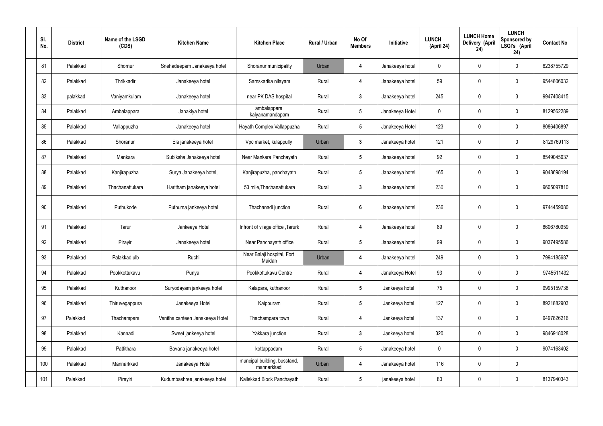| SI.<br>No. | <b>District</b> | Name of the LSGD<br>(CDS) | <b>Kitchen Name</b>             | <b>Kitchen Place</b>                       | Rural / Urban | No Of<br><b>Members</b> | Initiative      | <b>LUNCH</b><br>(April 24) | <b>LUNCH Home</b><br>Delivery (April<br>24) | <b>LUNCH</b><br>Sponsored by<br>LSGI's (April<br>24) | <b>Contact No</b> |
|------------|-----------------|---------------------------|---------------------------------|--------------------------------------------|---------------|-------------------------|-----------------|----------------------------|---------------------------------------------|------------------------------------------------------|-------------------|
| 81         | Palakkad        | Shornur                   | Snehadeepam Janakeeya hotel     | Shoranur municipality                      | Urban         | 4                       | Janakeeya hotel | 0                          | $\mathbf 0$                                 | $\mathbf 0$                                          | 6238755729        |
| 82         | Palakkad        | Thrikkadiri               | Janakeeya hotel                 | Samskarika nilayam                         | Rural         | 4                       | Janakeeya hotel | 59                         | $\mathbf 0$                                 | $\mathbf 0$                                          | 9544806032        |
| 83         | palakkad        | Vaniyamkulam              | Janakeeya hotel                 | near PK DAS hospital                       | Rural         | $3\phantom{a}$          | Janakeeya hotel | 245                        | 0                                           | $\mathfrak{Z}$                                       | 9947408415        |
| 84         | Palakkad        | Ambalappara               | Janakiya hotel                  | ambalappara<br>kalyanamandapam             | Rural         | $5\overline{)}$         | Janakeeya Hotel | $\mathbf 0$                | $\mathbf 0$                                 | $\mathbf 0$                                          | 8129562289        |
| 85         | Palakkad        | Vallappuzha               | Janakeeya hotel                 | Hayath Complex, Vallappuzha                | Rural         | $5\phantom{.0}$         | Janakeeya Hotel | 123                        | $\mathbf 0$                                 | $\mathbf 0$                                          | 8086406897        |
| 86         | Palakkad        | Shoranur                  | Ela janakeeya hotel             | Vpc market, kulappully                     | Urban         | $\mathbf{3}$            | Janakeeya hotel | 121                        | $\pmb{0}$                                   | $\mathbf 0$                                          | 8129769113        |
| 87         | Palakkad        | Mankara                   | Subiksha Janakeeya hotel        | Near Mankara Panchayath                    | Rural         | $5\phantom{.0}$         | Janakeeya hotel | 92                         | $\mathbf 0$                                 | $\mathbf 0$                                          | 8549045637        |
| 88         | Palakkad        | Kanjirapuzha              | Surya Janakeeya hotel,          | Kanjirapuzha, panchayath                   | Rural         | $5\phantom{.0}$         | Janakeeya hotel | 165                        | $\mathbf 0$                                 | $\mathbf 0$                                          | 9048698194        |
| 89         | Palakkad        | Thachanattukara           | Haritham janakeeya hotel        | 53 mile, Thachanattukara                   | Rural         | $3\phantom{a}$          | Janakeeya hotel | 230                        | 0                                           | $\mathbf 0$                                          | 9605097810        |
| 90         | Palakkad        | Puthukode                 | Puthuma jankeeya hotel          | Thachanadi junction                        | Rural         | $6\phantom{1}$          | Janakeeya hotel | 236                        | $\mathbf 0$                                 | $\mathbf 0$                                          | 9744459080        |
| 91         | Palakkad        | Tarur                     | Jankeeya Hotel                  | Infront of vilage office, Tarurk           | Rural         | 4                       | Janakeeya hotel | 89                         | 0                                           | $\mathbf 0$                                          | 8606780959        |
| 92         | Palakkad        | Pirayiri                  | Janakeeya hotel                 | Near Panchayath office                     | Rural         | $5\phantom{.0}$         | Janakeeya hotel | 99                         | 0                                           | $\mathbf 0$                                          | 9037495586        |
| 93         | Palakkad        | Palakkad ulb              | Ruchi                           | Near Balaji hospital, Fort<br>Maidan       | Urban         | 4                       | Janakeeya hotel | 249                        | $\pmb{0}$                                   | $\mathbf 0$                                          | 7994185687        |
| 94         | Palakkad        | Pookkottukavu             | Punya                           | Pookkottukavu Centre                       | Rural         | 4                       | Janakeeya Hotel | 93                         | $\pmb{0}$                                   | $\mathbf 0$                                          | 9745511432        |
| 95         | Palakkad        | Kuthanoor                 | Suryodayam jankeeya hotel       | Kalapara, kuthanoor                        | Rural         | $5\phantom{.0}$         | Jankeeya hotel  | 75                         | $\pmb{0}$                                   | $\mathbf 0$                                          | 9995159738        |
| 96         | Palakkad        | Thiruvegappura            | Janakeeya Hotel                 | Kaippuram                                  | Rural         | $5\phantom{.0}$         | Jankeeya hotel  | 127                        | $\pmb{0}$                                   | $\mathbf 0$                                          | 8921882903        |
| 97         | Palakkad        | Thachampara               | Vanitha canteen Janakeeya Hotel | Thachampara town                           | Rural         | 4                       | Jankeeya hotel  | 137                        | $\pmb{0}$                                   | $\mathbf 0$                                          | 9497826216        |
| 98         | Palakkad        | Kannadi                   | Sweet jankeeya hotel            | Yakkara junction                           | Rural         | $\mathbf{3}$            | Jankeeya hotel  | 320                        | $\pmb{0}$                                   | $\mathbf 0$                                          | 9846918028        |
| 99         | Palakkad        | Pattithara                | Bavana janakeeya hotel          | kottappadam                                | Rural         | $5\phantom{.0}$         | Janakeeya hotel | $\boldsymbol{0}$           | $\pmb{0}$                                   | $\mathbf 0$                                          | 9074163402        |
| 100        | Palakkad        | Mannarkkad                | Janakeeya Hotel                 | muncipal building, busstand,<br>mannarkkad | Urban         | 4                       | Janakeeya hotel | 116                        | $\pmb{0}$                                   | $\mathbf 0$                                          |                   |
| 101        | Palakkad        | Pirayiri                  | Kudumbashree janakeeya hotel    | Kallekkad Block Panchayath                 | Rural         | $5\phantom{.0}$         | janakeeya hotel | 80                         | $\pmb{0}$                                   | $\boldsymbol{0}$                                     | 8137940343        |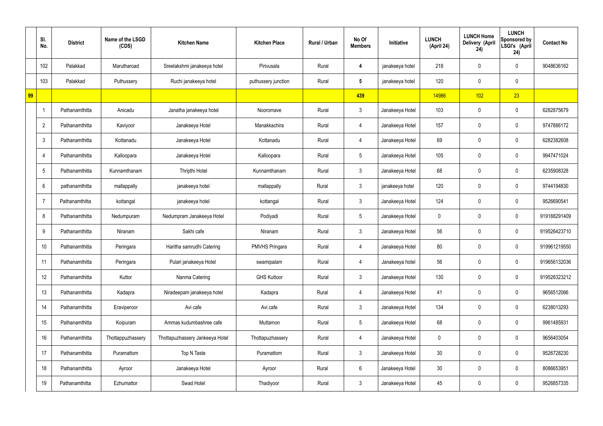|    | SI.<br>No.      | <b>District</b> | Name of the LSGD<br>(CDS) | <b>Kitchen Name</b>             | <b>Kitchen Place</b>  | Rural / Urban | No Of<br><b>Members</b> | Initiative      | <b>LUNCH</b><br>(April 24) | <b>LUNCH Home</b><br>Delivery (April<br>24) | <b>LUNCH</b><br>Sponsored by<br>LSGI's (April<br>24) | <b>Contact No</b> |
|----|-----------------|-----------------|---------------------------|---------------------------------|-----------------------|---------------|-------------------------|-----------------|----------------------------|---------------------------------------------|------------------------------------------------------|-------------------|
|    | 102             | Palakkad        | Marutharoad               | Sreelakshmi janakeeya hotel     | Pirivusala            | Rural         | 4                       | janakeeya hotel | 218                        | 0                                           | $\mathbf 0$                                          | 9048636162        |
|    | 103             | Palakkad        | Puthussery                | Ruchi janakeeya hotel           | puthussery junction   | Rural         | $5\overline{)}$         | janakeeya hotel | 120                        | $\mathbf 0$                                 | $\mathbf 0$                                          |                   |
| 99 |                 |                 |                           |                                 |                       |               | 439                     |                 | 14986                      | 102                                         | 23                                                   |                   |
|    |                 | Pathanamthitta  | Anicadu                   | Janatha janakeeya hotel         | Nooromave             | Rural         | $\mathbf{3}$            | Janakeeya Hotel | 103                        | $\mathbf 0$                                 | $\mathbf 0$                                          | 6282875679        |
|    | $\overline{2}$  | Pathanamthitta  | Kaviyoor                  | Janakeeya Hotel                 | Manakkachira          | Rural         | 4                       | Janakeeya Hotel | 157                        | 0                                           | $\mathbf 0$                                          | 9747886172        |
|    | $\mathbf{3}$    | Pathanamthitta  | Kottanadu                 | Janakeeya Hotel                 | Kottanadu             | Rural         | 4                       | Janakeeya Hotel | 69                         | 0                                           | $\overline{0}$                                       | 6282382608        |
|    | $\overline{4}$  | Pathanamthitta  | Kalloopara                | Janakeeya Hotel                 | Kalloopara            | Rural         | $5\overline{)}$         | Janakeeya Hotel | 105                        | 0                                           | $\mathbf 0$                                          | 9947471024        |
|    | $5\phantom{.0}$ | Pathanamthitta  | Kunnamthanam              | Thripthi Hotel                  | Kunnamthanam          | Rural         | $\mathbf{3}$            | Janakeeya Hotel | 68                         | $\mathbf 0$                                 | $\mathbf 0$                                          | 6235908328        |
|    | 6               | pathanamthitta  | mallappally               | janakeeya hotel                 | mallappally           | Rural         | $\mathbf{3}$            | janakeeya hotel | 120                        | 0                                           | $\mathbf 0$                                          | 9744194830        |
|    | 7               | Pathanamthitta  | kottangal                 | janakeeya hotel                 | kottangal             | Rural         | $\mathbf{3}$            | Janakeeya Hotel | 124                        | $\mathbf 0$                                 | $\mathbf 0$                                          | 9526690541        |
|    | 8               | Pathanamthitta  | Nedumpuram                | Nedumpram Janakeeya Hotel       | Podiyadi              | Rural         | $5\overline{)}$         | Janakeeya Hotel | 0                          | 0                                           | $\mathbf 0$                                          | 919188291409      |
|    | 9               | Pathanamthitta  | Niranam                   | Sakhi cafe                      | Niranam               | Rural         | $\mathbf{3}$            | Janakeeya Hotel | 56                         | 0                                           | $\mathbf 0$                                          | 919526423710      |
|    | 10              | Pathanamthitta  | Peringara                 | Haritha samrudhi Catering       | <b>PMVHS Pringara</b> | Rural         | 4                       | Janakeeya Hotel | 80                         | 0                                           | $\mathbf 0$                                          | 919961219550      |
|    | 11              | Pathanamthitta  | Peringara                 | Pulari janakeeya Hotel          | swamipalam            | Rural         | 4                       | Janakeeya hotel | 56                         | $\mathbf 0$                                 | $\mathbf 0$                                          | 919656132036      |
|    | 12              | Pathanamthitta  | Kuttor                    | Nanma Catering                  | <b>GHS Kuttoor</b>    | Rural         | 3 <sup>1</sup>          | Janakeeya Hotel | 130                        | 0                                           | $\mathbf 0$                                          | 919526323212      |
|    | 13              | Pathanamthitta  | Kadapra                   | Niradeepam janakeeya hotel      | Kadapra               | Rural         | 4                       | Janakeeya Hotel | 41                         | 0                                           | $\mathbf 0$                                          | 9656512066        |
|    | 14              | Pathanamthitta  | Eraviperoor               | Avi cafe                        | Avi cafe              | Rural         | $\mathbf{3}$            | Janakeeya Hotel | 134                        | 0                                           | $\mathbf 0$                                          | 6238013293        |
|    | 15              | Pathanamthitta  | Koipuram                  | Ammas kudumbashree cafe         | Muttamon              | Rural         | $5\overline{)}$         | Janakeeya Hotel | 68                         | 0                                           | $\mathbf 0$                                          | 9961485931        |
|    | 16              | Pathanamthitta  | Thottappuzhassery         | Thottapuzhassery Jankeeya Hotel | Thottapuzhassery      | Rural         | 4                       | Janakeeya Hotel | $\mathbf 0$                | 0                                           | $\mathbf 0$                                          | 9656403054        |
|    | 17              | Pathanamthitta  | Puramattom                | Top N Taste                     | Puramattom            | Rural         | $\mathbf{3}$            | Janakeeya Hotel | 30 <sub>o</sub>            | 0                                           | $\mathbf 0$                                          | 9526728230        |
|    | 18              | Pathanamthitta  | Ayroor                    | Janakeeya Hotel                 | Ayroor                | Rural         | $6\phantom{.}6$         | Janakeeya Hotel | 30 <sub>o</sub>            | 0                                           | $\mathbf 0$                                          | 8086653951        |
|    | 19              | Pathanamthitta  | Ezhumattor                | Swad Hotel                      | Thadiyoor             | Rural         | $\mathfrak{Z}$          | Janakeeya Hotel | 45                         | 0                                           | $\overline{0}$                                       | 9526857335        |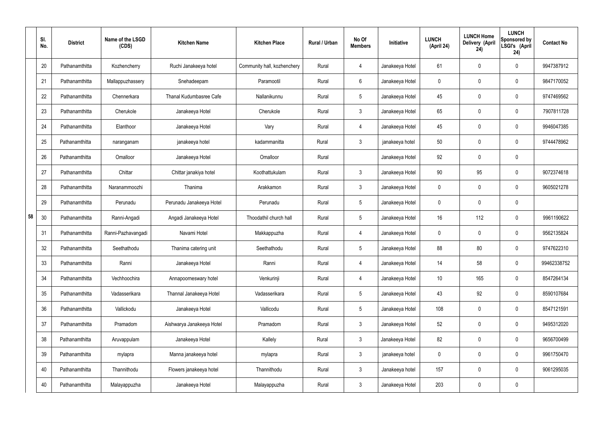|    | SI.<br>No. | <b>District</b> | Name of the LSGD<br>(CDS) | <b>Kitchen Name</b>       | <b>Kitchen Place</b>        | Rural / Urban | No Of<br><b>Members</b> | Initiative      | <b>LUNCH</b><br>(April 24) | <b>LUNCH Home</b><br>Delivery (April<br>24) | <b>LUNCH</b><br>Sponsored by<br>LSGI's (April<br>24) | <b>Contact No</b> |
|----|------------|-----------------|---------------------------|---------------------------|-----------------------------|---------------|-------------------------|-----------------|----------------------------|---------------------------------------------|------------------------------------------------------|-------------------|
|    | 20         | Pathanamthitta  | Kozhencherry              | Ruchi Janakeeya hotel     | Community hall, kozhenchery | Rural         | $\overline{4}$          | Janakeeya Hotel | 61                         | 0                                           | $\mathbf 0$                                          | 9947387912        |
|    | 21         | Pathanamthitta  | Mallappuzhassery          | Snehadeepam               | Paramootil                  | Rural         | 6                       | Janakeeya Hotel | $\mathbf 0$                | 0                                           | $\pmb{0}$                                            | 9847170052        |
|    | 22         | Pathanamthitta  | Chennerkara               | Thanal Kudumbasree Cafe   | Nallanikunnu                | Rural         | $5\phantom{.0}$         | Janakeeya Hotel | 45                         | 0                                           | $\mathbf 0$                                          | 9747469562        |
|    | 23         | Pathanamthitta  | Cherukole                 | Janakeeya Hotel           | Cherukole                   | Rural         | $\mathbf{3}$            | Janakeeya Hotel | 65                         | 0                                           | $\mathbf 0$                                          | 7907811728        |
|    | 24         | Pathanamthitta  | Elanthoor                 | Janakeeya Hotel           | Vary                        | Rural         | $\overline{4}$          | Janakeeya Hotel | 45                         | 0                                           | $\mathbf 0$                                          | 9946047385        |
|    | 25         | Pathanamthitta  | naranganam                | janakeeya hotel           | kadammanitta                | Rural         | $\mathbf{3}$            | janakeeya hotel | 50                         | 0                                           | $\mathbf 0$                                          | 9744478962        |
|    | 26         | Pathanamthitta  | Omalloor                  | Janakeeya Hotel           | Omalloor                    | Rural         |                         | Janakeeya Hotel | 92                         | $\mathbf 0$                                 | $\mathbf 0$                                          |                   |
|    | 27         | Pathanamthitta  | Chittar                   | Chittar janakiya hotel    | Koothattukulam              | Rural         | $\mathbf{3}$            | Janakeeya Hotel | 90                         | 95                                          | $\mathbf 0$                                          | 9072374618        |
|    | 28         | Pathanamthitta  | Naranammoozhi             | Thanima                   | Arakkamon                   | Rural         | $\mathbf{3}$            | Janakeeya Hotel | $\mathbf 0$                | 0                                           | $\mathbf 0$                                          | 9605021278        |
|    | 29         | Pathanamthitta  | Perunadu                  | Perunadu Janakeeya Hotel  | Perunadu                    | Rural         | $5\,$                   | Janakeeya Hotel | $\mathbf 0$                | 0                                           | $\mathbf 0$                                          |                   |
| 58 | 30         | Pathanamthitta  | Ranni-Angadi              | Angadi Janakeeya Hotel    | Thoodathil church hall      | Rural         | $5\phantom{.0}$         | Janakeeya Hotel | 16                         | 112                                         | $\mathbf 0$                                          | 9961190622        |
|    | 31         | Pathanamthitta  | Ranni-Pazhavangadi        | Navami Hotel              | Makkappuzha                 | Rural         | 4                       | Janakeeya Hotel | $\mathbf 0$                | 0                                           | $\boldsymbol{0}$                                     | 9562135824        |
|    | 32         | Pathanamthitta  | Seethathodu               | Thanima catering unit     | Seethathodu                 | Rural         | $5\phantom{.0}$         | Janakeeya Hotel | 88                         | 80                                          | $\boldsymbol{0}$                                     | 9747622310        |
|    | 33         | Pathanamthitta  | Ranni                     | Janakeeya Hotel           | Ranni                       | Rural         | $\overline{4}$          | Janakeeya Hotel | 14                         | 58                                          | $\mathbf 0$                                          | 99462338752       |
|    | 34         | Pathanamthitta  | Vechhoochira              | Annapoorneswary hotel     | Venkurinji                  | Rural         | $\overline{4}$          | Janakeeya Hotel | 10 <sup>°</sup>            | 165                                         | $\mathbf 0$                                          | 8547264134        |
|    | 35         | Pathanamthitta  | Vadasserikara             | Thannal Janakeeya Hotel   | Vadasserikara               | Rural         | $5\phantom{.0}$         | Janakeeya Hotel | 43                         | 92                                          | $\mathbf 0$                                          | 8590107684        |
|    | 36         | Pathanamthitta  | Vallickodu                | Janakeeya Hotel           | Vallicodu                   | Rural         | $5\phantom{.0}$         | Janakeeya Hotel | 108                        | 0                                           | $\mathbf 0$                                          | 8547121591        |
|    | 37         | Pathanamthitta  | Pramadom                  | Aishwarya Janakeeya Hotel | Pramadom                    | Rural         | $\mathbf{3}$            | Janakeeya Hotel | 52                         | 0                                           | $\mathbf 0$                                          | 9495312020        |
|    | 38         | Pathanamthitta  | Aruvappulam               | Janakeeya Hotel           | Kallely                     | Rural         | $\mathfrak{Z}$          | Janakeeya Hotel | 82                         | 0                                           | $\mathbf 0$                                          | 9656700499        |
|    | 39         | Pathanamthitta  | mylapra                   | Manna janakeeya hotel     | mylapra                     | Rural         | $\mathfrak{Z}$          | janakeeya hotel | 0                          | 0                                           | $\mathbf 0$                                          | 9961750470        |
|    | 40         | Pathanamthitta  | Thannithodu               | Flowers janakeeya hotel   | Thannithodu                 | Rural         | $\mathfrak{Z}$          | Janakeeya hotel | 157                        | 0                                           | $\mathbf 0$                                          | 9061295035        |
|    | 40         | Pathanamthitta  | Malayappuzha              | Janakeeya Hotel           | Malayappuzha                | Rural         | $\mathfrak{Z}$          | Janakeeya Hotel | 203                        | 0                                           | $\pmb{0}$                                            |                   |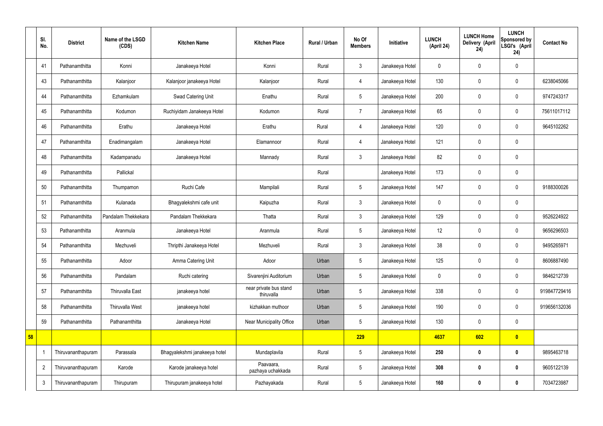|    | SI.<br>No.     | <b>District</b>    | Name of the LSGD<br>(CDS) | <b>Kitchen Name</b>           | <b>Kitchen Place</b>                 | Rural / Urban | No Of<br><b>Members</b> | Initiative      | <b>LUNCH</b><br>(April 24) | <b>LUNCH Home</b><br>Delivery (April<br>24) | <b>LUNCH</b><br>Sponsored by<br>LSGI's (April<br>24) | <b>Contact No</b> |
|----|----------------|--------------------|---------------------------|-------------------------------|--------------------------------------|---------------|-------------------------|-----------------|----------------------------|---------------------------------------------|------------------------------------------------------|-------------------|
|    | 41             | Pathanamthitta     | Konni                     | Janakeeya Hotel               | Konni                                | Rural         | 3                       | Janakeeya Hotel | $\mathbf 0$                | $\mathbf 0$                                 | $\mathbf 0$                                          |                   |
|    | 43             | Pathanamthitta     | Kalanjoor                 | Kalanjoor janakeeya Hotel     | Kalanjoor                            | Rural         | $\overline{4}$          | Janakeeya Hotel | 130                        | $\mathbf 0$                                 | $\mathbf 0$                                          | 6238045066        |
|    | 44             | Pathanamthitta     | Ezhamkulam                | Swad Catering Unit            | Enathu                               | Rural         | $5\overline{)}$         | Janakeeya Hotel | 200                        | $\mathbf 0$                                 | $\mathbf 0$                                          | 9747243317        |
|    | 45             | Pathanamthitta     | Kodumon                   | Ruchiyidam Janakeeya Hotel    | Kodumon                              | Rural         | $\overline{7}$          | Janakeeya Hotel | 65                         | $\mathbf 0$                                 | $\mathbf 0$                                          | 75611017112       |
|    | 46             | Pathanamthitta     | Erathu                    | Janakeeya Hotel               | Erathu                               | Rural         | 4                       | Janakeeya Hotel | 120                        | $\mathbf 0$                                 | $\mathbf 0$                                          | 9645102262        |
|    | 47             | Pathanamthitta     | Enadimangalam             | Janakeeya Hotel               | Elamannoor                           | Rural         | $\overline{4}$          | Janakeeya Hotel | 121                        | $\mathbf 0$                                 | $\mathbf 0$                                          |                   |
|    | 48             | Pathanamthitta     | Kadampanadu               | Janakeeya Hotel               | Mannady                              | Rural         | 3                       | Janakeeya Hotel | 82                         | $\pmb{0}$                                   | $\mathbf 0$                                          |                   |
|    | 49             | Pathanamthitta     | Pallickal                 |                               |                                      | Rural         |                         | Janakeeya Hotel | 173                        | $\mathbf 0$                                 | $\mathbf 0$                                          |                   |
|    | 50             | Pathanamthitta     | Thumpamon                 | Ruchi Cafe                    | Mampilali                            | Rural         | $5\phantom{.0}$         | Janakeeya Hotel | 147                        | $\mathbf 0$                                 | $\mathbf 0$                                          | 9188300026        |
|    | 51             | Pathanamthitta     | Kulanada                  | Bhagyalekshmi cafe unit       | Kaipuzha                             | Rural         | 3                       | Janakeeya Hotel | $\mathbf 0$                | $\mathbf 0$                                 | $\mathbf 0$                                          |                   |
|    | 52             | Pathanamthitta     | Pandalam Thekkekara       | Pandalam Thekkekara           | Thatta                               | Rural         | 3                       | Janakeeya Hotel | 129                        | $\mathbf 0$                                 | $\mathbf 0$                                          | 9526224922        |
|    | 53             | Pathanamthitta     | Aranmula                  | Janakeeya Hotel               | Aranmula                             | Rural         | 5 <sub>5</sub>          | Janakeeya Hotel | 12                         | $\pmb{0}$                                   | $\mathbf 0$                                          | 9656296503        |
|    | 54             | Pathanamthitta     | Mezhuveli                 | Thripthi Janakeeya Hotel      | Mezhuveli                            | Rural         | 3                       | Janakeeya Hotel | 38                         | $\mathbf 0$                                 | $\mathbf 0$                                          | 9495265971        |
|    | 55             | Pathanamthitta     | Adoor                     | Amma Catering Unit            | Adoor                                | Urban         | $5\phantom{.0}$         | Janakeeya Hotel | 125                        | $\pmb{0}$                                   | $\mathbf 0$                                          | 8606887490        |
|    | 56             | Pathanamthitta     | Pandalam                  | Ruchi catering                | Sivarenjini Auditorium               | Urban         | 5 <sub>5</sub>          | Janakeeya Hotel | $\pmb{0}$                  | $\pmb{0}$                                   | $\mathbf 0$                                          | 9846212739        |
|    | 57             | Pathanamthitta     | Thiruvalla East           | janakeeya hotel               | near private bus stand<br>thiruvalla | Urban         | $5\phantom{.0}$         | Janakeeya Hotel | 338                        | $\pmb{0}$                                   | $\pmb{0}$                                            | 919847729416      |
|    | 58             | Pathanamthitta     | <b>Thiruvalla West</b>    | janakeeya hotel               | kizhakkan muthoor                    | Urban         | $5\phantom{.0}$         | Janakeeya Hotel | 190                        | $\mathbf 0$                                 | $\mathbf 0$                                          | 919656132036      |
|    | 59             | Pathanamthitta     | Pathanamthitta            | Janakeeya Hotel               | Near Municipality Office             | Urban         | $5\phantom{.0}$         | Janakeeya Hotel | 130                        | $\mathbf 0$                                 | $\mathbf 0$                                          |                   |
| 58 |                |                    |                           |                               |                                      |               | 229                     |                 | 4637                       | 602                                         | $\bullet$                                            |                   |
|    |                | Thiruvananthapuram | Parassala                 | Bhagyalekshmi janakeeya hotel | Mundaplavila                         | Rural         | $5\phantom{.0}$         | Janakeeya Hotel | 250                        | $\bm{0}$                                    | $\bf{0}$                                             | 9895463718        |
|    | $\overline{2}$ | Thiruvananthapuram | Karode                    | Karode janakeeya hotel        | Paavaara,<br>pazhaya uchakkada       | Rural         | $5\phantom{.0}$         | Janakeeya Hotel | 308                        | $\bm{0}$                                    | $\bf{0}$                                             | 9605122139        |
|    | $\mathfrak{Z}$ | Thiruvananthapuram | Thirupuram                | Thirupuram janakeeya hotel    | Pazhayakada                          | Rural         | $5\phantom{.0}$         | Janakeeya Hotel | 160                        | $\bm{0}$                                    | $\bf{0}$                                             | 7034723987        |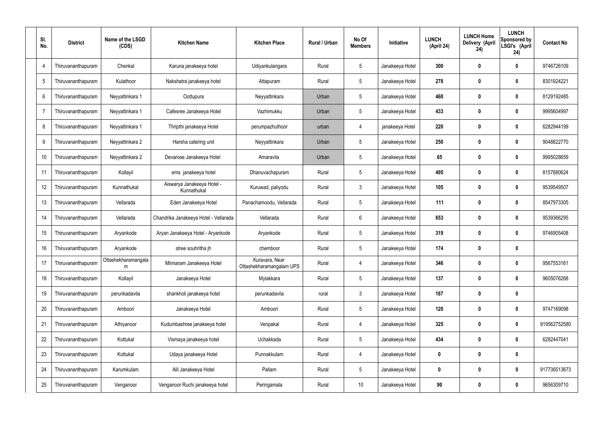| SI.<br>No. | <b>District</b>    | Name of the LSGD<br>(CDS) | <b>Kitchen Name</b>                       | <b>Kitchen Place</b>                       | Rural / Urban | No Of<br><b>Members</b> | Initiative      | <b>LUNCH</b><br>(April 24) | <b>LUNCH Home</b><br>Delivery (April<br>24) | <b>LUNCH</b><br>Sponsored by<br>LSGI's (April<br>24) | <b>Contact No</b> |
|------------|--------------------|---------------------------|-------------------------------------------|--------------------------------------------|---------------|-------------------------|-----------------|----------------------------|---------------------------------------------|------------------------------------------------------|-------------------|
| 4          | Thiruvananthapuram | Chenkal                   | Karuna janakeeya hotel                    | Udiyankulangara                            | Rural         | $5\phantom{.0}$         | Janakeeya Hotel | 300                        | 0                                           | 0                                                    | 9746726109        |
| -5         | Thiruvananthapuram | Kulathoor                 | Nakshatra janakeeya hotel                 | Attapuram                                  | Rural         | $5\phantom{.0}$         | Janakeeya Hotel | 278                        | 0                                           | $\bm{0}$                                             | 8301924221        |
| 6          | Thiruvananthapuram | Neyyattinkara 1           | Oottupura                                 | Neyyattinkara                              | Urban         | $5\phantom{.0}$         | Janakeeya Hotel | 460                        | 0                                           | $\bf{0}$                                             | 8129192485        |
| 7          | Thiruvananthapuram | Neyyattinkara 1           | Cafesree Janakeeya Hotel                  | Vazhimukku                                 | Urban         | $5\phantom{.0}$         | Janakeeya Hotel | 433                        | 0                                           | $\bm{0}$                                             | 9995604997        |
| 8          | Thiruvananthapuram | Neyyattinkara 1           | Thripthi janakeeya Hotel                  | perumpazhuthoor                            | urban         | $\overline{4}$          | janakeeya Hotel | 220                        | $\boldsymbol{0}$                            | $\bf{0}$                                             | 6282944199        |
| 9          | Thiruvananthapuram | Neyyattinkara 2           | Harsha catering unit                      | Neyyattinkara                              | Urban         | $5\phantom{.0}$         | Janakeeya Hotel | 250                        | 0                                           | $\bm{0}$                                             | 9048822770        |
| 10         | Thiruvananthapuram | Neyyattinkara 2           | Devarose Janakeeya Hotel                  | Amaravila                                  | Urban         | $5\phantom{.0}$         | Janakeeya Hotel | 65                         | $\boldsymbol{0}$                            | $\bf{0}$                                             | 9995028659        |
| 11         | Thiruvananthapuram | Kollayil                  | ems janakeeya hotel                       | Dhanuvachapuram                            | Rural         | $5\phantom{.0}$         | Janakeeya Hotel | 495                        | 0                                           | $\bm{0}$                                             | 8157880624        |
| 12         | Thiruvananthapuram | Kunnathukal               | Aiswarya Janakeeya Hotel -<br>Kunnathukal | Kuruwad, paliyodu                          | Rural         | $\mathbf{3}$            | Janakeeya Hotel | 105                        | $\boldsymbol{0}$                            | $\bf{0}$                                             | 9539549507        |
| 13         | Thiruvananthapuram | Vellarada                 | Eden Janakeeya Hotel                      | Panachamoodu, Vellarada                    | Rural         | $5\phantom{.0}$         | Janakeeya Hotel | 111                        | 0                                           | $\bf{0}$                                             | 8547973305        |
| 14         | Thiruvananthapuram | Vellarada                 | Chandrika Janakeeya Hotel - Vellarada     | Vellarada                                  | Rural         | $6\phantom{.}$          | Janakeeya Hotel | 653                        | 0                                           | $\bf{0}$                                             | 9539366295        |
| 15         | Thiruvananthapuram | Aryankode                 | Aryan Janakeeya Hotel - Aryankode         | Aryankode                                  | Rural         | $5\phantom{.0}$         | Janakeeya Hotel | 319                        | 0                                           | $\bf{0}$                                             | 9746905408        |
| 16         | Thiruvananthapuram | Aryankode                 | stree souhritha jh                        | chemboor                                   | Rural         | $5\phantom{.0}$         | Janakeeya Hotel | 174                        | 0                                           | 0                                                    |                   |
| 17         | Thiruvananthapuram | Ottashekharamangala<br>m  | Minnaram Janakeeya Hotel                  | Kuravara, Near<br>Ottashekharamangalam UPS | Rural         | $\overline{4}$          | Janakeeya Hotel | 346                        | 0                                           | $\mathbf 0$                                          | 9567553161        |
| 18         | Thiruvananthapuram | Kollayil                  | Janakeeya Hotel                           | Mylakkara                                  | Rural         | $5\phantom{.0}$         | Janakeeya Hotel | 137                        | 0                                           | $\mathbf 0$                                          | 9605076268        |
| 19         | Thiruvananthapuram | perunkadavila             | shankholi janakeeya hotel                 | perunkadavila                              | rural         | $\mathfrak{Z}$          | Janakeeya Hotel | 187                        | 0                                           | $\pmb{0}$                                            |                   |
| 20         | Thiruvananthapuram | Amboori                   | Janakeeya Hotel                           | Amboori                                    | Rural         | $5\phantom{.0}$         | Janakeeya Hotel | 120                        | 0                                           | $\pmb{0}$                                            | 9747169098        |
| 21         | Thiruvananthapuram | Athiyanoor                | Kudumbashree janakeeya hotel              | Venpakal                                   | Rural         | 4                       | Janakeeya Hotel | 325                        | 0                                           | $\pmb{0}$                                            | 919562752580      |
| 22         | Thiruvananthapuram | Kottukal                  | Vismaya janakeeya hotel                   | Uchakkada                                  | Rural         | $5\phantom{.0}$         | Janakeeya Hotel | 434                        | 0                                           | $\mathbf 0$                                          | 6282447041        |
| 23         | Thiruvananthapuram | Kottukal                  | Udaya janakeeya Hotel                     | Punnakkulam                                | Rural         | 4                       | Janakeeya Hotel | 0                          | 0                                           | $\pmb{0}$                                            |                   |
| 24         | Thiruvananthapuram | Karumkulam                | Alil Janakeeya Hotel                      | Pallam                                     | Rural         | $5\phantom{.0}$         | Janakeeya Hotel | 0                          | $\boldsymbol{0}$                            | $\mathbf 0$                                          | 917736513673      |
| 25         | Thiruvananthapuram | Venganoor                 | Venganoor Ruchi janakeeya hotel           | Peringamala                                | Rural         | $10$                    | Janakeeya Hotel | 90                         | 0                                           | $\pmb{0}$                                            | 9656309710        |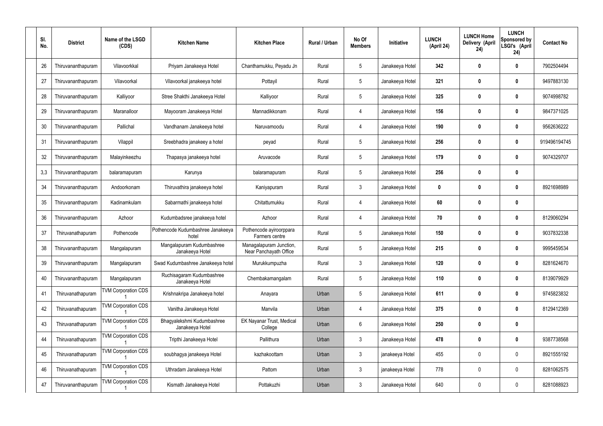| SI.<br>No. | <b>District</b>    | Name of the LSGD<br>(CDS)  | <b>Kitchen Name</b>                           | <b>Kitchen Place</b>                              | Rural / Urban | No Of<br><b>Members</b> | Initiative      | <b>LUNCH</b><br>(April 24) | <b>LUNCH Home</b><br>Delivery (April<br>24) | <b>LUNCH</b><br>Sponsored by<br>LSGI's (April<br>24) | <b>Contact No</b> |
|------------|--------------------|----------------------------|-----------------------------------------------|---------------------------------------------------|---------------|-------------------------|-----------------|----------------------------|---------------------------------------------|------------------------------------------------------|-------------------|
| 26         | Thiruvananthapuram | Vilavoorkkal               | Priyam Janakeeya Hotel                        | Chanthamukku, Peyadu Jn                           | Rural         | $5\,$                   | Janakeeya Hotel | 342                        | 0                                           | $\mathbf{0}$                                         | 7902504494        |
| 27         | Thiruvananthapuram | Vilavoorkal                | Vilavoorkal janakeeya hotel                   | Pottayil                                          | Rural         | $5\phantom{.0}$         | Janakeeya Hotel | 321                        | 0                                           | $\boldsymbol{0}$                                     | 9497883130        |
| 28         | Thiruvananthapuram | Kalliyoor                  | Stree Shakthi Janakeeya Hotel                 | Kalliyoor                                         | Rural         | $\sqrt{5}$              | Janakeeya Hotel | 325                        | 0                                           | $\mathbf{0}$                                         | 9074998782        |
| 29         | Thiruvananthapuram | Maranalloor                | Mayooram Janakeeya Hotel                      | Mannadikkonam                                     | Rural         | $\overline{4}$          | Janakeeya Hotel | 156                        | 0                                           | $\boldsymbol{0}$                                     | 9847371025        |
| 30         | Thiruvananthapuram | Pallichal                  | Vandhanam Janakeeya hotel                     | Naruvamoodu                                       | Rural         | $\overline{4}$          | Janakeeya Hotel | 190                        | 0                                           | $\boldsymbol{0}$                                     | 9562636222        |
| 31         | Thiruvananthapuram | Vilappil                   | Sreebhadra janakeey a hotel                   | peyad                                             | Rural         | $\sqrt{5}$              | Janakeeya Hotel | 256                        | 0                                           | $\boldsymbol{0}$                                     | 919496194745      |
| 32         | Thiruvananthapuram | Malayinkeezhu              | Thapasya janakeeya hotel                      | Aruvacode                                         | Rural         | $\sqrt{5}$              | Janakeeya Hotel | 179                        | 0                                           | $\boldsymbol{0}$                                     | 9074329707        |
| 3,3        | Thiruvananthapuram | balaramapuram              | Karunya                                       | balaramapuram                                     | Rural         | $\sqrt{5}$              | Janakeeya Hotel | 256                        | 0                                           | $\boldsymbol{0}$                                     |                   |
| 34         | Thiruvananthapuram | Andoorkonam                | Thiruvathira janakeeya hotel                  | Kaniyapuram                                       | Rural         | $\mathbf{3}$            | Janakeeya Hotel | 0                          | 0                                           | $\boldsymbol{0}$                                     | 8921698989        |
| 35         | Thiruvananthapuram | Kadinamkulam               | Sabarmathi janakeeya hotel                    | Chitattumukku                                     | Rural         | $\overline{4}$          | Janakeeya Hotel | 60                         | 0                                           | $\mathbf 0$                                          |                   |
| 36         | Thiruvananthapuram | Azhoor                     | Kudumbadsree janakeeya hotel                  | Azhoor                                            | Rural         | $\overline{4}$          | Janakeeya Hotel | 70                         | 0                                           | 0                                                    | 8129060294        |
| 37         | Thiruvanathapuram  | Pothencode                 | Pothencode Kudumbashree Janakeeya<br>hotel    | Pothencode ayiroorppara<br>Farmers centre         | Rural         | $\sqrt{5}$              | Janakeeya Hotel | 150                        | 0                                           | 0                                                    | 9037832338        |
| 38         | Thiruvananthapuram | Mangalapuram               | Mangalapuram Kudumbashree<br>Janakeeya Hotel  | Managalapuram Junction,<br>Near Panchayath Office | Rural         | 5                       | Janakeeya Hotel | 215                        | 0                                           | 0                                                    | 9995459534        |
| 39         | Thiruvananthapuram | Mangalapuram               | Swad Kudumbashree Janakeeya hotel             | Murukkumpuzha                                     | Rural         | $\mathfrak{Z}$          | Janakeeya Hotel | 120                        | 0                                           | $\pmb{0}$                                            | 8281624670        |
| 40         | Thiruvananthapuram | Mangalapuram               | Ruchisagaram Kudumbashree<br>Janakeeya Hotel  | Chembakamangalam                                  | Rural         | $5\,$                   | Janakeeya Hotel | 110                        | $\boldsymbol{0}$                            | $\mathbf 0$                                          | 8139079929        |
| 41         | Thiruvanathapuram  | <b>TVM Corporation CDS</b> | Krishnakripa Janakeeya hotel                  | Anayara                                           | Urban         | $\sqrt{5}$              | Janakeeya Hotel | 611                        | $\boldsymbol{0}$                            | $\mathbf 0$                                          | 9745823832        |
| 42         | Thiruvanathapuram  | <b>TVM Corporation CDS</b> | Vanitha Janakeeya Hotel                       | Manvila                                           | Urban         | $\overline{4}$          | Janakeeya Hotel | 375                        | $\boldsymbol{0}$                            | $\mathbf 0$                                          | 8129412369        |
| 43         | Thiruvanathapuram  | <b>TVM Corporation CDS</b> | Bhagyalekshmi Kudumbashree<br>Janakeeya Hotel | EK Nayanar Trust, Medical<br>College              | Urban         | $6\,$                   | Janakeeya Hotel | 250                        | $\boldsymbol{0}$                            | $\pmb{0}$                                            |                   |
| 44         | Thiruvanathapuram  | <b>TVM Corporation CDS</b> | Tripthi Janakeeya Hotel                       | Pallithura                                        | Urban         | $\mathfrak{Z}$          | Janakeeya Hotel | 478                        | $\boldsymbol{0}$                            | $\mathbf 0$                                          | 9387738568        |
| 45         | Thiruvanathapuram  | <b>TVM Corporation CDS</b> | soubhagya janakeeya Hotel                     | kazhakoottam                                      | Urban         | $\mathbf{3}$            | janakeeya Hotel | 455                        | $\boldsymbol{0}$                            | $\pmb{0}$                                            | 8921555192        |
| 46         | Thiruvanathapuram  | <b>TVM Corporation CDS</b> | Uthradam Janakeeya Hotel                      | Pattom                                            | Urban         | $\mathfrak{Z}$          | janakeeya Hotel | 778                        | $\boldsymbol{0}$                            | $\mathbf 0$                                          | 8281062575        |
| 47         | Thiruvananthapuram | <b>TVM Corporation CDS</b> | Kismath Janakeeya Hotel                       | Pottakuzhi                                        | Urban         | $\mathfrak{Z}$          | Janakeeya Hotel | 640                        | 0                                           | $\boldsymbol{0}$                                     | 8281088923        |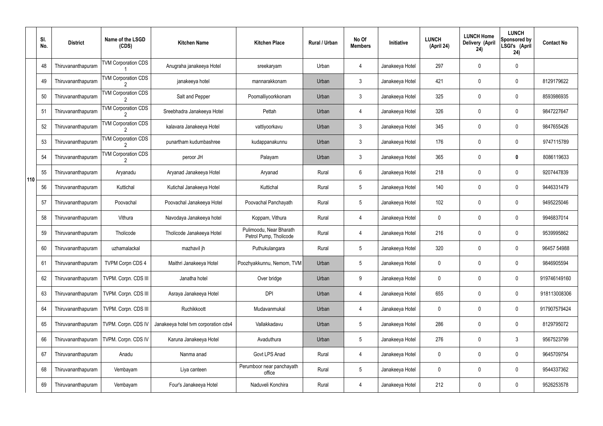|     | SI.<br>No. | <b>District</b>    | Name of the LSGD<br>(CDS)                    | <b>Kitchen Name</b>                  | <b>Kitchen Place</b>                              | Rural / Urban | No Of<br><b>Members</b> | Initiative      | <b>LUNCH</b><br>(April 24) | <b>LUNCH Home</b><br>Delivery (April<br>24) | <b>LUNCH</b><br>Sponsored by<br>LSGI's (April<br>24) | <b>Contact No</b> |
|-----|------------|--------------------|----------------------------------------------|--------------------------------------|---------------------------------------------------|---------------|-------------------------|-----------------|----------------------------|---------------------------------------------|------------------------------------------------------|-------------------|
|     | 48         | Thiruvananthapuram | <b>TVM Corporation CDS</b>                   | Anugraha janakeeya Hotel             | sreekaryam                                        | Urban         | 4                       | Janakeeya Hotel | 297                        | 0                                           | $\mathbf 0$                                          |                   |
|     | 49         | Thiruvananthapuram | <b>TVM Corporation CDS</b>                   | janakeeya hotel                      | mannarakkonam                                     | Urban         | $\mathbf{3}$            | Janakeeya Hotel | 421                        | 0                                           | $\pmb{0}$                                            | 8129179622        |
|     | 50         | Thiruvananthapuram | <b>TVM Corporation CDS</b>                   | Salt and Pepper                      | Poomalliyoorkkonam                                | Urban         | $\mathbf{3}$            | Janakeeya Hotel | 325                        | 0                                           | $\mathbf 0$                                          | 8593986935        |
|     | 51         | Thiruvananthapuram | <b>TVM Corporation CDS</b>                   | Sreebhadra Janakeeya Hotel           | Pettah                                            | Urban         | 4                       | Janakeeya Hotel | 326                        | 0                                           | $\pmb{0}$                                            | 9847227647        |
|     | 52         | Thiruvananthapuram | <b>TVM Corporation CDS</b>                   | kalavara Janakeeya Hotel             | vattiyoorkavu                                     | Urban         | $\mathbf{3}$            | Janakeeya Hotel | 345                        | 0                                           | $\mathbf 0$                                          | 9847655426        |
|     | 53         | Thiruvananthapuram | <b>TVM Corporation CDS</b>                   | punartham kudumbashree               | kudappanakunnu                                    | Urban         | $\mathfrak{Z}$          | Janakeeya Hotel | 176                        | 0                                           | $\pmb{0}$                                            | 9747115789        |
|     | 54         | Thiruvananthapuram | <b>TVM Corporation CDS</b><br>$\overline{2}$ | peroor JH                            | Palayam                                           | Urban         | $\mathbf{3}$            | Janakeeya Hotel | 365                        | 0                                           | 0                                                    | 8086119633        |
| 110 | 55         | Thiruvananthapuram | Aryanadu                                     | Aryanad Janakeeya Hotel              | Aryanad                                           | Rural         | 6                       | Janakeeya Hotel | 218                        | 0                                           | $\pmb{0}$                                            | 9207447839        |
|     | 56         | Thiruvananthapuram | Kuttichal                                    | Kutichal Janakeeya Hotel             | Kuttichal                                         | Rural         | $5\phantom{.0}$         | Janakeeya Hotel | 140                        | 0                                           | $\mathbf 0$                                          | 9446331479        |
|     | 57         | Thiruvananthapuram | Poovachal                                    | Poovachal Janakeeya Hotel            | Poovachal Panchayath                              | Rural         | $5\phantom{.0}$         | Janakeeya Hotel | 102                        | 0                                           | $\boldsymbol{0}$                                     | 9495225046        |
|     | 58         | Thiruvananthapuram | Vithura                                      | Navodaya Janakeeya hotel             | Koppam, Vithura                                   | Rural         | 4                       | Janakeeya Hotel | 0                          | 0                                           | $\mathbf 0$                                          | 9946837014        |
|     | 59         | Thiruvananthapuram | Tholicode                                    | Tholicode Janakeeya Hotel            | Pulimoodu, Near Bharath<br>Petrol Pump, Tholicode | Rural         | 4                       | Janakeeya Hotel | 216                        | 0                                           | $\mathbf 0$                                          | 9539995862        |
|     | 60         | Thiruvananthapuram | uzhamalackal                                 | mazhavil jh                          | Puthukulangara                                    | Rural         | $5\overline{)}$         | Janakeeya Hotel | 320                        | 0                                           | $\mathbf 0$                                          | 96457 54988       |
|     | 61         | Thiruvananthapuram | <b>TVPM Corpn CDS 4</b>                      | Maithri Janakeeya Hotel              | Poozhyakkunnu, Nemom, TVM                         | Urban         | 5                       | Janakeeya Hotel | 0                          | 0                                           | $\mathbf 0$                                          | 9846905594        |
|     | 62         | Thiruvananthapuram | TVPM. Corpn. CDS III                         | Janatha hotel                        | Over bridge                                       | Urban         | 9                       | Janakeeya Hotel | 0                          | 0                                           | $\pmb{0}$                                            | 919746149160      |
|     | 63         | Thiruvananthapuram | TVPM. Corpn. CDS III                         | Asraya Janakeeya Hotel               | <b>DPI</b>                                        | Urban         | 4                       | Janakeeya Hotel | 655                        | 0                                           | $\pmb{0}$                                            | 918113008306      |
|     | 64         | Thiruvananthapuram | TVPM. Corpn. CDS III                         | Ruchikkoott                          | Mudavanmukal                                      | Urban         | 4                       | Janakeeya Hotel | 0                          | 0                                           | $\pmb{0}$                                            | 917907579424      |
|     | 65         | Thiruvananthapuram | TVPM. Corpn. CDS IV                          | Janakeeya hotel tvm corporation cds4 | Vallakkadavu                                      | Urban         | 5                       | Janakeeya Hotel | 286                        | 0                                           | $\pmb{0}$                                            | 8129795072        |
|     | 66         | Thiruvananthapuram | TVPM. Corpn. CDS IV                          | Karuna Janakeeya Hotel               | Avaduthura                                        | Urban         | 5                       | Janakeeya Hotel | 276                        | 0                                           | $\mathfrak{Z}$                                       | 9567523799        |
|     | 67         | Thiruvananthapuram | Anadu                                        | Nanma anad                           | Govt LPS Anad                                     | Rural         | 4                       | Janakeeya Hotel | 0                          | 0                                           | $\pmb{0}$                                            | 9645709754        |
|     | 68         | Thiruvananthapuram | Vembayam                                     | Liya canteen                         | Perumboor near panchayath<br>office               | Rural         | 5                       | Janakeeya Hotel | 0                          | 0                                           | $\pmb{0}$                                            | 9544337362        |
|     | 69         | Thiruvananthapuram | Vembayam                                     | Four's Janakeeya Hotel               | Naduveli Konchira                                 | Rural         | 4                       | Janakeeya Hotel | 212                        | 0                                           | $\pmb{0}$                                            | 9526253578        |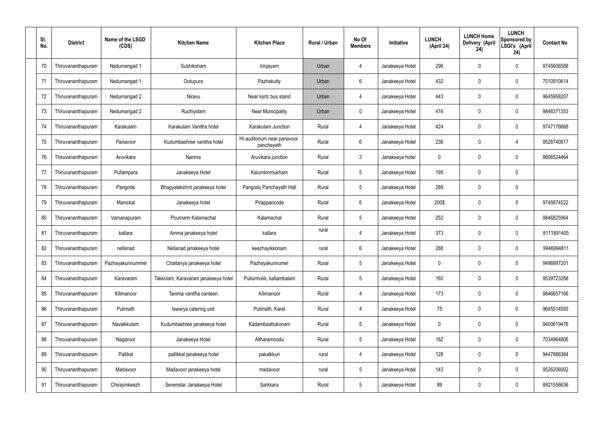| SI.<br>No. | <b>District</b>    | Name of the LSGD<br>(CDS) | <b>Kitchen Name</b>                 | <b>Kitchen Place</b>                      | Rural / Urban | No Of<br><b>Members</b> | Initiative      | <b>LUNCH</b><br>(April 24) | <b>LUNCH Home</b><br>Delivery (April<br>24) | <b>LUNCH</b><br>Sponsored by<br>LSGI's (April<br>24) | <b>Contact No</b> |
|------------|--------------------|---------------------------|-------------------------------------|-------------------------------------------|---------------|-------------------------|-----------------|----------------------------|---------------------------------------------|------------------------------------------------------|-------------------|
| 70         | Thiruvananthapuram | Nedumangad 1              | Subhiksham                          | Irinjayam                                 | Urban         | 4                       | Janakeeya Hotel | 296                        | 0                                           | 0                                                    | 9745606588        |
| 71         | Thiruvananthapuram | Nedumangad 1              | Ootupura                            | Pazhakutty                                | Urban         | 6                       | Janakeeya Hotel | 432                        | 0                                           | $\mathbf 0$                                          | 7510910614        |
| 72         | Thiruvananthapuram | Nedumangad 2              | Niravu                              | Near ksrtc bus stand                      | Urban         | $\overline{4}$          | Janakeeya Hotel | 443                        | 0                                           | $\mathbf 0$                                          | 9645958207        |
| 73         | Thiruvananthapuram | Nedumangad 2              | Ruchiyidam                          | Near Municipality                         | Urban         | $\mathbf 0$             | Janakeeya Hotel | 416                        | 0                                           | $\mathbf 0$                                          | 9846371353        |
| 74         | Thiruvananthapuram | Karakulam                 | Karakulam Vanitha hotel             | Karakulam Junction                        | Rural         | $\overline{4}$          | Janakeeya Hotel | 424                        | 0                                           | $\mathbf 0$                                          | 9747176668        |
| 75         | Thiruvananthapuram | Panavoor                  | Kudumbashree vanitha hotel          | HI auditorium near panavoor<br>panchayath | Rural         | $6\phantom{.}$          | Janakeeya Hotel | 236                        | 0                                           | 4                                                    | 9526740817        |
| 76         | Thiruvananthapuram | Aruvikara                 | Nanma                               | Aruvikara junction                        | Rural         | $\mathbf{3}$            | Janakeeya hotel | 0                          | 0                                           | $\mathbf 0$                                          | 8606524464        |
| 77         | Thiruvananthapuram | Pullampara                | Janakeeya Hotel                     | Kalumkinmukham                            | Rural         | $5\phantom{.0}$         | Janakeeya Hotel | 195                        | 0                                           | $\mathbf 0$                                          |                   |
| 78         | Thiruvananthapuram | Pangode                   | Bhagyalekshmi janakeeya hotel       | Pangodu Panchayath Hall                   | Rural         | $5\phantom{.0}$         | Janakeeya Hotel | 288                        | 0                                           | $\mathbf 0$                                          |                   |
| 79         | Thiruvananthapuram | Manickal                  | Janakeeya hotel                     | Pirappancode                              | Rural         | $6\phantom{.}$          | Janakeeya Hotel | 200\$                      | 0                                           | $\boldsymbol{0}$                                     | 9745874522        |
| 80         | Thiruvananthapuram | Vamanapuram               | Pournami Kalamachal                 | Kalamachal                                | Rural         | $5\phantom{.0}$         | Janakeeya Hotel | 252                        | 0                                           | $\boldsymbol{0}$                                     | 9846825964        |
| 81         | Thiruvananthapuram | kallara                   | Amma janakeeya hotel                | kallara                                   | rural         | 4                       | Janakeeya Hotel | 373                        | 0                                           | $\boldsymbol{0}$                                     | 8111891405        |
| 82         | Thiruvananthapuram | nellanad                  | Nellanad janakeeya hotel            | keezhayikkonam                            | rural         | 6                       | Janakeeya Hotel | 288                        | 0                                           | 0                                                    | 9946994811        |
| 83         | Thiruvananthapuram | Pazhayakunnummel          | Chaitanya janakeeya hotel           | Pazhayakunnumel                           | Rural         | $5\phantom{.0}$         | Janakeeya Hotel | 0                          | 0                                           | $\mathbf 0$                                          | 9496997201        |
| 84         | Thiruvananthapuram | Karavaram                 | Takkolam, Karavaram janakeeya hotel | Pullurmukk, kallambalam                   | Rural         | $5\phantom{.0}$         | Janakeeya Hotel | 160                        | $\mathbf 0$                                 | $\mathbf 0$                                          | 9539723288        |
| 85         | Thiruvananthapuram | Kilimanoor                | Tanima vanitha canteen              | Kilimanoor                                | Rural         | $\overline{4}$          | Janakeeya Hotel | 173                        | 0                                           | $\mathbf 0$                                          | 9846657166        |
| 86         | Thiruvananthapuram | Pulimath                  | Iswarya catering unit               | Pulimath, Karet                           | Rural         | $\overline{4}$          | Janakeeya Hotel | 75                         | $\mathbf 0$                                 | $\mathbf 0$                                          | 9645514593        |
| 87         | Thiruvananthapuram | Navaikkulam               | Kudumbashree janakeeya hotel        | Kadambaattukonam                          | Rural         | $5\phantom{.0}$         | Janakeeya Hotel | $\mathbf 0$                | 0                                           | $\mathbf 0$                                          | 9400619476        |
| 88         | Thiruvananthapuram | Nagaroor                  | Janakeeya Hotel                     | Altharamoodu                              | Rural         | $5\phantom{.0}$         | Janakeeya Hotel | 162                        | 0                                           | $\mathbf 0$                                          | 7034964806        |
| 89         | Thiruvananthapuram | Pallikal                  | pallikkal janakeeya hotel           | pakalkkuri                                | rural         | 4                       | Janakeeya Hotel | 128                        | 0                                           | $\mathbf 0$                                          | 9447886364        |
| 90         | Thiruvananthapuram | Madavoor                  | Madavoor janakeeya hotel            | madavoor                                  | rural         | $5\phantom{.0}$         | Janakeeya Hotel | 143                        | $\boldsymbol{0}$                            | $\pmb{0}$                                            | 9526206002        |
| 91         | Thiruvananthapuram | Chirayinkeezh             | Sevenstar Janakeeya Hotel           | Sarkkara                                  | Rural         | $5\,$                   | Janakeeya Hotel | 89                         | 0                                           | $\boldsymbol{0}$                                     | 8921556636        |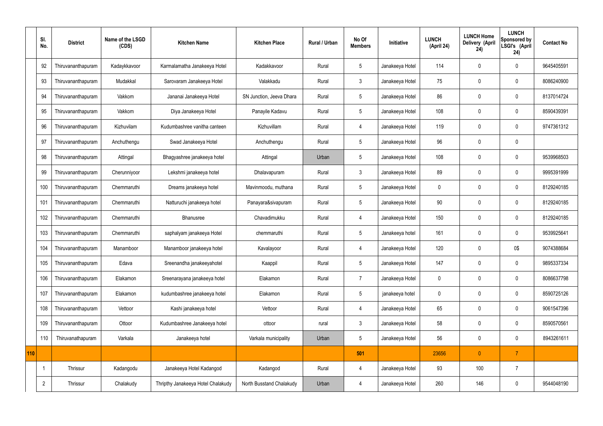|     | SI.<br>No.     | <b>District</b>    | Name of the LSGD<br>(CDS) | <b>Kitchen Name</b>                | <b>Kitchen Place</b>     | Rural / Urban | No Of<br><b>Members</b> | Initiative      | <b>LUNCH</b><br>(April 24) | <b>LUNCH Home</b><br>Delivery (April<br>24) | <b>LUNCH</b><br>Sponsored by<br>LSGI's (April<br>24) | <b>Contact No</b> |
|-----|----------------|--------------------|---------------------------|------------------------------------|--------------------------|---------------|-------------------------|-----------------|----------------------------|---------------------------------------------|------------------------------------------------------|-------------------|
|     | 92             | Thiruvananthapuram | Kadaykkavoor              | Karmalamatha Janakeeya Hotel       | Kadakkavoor              | Rural         | 5                       | Janakeeya Hotel | 114                        | 0                                           | $\mathbf 0$                                          | 9645405591        |
|     | 93             | Thiruvananthapuram | Mudakkal                  | Sarovaram Janakeeya Hotel          | Valakkadu                | Rural         | $\mathbf{3}$            | Janakeeya Hotel | 75                         | $\mathbf 0$                                 | $\mathbf 0$                                          | 8086240900        |
|     | 94             | Thiruvananthapuram | Vakkom                    | Jananai Janakeeya Hotel            | SN Junction, Jeeva Dhara | Rural         | $5\overline{)}$         | Janakeeya Hotel | 86                         | $\mathbf 0$                                 | $\mathbf 0$                                          | 8137014724        |
|     | 95             | Thiruvananthapuram | Vakkom                    | Diya Janakeeya Hotel               | Panayile Kadavu          | Rural         | $5\overline{)}$         | Janakeeya Hotel | 108                        | $\mathbf 0$                                 | $\mathbf 0$                                          | 8590439391        |
|     | 96             | Thiruvananthapuram | Kizhuvilam                | Kudumbashree vanitha canteen       | Kizhuvillam              | Rural         | $\overline{4}$          | Janakeeya Hotel | 119                        | $\mathbf 0$                                 | $\mathbf 0$                                          | 9747361312        |
|     | 97             | Thiruvananthapuram | Anchuthengu               | Swad Janakeeya Hotel               | Anchuthengu              | Rural         | $5\phantom{.0}$         | Janakeeya Hotel | 96                         | $\mathbf 0$                                 | $\mathbf 0$                                          |                   |
|     | 98             | Thiruvananthapuram | Attingal                  | Bhagyashree janakeeya hotel        | Attingal                 | Urban         | $5\phantom{.0}$         | Janakeeya Hotel | 108                        | $\mathbf 0$                                 | $\mathbf 0$                                          | 9539968503        |
|     | 99             | Thiruvananthapuram | Cherunniyoor              | Lekshmi janakeeya hotel            | Dhalavapuram             | Rural         | $\mathbf{3}$            | Janakeeya Hotel | 89                         | $\mathbf 0$                                 | $\mathbf 0$                                          | 9995391999        |
|     | 100            | Thiruvananthapuram | Chemmaruthi               | Dreams janakeeya hotel             | Mavinmoodu, muthana      | Rural         | 5                       | Janakeeya Hotel | $\mathbf 0$                | $\mathbf 0$                                 | $\mathbf 0$                                          | 8129240185        |
|     | 101            | Thiruvananthapuram | Chemmaruthi               | Natturuchi janakeeya hotel         | Panayara&sivapuram       | Rural         | $5\overline{)}$         | Janakeeya Hotel | 90                         | $\mathbf 0$                                 | $\mathbf 0$                                          | 8129240185        |
|     | 102            | Thiruvananthapuram | Chemmaruthi               | Bhanusree                          | Chavadimukku             | Rural         | 4                       | Janakeeya Hotel | 150                        | $\mathbf 0$                                 | $\mathbf 0$                                          | 8129240185        |
|     | 103            | Thiruvananthapuram | Chemmaruthi               | saphalyam janakeeya Hotel          | chemmaruthi              | Rural         | 5                       | Janakeeya hotel | 161                        | $\mathbf 0$                                 | $\mathbf 0$                                          | 9539925641        |
|     | 104            | Thiruvananthapuram | Manamboor                 | Manamboor janakeeya hotel          | Kavalayoor               | Rural         | 4                       | Janakeeya Hotel | 120                        | 0                                           | 0\$                                                  | 9074388684        |
|     | 105            | Thiruvananthapuram | Edava                     | Sreenandha janakeeyahotel          | Kaappil                  | Rural         | $5\phantom{.0}$         | Janakeeya Hotel | 147                        | $\mathbf 0$                                 | $\mathbf 0$                                          | 9895337334        |
|     | 106            | Thiruvananthapuram | Elakamon                  | Sreenarayana janakeeya hotel       | Elakamon                 | Rural         | $\overline{7}$          | Janakeeya Hotel | $\pmb{0}$                  | $\mathbf 0$                                 | $\mathbf 0$                                          | 8086637798        |
|     | 107            | Thiruvananthapuram | Elakamon                  | kudumbashree janakeeya hotel       | Elakamon                 | Rural         | $5\phantom{.0}$         | janakeeya hotel | $\pmb{0}$                  | $\mathbf 0$                                 | $\mathbf 0$                                          | 8590725126        |
|     | 108            | Thiruvananthapuram | Vettoor                   | Kashi janakeeya hotel              | Vettoor                  | Rural         | $\overline{4}$          | Janakeeya Hotel | 65                         | $\mathbf 0$                                 | $\mathbf 0$                                          | 9061547396        |
|     | 109            | Thiruvananthapuram | Ottoor                    | Kudumbashree Janakeeya hotel       | ottoor                   | rural         | $\mathbf{3}$            | Janakeeya Hotel | 58                         | $\pmb{0}$                                   | $\mathbf 0$                                          | 8590570561        |
|     | 110            | Thiruvanathapuram  | Varkala                   | Janakeeya hotel                    | Varkala municipality     | Urban         | $5\phantom{.0}$         | Janakeeya Hotel | 56                         | $\pmb{0}$                                   | $\mathbf 0$                                          | 8943261611        |
| 110 |                |                    |                           |                                    |                          |               | 501                     |                 | 23656                      | $\mathbf{0}$                                | $\overline{7}$                                       |                   |
|     | -1             | Thrissur           | Kadangodu                 | Janakeeya Hotel Kadangod           | Kadangod                 | Rural         | 4                       | Janakeeya Hotel | 93                         | 100                                         | $\overline{7}$                                       |                   |
|     | $\overline{2}$ | Thrissur           | Chalakudy                 | Thripthy Janakeeya Hotel Chalakudy | North Busstand Chalakudy | Urban         | 4                       | Janakeeya Hotel | 260                        | 146                                         | $\mathbf 0$                                          | 9544048190        |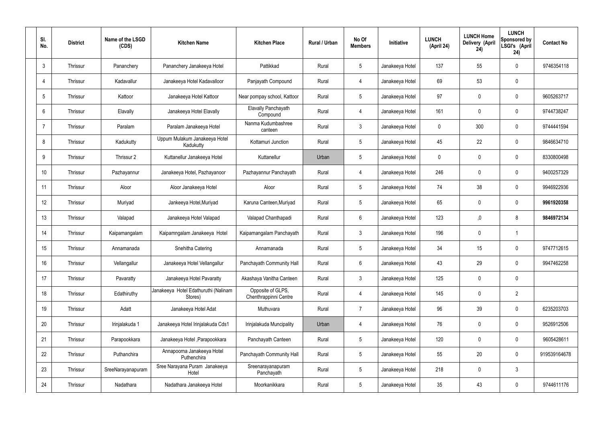| SI.<br>No.     | <b>District</b> | Name of the LSGD<br>(CDS) | <b>Kitchen Name</b>                             | <b>Kitchen Place</b>                       | <b>Rural / Urban</b> | No Of<br><b>Members</b> | Initiative      | <b>LUNCH</b><br>(April 24) | <b>LUNCH Home</b><br>Delivery (April<br>24) | <b>LUNCH</b><br>Sponsored by<br>LSGI's (April<br>24) | <b>Contact No</b> |
|----------------|-----------------|---------------------------|-------------------------------------------------|--------------------------------------------|----------------------|-------------------------|-----------------|----------------------------|---------------------------------------------|------------------------------------------------------|-------------------|
| 3              | Thrissur        | Pananchery                | Pananchery Janakeeya Hotel                      | Pattikkad                                  | Rural                | $5\phantom{.0}$         | Janakeeya Hotel | 137                        | 55                                          | $\mathbf 0$                                          | 9746354118        |
| 4              | Thrissur        | Kadavallur                | Janakeeya Hotel Kadavalloor                     | Panjayath Compound                         | Rural                | 4                       | Janakeeya Hotel | 69                         | 53                                          | $\mathbf 0$                                          |                   |
| 5              | Thrissur        | Kattoor                   | Janakeeya Hotel Kattoor                         | Near pompay school, Kattoor                | Rural                | $5\overline{)}$         | Janakeeya Hotel | 97                         | $\mathbf 0$                                 | $\mathbf 0$                                          | 9605263717        |
| 6              | Thrissur        | Elavally                  | Janakeeya Hotel Elavally                        | Elavally Panchayath<br>Compound            | Rural                | $\overline{4}$          | Janakeeya Hotel | 161                        | $\mathbf 0$                                 | $\mathbf 0$                                          | 9744738247        |
| $\overline{7}$ | Thrissur        | Paralam                   | Paralam Janakeeya Hotel                         | Nanma Kudumbashree<br>canteen              | Rural                | $\mathbf{3}$            | Janakeeya Hotel | 0                          | 300                                         | $\mathbf 0$                                          | 9744441594        |
| 8              | Thrissur        | Kadukutty                 | Uppum Mulakum Janakeeya Hotel<br>Kadukutty      | Kottamuri Junction                         | Rural                | $5\overline{)}$         | Janakeeya Hotel | 45                         | 22                                          | $\mathbf 0$                                          | 9846634710        |
| 9              | Thrissur        | Thrissur 2                | Kuttanellur Janakeeya Hotel                     | Kuttanellur                                | Urban                | $5\overline{)}$         | Janakeeya Hotel | 0                          | $\mathbf 0$                                 | $\mathbf 0$                                          | 8330800498        |
| 10             | Thrissur        | Pazhayannur               | Janakeeya Hotel, Pazhayanoor                    | Pazhayannur Panchayath                     | Rural                | $\overline{4}$          | Janakeeya Hotel | 246                        | $\mathbf 0$                                 | $\mathbf 0$                                          | 9400257329        |
| 11             | Thrissur        | Aloor                     | Aloor Janakeeya Hotel                           | Aloor                                      | Rural                | $5\overline{)}$         | Janakeeya Hotel | 74                         | 38                                          | $\mathbf 0$                                          | 9946922936        |
| 12             | Thrissur        | Muriyad                   | Jankeeya Hotel, Muriyad                         | Karuna Canteen, Muriyad                    | Rural                | $5\phantom{.0}$         | Janakeeya Hotel | 65                         | $\mathbf 0$                                 | $\mathbf 0$                                          | 9961920358        |
| 13             | Thrissur        | Valapad                   | Janakeeya Hotel Valapad                         | Valapad Chanthapadi                        | Rural                | $6\overline{6}$         | Janakeeya Hotel | 123                        | ,0                                          | 8                                                    | 9846972134        |
| 14             | Thrissur        | Kaipamangalam             | Kaipamngalam Janakeeya Hotel                    | Kaipamangalam Panchayath                   | Rural                | $\mathbf{3}$            | Janakeeya Hotel | 196                        | $\mathbf 0$                                 | $\mathbf 1$                                          |                   |
| 15             | Thrissur        | Annamanada                | Snehitha Catering                               | Annamanada                                 | Rural                | $5\phantom{.0}$         | Janakeeya Hotel | 34                         | 15                                          | $\mathbf 0$                                          | 9747712615        |
| 16             | Thrissur        | Vellangallur              | Janakeeya Hotel Vellangallur                    | Panchayath Community Hall                  | Rural                | $6\phantom{.}6$         | Janakeeya Hotel | 43                         | 29                                          | $\mathbf 0$                                          | 9947462258        |
| 17             | Thrissur        | Pavaratty                 | Janakeeya Hotel Pavaratty                       | Akashaya Vanitha Canteen                   | Rural                | $\mathbf{3}$            | Janakeeya Hotel | 125                        | $\mathbf 0$                                 | $\mathbf 0$                                          |                   |
| 18             | Thrissur        | Edathiruthy               | Janakeeya Hotel Edathuruthi (Nalinam<br>Stores) | Opposite of GLPS,<br>Chenthrappinni Centre | Rural                | $\overline{4}$          | Janakeeya Hotel | 145                        | $\mathbf 0$                                 | $\overline{2}$                                       |                   |
| 19             | Thrissur        | Adatt                     | Janakeeya Hotel Adat                            | Muthuvara                                  | Rural                | $\overline{7}$          | Janakeeya Hotel | 96                         | 39                                          | $\mathbf 0$                                          | 6235203703        |
| 20             | Thrissur        | Irinjalakuda 1            | Janakeeya Hotel Irinjalakuda Cds1               | Irinjalakuda Muncipality                   | Urban                | 4                       | Janakeeya Hotel | 76                         | 0                                           | $\mathbf 0$                                          | 9526912506        |
| 21             | Thrissur        | Parapookkara              | Janakeeya Hotel, Parapookkara                   | Panchayath Canteen                         | Rural                | $5\phantom{.0}$         | Janakeeya Hotel | 120                        | 0                                           | $\mathbf 0$                                          | 9605428611        |
| 22             | Thrissur        | Puthanchira               | Annapoorna Janakeeya Hotel<br>Puthenchira       | Panchayath Community Hall                  | Rural                | $5\overline{)}$         | Janakeeya Hotel | 55                         | 20                                          | $\mathbf 0$                                          | 919539164678      |
| 23             | Thrissur        | SreeNarayanapuram         | Sree Narayana Puram Janakeeya<br>Hotel          | Sreenarayanapuram<br>Panchayath            | Rural                | $5\phantom{.0}$         | Janakeeya Hotel | 218                        | 0                                           | $\mathbf{3}$                                         |                   |
| 24             | Thrissur        | Nadathara                 | Nadathara Janakeeya Hotel                       | Moorkanikkara                              | Rural                | $5\phantom{.0}$         | Janakeeya Hotel | $35\,$                     | 43                                          | $\overline{0}$                                       | 9744611176        |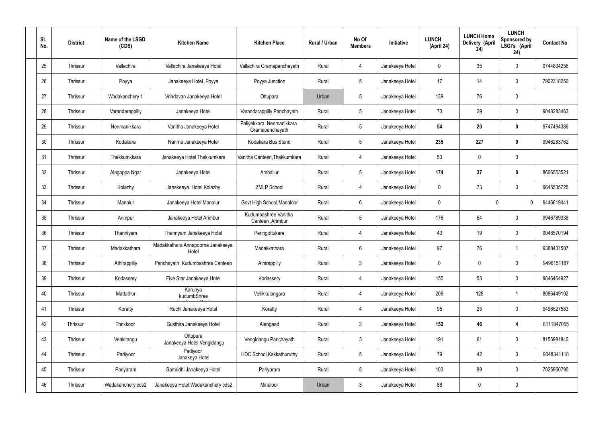| SI.<br>No. | <b>District</b> | Name of the LSGD<br>(CDS) | <b>Kitchen Name</b>                        | <b>Kitchen Place</b>                         | Rural / Urban | No Of<br><b>Members</b> | Initiative      | <b>LUNCH</b><br>(April 24) | <b>LUNCH Home</b><br>Delivery (April<br>24) | <b>LUNCH</b><br>Sponsored by<br>LSGI's (April<br>24) | <b>Contact No</b> |
|------------|-----------------|---------------------------|--------------------------------------------|----------------------------------------------|---------------|-------------------------|-----------------|----------------------------|---------------------------------------------|------------------------------------------------------|-------------------|
| 25         | Thrissur        | Vallachira                | Vallachira Janakeeya Hotel                 | Vallachira Gramapanchayath                   | Rural         | $\overline{4}$          | Janakeeya Hotel | $\mathbf 0$                | 35                                          | $\mathbf 0$                                          | 9744804256        |
| 26         | Thrissur        | Poyya                     | Janakeeya Hotel , Poyya                    | Poyya Junction                               | Rural         | $5\phantom{.0}$         | Janakeeya Hotel | 17                         | 14                                          | $\mathbf 0$                                          | 7902318250        |
| 27         | Thrissur        | Wadakanchery 1            | Vrindavan Janakeeya Hotel                  | Ottupara                                     | Urban         | $5\phantom{.0}$         | Janakeeya Hotel | 139                        | 76                                          | $\mathbf 0$                                          |                   |
| 28         | Thrissur        | Varandarappilly           | Janakeeya Hotel                            | Varandarappilly Panchayath                   | Rural         | $5\phantom{.0}$         | Janakeeya Hotel | 73                         | 29                                          | $\mathbf 0$                                          | 9048283463        |
| 29         | Thrissur        | Nenmanikkara              | Vanitha Janakeeya Hotel                    | Paliyekkara, Nenmanikkara<br>Gramapanchayath | Rural         | $5\phantom{.0}$         | Janakeeya Hotel | 54                         | 20                                          | $\mathbf 0$                                          | 9747494386        |
| 30         | Thrissur        | Kodakara                  | Nanma Janakeeya Hotel                      | Kodakara Bus Stand                           | Rural         | $5\phantom{.0}$         | Janakeeya Hotel | 235                        | 227                                         | $\mathbf 0$                                          | 9946283762        |
| 31         | Thrissur        | Thekkumkkara              | Janakeeya Hotel Thekkumkara                | Vanitha Canteen, Thekkumkara                 | Rural         | $\overline{4}$          | Janakeeya Hotel | 50                         | $\mathbf 0$                                 | $\mathbf 0$                                          |                   |
| 32         | Thrissur        | Alagappa Ngar             | Janakeeya Hotel                            | Amballur                                     | Rural         | $5\phantom{.0}$         | Janakeeya Hotel | 174                        | 37                                          | $\mathbf 0$                                          | 8606553521        |
| 33         | Thrissur        | Kolazhy                   | Janakeeya Hotel Kolazhy                    | <b>ZMLP School</b>                           | Rural         | $\overline{4}$          | Janakeeya Hotel | $\mathbf 0$                | 73                                          | $\mathbf 0$                                          | 9645535725        |
| 34         | Thrissur        | Manalur                   | Janakeeya Hotel Manalur                    | Govt High School, Manaloor                   | Rural         | $6\phantom{.}6$         | Janakeeya Hotel | $\mathbf 0$                |                                             | $\mathbf{0}$                                         | 9446619441        |
| 35         | Thrissur        | Arimpur                   | Janakeeya Hotel Arimbur                    | Kudumbashree Vanitha<br>Canteen , Arimbur    | Rural         | $5\phantom{.0}$         | Janakeeya Hotel | 176                        | 64                                          | $\mathbf 0$                                          | 9946789338        |
| 36         | Thrissur        | Thanniyam                 | Thannyam Janakeeya Hotel                   | Peringottukara                               | Rural         | 4                       | Janakeeya Hotel | 43                         | 19                                          | $\mathbf 0$                                          | 9048570194        |
| 37         | Thrissur        | Madakkathara              | Madakkathara Annapoorna Janakeeya<br>Hotel | Madakkathara                                 | Rural         | $6\phantom{.}6$         | Janakeeya Hotel | 97                         | 76                                          |                                                      | 9388431507        |
| 38         | Thrissur        | Athirappilly              | Panchayath Kudumbashree Canteen            | Athirappilly                                 | Rural         | $\mathbf{3}$            | Janakeeya Hotel | $\mathbf 0$                | $\mathbf 0$                                 | $\mathbf 0$                                          | 9496151187        |
| 39         | Thrissur        | Kodassery                 | Five Star Janakeeya Hotel                  | Kodassery                                    | Rural         | $\overline{4}$          | Janakeeya Hotel | 155                        | 53                                          | $\mathbf 0$                                          | 9846464927        |
| 40         | Thrissur        | Mattathur                 | Karunya<br>kudumbShree                     | Vellikkulangara                              | Rural         | $\overline{4}$          | Janakeeya Hotel | 208                        | 128                                         | $\mathbf{1}$                                         | 8086449102        |
| 41         | Thrissur        | Koratty                   | Ruchi Janakeeya Hotel                      | Koratty                                      | Rural         | $\overline{4}$          | Janakeeya Hotel | 95                         | 25                                          | $\mathbf 0$                                          | 9496527583        |
| 42         | Thrissur        | Thrikkoor                 | Susthira Janakeeya Hotel                   | Alengaad                                     | Rural         | $\mathfrak{Z}$          | Janakeeya Hotel | 152                        | 46                                          | 4                                                    | 8111847055        |
| 43         | Thrissur        | Venkitangu                | Ottupura<br>Janakeeya Hotel Vengidangu     | Vengidangu Panchayath                        | Rural         | $\mathfrak{Z}$          | Janakeeya Hotel | 191                        | 61                                          | $\mathbf 0$                                          | 8156981840        |
| 44         | Thrissur        | Padiyoor                  | Padiyoor<br>Janakeya Hotel                 | HDC School, Kakkathuruthy                    | Rural         | $5\phantom{.0}$         | Janakeeya Hotel | 79                         | 42                                          | $\mathbf 0$                                          | 9048341118        |
| 45         | Thrissur        | Pariyaram                 | Samridhi Janakeeya Hotel                   | Pariyaram                                    | Rural         | $5\phantom{.0}$         | Janakeeya Hotel | 103                        | 99                                          | $\mathbf 0$                                          | 7025950795        |
| 46         | Thrissur        | Wadakanchery cds2         | Janakeeya Hotel, Wadakanchery cds2         | Minaloor                                     | Urban         | $\mathfrak{Z}$          | Janakeeya Hotel | 88                         | 0                                           | $\mathbf 0$                                          |                   |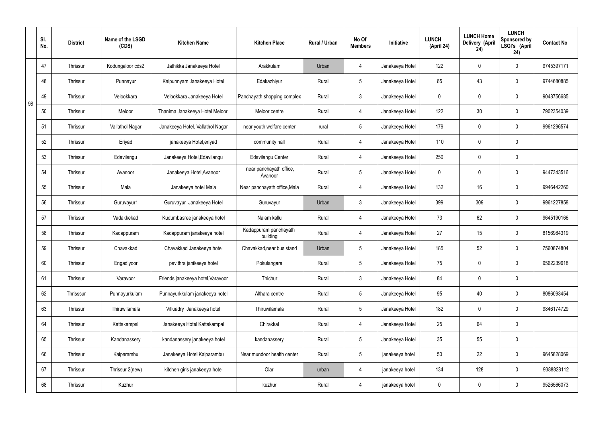|    | SI.<br>No. | <b>District</b> | Name of the LSGD<br>(CDS) | <b>Kitchen Name</b>               | <b>Kitchen Place</b>               | Rural / Urban | No Of<br><b>Members</b> | Initiative      | <b>LUNCH</b><br>(April 24) | <b>LUNCH Home</b><br>Delivery (April<br>24) | <b>LUNCH</b><br>Sponsored by<br>LSGI's (April<br>24) | <b>Contact No</b> |
|----|------------|-----------------|---------------------------|-----------------------------------|------------------------------------|---------------|-------------------------|-----------------|----------------------------|---------------------------------------------|------------------------------------------------------|-------------------|
|    | 47         | <b>Thrissur</b> | Kodungaloor cds2          | Jathikka Janakeeya Hotel          | Arakkulam                          | Urban         | 4                       | Janakeeya Hotel | 122                        | $\mathbf 0$                                 | $\mathbf 0$                                          | 9745397171        |
|    | 48         | <b>Thrissur</b> | Punnayur                  | Kaipunnyam Janakeeya Hotel        | Edakazhiyur                        | Rural         | $5\overline{)}$         | Janakeeya Hotel | 65                         | 43                                          | $\mathbf 0$                                          | 9744680885        |
| 98 | 49         | <b>Thrissur</b> | Velookkara                | Velookkara Janakeeya Hotel        | Panchayath shopping complex        | Rural         | 3                       | Janakeeya Hotel | $\mathbf 0$                | $\mathbf 0$                                 | $\mathbf 0$                                          | 9048756685        |
|    | 50         | <b>Thrissur</b> | Meloor                    | Thanima Janakeeya Hotel Meloor    | Meloor centre                      | Rural         | 4                       | Janakeeya Hotel | 122                        | 30                                          | $\mathbf 0$                                          | 7902354039        |
|    | 51         | <b>Thrissur</b> | Vallathol Nagar           | Janakeeya Hotel, Vallathol Nagar  | near youth welfare center          | rural         | $5\overline{)}$         | Janakeeya Hotel | 179                        | $\mathbf 0$                                 | $\mathbf 0$                                          | 9961296574        |
|    | 52         | <b>Thrissur</b> | Eriyad                    | janakeeya Hotel, eriyad           | community hall                     | Rural         | 4                       | Janakeeya Hotel | 110                        | $\mathbf 0$                                 | $\mathbf 0$                                          |                   |
|    | 53         | <b>Thrissur</b> | Edavilangu                | Janakeeya Hotel, Edavilangu       | Edavilangu Center                  | Rural         | $\overline{4}$          | Janakeeya Hotel | 250                        | $\mathbf 0$                                 | $\mathbf 0$                                          |                   |
|    | 54         | <b>Thrissur</b> | Avanoor                   | Janakeeya Hotel, Avanoor          | near panchayath office,<br>Avanoor | Rural         | $5\overline{)}$         | Janakeeya Hotel | $\mathbf 0$                | $\mathbf 0$                                 | $\mathbf 0$                                          | 9447343516        |
|    | 55         | <b>Thrissur</b> | Mala                      | Janakeeya hotel Mala              | Near panchayath office, Mala       | Rural         | $\overline{4}$          | Janakeeya Hotel | 132                        | 16                                          | $\mathbf 0$                                          | 9946442260        |
|    | 56         | Thrissur        | Guruvayur1                | Guruvayur Janakeeya Hotel         | Guruvayur                          | Urban         | $\mathbf{3}$            | Janakeeya Hotel | 399                        | 309                                         | $\mathbf 0$                                          | 9961227858        |
|    | 57         | Thrissur        | Vadakkekad                | Kudumbasree janakeeya hotel       | Nalam kallu                        | Rural         | 4                       | Janakeeya Hotel | 73                         | 62                                          | $\mathbf 0$                                          | 9645190166        |
|    | 58         | Thrissur        | Kadappuram                | Kadappuram janakeeya hotel        | Kadappuram panchayath<br>building  | Rural         | 4                       | Janakeeya Hotel | 27                         | 15                                          | $\mathbf 0$                                          | 8156984319        |
|    | 59         | <b>Thrissur</b> | Chavakkad                 | Chavakkad Janakeeya hotel         | Chavakkad, near bus stand          | Urban         | 5 <sup>5</sup>          | Janakeeya Hotel | 185                        | 52                                          | $\mathbf 0$                                          | 7560874804        |
|    | 60         | Thrissur        | Engadiyoor                | pavithra janikeeya hotel          | Pokulangara                        | Rural         | $5\overline{)}$         | Janakeeya Hotel | 75                         | $\pmb{0}$                                   | $\mathbf 0$                                          | 9562239618        |
|    | 61         | Thrissur        | Varavoor                  | Friends janakeeya hotel, Varavoor | Thichur                            | Rural         | $3\phantom{a}$          | Janakeeya Hotel | 84                         | $\pmb{0}$                                   | $\mathbf 0$                                          |                   |
|    | 62         | Thrisssur       | Punnayurkulam             | Punnayurkkulam janakeeya hotel    | Althara centre                     | Rural         | $5\overline{)}$         | Janakeeya Hotel | 95                         | 40                                          | $\mathbf 0$                                          | 8086093454        |
|    | 63         | Thrissur        | Thiruwilamala             | Villuadry Janakeeya hotel         | Thiruwilamala                      | Rural         | $5\overline{)}$         | Janakeeya Hotel | 182                        | $\pmb{0}$                                   | $\mathbf 0$                                          | 9846174729        |
|    | 64         | Thrissur        | Kattakampal               | Janakeeya Hotel Kattakampal       | Chirakkal                          | Rural         | $\overline{4}$          | Janakeeya Hotel | 25                         | 64                                          | $\mathbf 0$                                          |                   |
|    | 65         | Thrissur        | Kandanassery              | kandanassery janakeeya hotel      | kandanassery                       | Rural         | $5\overline{)}$         | Janakeeya Hotel | 35                         | 55                                          | $\mathbf 0$                                          |                   |
|    | 66         | Thrissur        | Kaiparambu                | Janakeeya Hotel Kaiparambu        | Near mundoor health center         | Rural         | $5\overline{)}$         | janakeeya hotel | 50                         | 22                                          | $\mathbf 0$                                          | 9645828069        |
|    | 67         | Thrissur        | Thrissur 2(new)           | kitchen girls janakeeya hotel     | Olari                              | urban         | 4                       | janakeeya hotel | 134                        | 128                                         | $\mathbf 0$                                          | 9388828112        |
|    | 68         | Thrissur        | Kuzhur                    |                                   | kuzhur                             | Rural         | $\overline{4}$          | janakeeya hotel | $\pmb{0}$                  | $\pmb{0}$                                   | $\boldsymbol{0}$                                     | 9526566073        |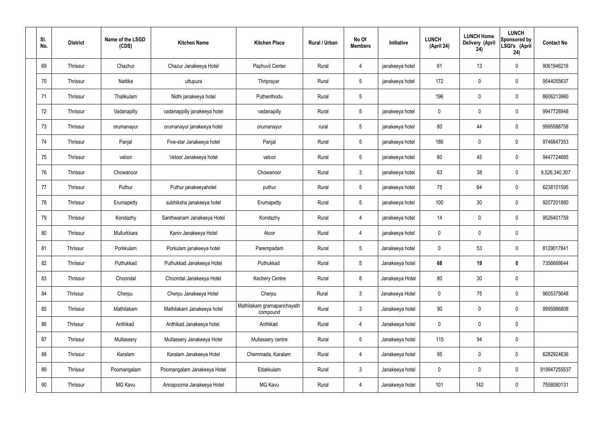| SI.<br>No. | <b>District</b> | Name of the LSGD<br>(CDS) | <b>Kitchen Name</b>          | <b>Kitchen Place</b>                   | Rural / Urban | No Of<br><b>Members</b> | Initiative      | <b>LUNCH</b><br>(April 24) | <b>LUNCH Home</b><br>Delivery (April<br>24) | <b>LUNCH</b><br>Sponsored by<br>LSGI's (April<br>24) | <b>Contact No</b> |
|------------|-----------------|---------------------------|------------------------------|----------------------------------------|---------------|-------------------------|-----------------|----------------------------|---------------------------------------------|------------------------------------------------------|-------------------|
| 69         | Thrissur        | Chazhur                   | Chazur Janakeeya Hotel       | Pazhuvil Center                        | Rural         | 4                       | janakeeya hotel | 61                         | 13                                          | $\mathbf 0$                                          | 9061946216        |
| 70         | Thrissur        | Nattika                   | uttupura                     | Thriprayar                             | Rural         | 5 <sup>5</sup>          | janakeeya hotel | 172                        | $\mathbf 0$                                 | $\mathbf 0$                                          | 9544055637        |
| 71         | Thrissur        | Thalikulam                | Nidhi janakeeya hotel        | Puthenthodu                            | Rural         | $5\overline{)}$         |                 | 196                        | $\mathbf 0$                                 | $\mathbf 0$                                          | 8606213960        |
| 72         | Thrissur        | Vadanapilly               | vadanappilly janakeeya hotel | vadanapilly                            | Rural         | $5\overline{)}$         | janakeeya hotel | $\mathbf 0$                | $\mathbf 0$                                 | $\mathbf 0$                                          | 9947728948        |
| 73         | Thrissur        | orumanayur                | orumanayur janakeeya hotel   | orumanayur                             | rural         | $5\overline{)}$         | janakeeya hotel | 80                         | 44                                          | $\mathbf 0$                                          | 9995588758        |
| 74         | Thrissur        | Panjal                    | Five-star Janakeeya hotel    | Panjal                                 | Rural         | $5\phantom{.0}$         | janakeeya hotel | 186                        | $\mathbf 0$                                 | $\mathbf 0$                                          | 9746847353        |
| 75         | Thrissur        | veloor                    | Veloor Janakeeya hotel       | veloor                                 | Rural         | $5\overline{)}$         | janakeeya hotel | 60                         | 45                                          | $\mathbf 0$                                          | 9447724685        |
| 76         | Thrissur        | Chowanoor                 |                              | Chowanoor                              | Rural         | $\mathbf{3}$            | janakeeya hotel | 63                         | 38                                          | $\mathbf 0$                                          | 9,526,340,307     |
| 77         | Thrissur        | Puthur                    | Puthur janakeeyahotel        | puthur                                 | Rural         | $5\overline{)}$         | janakeeya hotel | 75                         | 64                                          | $\mathbf 0$                                          | 6238101595        |
| 78         | Thrissur        | Erumapetty                | subhiksha janakeeya hotel    | Erumapetty                             | Rural         | $5\overline{)}$         | janakeeya hotel | 100                        | 30                                          | $\mathbf 0$                                          | 9207201880        |
| 79         | Thrissur        | Kondazhy                  | Santhwanam Janakeeya Hotel   | Kondazhy                               | Rural         | 4                       | janakeeya hotel | 14                         | $\mathbf 0$                                 | $\mathbf 0$                                          | 9526401759        |
| 80         | Thrissur        | Mullurkkara               | Kaniv Janakeeya Hotel        | Atoor                                  | Rural         | 4                       | janakeeya hotel | $\mathbf 0$                | $\mathbf 0$                                 | $\mathbf 0$                                          |                   |
| 81         | Thrissur        | Porkkulam                 | Porkulam janakeeya hotel     | Parempadam                             | Rural         | $5\overline{)}$         | Janakeeya hotel | $\mathbf 0$                | 53                                          | $\mathbf 0$                                          | 8129017841        |
| 82         | Thrissur        | Puthukkad                 | Puthukkad Janakeeya Hotel    | Puthukkad                              | Rural         | $5\phantom{.0}$         | Janakeeya hotel | 68                         | 19                                          | $\mathbf 0$                                          | 7356668644        |
| 83         | Thrissur        | Choondal                  | Choondal Janakeeya Hotel     | <b>Kechery Centre</b>                  | Rural         | 8                       | Janakeeya Hotel | 80                         | 30                                          | $\mathbf 0$                                          |                   |
| 84         | Thrissur        | Cherpu                    | Cherpu Janakeeya Hotel       | Cherpu                                 | Rural         | $3\phantom{a}$          | Janakeeya Hotel | $\mathbf 0$                | 75                                          | $\mathbf 0$                                          | 9605375648        |
| 85         | Thrissur        | Mathilakam                | Mathilakam Janakeeya hotel   | Mathilakam gramapanchayath<br>compound | Rural         | $3\phantom{a}$          | Janakeeya hotel | 90                         | $\pmb{0}$                                   | $\mathbf 0$                                          | 9995986808        |
| 86         | Thrissur        | Anthikad                  | Anthikad Janakeeya hotel     | Anthikad                               | Rural         | $\overline{4}$          | Janakeeya hotel | $\mathbf 0$                | $\pmb{0}$                                   | $\mathbf 0$                                          |                   |
| 87         | Thrissur        | Mullassery                | Mullassery Janakeeya Hotel   | Mullassery centre                      | Rural         | $5\overline{)}$         | Janakeeya hotel | 115                        | 94                                          | $\mathbf 0$                                          |                   |
| 88         | Thrissur        | Karalam                   | Karalam Janakeeya Hotel      | Chemmada, Karalam                      | Rural         | $\overline{4}$          | Janakeeya hotel | 95                         | $\pmb{0}$                                   | $\mathbf 0$                                          | 6282924636        |
| 89         | Thrissur        | Poomangalam               | Poomangalam Janakeeya Hotel  | Edakkulam                              | Rural         | $3\phantom{a}$          | Janakeeya hotel | $\mathbf 0$                | $\pmb{0}$                                   | $\mathbf 0$                                          | 919947255537      |
| 90         | Thrissur        | MG Kavu                   | Annapoorna Janakeeya Hotel   | MG Kavu                                | Rural         | 4                       | Janakeeya hotel | 101                        | 142                                         | $\mathbf 0$                                          | 7558080131        |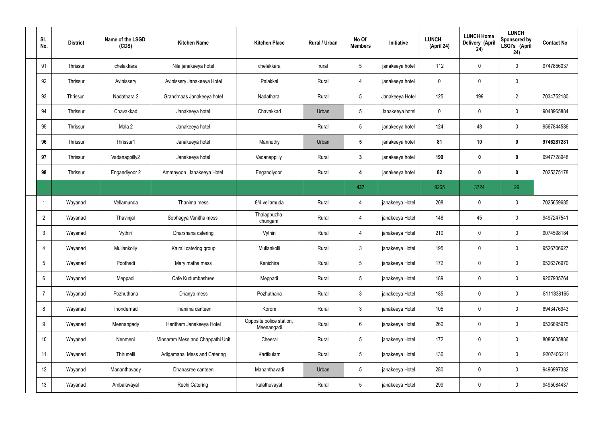| SI.<br>No.     | <b>District</b> | Name of the LSGD<br>(CDS) | <b>Kitchen Name</b>              | <b>Kitchen Place</b>                   | Rural / Urban | No Of<br><b>Members</b> | Initiative      | <b>LUNCH</b><br>(April 24) | <b>LUNCH Home</b><br>Delivery (April<br>24) | <b>LUNCH</b><br>Sponsored by<br>LSGI's (April<br>24) | <b>Contact No</b> |
|----------------|-----------------|---------------------------|----------------------------------|----------------------------------------|---------------|-------------------------|-----------------|----------------------------|---------------------------------------------|------------------------------------------------------|-------------------|
| 91             | Thrissur        | chelakkara                | Nila janakeeya hotel             | chelakkara                             | rural         | $5\overline{)}$         | janakeeya hotel | 112                        | 0                                           | $\mathbf 0$                                          | 9747856037        |
| 92             | Thrissur        | Avinissery                | Avinissery Janakeeya Hotel       | Palakkal                               | Rural         | 4                       | janakeeya hotel | $\mathbf 0$                | $\mathbf 0$                                 | $\mathbf 0$                                          |                   |
| 93             | Thrissur        | Nadathara 2               | Grandmaas Janakeeya hotel        | Nadathara                              | Rural         | $5\overline{)}$         | Janakeeya Hotel | 125                        | 199                                         | $\overline{2}$                                       | 7034752180        |
| 94             | Thrissur        | Chavakkad                 | Janakeeya hotel                  | Chavakkad                              | Urban         | $5\phantom{.0}$         | Janakeeya hotel | $\mathbf 0$                | $\mathbf 0$                                 | $\mathbf 0$                                          | 9048965884        |
| 95             | Thrissur        | Mala 2                    | Janakeeya hotel                  |                                        | Rural         | $5\overline{)}$         | janakeeya hotel | 124                        | 48                                          | $\mathbf 0$                                          | 9567844586        |
| 96             | Thrissur        | Thrissur1                 | Janakeeya hotel                  | Mannuthy                               | Urban         | $5\phantom{.0}$         | janakeeya hotel | 81                         | 10                                          | $\bf{0}$                                             | 9746287281        |
| 97             | Thrissur        | Vadanappilly2             | Janakeeya hotel                  | Vadanappilly                           | Rural         | $\mathbf{3}$            | janakeeya hotel | 199                        | $\boldsymbol{0}$                            | $\bf{0}$                                             | 9947728948        |
| 98             | Thrissur        | Engandiyoor 2             | Ammayoon Janakeeya Hotel         | Engandiyoor                            | Rural         | 4                       | janakeeya hotel | 82                         | $\boldsymbol{0}$                            | $\bf{0}$                                             | 7025375178        |
|                |                 |                           |                                  |                                        |               | 437                     |                 | 9265                       | 3724                                        | 29                                                   |                   |
|                | Wayanad         | Vellamunda                | Thanima mess                     | 8/4 vellamuda                          | Rural         | 4                       | janakeeya Hotel | 208                        | $\mathbf 0$                                 | $\mathbf 0$                                          | 7025659685        |
| $\overline{2}$ | Wayanad         | Thavinjal                 | Sobhagya Vanitha mess            | Thalappuzha<br>chungam                 | Rural         | 4                       | janakeeya Hotel | 148                        | 45                                          | $\mathbf 0$                                          | 9497247541        |
| 3              | Wayanad         | Vythiri                   | Dharshana catering               | Vythiri                                | Rural         | 4                       | janakeeya Hotel | 210                        | 0                                           | $\mathbf 0$                                          | 9074598184        |
| $\overline{4}$ | Wayanad         | Mullankolly               | Kairali catering group           | Mullankolli                            | Rural         | $\mathbf{3}$            | janakeeya Hotel | 195                        | $\mathbf 0$                                 | $\mathbf 0$                                          | 9526706627        |
| 5              | Wayanad         | Poothadi                  | Mary matha mess                  | Kenichira                              | Rural         | $5\phantom{.0}$         | janakeeya Hotel | 172                        | $\pmb{0}$                                   | $\mathbf 0$                                          | 9526376970        |
| 6              | Wayanad         | Meppadi                   | Cafe Kudumbashree                | Meppadi                                | Rural         | $5\phantom{.0}$         | janakeeya Hotel | 189                        | 0                                           | $\mathbf 0$                                          | 9207935764        |
| $\overline{7}$ | Wayanad         | Pozhuthana                | Dhanya mess                      | Pozhuthana                             | Rural         | $3\phantom{a}$          | janakeeya Hotel | 185                        | 0                                           | $\mathbf 0$                                          | 8111838165        |
| 8              | Wayanad         | Thondernad                | Thanima canteen                  | Korom                                  | Rural         | $3\phantom{a}$          | janakeeya Hotel | 105                        | 0                                           | $\mathbf 0$                                          | 8943476943        |
| 9              | Wayanad         | Meenangady                | Haritham Janakeeya Hotel         | Opposite police station,<br>Meenangadi | Rural         | $6\phantom{.}6$         | janakeeya Hotel | 260                        | 0                                           | $\mathbf 0$                                          | 9526895975        |
| 10             | Wayanad         | Nenmeni                   | Minnaram Mess and Chappathi Unit | Cheeral                                | Rural         | $5\phantom{.0}$         | janakeeya Hotel | 172                        | 0                                           | $\mathbf 0$                                          | 8086835886        |
| 11             | Wayanad         | Thirunelli                | Adigamanai Mess and Catering     | Kartikulam                             | Rural         | $5\phantom{.0}$         | janakeeya Hotel | 136                        | 0                                           | $\mathbf 0$                                          | 9207406211        |
| 12             | Wayanad         | Mananthavady              | Dhanasree canteen                | Mananthavadi                           | Urban         | $5\phantom{.0}$         | janakeeya Hotel | 280                        | $\pmb{0}$                                   | $\mathbf 0$                                          | 9496997382        |
| 13             | Wayanad         | Ambalavayal               | <b>Ruchi Catering</b>            | kalathuvayal                           | Rural         | 5 <sub>5</sub>          | janakeeya Hotel | 299                        | $\pmb{0}$                                   | $\pmb{0}$                                            | 9495084437        |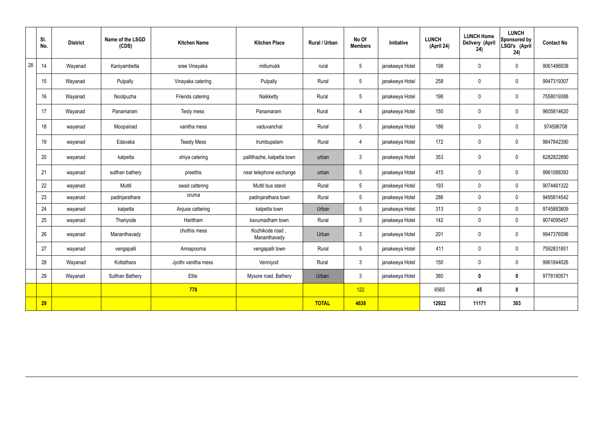|    | SI.<br>No. | <b>District</b> | Name of the LSGD<br>(CDS) | <b>Kitchen Name</b> | <b>Kitchen Place</b>           | Rural / Urban | No Of<br><b>Members</b> | Initiative      | <b>LUNCH</b><br>(April 24) | <b>LUNCH Home</b><br>Delivery (April<br>24) | <b>LUNCH</b><br>Sponsored by<br>LSGI's (April<br>24) | <b>Contact No</b> |
|----|------------|-----------------|---------------------------|---------------------|--------------------------------|---------------|-------------------------|-----------------|----------------------------|---------------------------------------------|------------------------------------------------------|-------------------|
| 28 | 14         | Wayanad         | Kaniyambetta              | sree Vinayaka       | millumukk                      | rural         | $5\phantom{.0}$         | janakeeya Hotel | 198                        | $\mathbf 0$                                 | $\mathbf 0$                                          | 9061486938        |
|    | 15         | Wayanad         | Pulpally                  | Vinayaka catering   | Pulpally                       | Rural         | $5\phantom{.0}$         | janakeeya Hotel | 258                        | $\mathbf 0$                                 | $\mathbf 0$                                          | 9947319307        |
|    | 16         | Wayanad         | Noolpuzha                 | Friends catering    | Naikketty                      | Rural         | $5\overline{)}$         | janakeeya Hotel | 198                        | $\mathbf 0$                                 | $\mathbf 0$                                          | 7558019388        |
|    | 17         | Wayanad         | Panamaram                 | Testy mess          | Panamaram                      | Rural         | 4                       | janakeeya Hotel | 150                        | $\mathbf 0$                                 | $\mathbf 0$                                          | 9605814620        |
|    | 18         | wayanad         | Moopainad                 | vanitha mess        | vaduvanchal                    | Rural         | $5\overline{)}$         | janakeeya Hotel | 186                        | $\mathbf 0$                                 | $\mathbf 0$                                          | 974596708         |
|    | 19         | wayanad         | Edavaka                   | <b>Teasty Mess</b>  | Irumbupalam                    | Rural         | $\overline{4}$          | janakeeya Hotel | 172                        | $\pmb{0}$                                   | $\mathbf 0$                                          | 9847842390        |
|    | 20         | wayanad         | kalpetta                  | shiya catering      | pallithazhe, kalpetta town     | urban         | 3 <sup>5</sup>          | janakeeya Hotel | 353                        | $\mathbf 0$                                 | $\mathbf 0$                                          | 6282822890        |
|    | 21         | wayanad         | sulthan bathery           | preethis            | near telephone exchange        | urban         | $5\phantom{.0}$         | janakeeya Hotel | 415                        | $\pmb{0}$                                   | $\mathbf 0$                                          | 9961088393        |
|    | 22         | wayanad         | Muttil                    | swad cattering      | Muttil bus stand               | Rural         | $5\overline{)}$         | janakeeya Hotel | 193                        | $\mathbf 0$                                 | $\mathbf 0$                                          | 9074461322        |
|    | 23         | wayanad         | padinjarathara            | oruma               | padinjarathara town            | Rural         | $5\overline{)}$         | janakeeya Hotel | 286                        | $\mathbf 0$                                 | $\mathbf 0$                                          | 9495814542        |
|    | 24         | wayanad         | kalpetta                  | Anjuse cattering    | kalpetta town                  | Urban         | $5\overline{)}$         | janakeeya Hotel | 313                        | $\mathbf 0$                                 | $\mathbf 0$                                          | 9745883809        |
|    | 25         | wayanad         | Thariyode                 | Haritham            | kavumadham town                | Rural         | $\mathbf{3}$            | janakeeya Hotel | 142                        | $\pmb{0}$                                   | $\mathbf 0$                                          | 9074095457        |
|    | 26         | wayanad         | Mananthavady              | chothis mess        | Kozhikode road<br>Mananthavady | Urban         | $\mathbf{3}$            | janakeeya Hotel | 201                        | $\mathbf 0$                                 | $\mathbf 0$                                          | 9947376596        |
|    | 27         | wayanad         | vengapalli                | Annapoorna          | vengapalli town                | Rural         | $5\phantom{.0}$         | janakeeya Hotel | 411                        | $\mathbf 0$                                 | $\mathbf 0$                                          | 7592831851        |
|    | 28         | Wayanad         | Kottathara                | Jyothi vanitha mess | Venniyod                       | Rural         | $\mathbf{3}$            | janakeeya Hotel | 150                        | $\pmb{0}$                                   | $\mathbf 0$                                          | 9961844026        |
|    | 29         | Wayanad         | Sulthan Bathery           | Elite               | Mysore road, Bathery           | Urban         | 3 <sup>1</sup>          | janakeeya Hotel | 380                        | $\pmb{0}$                                   | $\bf{0}$                                             | 9778180571        |
|    |            |                 |                           | 778                 |                                |               | 122                     |                 | 6565                       | 45                                          | $\mathbf 0$                                          |                   |
|    | <b>29</b>  |                 |                           |                     |                                | <b>TOTAL</b>  | 4638                    |                 | 12922                      | 11171                                       | 303                                                  |                   |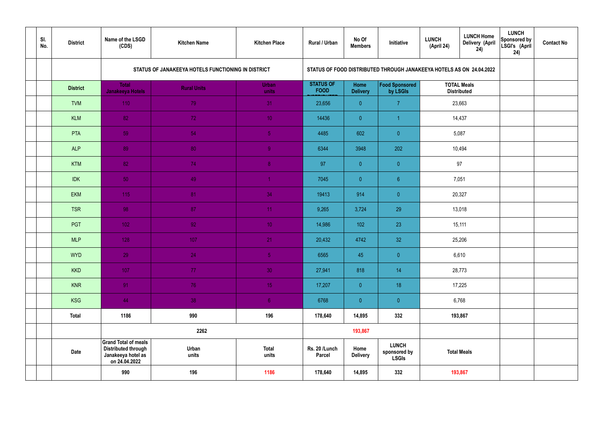| SI.<br>No. | <b>District</b> | Name of the LSGD<br>(CDS)                                                                        | <b>Kitchen Name</b>                                | <b>Kitchen Place</b>  | Rural / Urban                   | No Of<br><b>Members</b>        | Initiative                                                           | <b>LUNCH</b><br>(April 24) | <b>LUNCH Home</b><br><b>Delivery (April</b><br>24) | <b>LUNCH</b><br>Sponsored by<br>LSGI's (April<br>24) | <b>Contact No</b> |
|------------|-----------------|--------------------------------------------------------------------------------------------------|----------------------------------------------------|-----------------------|---------------------------------|--------------------------------|----------------------------------------------------------------------|----------------------------|----------------------------------------------------|------------------------------------------------------|-------------------|
|            |                 |                                                                                                  | STATUS OF JANAKEEYA HOTELS FUNCTIONING IN DISTRICT |                       |                                 |                                | STATUS OF FOOD DISTRIBUTED THROUGH JANAKEEYA HOTELS AS ON 24.04.2022 |                            |                                                    |                                                      |                   |
|            | <b>District</b> | <b>Total</b><br><b>Janakeeya Hotels</b>                                                          | <b>Rural Units</b>                                 | <b>Urban</b><br>units | <b>STATUS OF</b><br><b>FOOD</b> | <b>Home</b><br><b>Delivery</b> | Food Sponsored<br>by LSGIs                                           |                            | <b>TOTAL Meals</b><br><b>Distributed</b>           |                                                      |                   |
|            | <b>TVM</b>      | 110                                                                                              | 79                                                 | 31                    | 23,656                          | $\overline{0}$                 | $\overline{7}$                                                       |                            | 23,663                                             |                                                      |                   |
|            | <b>KLM</b>      | 82                                                                                               | 72                                                 | 10 <sup>°</sup>       | 14436                           | $\overline{0}$                 |                                                                      |                            | 14,437                                             |                                                      |                   |
|            | PTA             | 59                                                                                               | 54                                                 | $\sqrt{5}$            | 4485                            | 602                            | $\overline{0}$                                                       |                            | 5,087                                              |                                                      |                   |
|            | <b>ALP</b>      | 89                                                                                               | 80                                                 | $\overline{9}$        | 6344                            | 3948                           | 202                                                                  |                            | 10,494                                             |                                                      |                   |
|            | <b>KTM</b>      | 82                                                                                               | 74                                                 | 8 <sup>°</sup>        | 97                              | $\overline{0}$                 | $\overline{0}$                                                       |                            | 97                                                 |                                                      |                   |
|            | <b>IDK</b>      | 50                                                                                               | 49                                                 | $\blacktriangleleft$  | 7045                            | $\overline{0}$                 | 6 <sup>°</sup>                                                       | 7,051                      |                                                    |                                                      |                   |
|            | <b>EKM</b>      | 115                                                                                              | 81                                                 | 34                    | 19413                           | 914                            | $\overline{0}$                                                       |                            | 20,327                                             |                                                      |                   |
|            | <b>TSR</b>      | 98                                                                                               | 87                                                 | 11                    | 9,265                           | 3,724                          | 29                                                                   |                            | 13,018                                             |                                                      |                   |
|            | PGT             | $102$                                                                                            | 92                                                 | 10 <sup>°</sup>       | 14,986                          | 102                            | 23                                                                   |                            | 15,111                                             |                                                      |                   |
|            | <b>MLP</b>      | 128                                                                                              | 107                                                | 21                    | 20,432                          | 4742                           | 32                                                                   |                            | 25,206                                             |                                                      |                   |
|            | <b>WYD</b>      | 29                                                                                               | 24                                                 | 5 <sub>1</sub>        | 6565                            | 45                             | $\overline{0}$                                                       |                            | 6,610                                              |                                                      |                   |
|            | <b>KKD</b>      | 107                                                                                              | 77 <sub>1</sub>                                    | 30                    | 27,941                          | 818                            | 14                                                                   |                            | 28,773                                             |                                                      |                   |
|            | <b>KNR</b>      | 91                                                                                               | 76                                                 | 15 <sub>1</sub>       | 17,207                          | $\overline{0}$                 | 18                                                                   |                            | 17,225                                             |                                                      |                   |
|            | <b>KSG</b>      | 44                                                                                               | 38                                                 | 6 <sup>1</sup>        | 6768                            | $\overline{0}$                 | $\pmb{0}$                                                            |                            | 6,768                                              |                                                      |                   |
|            | <b>Total</b>    | 1186                                                                                             | 990                                                | 196                   | 178,640                         | 14,895                         | 332                                                                  |                            | 193,867                                            |                                                      |                   |
|            |                 |                                                                                                  | 2262                                               |                       |                                 | 193,867                        |                                                                      |                            |                                                    |                                                      |                   |
|            | <b>Date</b>     | <b>Grand Total of meals</b><br><b>Distributed through</b><br>Janakeeya hotel as<br>on 24.04.2022 | Urban<br>units                                     | <b>Total</b><br>units | Rs. 20 /Lunch<br><b>Parcel</b>  | Home<br><b>Delivery</b>        | <b>LUNCH</b><br>sponsored by<br><b>LSGIs</b>                         |                            | <b>Total Meals</b>                                 |                                                      |                   |
|            |                 | 990                                                                                              | 196                                                | 1186                  | 178,640                         | 14,895                         | 332                                                                  | 193,867                    |                                                    |                                                      |                   |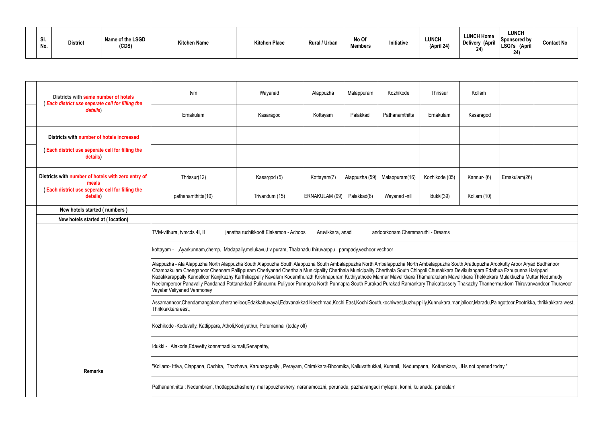| SI.<br>No. | <b>District</b> | Name of the LSGD<br>(CDS) | <b>Kitchen Name</b> | <b>Kitchen Place</b> | Rural / Urban | No Of<br><b>Members</b> | Initiative | <b>LUNCH</b><br>(April 24) | <b>LUNCH Home</b><br>Delivery (April<br>$\mathbf{A}$<br>44 | LUNCH<br>Sponsored by $\frac{1}{2}$<br>'LSGI's<br>(April<br>24) | <b>Contact No</b> |
|------------|-----------------|---------------------------|---------------------|----------------------|---------------|-------------------------|------------|----------------------------|------------------------------------------------------------|-----------------------------------------------------------------|-------------------|
|------------|-----------------|---------------------------|---------------------|----------------------|---------------|-------------------------|------------|----------------------------|------------------------------------------------------------|-----------------------------------------------------------------|-------------------|

| Districts with same number of hotels<br>(Each district use seperate cell for filling the | tvm                                                                                                                                                                                                                 | Wayanad                                                                                                                                                                                                                                                                                                                                                                                                                                                                                                                                                                                                                                                                                                                                   | Alappuzha      | Malappuram     | Kozhikode      | Thrissur       | Kollam      |               |  |  |  |  |  |
|------------------------------------------------------------------------------------------|---------------------------------------------------------------------------------------------------------------------------------------------------------------------------------------------------------------------|-------------------------------------------------------------------------------------------------------------------------------------------------------------------------------------------------------------------------------------------------------------------------------------------------------------------------------------------------------------------------------------------------------------------------------------------------------------------------------------------------------------------------------------------------------------------------------------------------------------------------------------------------------------------------------------------------------------------------------------------|----------------|----------------|----------------|----------------|-------------|---------------|--|--|--|--|--|
| details)                                                                                 | Ernakulam                                                                                                                                                                                                           | Kasaragod                                                                                                                                                                                                                                                                                                                                                                                                                                                                                                                                                                                                                                                                                                                                 | Kottayam       | Palakkad       | Pathanamthitta | Ernakulam      | Kasaragod   |               |  |  |  |  |  |
| Districts with number of hotels increased                                                |                                                                                                                                                                                                                     |                                                                                                                                                                                                                                                                                                                                                                                                                                                                                                                                                                                                                                                                                                                                           |                |                |                |                |             |               |  |  |  |  |  |
| <b>Each district use seperate cell for filling the</b><br>details)                       |                                                                                                                                                                                                                     |                                                                                                                                                                                                                                                                                                                                                                                                                                                                                                                                                                                                                                                                                                                                           |                |                |                |                |             |               |  |  |  |  |  |
| Districts with number of hotels with zero entry of<br>meals                              | Thrissur(12)                                                                                                                                                                                                        | Kasargod (5)                                                                                                                                                                                                                                                                                                                                                                                                                                                                                                                                                                                                                                                                                                                              | Kottayam(7)    | Alappuzha (59) | Malappuram(16) | Kozhikode (05) | Kannur- (6) | Ernakulam(26) |  |  |  |  |  |
| Each district use seperate cell for filling the<br>details)                              | pathanamthitta(10)                                                                                                                                                                                                  | Trivandum (15)                                                                                                                                                                                                                                                                                                                                                                                                                                                                                                                                                                                                                                                                                                                            | ERNAKULAM (99) | Palakkad(6)    | Wayanad -nill  | Idukki(39)     | Kollam (10) |               |  |  |  |  |  |
| New hotels started (numbers)                                                             |                                                                                                                                                                                                                     |                                                                                                                                                                                                                                                                                                                                                                                                                                                                                                                                                                                                                                                                                                                                           |                |                |                |                |             |               |  |  |  |  |  |
| New hotels started at (location)                                                         |                                                                                                                                                                                                                     |                                                                                                                                                                                                                                                                                                                                                                                                                                                                                                                                                                                                                                                                                                                                           |                |                |                |                |             |               |  |  |  |  |  |
|                                                                                          | TVM-vithura, tvmcds 4I, II<br>janatha ruchikkoott Elakamon - Achoos<br>Aruvikkara, anad<br>andoorkonam Chemmaruthi - Dreams                                                                                         |                                                                                                                                                                                                                                                                                                                                                                                                                                                                                                                                                                                                                                                                                                                                           |                |                |                |                |             |               |  |  |  |  |  |
|                                                                                          | kottayam - "Ayarkunnam,chemp, Madapally,melukavu,t v puram, Thalanadu thiruvarppu, pampady,vechoor vechoor                                                                                                          |                                                                                                                                                                                                                                                                                                                                                                                                                                                                                                                                                                                                                                                                                                                                           |                |                |                |                |             |               |  |  |  |  |  |
|                                                                                          | Vayalar Veliyanad Venmoney                                                                                                                                                                                          | Alappuzha - Ala Alappuzha North Alappuzha South Alappuzha South Alappuzha South Ambalappuzha North Ambalappuzha South Arattupuzha Arookutty Aroor Aryad Budhanoor<br>Chambakulam Chenganoor Chennam Pallippuram Cheriyanad Cherthala Municipality Cherthala Municipality Cherthala South Chingoli Chunakkara Devikulangara Edathua Ezhupunna Harippad<br>Kadakkarappally Kandalloor Kanjikuzhy Karthikappally Kavalam Kodamthurath Krishnapuram Kuthiyathode Mannar Mavelikkara Thamarakulam Mavelikkara Thekkekara Mulakkuzha Muttar Nedumudy<br>Neelamperoor Panavally Pandanad Pattanakkad Pulincunnu Puliyoor Punnapra North Punnapra South Purakad Purakad Ramankary Thaicattussery Thakazhy Thannermukkom Thiruvanvandoor Thuravoor |                |                |                |                |             |               |  |  |  |  |  |
|                                                                                          | Assamannoor,Chendamangalam,cheranelloor,Edakkattuvayal,Edavanakkad,Keezhmad,Kochi East,Kochi South,kochiwest,kuzhuppilly,Kunnukara,manjalloor,Maradu,Paingottoor,Pootrikka, thrikkakkara west,<br>Thrikkakkara east |                                                                                                                                                                                                                                                                                                                                                                                                                                                                                                                                                                                                                                                                                                                                           |                |                |                |                |             |               |  |  |  |  |  |
|                                                                                          | Kozhikode -Koduvally, Kattippara, Atholi, Kodiyathur, Perumanna (today off)                                                                                                                                         |                                                                                                                                                                                                                                                                                                                                                                                                                                                                                                                                                                                                                                                                                                                                           |                |                |                |                |             |               |  |  |  |  |  |
|                                                                                          | Idukki - Alakode, Edavetty, konnathadi, kumali, Senapathy,                                                                                                                                                          |                                                                                                                                                                                                                                                                                                                                                                                                                                                                                                                                                                                                                                                                                                                                           |                |                |                |                |             |               |  |  |  |  |  |
| <b>Remarks</b>                                                                           | "Kollam:- Ittiva, Clappana, Oachira, Thazhava, Karunagapally, Perayam, Chirakkara-Bhoomika, Kalluvathukkal, Kummil, Nedumpana, Kottamkara, JHs not opened today."                                                   |                                                                                                                                                                                                                                                                                                                                                                                                                                                                                                                                                                                                                                                                                                                                           |                |                |                |                |             |               |  |  |  |  |  |
|                                                                                          | Pathanamthitta: Nedumbram, thottappuzhasherry, mallappuzhashery, naranamoozhi, perunadu, pazhavangadi mylapra, konni, kulanada, pandalam                                                                            |                                                                                                                                                                                                                                                                                                                                                                                                                                                                                                                                                                                                                                                                                                                                           |                |                |                |                |             |               |  |  |  |  |  |